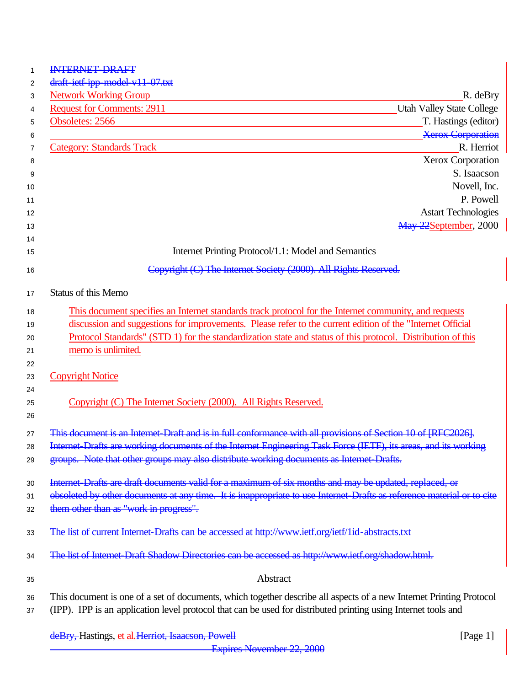deBry, Hastings, et al. Herriot, Isaacson, Powell **Exercise 2018** [Page 1] Expires November 22, 2000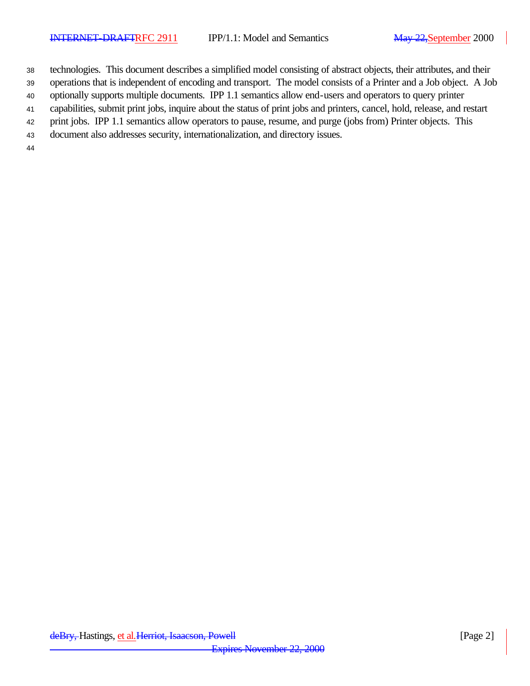technologies. This document describes a simplified model consisting of abstract objects, their attributes, and their

operations that is independent of encoding and transport. The model consists of a Printer and a Job object. A Job

optionally supports multiple documents. IPP 1.1 semantics allow end-users and operators to query printer

capabilities, submit print jobs, inquire about the status of print jobs and printers, cancel, hold, release, and restart

- print jobs. IPP 1.1 semantics allow operators to pause, resume, and purge (jobs from) Printer objects. This
- document also addresses security, internationalization, and directory issues.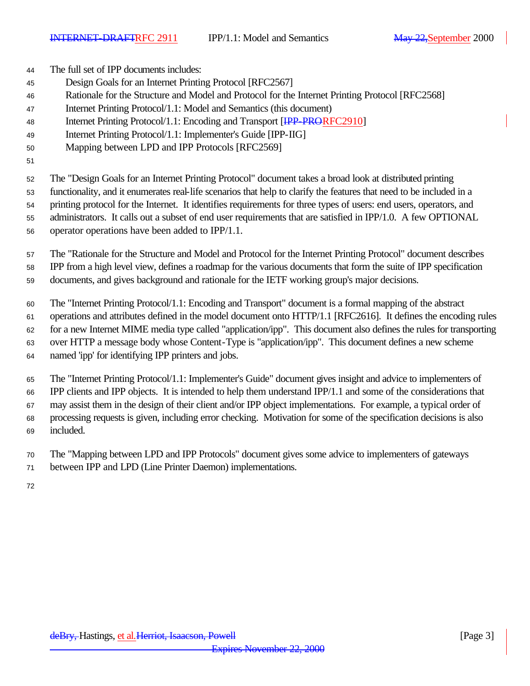The full set of IPP documents includes: Design Goals for an Internet Printing Protocol [RFC2567] Rationale for the Structure and Model and Protocol for the Internet Printing Protocol [RFC2568] Internet Printing Protocol/1.1: Model and Semantics (this document) 48 Internet Printing Protocol/1.1: Encoding and Transport [IPP-PRORFC2910] Internet Printing Protocol/1.1: Implementer's Guide [IPP-IIG] Mapping between LPD and IPP Protocols [RFC2569] The "Design Goals for an Internet Printing Protocol" document takes a broad look at distributed printing functionality, and it enumerates real-life scenarios that help to clarify the features that need to be included in a printing protocol for the Internet. It identifies requirements for three types of users: end users, operators, and

 administrators. It calls out a subset of end user requirements that are satisfied in IPP/1.0. A few OPTIONAL operator operations have been added to IPP/1.1.

 The "Rationale for the Structure and Model and Protocol for the Internet Printing Protocol" document describes IPP from a high level view, defines a roadmap for the various documents that form the suite of IPP specification documents, and gives background and rationale for the IETF working group's major decisions.

The "Internet Printing Protocol/1.1: Encoding and Transport" document is a formal mapping of the abstract

operations and attributes defined in the model document onto HTTP/1.1 [RFC2616]. It defines the encoding rules

for a new Internet MIME media type called "application/ipp". This document also defines the rules for transporting

over HTTP a message body whose Content-Type is "application/ipp". This document defines a new scheme

named 'ipp' for identifying IPP printers and jobs.

 The "Internet Printing Protocol/1.1: Implementer's Guide" document gives insight and advice to implementers of IPP clients and IPP objects. It is intended to help them understand IPP/1.1 and some of the considerations that may assist them in the design of their client and/or IPP object implementations. For example, a typical order of processing requests is given, including error checking. Motivation for some of the specification decisions is also included.

The "Mapping between LPD and IPP Protocols" document gives some advice to implementers of gateways

between IPP and LPD (Line Printer Daemon) implementations.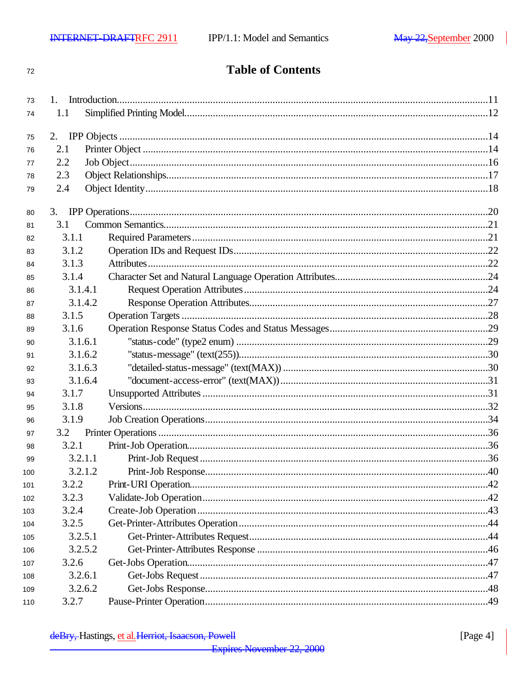$72$ 

# **Table of Contents**

| 73  |         |  |
|-----|---------|--|
| 74  | 1.1     |  |
| 75  |         |  |
| 76  | 2.1     |  |
| 77  | 2.2     |  |
| 78  | 2.3     |  |
| 79  | 2.4     |  |
| 80  |         |  |
| 81  | 3.1     |  |
| 82  | 3.1.1   |  |
| 83  | 3.1.2   |  |
| 84  | 3.1.3   |  |
| 85  | 3.1.4   |  |
| 86  | 3.1.4.1 |  |
| 87  | 3.1.4.2 |  |
| 88  | 3.1.5   |  |
| 89  | 3.1.6   |  |
| 90  | 3.1.6.1 |  |
| 91  | 3.1.6.2 |  |
| 92  | 3.1.6.3 |  |
| 93  | 3.1.6.4 |  |
| 94  | 3.1.7   |  |
| 95  | 3.1.8   |  |
| 96  | 3.1.9   |  |
| 97  | 3.2     |  |
| 98  | 3.2.1   |  |
| 99  | 3.2.1.1 |  |
| 100 | 3.2.1.2 |  |
| 101 | 3.2.2   |  |
| 102 | 3.2.3   |  |
| 103 | 3.2.4   |  |
| 104 | 3.2.5   |  |
| 105 | 3.2.5.1 |  |
| 106 | 3.2.5.2 |  |
| 107 | 3.2.6   |  |
| 108 | 3.2.6.1 |  |
| 109 | 3.2.6.2 |  |
| 110 | 3.2.7   |  |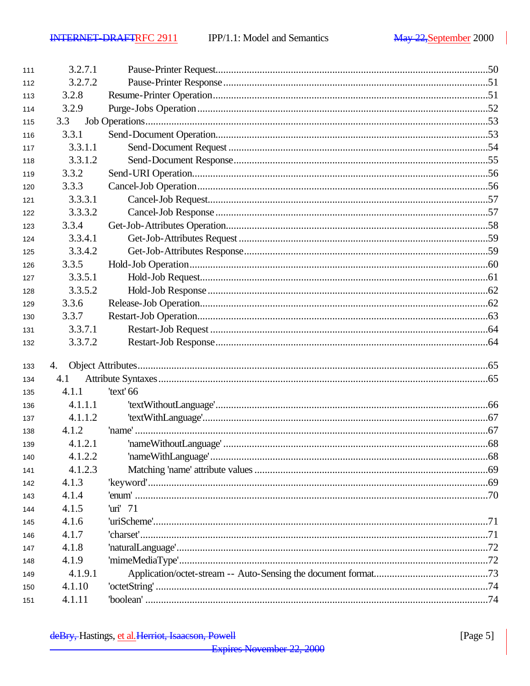| 111 | 3.2.7.1 |                           |  |
|-----|---------|---------------------------|--|
| 112 | 3.2.7.2 |                           |  |
| 113 | 3.2.8   |                           |  |
| 114 | 3.2.9   |                           |  |
| 115 | 3.3     |                           |  |
| 116 | 3.3.1   |                           |  |
| 117 | 3.3.1.1 |                           |  |
| 118 | 3.3.1.2 |                           |  |
| 119 | 3.3.2   |                           |  |
| 120 | 3.3.3   |                           |  |
| 121 | 3.3.3.1 |                           |  |
| 122 | 3.3.3.2 |                           |  |
| 123 | 3.3.4   |                           |  |
| 124 | 3.3.4.1 |                           |  |
| 125 | 3.3.4.2 |                           |  |
| 126 | 3.3.5   |                           |  |
| 127 | 3.3.5.1 |                           |  |
| 128 | 3.3.5.2 |                           |  |
| 129 | 3.3.6   |                           |  |
| 130 | 3.3.7   |                           |  |
| 131 | 3.3.7.1 |                           |  |
| 132 | 3.3.7.2 |                           |  |
| 133 | 4.      |                           |  |
| 134 | 4.1     |                           |  |
| 135 | 4.1.1   | 'text' 66                 |  |
| 136 | 4.1.1.1 |                           |  |
| 137 | 4.1.1.2 |                           |  |
| 138 | 4.1.2   |                           |  |
| 139 | 4.1.2.1 |                           |  |
| 140 | 4.1.2.2 |                           |  |
| 141 | 4.1.2.3 |                           |  |
| 142 | 4.1.3   |                           |  |
| 143 | 4.1.4   |                           |  |
| 144 | 4.1.5   | 'uri' $71$                |  |
| 145 | 4.1.6   |                           |  |
| 146 | 4.1.7   |                           |  |
| 147 | 4.1.8   |                           |  |
| 148 | 4.1.9   |                           |  |
| 149 | 4.1.9.1 |                           |  |
| 150 | 4.1.10  | $'octetString'  \dots 74$ |  |
| 151 | 4.1.11  |                           |  |
|     |         |                           |  |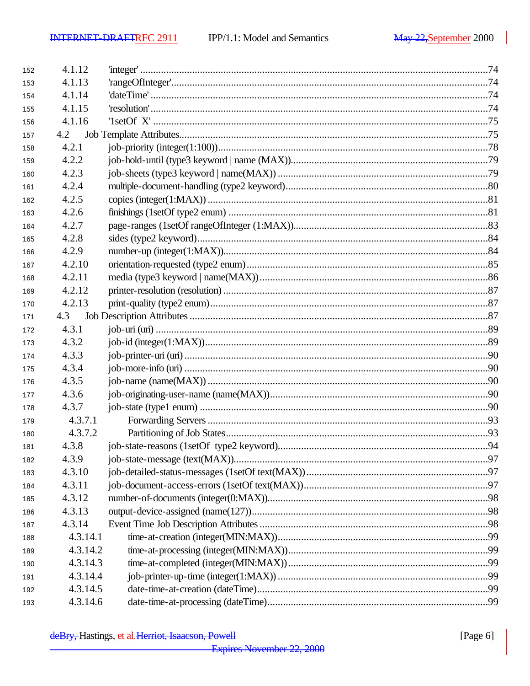| 152 | 4.1.12   |  |
|-----|----------|--|
| 153 | 4.1.13   |  |
| 154 | 4.1.14   |  |
| 155 | 4.1.15   |  |
| 156 | 4.1.16   |  |
| 157 | 4.2      |  |
| 158 | 4.2.1    |  |
| 159 | 4.2.2    |  |
| 160 | 4.2.3    |  |
| 161 | 4.2.4    |  |
| 162 | 4.2.5    |  |
| 163 | 4.2.6    |  |
| 164 | 4.2.7    |  |
| 165 | 4.2.8    |  |
| 166 | 4.2.9    |  |
| 167 | 4.2.10   |  |
| 168 | 4.2.11   |  |
| 169 | 4.2.12   |  |
| 170 | 4.2.13   |  |
| 171 | 4.3      |  |
| 172 | 4.3.1    |  |
| 173 | 4.3.2    |  |
| 174 | 4.3.3    |  |
| 175 | 4.3.4    |  |
| 176 | 4.3.5    |  |
| 177 | 4.3.6    |  |
| 178 | 4.3.7    |  |
| 179 | 4.3.7.1  |  |
| 180 | 4.3.7.2  |  |
| 181 | 4.3.8    |  |
| 182 | 4.3.9    |  |
| 183 | 4.3.10   |  |
| 184 | 4.3.11   |  |
| 185 | 4.3.12   |  |
| 186 | 4.3.13   |  |
| 187 | 4.3.14   |  |
| 188 | 4.3.14.1 |  |
| 189 | 4.3.14.2 |  |
| 190 | 4.3.14.3 |  |
| 191 | 4.3.14.4 |  |
| 192 | 4.3.14.5 |  |
| 193 | 4.3.14.6 |  |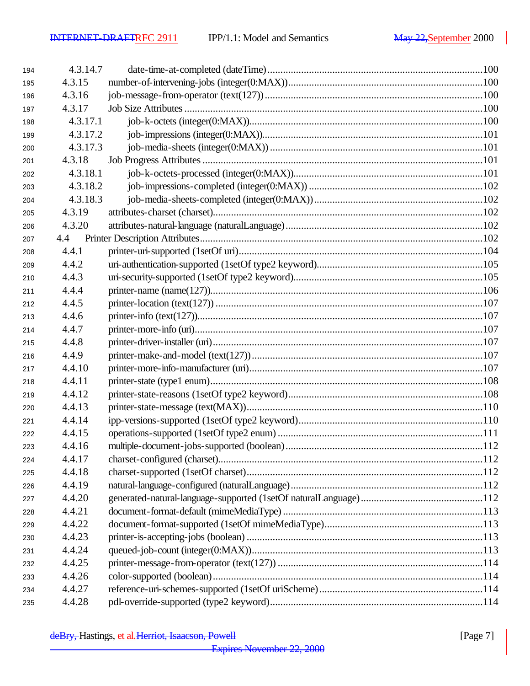| 194 | 4.3.14.7 |  |
|-----|----------|--|
| 195 | 4.3.15   |  |
| 196 | 4.3.16   |  |
| 197 | 4.3.17   |  |
| 198 | 4.3.17.1 |  |
| 199 | 4.3.17.2 |  |
| 200 | 4.3.17.3 |  |
| 201 | 4.3.18   |  |
| 202 | 4.3.18.1 |  |
| 203 | 4.3.18.2 |  |
| 204 | 4.3.18.3 |  |
| 205 | 4.3.19   |  |
| 206 | 4.3.20   |  |
| 207 |          |  |
| 208 | 4.4.1    |  |
| 209 | 4.4.2    |  |
| 210 | 4.4.3    |  |
| 211 | 4.4.4    |  |
| 212 | 4.4.5    |  |
| 213 | 4.4.6    |  |
| 214 | 4.4.7    |  |
| 215 | 4.4.8    |  |
| 216 | 4.4.9    |  |
| 217 | 4.4.10   |  |
| 218 | 4.4.11   |  |
| 219 | 4.4.12   |  |
| 220 | 4.4.13   |  |
| 221 | 4.4.14   |  |
| 222 | 4.4.15   |  |
| 223 | 4.4.16   |  |
| 224 | 4.4.17   |  |
| 225 | 4.4.18   |  |
| 226 | 4.4.19   |  |
| 227 | 4.4.20   |  |
| 228 | 4.4.21   |  |
| 229 | 4.4.22   |  |
| 230 | 4.4.23   |  |
| 231 | 4.4.24   |  |
| 232 | 4.4.25   |  |
| 233 | 4.4.26   |  |
| 234 | 4.4.27   |  |
| 235 | 4.4.28   |  |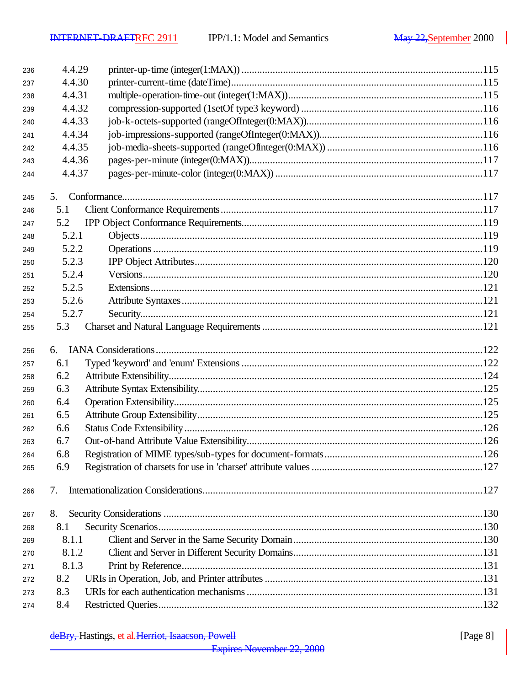| 236 | 4.4.29 |  |
|-----|--------|--|
| 237 | 4.4.30 |  |
| 238 | 4.4.31 |  |
| 239 | 4.4.32 |  |
| 240 | 4.4.33 |  |
| 241 | 4.4.34 |  |
| 242 | 4.4.35 |  |
| 243 | 4.4.36 |  |
| 244 | 4.4.37 |  |
| 245 | 5.     |  |
| 246 | 5.1    |  |
| 247 | 5.2    |  |
| 248 | 5.2.1  |  |
| 249 | 5.2.2  |  |
| 250 | 5.2.3  |  |
| 251 | 5.2.4  |  |
| 252 | 5.2.5  |  |
| 253 | 5.2.6  |  |
| 254 | 5.2.7  |  |
| 255 | 5.3    |  |
|     |        |  |
| 256 | 6.     |  |
| 257 | 6.1    |  |
| 258 | 6.2    |  |
| 259 | 6.3    |  |
| 260 | 6.4    |  |
| 261 | 6.5    |  |
| 262 | 6.6    |  |
| 263 | 6.7    |  |
| 264 | 6.8    |  |
| 265 | 6.9    |  |
| 266 | 7.     |  |
|     |        |  |
| 267 |        |  |
|     | 8.     |  |
| 268 | 8.1    |  |
| 269 | 8.1.1  |  |
| 270 | 8.1.2  |  |
| 271 | 8.1.3  |  |
| 272 | 8.2    |  |
| 273 | 8.3    |  |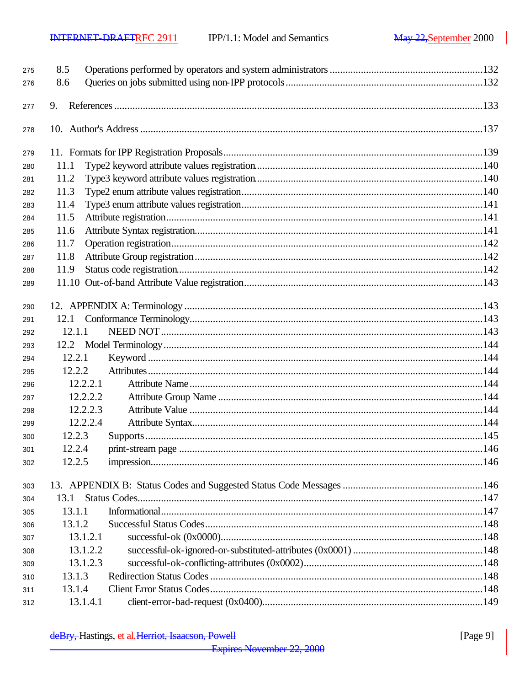| 8.6<br>276<br>9.<br>277<br>278<br>279<br>11.1<br>280<br>11.2<br>281<br>11.3<br>282<br>11.4<br>283<br>11.5<br>284<br>11.6<br>285<br>11.7<br>286<br>11.8<br>287<br>11.9<br>288<br>289<br>290<br>291<br>12.1.1<br>292<br>293<br>12.2.1<br>294<br>12.2.2<br>295<br>12.2.2.1<br>296<br>12.2.2.2<br>297<br>12.2.2.3<br>298<br>12.2.2.4<br>299<br>12.2.3<br>300<br>12.2.4<br>301<br>12.2.5<br>302<br>303<br>13.1<br>304<br>13.1.1<br>305<br>13.1.2<br>306<br>13.1.2.1<br>307<br>13.1.2.2<br>308<br>13.1.2.3<br>309<br>13.1.3<br>310<br>13.1.4<br>311 | 275 | 8.5      |  |  |
|-----------------------------------------------------------------------------------------------------------------------------------------------------------------------------------------------------------------------------------------------------------------------------------------------------------------------------------------------------------------------------------------------------------------------------------------------------------------------------------------------------------------------------------------------|-----|----------|--|--|
|                                                                                                                                                                                                                                                                                                                                                                                                                                                                                                                                               |     |          |  |  |
|                                                                                                                                                                                                                                                                                                                                                                                                                                                                                                                                               |     |          |  |  |
|                                                                                                                                                                                                                                                                                                                                                                                                                                                                                                                                               |     |          |  |  |
|                                                                                                                                                                                                                                                                                                                                                                                                                                                                                                                                               |     |          |  |  |
|                                                                                                                                                                                                                                                                                                                                                                                                                                                                                                                                               |     |          |  |  |
|                                                                                                                                                                                                                                                                                                                                                                                                                                                                                                                                               |     |          |  |  |
|                                                                                                                                                                                                                                                                                                                                                                                                                                                                                                                                               |     |          |  |  |
|                                                                                                                                                                                                                                                                                                                                                                                                                                                                                                                                               |     |          |  |  |
|                                                                                                                                                                                                                                                                                                                                                                                                                                                                                                                                               |     |          |  |  |
|                                                                                                                                                                                                                                                                                                                                                                                                                                                                                                                                               |     |          |  |  |
|                                                                                                                                                                                                                                                                                                                                                                                                                                                                                                                                               |     |          |  |  |
|                                                                                                                                                                                                                                                                                                                                                                                                                                                                                                                                               |     |          |  |  |
|                                                                                                                                                                                                                                                                                                                                                                                                                                                                                                                                               |     |          |  |  |
|                                                                                                                                                                                                                                                                                                                                                                                                                                                                                                                                               |     |          |  |  |
|                                                                                                                                                                                                                                                                                                                                                                                                                                                                                                                                               |     |          |  |  |
|                                                                                                                                                                                                                                                                                                                                                                                                                                                                                                                                               |     |          |  |  |
|                                                                                                                                                                                                                                                                                                                                                                                                                                                                                                                                               |     |          |  |  |
|                                                                                                                                                                                                                                                                                                                                                                                                                                                                                                                                               |     |          |  |  |
|                                                                                                                                                                                                                                                                                                                                                                                                                                                                                                                                               |     |          |  |  |
|                                                                                                                                                                                                                                                                                                                                                                                                                                                                                                                                               |     |          |  |  |
|                                                                                                                                                                                                                                                                                                                                                                                                                                                                                                                                               |     |          |  |  |
|                                                                                                                                                                                                                                                                                                                                                                                                                                                                                                                                               |     |          |  |  |
|                                                                                                                                                                                                                                                                                                                                                                                                                                                                                                                                               |     |          |  |  |
|                                                                                                                                                                                                                                                                                                                                                                                                                                                                                                                                               |     |          |  |  |
|                                                                                                                                                                                                                                                                                                                                                                                                                                                                                                                                               |     |          |  |  |
|                                                                                                                                                                                                                                                                                                                                                                                                                                                                                                                                               |     |          |  |  |
|                                                                                                                                                                                                                                                                                                                                                                                                                                                                                                                                               |     |          |  |  |
|                                                                                                                                                                                                                                                                                                                                                                                                                                                                                                                                               |     |          |  |  |
|                                                                                                                                                                                                                                                                                                                                                                                                                                                                                                                                               |     |          |  |  |
|                                                                                                                                                                                                                                                                                                                                                                                                                                                                                                                                               |     |          |  |  |
|                                                                                                                                                                                                                                                                                                                                                                                                                                                                                                                                               |     |          |  |  |
|                                                                                                                                                                                                                                                                                                                                                                                                                                                                                                                                               |     |          |  |  |
|                                                                                                                                                                                                                                                                                                                                                                                                                                                                                                                                               |     |          |  |  |
|                                                                                                                                                                                                                                                                                                                                                                                                                                                                                                                                               |     |          |  |  |
|                                                                                                                                                                                                                                                                                                                                                                                                                                                                                                                                               |     |          |  |  |
|                                                                                                                                                                                                                                                                                                                                                                                                                                                                                                                                               |     |          |  |  |
|                                                                                                                                                                                                                                                                                                                                                                                                                                                                                                                                               | 312 | 13.1.4.1 |  |  |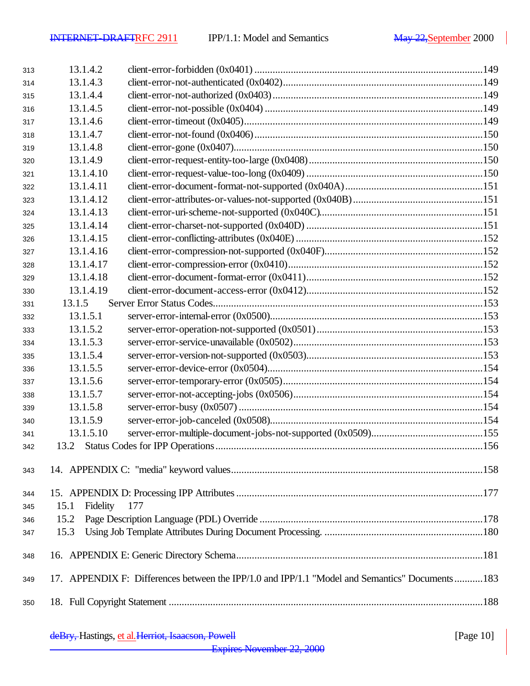| 313 | 13.1.4.2         |                                                                                                |  |
|-----|------------------|------------------------------------------------------------------------------------------------|--|
| 314 | 13.1.4.3         |                                                                                                |  |
| 315 | 13.1.4.4         |                                                                                                |  |
| 316 | 13.1.4.5         |                                                                                                |  |
| 317 | 13.1.4.6         |                                                                                                |  |
| 318 | 13.1.4.7         |                                                                                                |  |
| 319 | 13.1.4.8         |                                                                                                |  |
| 320 | 13.1.4.9         |                                                                                                |  |
| 321 | 13.1.4.10        |                                                                                                |  |
| 322 | 13.1.4.11        |                                                                                                |  |
| 323 | 13.1.4.12        |                                                                                                |  |
| 324 | 13.1.4.13        |                                                                                                |  |
| 325 | 13.1.4.14        |                                                                                                |  |
| 326 | 13.1.4.15        |                                                                                                |  |
| 327 | 13.1.4.16        |                                                                                                |  |
| 328 | 13.1.4.17        |                                                                                                |  |
| 329 | 13.1.4.18        |                                                                                                |  |
| 330 | 13.1.4.19        |                                                                                                |  |
| 331 | 13.1.5           |                                                                                                |  |
| 332 | 13.1.5.1         |                                                                                                |  |
| 333 | 13.1.5.2         |                                                                                                |  |
| 334 | 13.1.5.3         |                                                                                                |  |
| 335 | 13.1.5.4         |                                                                                                |  |
| 336 | 13.1.5.5         |                                                                                                |  |
| 337 | 13.1.5.6         |                                                                                                |  |
| 338 | 13.1.5.7         |                                                                                                |  |
| 339 | 13.1.5.8         |                                                                                                |  |
| 340 | 13.1.5.9         |                                                                                                |  |
| 341 | 13.1.5.10        |                                                                                                |  |
| 342 |                  |                                                                                                |  |
| 343 |                  |                                                                                                |  |
| 344 |                  |                                                                                                |  |
| 345 | Fidelity<br>15.1 | 177                                                                                            |  |
| 346 | 15.2             |                                                                                                |  |
| 347 | 15.3             |                                                                                                |  |
| 348 |                  |                                                                                                |  |
| 349 |                  | 17. APPENDIX F: Differences between the IPP/1.0 and IPP/1.1 "Model and Semantics" Documents183 |  |
| 350 |                  |                                                                                                |  |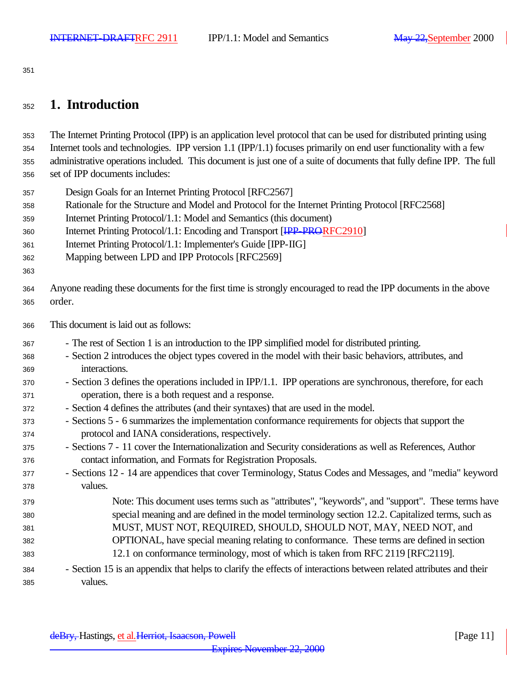# **1. Introduction**

 The Internet Printing Protocol (IPP) is an application level protocol that can be used for distributed printing using Internet tools and technologies. IPP version 1.1 (IPP/1.1) focuses primarily on end user functionality with a few administrative operations included. This document is just one of a suite of documents that fully define IPP. The full set of IPP documents includes:

- Design Goals for an Internet Printing Protocol [RFC2567]
- Rationale for the Structure and Model and Protocol for the Internet Printing Protocol [RFC2568]
- Internet Printing Protocol/1.1: Model and Semantics (this document)
- 360 Internet Printing Protocol/1.1: Encoding and Transport [IPP-PRORFC2910]
- Internet Printing Protocol/1.1: Implementer's Guide [IPP-IIG]
- Mapping between LPD and IPP Protocols [RFC2569]
- 

 Anyone reading these documents for the first time is strongly encouraged to read the IPP documents in the above order.

- This document is laid out as follows:
- The rest of Section 1 is an introduction to the IPP simplified model for distributed printing.
- Section 2 introduces the object types covered in the model with their basic behaviors, attributes, and interactions.
- Section 3 defines the operations included in IPP/1.1. IPP operations are synchronous, therefore, for each operation, there is a both request and a response.
- Section 4 defines the attributes (and their syntaxes) that are used in the model.
- Sections 5 6 summarizes the implementation conformance requirements for objects that support the protocol and IANA considerations, respectively.
- Sections 7 11 cover the Internationalization and Security considerations as well as References, Author contact information, and Formats for Registration Proposals.
- Sections 12 14 are appendices that cover Terminology, Status Codes and Messages, and "media" keyword values.
- Note: This document uses terms such as "attributes", "keywords", and "support". These terms have special meaning and are defined in the model terminology section 12.2. Capitalized terms, such as MUST, MUST NOT, REQUIRED, SHOULD, SHOULD NOT, MAY, NEED NOT, and OPTIONAL, have special meaning relating to conformance. These terms are defined in section 12.1 on conformance terminology, most of which is taken from RFC 2119 [RFC2119].
- Section 15 is an appendix that helps to clarify the effects of interactions between related attributes and their values.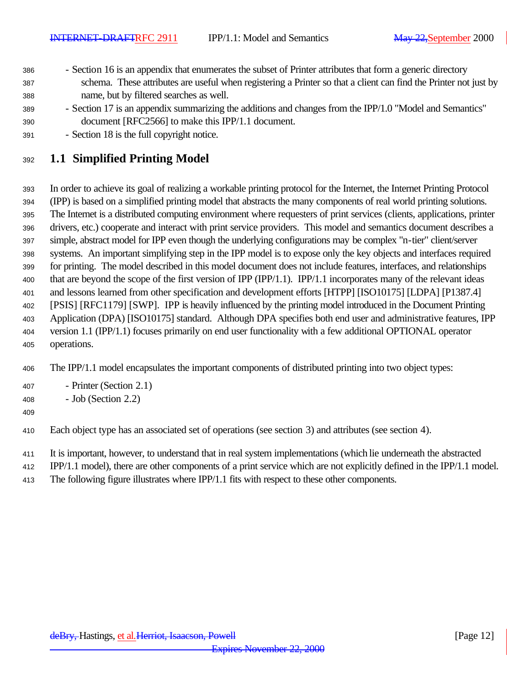- Section 16 is an appendix that enumerates the subset of Printer attributes that form a generic directory schema. These attributes are useful when registering a Printer so that a client can find the Printer not just by name, but by filtered searches as well.
- Section 17 is an appendix summarizing the additions and changes from the IPP/1.0 "Model and Semantics" document [RFC2566] to make this IPP/1.1 document.
- Section 18 is the full copyright notice.

# **1.1 Simplified Printing Model**

 In order to achieve its goal of realizing a workable printing protocol for the Internet, the Internet Printing Protocol (IPP) is based on a simplified printing model that abstracts the many components of real world printing solutions. The Internet is a distributed computing environment where requesters of print services (clients, applications, printer drivers, etc.) cooperate and interact with print service providers. This model and semantics document describes a simple, abstract model for IPP even though the underlying configurations may be complex "n-tier" client/server systems. An important simplifying step in the IPP model is to expose only the key objects and interfaces required for printing. The model described in this model document does not include features, interfaces, and relationships that are beyond the scope of the first version of IPP (IPP/1.1). IPP/1.1 incorporates many of the relevant ideas and lessons learned from other specification and development efforts [HTPP] [ISO10175] [LDPA] [P1387.4] [PSIS] [RFC1179] [SWP]. IPP is heavily influenced by the printing model introduced in the Document Printing Application (DPA) [ISO10175] standard. Although DPA specifies both end user and administrative features, IPP version 1.1 (IPP/1.1) focuses primarily on end user functionality with a few additional OPTIONAL operator operations.

The IPP/1.1 model encapsulates the important components of distributed printing into two object types:

- Printer (Section 2.1)
- Job (Section 2.2)
- 

Each object type has an associated set of operations (see section 3) and attributes (see section 4).

- It is important, however, to understand that in real system implementations (which lie underneath the abstracted
- IPP/1.1 model), there are other components of a print service which are not explicitly defined in the IPP/1.1 model.
- The following figure illustrates where IPP/1.1 fits with respect to these other components.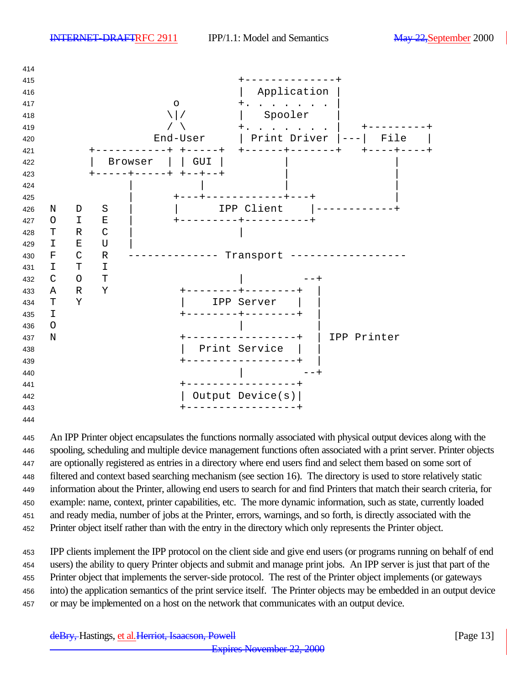

 An IPP Printer object encapsulates the functions normally associated with physical output devices along with the spooling, scheduling and multiple device management functions often associated with a print server. Printer objects are optionally registered as entries in a directory where end users find and select them based on some sort of filtered and context based searching mechanism (see section 16). The directory is used to store relatively static information about the Printer, allowing end users to search for and find Printers that match their search criteria, for example: name, context, printer capabilities, etc. The more dynamic information, such as state, currently loaded and ready media, number of jobs at the Printer, errors, warnings, and so forth, is directly associated with the Printer object itself rather than with the entry in the directory which only represents the Printer object.

 IPP clients implement the IPP protocol on the client side and give end users (or programs running on behalf of end users) the ability to query Printer objects and submit and manage print jobs. An IPP server is just that part of the Printer object that implements the server-side protocol. The rest of the Printer object implements (or gateways into) the application semantics of the print service itself. The Printer objects may be embedded in an output device or may be implemented on a host on the network that communicates with an output device.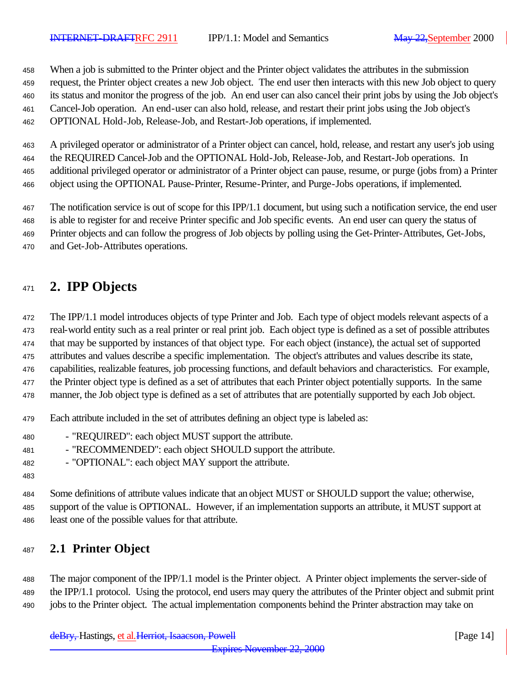When a job is submitted to the Printer object and the Printer object validates the attributes in the submission

request, the Printer object creates a new Job object. The end user then interacts with this new Job object to query

its status and monitor the progress of the job. An end user can also cancel their print jobs by using the Job object's

- Cancel-Job operation. An end-user can also hold, release, and restart their print jobs using the Job object's
- OPTIONAL Hold-Job, Release-Job, and Restart-Job operations, if implemented.

 A privileged operator or administrator of a Printer object can cancel, hold, release, and restart any user's job using the REQUIRED Cancel-Job and the OPTIONAL Hold-Job, Release-Job, and Restart-Job operations. In additional privileged operator or administrator of a Printer object can pause, resume, or purge (jobs from) a Printer object using the OPTIONAL Pause-Printer, Resume-Printer, and Purge-Jobs operations, if implemented.

The notification service is out of scope for this IPP/1.1 document, but using such a notification service, the end user

- is able to register for and receive Printer specific and Job specific events. An end user can query the status of
- Printer objects and can follow the progress of Job objects by polling using the Get-Printer-Attributes, Get-Jobs,
- and Get-Job-Attributes operations.

# **2. IPP Objects**

 The IPP/1.1 model introduces objects of type Printer and Job. Each type of object models relevant aspects of a real-world entity such as a real printer or real print job. Each object type is defined as a set of possible attributes that may be supported by instances of that object type. For each object (instance), the actual set of supported

attributes and values describe a specific implementation. The object's attributes and values describe its state,

capabilities, realizable features, job processing functions, and default behaviors and characteristics. For example,

- the Printer object type is defined as a set of attributes that each Printer object potentially supports. In the same
- manner, the Job object type is defined as a set of attributes that are potentially supported by each Job object.
- Each attribute included in the set of attributes defining an object type is labeled as:
- "REQUIRED": each object MUST support the attribute.
- 481 "RECOMMENDED": each object SHOULD support the attribute.
- "OPTIONAL": each object MAY support the attribute.
- 

 Some definitions of attribute values indicate that an object MUST or SHOULD support the value; otherwise, support of the value is OPTIONAL. However, if an implementation supports an attribute, it MUST support at least one of the possible values for that attribute.

# **2.1 Printer Object**

 The major component of the IPP/1.1 model is the Printer object. A Printer object implements the server-side of the IPP/1.1 protocol. Using the protocol, end users may query the attributes of the Printer object and submit print jobs to the Printer object. The actual implementation components behind the Printer abstraction may take on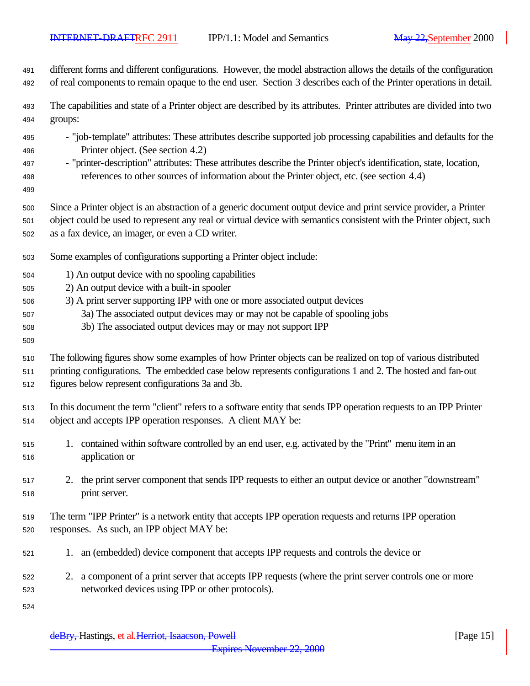| 491                                    | different forms and different configurations. However, the model abstraction allows the details of the configuration                                                                                                                                                                                                                                                         |
|----------------------------------------|------------------------------------------------------------------------------------------------------------------------------------------------------------------------------------------------------------------------------------------------------------------------------------------------------------------------------------------------------------------------------|
| 492                                    | of real components to remain opaque to the end user. Section 3 describes each of the Printer operations in detail.                                                                                                                                                                                                                                                           |
| 493                                    | The capabilities and state of a Printer object are described by its attributes. Printer attributes are divided into two                                                                                                                                                                                                                                                      |
| 494                                    | groups:                                                                                                                                                                                                                                                                                                                                                                      |
| 495<br>496<br>497<br>498<br>499        | - "job-template" attributes: These attributes describe supported job processing capabilities and defaults for the<br>Printer object. (See section 4.2)<br>- "printer-description" attributes: These attributes describe the Printer object's identification, state, location,<br>references to other sources of information about the Printer object, etc. (see section 4.4) |
| 500                                    | Since a Printer object is an abstraction of a generic document output device and print service provider, a Printer                                                                                                                                                                                                                                                           |
| 501                                    | object could be used to represent any real or virtual device with semantics consistent with the Printer object, such                                                                                                                                                                                                                                                         |
| 502                                    | as a fax device, an imager, or even a CD writer.                                                                                                                                                                                                                                                                                                                             |
| 503                                    | Some examples of configurations supporting a Printer object include:                                                                                                                                                                                                                                                                                                         |
| 504<br>505<br>506<br>507<br>508<br>509 | 1) An output device with no spooling capabilities<br>2) An output device with a built-in spooler<br>3) A print server supporting IPP with one or more associated output devices<br>3a) The associated output devices may or may not be capable of spooling jobs<br>3b) The associated output devices may or may not support IPP                                              |
| 510                                    | The following figures show some examples of how Printer objects can be realized on top of various distributed                                                                                                                                                                                                                                                                |
| 511                                    | printing configurations. The embedded case below represents configurations 1 and 2. The hosted and fan-out                                                                                                                                                                                                                                                                   |
| 512                                    | figures below represent configurations 3a and 3b.                                                                                                                                                                                                                                                                                                                            |
| 513                                    | In this document the term "client" refers to a software entity that sends IPP operation requests to an IPP Printer                                                                                                                                                                                                                                                           |
| 514                                    | object and accepts IPP operation responses. A client MAY be:                                                                                                                                                                                                                                                                                                                 |
| 515                                    | 1. contained within software controlled by an end user, e.g. activated by the "Print" menu item in an                                                                                                                                                                                                                                                                        |
| 516                                    | application or                                                                                                                                                                                                                                                                                                                                                               |
| 517                                    | 2. the print server component that sends IPP requests to either an output device or another "downstream"                                                                                                                                                                                                                                                                     |
| 518                                    | print server.                                                                                                                                                                                                                                                                                                                                                                |
| 519                                    | The term "IPP Printer" is a network entity that accepts IPP operation requests and returns IPP operation                                                                                                                                                                                                                                                                     |
| 520                                    | responses. As such, an IPP object MAY be:                                                                                                                                                                                                                                                                                                                                    |
| 521                                    | 1. an (embedded) device component that accepts IPP requests and controls the device or                                                                                                                                                                                                                                                                                       |
| 522<br>523<br>524                      | 2. a component of a print server that accepts IPP requests (where the print server controls one or more<br>networked devices using IPP or other protocols).                                                                                                                                                                                                                  |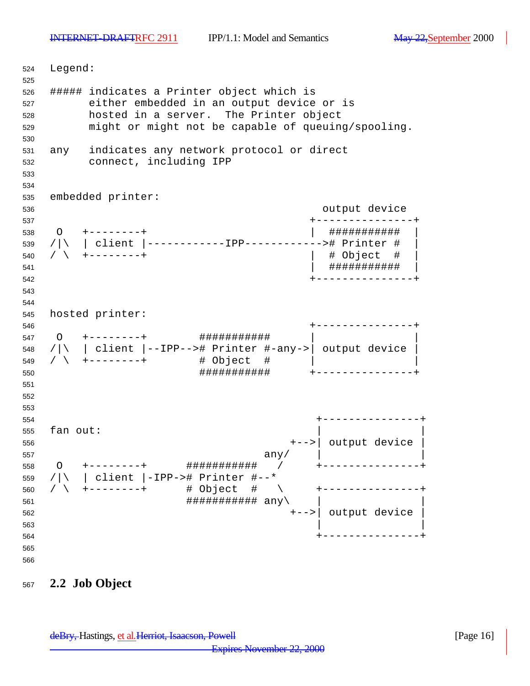Legend: ##### indicates a Printer object which is either embedded in an output device or is hosted in a server. The Printer object might or might not be capable of queuing/spooling. any indicates any network protocol or direct connect, including IPP embedded printer: output device +---------------+ O +--------+ | ########### | /|\ | client |------------IPP------------># Printer # | / \ +--------+ | # Object # | | ########### | +---------------+ hosted printer: +---------------+ O +--------+ ########### | | /|\ | client |--IPP--># Printer #-any->| output device | / \ +--------+ # Object # | | ########### +---------------+ +---------------+ fan out: +-->| output device |  $\texttt{any} \setminus$  O +--------+ ########### / +---------------+ /|\ | client |-IPP-># Printer #--\* / \ +--------+ # Object # \ +---------------+  $\# \# \# \# \# \# \# \# \# \# \# \# \text{ any } \setminus$  +-->| output device | +---------------+ 

## **2.2 Job Object**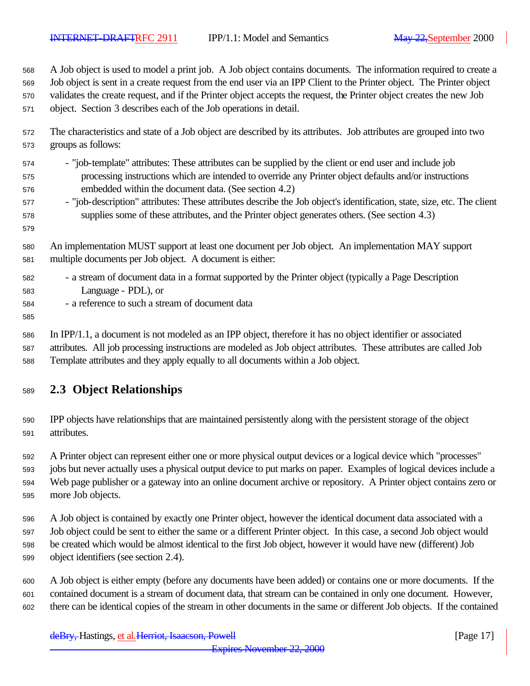A Job object is used to model a print job. A Job object contains documents. The information required to create a

Job object is sent in a create request from the end user via an IPP Client to the Printer object. The Printer object

validates the create request, and if the Printer object accepts the request, the Printer object creates the new Job

- object. Section 3 describes each of the Job operations in detail.
- The characteristics and state of a Job object are described by its attributes. Job attributes are grouped into two groups as follows:
- "job-template" attributes: These attributes can be supplied by the client or end user and include job processing instructions which are intended to override any Printer object defaults and/or instructions embedded within the document data. (See section 4.2)
- "job-description" attributes: These attributes describe the Job object's identification, state, size, etc. The client supplies some of these attributes, and the Printer object generates others. (See section 4.3)
- An implementation MUST support at least one document per Job object. An implementation MAY support multiple documents per Job object. A document is either:
- a stream of document data in a format supported by the Printer object (typically a Page Description Language - PDL), or
- a reference to such a stream of document data
- 

 In IPP/1.1, a document is not modeled as an IPP object, therefore it has no object identifier or associated attributes. All job processing instructions are modeled as Job object attributes. These attributes are called Job Template attributes and they apply equally to all documents within a Job object.

- **2.3 Object Relationships**
- IPP objects have relationships that are maintained persistently along with the persistent storage of the object attributes.
- A Printer object can represent either one or more physical output devices or a logical device which "processes"
- jobs but never actually uses a physical output device to put marks on paper. Examples of logical devices include a Web page publisher or a gateway into an online document archive or repository. A Printer object contains zero or more Job objects.
- A Job object is contained by exactly one Printer object, however the identical document data associated with a Job object could be sent to either the same or a different Printer object. In this case, a second Job object would be created which would be almost identical to the first Job object, however it would have new (different) Job object identifiers (see section 2.4).
- A Job object is either empty (before any documents have been added) or contains one or more documents. If the contained document is a stream of document data, that stream can be contained in only one document. However, there can be identical copies of the stream in other documents in the same or different Job objects. If the contained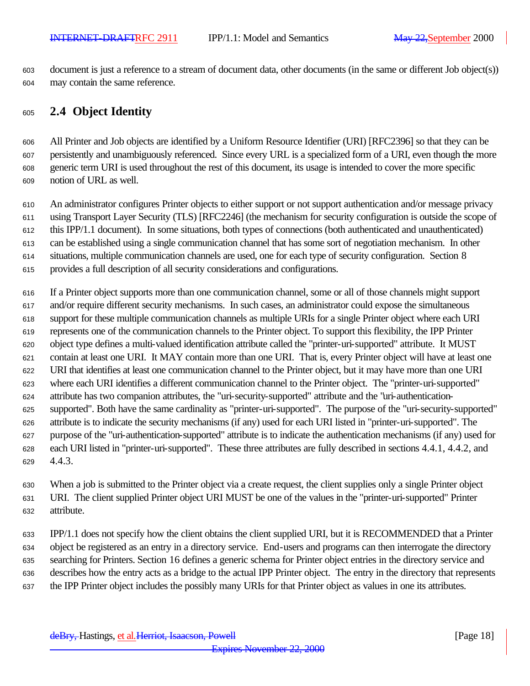document is just a reference to a stream of document data, other documents (in the same or different Job object(s)) may contain the same reference.

## **2.4 Object Identity**

 All Printer and Job objects are identified by a Uniform Resource Identifier (URI) [RFC2396] so that they can be persistently and unambiguously referenced. Since every URL is a specialized form of a URI, even though the more generic term URI is used throughout the rest of this document, its usage is intended to cover the more specific notion of URL as well.

 An administrator configures Printer objects to either support or not support authentication and/or message privacy using Transport Layer Security (TLS) [RFC2246] (the mechanism for security configuration is outside the scope of this IPP/1.1 document). In some situations, both types of connections (both authenticated and unauthenticated) can be established using a single communication channel that has some sort of negotiation mechanism. In other situations, multiple communication channels are used, one for each type of security configuration. Section 8 provides a full description of all security considerations and configurations.

 If a Printer object supports more than one communication channel, some or all of those channels might support and/or require different security mechanisms. In such cases, an administrator could expose the simultaneous support for these multiple communication channels as multiple URIs for a single Printer object where each URI represents one of the communication channels to the Printer object. To support this flexibility, the IPP Printer object type defines a multi-valued identification attribute called the "printer-uri-supported" attribute. It MUST contain at least one URI. It MAY contain more than one URI. That is, every Printer object will have at least one URI that identifies at least one communication channel to the Printer object, but it may have more than one URI where each URI identifies a different communication channel to the Printer object. The "printer-uri-supported" attribute has two companion attributes, the "uri-security-supported" attribute and the "uri-authentication- supported". Both have the same cardinality as "printer-uri-supported". The purpose of the "uri-security-supported" attribute is to indicate the security mechanisms (if any) used for each URI listed in "printer-uri-supported". The purpose of the "uri-authentication-supported" attribute is to indicate the authentication mechanisms (if any) used for each URI listed in "printer-uri-supported". These three attributes are fully described in sections 4.4.1, 4.4.2, and 4.4.3.

 When a job is submitted to the Printer object via a create request, the client supplies only a single Printer object URI. The client supplied Printer object URI MUST be one of the values in the "printer-uri-supported" Printer attribute.

 IPP/1.1 does not specify how the client obtains the client supplied URI, but it is RECOMMENDED that a Printer object be registered as an entry in a directory service. End-users and programs can then interrogate the directory searching for Printers. Section 16 defines a generic schema for Printer object entries in the directory service and describes how the entry acts as a bridge to the actual IPP Printer object. The entry in the directory that represents the IPP Printer object includes the possibly many URIs for that Printer object as values in one its attributes.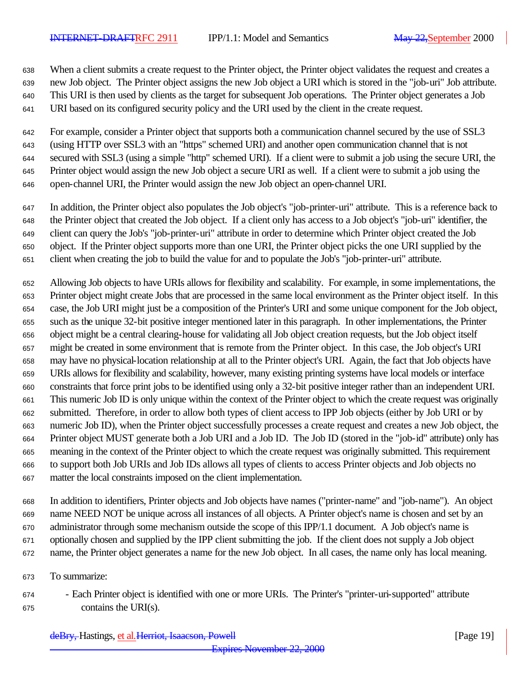When a client submits a create request to the Printer object, the Printer object validates the request and creates a

new Job object. The Printer object assigns the new Job object a URI which is stored in the "job-uri" Job attribute.

This URI is then used by clients as the target for subsequent Job operations. The Printer object generates a Job

URI based on its configured security policy and the URI used by the client in the create request.

 For example, consider a Printer object that supports both a communication channel secured by the use of SSL3 (using HTTP over SSL3 with an "https" schemed URI) and another open communication channel that is not secured with SSL3 (using a simple "http" schemed URI). If a client were to submit a job using the secure URI, the Printer object would assign the new Job object a secure URI as well. If a client were to submit a job using the open-channel URI, the Printer would assign the new Job object an open-channel URI.

- In addition, the Printer object also populates the Job object's "job-printer-uri" attribute. This is a reference back to the Printer object that created the Job object. If a client only has access to a Job object's "job-uri" identifier, the client can query the Job's "job-printer-uri" attribute in order to determine which Printer object created the Job object. If the Printer object supports more than one URI, the Printer object picks the one URI supplied by the client when creating the job to build the value for and to populate the Job's "job-printer-uri" attribute.
- Allowing Job objects to have URIs allows for flexibility and scalability. For example, in some implementations, the Printer object might create Jobs that are processed in the same local environment as the Printer object itself. In this case, the Job URI might just be a composition of the Printer's URI and some unique component for the Job object, such as the unique 32-bit positive integer mentioned later in this paragraph. In other implementations, the Printer object might be a central clearing-house for validating all Job object creation requests, but the Job object itself might be created in some environment that is remote from the Printer object. In this case, the Job object's URI may have no physical-location relationship at all to the Printer object's URI. Again, the fact that Job objects have URIs allows for flexibility and scalability, however, many existing printing systems have local models or interface constraints that force print jobs to be identified using only a 32-bit positive integer rather than an independent URI. This numeric Job ID is only unique within the context of the Printer object to which the create request was originally submitted. Therefore, in order to allow both types of client access to IPP Job objects (either by Job URI or by numeric Job ID), when the Printer object successfully processes a create request and creates a new Job object, the Printer object MUST generate both a Job URI and a Job ID. The Job ID (stored in the "job-id" attribute) only has meaning in the context of the Printer object to which the create request was originally submitted. This requirement to support both Job URIs and Job IDs allows all types of clients to access Printer objects and Job objects no matter the local constraints imposed on the client implementation.
- In addition to identifiers, Printer objects and Job objects have names ("printer-name" and "job-name"). An object name NEED NOT be unique across all instances of all objects. A Printer object's name is chosen and set by an administrator through some mechanism outside the scope of this IPP/1.1 document. A Job object's name is optionally chosen and supplied by the IPP client submitting the job. If the client does not supply a Job object name, the Printer object generates a name for the new Job object. In all cases, the name only has local meaning.
- To summarize:
- Each Printer object is identified with one or more URIs. The Printer's "printer-uri-supported" attribute contains the URI(s).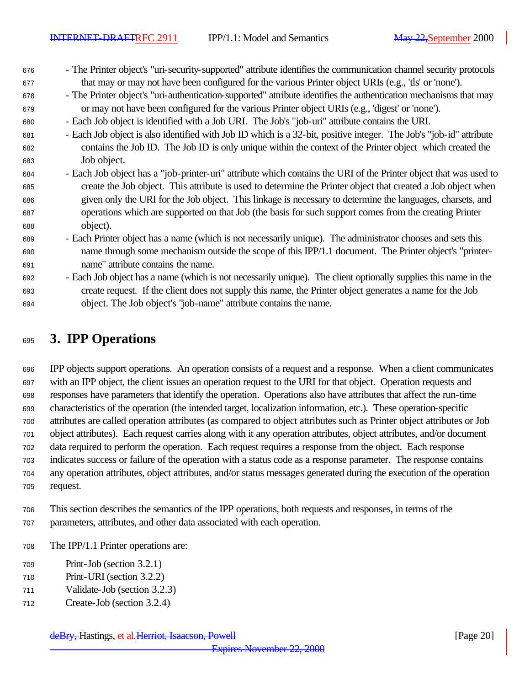- The Printer object's "uri-security-supported" attribute identifies the communication channel security protocols that may or may not have been configured for the various Printer object URIs (e.g., 'tls' or 'none').
- The Printer object's "uri-authentication-supported" attribute identifies the authentication mechanisms that may or may not have been configured for the various Printer object URIs (e.g., 'digest' or 'none').
- Each Job object is identified with a Job URI. The Job's "job-uri" attribute contains the URI.
- Each Job object is also identified with Job ID which is a 32-bit, positive integer. The Job's "job-id" attribute contains the Job ID. The Job ID is only unique within the context of the Printer object which created the Job object.
- Each Job object has a "job-printer-uri" attribute which contains the URI of the Printer object that was used to create the Job object. This attribute is used to determine the Printer object that created a Job object when given only the URI for the Job object. This linkage is necessary to determine the languages, charsets, and operations which are supported on that Job (the basis for such support comes from the creating Printer object).
- Each Printer object has a name (which is not necessarily unique). The administrator chooses and sets this name through some mechanism outside the scope of this IPP/1.1 document. The Printer object's "printer-name" attribute contains the name.
- Each Job object has a name (which is not necessarily unique). The client optionally supplies this name in the create request. If the client does not supply this name, the Printer object generates a name for the Job object. The Job object's "job-name" attribute contains the name.

# **3. IPP Operations**

 IPP objects support operations. An operation consists of a request and a response. When a client communicates with an IPP object, the client issues an operation request to the URI for that object. Operation requests and responses have parameters that identify the operation. Operations also have attributes that affect the run-time characteristics of the operation (the intended target, localization information, etc.). These operation-specific attributes are called operation attributes (as compared to object attributes such as Printer object attributes or Job object attributes). Each request carries along with it any operation attributes, object attributes, and/or document data required to perform the operation. Each request requires a response from the object. Each response indicates success or failure of the operation with a status code as a response parameter. The response contains any operation attributes, object attributes, and/or status messages generated during the execution of the operation request.

- This section describes the semantics of the IPP operations, both requests and responses, in terms of the parameters, attributes, and other data associated with each operation.
- The IPP/1.1 Printer operations are:
- Print-Job (section 3.2.1)
- Print-URI (section 3.2.2)
- Validate-Job (section 3.2.3)
- Create-Job (section 3.2.4)

deBry, Hastings, et al. Herriot, Isaacson, Powell [Page 20]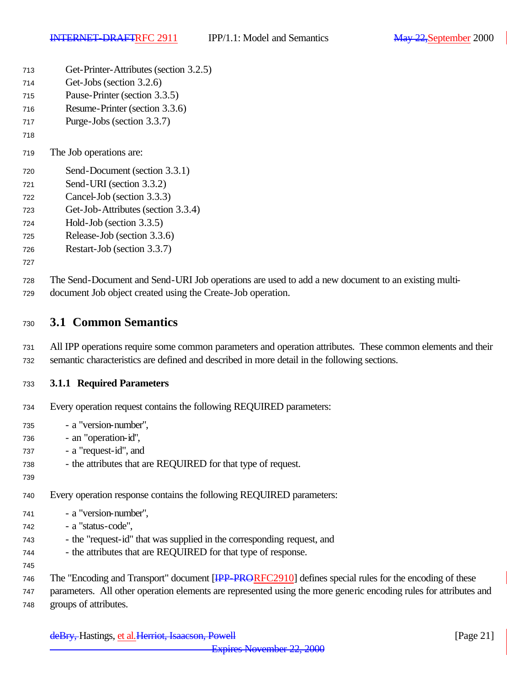| 713 | Get-Printer-Attributes (section 3.2.5) |  |
|-----|----------------------------------------|--|
|-----|----------------------------------------|--|

- Get-Jobs (section 3.2.6)
- Pause-Printer (section 3.3.5)
- Resume-Printer (section 3.3.6)
- Purge-Jobs (section 3.3.7)
- 
- The Job operations are:
- Send-Document (section 3.3.1)
- Send-URI (section 3.3.2)
- Cancel-Job (section 3.3.3)
- Get-Job-Attributes (section 3.3.4)
- Hold-Job (section 3.3.5)
- Release-Job (section 3.3.6)
- Restart-Job (section 3.3.7)
- 

 The Send-Document and Send-URI Job operations are used to add a new document to an existing multi-document Job object created using the Create-Job operation.

- **3.1 Common Semantics**
- All IPP operations require some common parameters and operation attributes. These common elements and their
- semantic characteristics are defined and described in more detail in the following sections.

### **3.1.1 Required Parameters**

- Every operation request contains the following REQUIRED parameters:
- a "version-number",
- an "operation-id",
- a "request-id", and
- the attributes that are REQUIRED for that type of request.
- 
- Every operation response contains the following REQUIRED parameters:
- a "version-number",
- a "status-code",
- the "request-id" that was supplied in the corresponding request, and
- 744 the attributes that are REQUIRED for that type of response.
- 
- 746 The "Encoding and Transport" document [IPP-PRORFC2910] defines special rules for the encoding of these
- parameters. All other operation elements are represented using the more generic encoding rules for attributes and groups of attributes.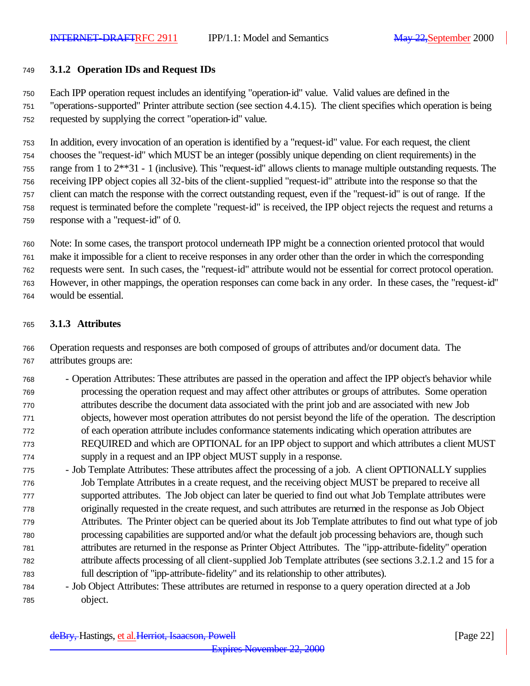#### **3.1.2 Operation IDs and Request IDs**

Each IPP operation request includes an identifying "operation-id" value. Valid values are defined in the

 "operations-supported" Printer attribute section (see section 4.4.15). The client specifies which operation is being requested by supplying the correct "operation-id" value.

 In addition, every invocation of an operation is identified by a "request-id" value. For each request, the client chooses the "request-id" which MUST be an integer (possibly unique depending on client requirements) in the range from 1 to 2\*\*31 - 1 (inclusive). This "request-id" allows clients to manage multiple outstanding requests. The receiving IPP object copies all 32-bits of the client-supplied "request-id" attribute into the response so that the client can match the response with the correct outstanding request, even if the "request-id" is out of range. If the request is terminated before the complete "request-id" is received, the IPP object rejects the request and returns a response with a "request-id" of 0.

 Note: In some cases, the transport protocol underneath IPP might be a connection oriented protocol that would make it impossible for a client to receive responses in any order other than the order in which the corresponding requests were sent. In such cases, the "request-id" attribute would not be essential for correct protocol operation. However, in other mappings, the operation responses can come back in any order. In these cases, the "request-id" would be essential.

#### **3.1.3 Attributes**

 Operation requests and responses are both composed of groups of attributes and/or document data. The attributes groups are:

- Operation Attributes: These attributes are passed in the operation and affect the IPP object's behavior while processing the operation request and may affect other attributes or groups of attributes. Some operation attributes describe the document data associated with the print job and are associated with new Job objects, however most operation attributes do not persist beyond the life of the operation. The description of each operation attribute includes conformance statements indicating which operation attributes are REQUIRED and which are OPTIONAL for an IPP object to support and which attributes a client MUST supply in a request and an IPP object MUST supply in a response.
- Job Template Attributes: These attributes affect the processing of a job. A client OPTIONALLY supplies Job Template Attributes in a create request, and the receiving object MUST be prepared to receive all supported attributes. The Job object can later be queried to find out what Job Template attributes were originally requested in the create request, and such attributes are returned in the response as Job Object Attributes. The Printer object can be queried about its Job Template attributes to find out what type of job processing capabilities are supported and/or what the default job processing behaviors are, though such attributes are returned in the response as Printer Object Attributes. The "ipp-attribute-fidelity" operation attribute affects processing of all client-supplied Job Template attributes (see sections 3.2.1.2 and 15 for a full description of "ipp-attribute-fidelity" and its relationship to other attributes).
- Job Object Attributes: These attributes are returned in response to a query operation directed at a Job object.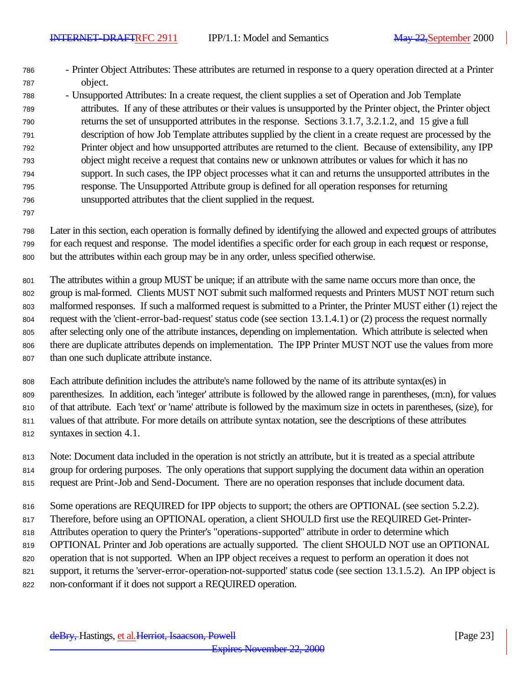- Printer Object Attributes: These attributes are returned in response to a query operation directed at a Printer object.
- Unsupported Attributes: In a create request, the client supplies a set of Operation and Job Template attributes. If any of these attributes or their values is unsupported by the Printer object, the Printer object returns the set of unsupported attributes in the response. Sections 3.1.7, 3.2.1.2, and 15 give a full description of how Job Template attributes supplied by the client in a create request are processed by the Printer object and how unsupported attributes are returned to the client. Because of extensibility, any IPP object might receive a request that contains new or unknown attributes or values for which it has no support. In such cases, the IPP object processes what it can and returns the unsupported attributes in the response. The Unsupported Attribute group is defined for all operation responses for returning unsupported attributes that the client supplied in the request.
- 

 Later in this section, each operation is formally defined by identifying the allowed and expected groups of attributes for each request and response. The model identifies a specific order for each group in each request or response, but the attributes within each group may be in any order, unless specified otherwise.

 The attributes within a group MUST be unique; if an attribute with the same name occurs more than once, the group is mal-formed. Clients MUST NOT submit such malformed requests and Printers MUST NOT return such malformed responses. If such a malformed request is submitted to a Printer, the Printer MUST either (1) reject the request with the 'client-error-bad-request' status code (see section 13.1.4.1) or (2) process the request normally after selecting only one of the attribute instances, depending on implementation. Which attribute is selected when there are duplicate attributes depends on implementation. The IPP Printer MUST NOT use the values from more than one such duplicate attribute instance.

 Each attribute definition includes the attribute's name followed by the name of its attribute syntax(es) in parenthesizes. In addition, each 'integer' attribute is followed by the allowed range in parentheses, (m:n), for values of that attribute. Each 'text' or 'name' attribute is followed by the maximum size in octets in parentheses, (size), for values of that attribute. For more details on attribute syntax notation, see the descriptions of these attributes syntaxes in section 4.1.

 Note: Document data included in the operation is not strictly an attribute, but it is treated as a special attribute group for ordering purposes. The only operations that support supplying the document data within an operation request are Print-Job and Send-Document. There are no operation responses that include document data.

816 Some operations are REQUIRED for IPP objects to support; the others are OPTIONAL (see section 5.2.2).

- Therefore, before using an OPTIONAL operation, a client SHOULD first use the REQUIRED Get-Printer-
- Attributes operation to query the Printer's "operations-supported" attribute in order to determine which
- OPTIONAL Printer and Job operations are actually supported. The client SHOULD NOT use an OPTIONAL
- operation that is not supported. When an IPP object receives a request to perform an operation it does not
- support, it returns the 'server-error-operation-not-supported' status code (see section 13.1.5.2). An IPP object is
- non-conformant if it does not support a REQUIRED operation.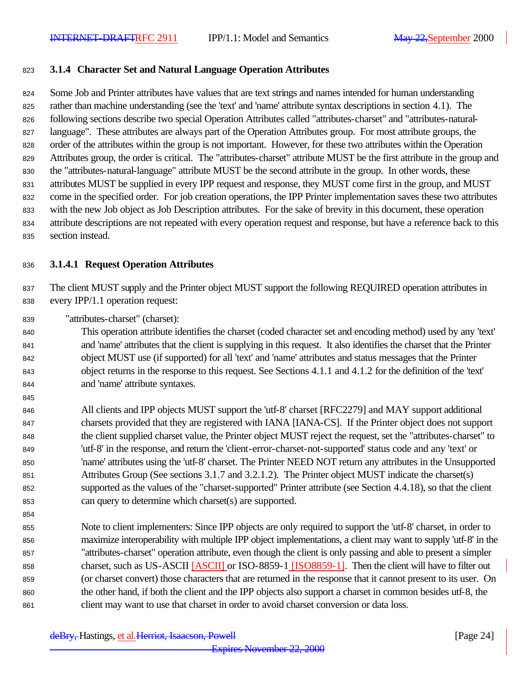#### **3.1.4 Character Set and Natural Language Operation Attributes**

 Some Job and Printer attributes have values that are text strings and names intended for human understanding rather than machine understanding (see the 'text' and 'name' attribute syntax descriptions in section 4.1). The 826 following sections describe two special Operation Attributes called "attributes-charset" and "attributes-natural- language". These attributes are always part of the Operation Attributes group. For most attribute groups, the order of the attributes within the group is not important. However, for these two attributes within the Operation Attributes group, the order is critical. The "attributes-charset" attribute MUST be the first attribute in the group and the "attributes-natural-language" attribute MUST be the second attribute in the group. In other words, these attributes MUST be supplied in every IPP request and response, they MUST come first in the group, and MUST come in the specified order. For job creation operations, the IPP Printer implementation saves these two attributes with the new Job object as Job Description attributes. For the sake of brevity in this document, these operation attribute descriptions are not repeated with every operation request and response, but have a reference back to this section instead.

#### **3.1.4.1 Request Operation Attributes**

 The client MUST supply and the Printer object MUST support the following REQUIRED operation attributes in every IPP/1.1 operation request:

"attributes-charset" (charset):

 This operation attribute identifies the charset (coded character set and encoding method) used by any 'text' and 'name' attributes that the client is supplying in this request. It also identifies the charset that the Printer object MUST use (if supported) for all 'text' and 'name' attributes and status messages that the Printer object returns in the response to this request. See Sections 4.1.1 and 4.1.2 for the definition of the 'text' and 'name' attribute syntaxes.

 All clients and IPP objects MUST support the 'utf-8' charset [RFC2279] and MAY support additional charsets provided that they are registered with IANA [IANA-CS]. If the Printer object does not support the client supplied charset value, the Printer object MUST reject the request, set the "attributes-charset" to 'utf-8' in the response, and return the 'client-error-charset-not-supported' status code and any 'text' or 'name' attributes using the 'utf-8' charset. The Printer NEED NOT return any attributes in the Unsupported Attributes Group (See sections 3.1.7 and 3.2.1.2). The Printer object MUST indicate the charset(s) supported as the values of the "charset-supported" Printer attribute (see Section 4.4.18), so that the client can query to determine which charset(s) are supported.

 Note to client implementers: Since IPP objects are only required to support the 'utf-8' charset, in order to maximize interoperability with multiple IPP object implementations, a client may want to supply 'utf-8' in the "attributes-charset" operation attribute, even though the client is only passing and able to present a simpler 858 charset, such as US-ASCII [ASCII] or ISO-8859-1 [ISO8859-1]. Then the client will have to filter out (or charset convert) those characters that are returned in the response that it cannot present to its user. On the other hand, if both the client and the IPP objects also support a charset in common besides utf-8, the 861 client may want to use that charset in order to avoid charset conversion or data loss.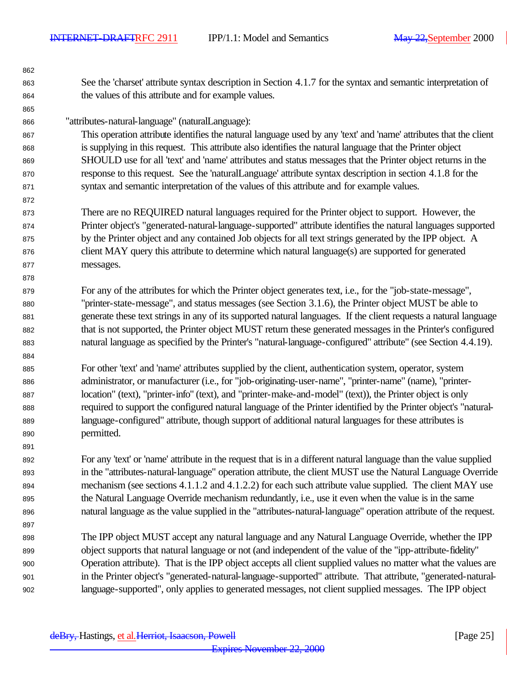See the 'charset' attribute syntax description in Section 4.1.7 for the syntax and semantic interpretation of the values of this attribute and for example values. "attributes-natural-language" (naturalLanguage): This operation attribute identifies the natural language used by any 'text' and 'name' attributes that the client is supplying in this request. This attribute also identifies the natural language that the Printer object SHOULD use for all 'text' and 'name' attributes and status messages that the Printer object returns in the response to this request. See the 'naturalLanguage' attribute syntax description in section 4.1.8 for the syntax and semantic interpretation of the values of this attribute and for example values. There are no REQUIRED natural languages required for the Printer object to support. However, the Printer object's "generated-natural-language-supported" attribute identifies the natural languages supported by the Printer object and any contained Job objects for all text strings generated by the IPP object. A client MAY query this attribute to determine which natural language(s) are supported for generated messages. For any of the attributes for which the Printer object generates text, i.e., for the "job-state-message", "printer-state-message", and status messages (see Section 3.1.6), the Printer object MUST be able to generate these text strings in any of its supported natural languages. If the client requests a natural language that is not supported, the Printer object MUST return these generated messages in the Printer's configured natural language as specified by the Printer's "natural-language-configured" attribute" (see Section 4.4.19). For other 'text' and 'name' attributes supplied by the client, authentication system, operator, system administrator, or manufacturer (i.e., for "job-originating-user-name", "printer-name" (name), "printer- location" (text), "printer-info" (text), and "printer-make-and-model" (text)), the Printer object is only required to support the configured natural language of the Printer identified by the Printer object's "natural- language-configured" attribute, though support of additional natural languages for these attributes is permitted. For any 'text' or 'name' attribute in the request that is in a different natural language than the value supplied in the "attributes-natural-language" operation attribute, the client MUST use the Natural Language Override mechanism (see sections 4.1.1.2 and 4.1.2.2) for each such attribute value supplied. The client MAY use the Natural Language Override mechanism redundantly, i.e., use it even when the value is in the same natural language as the value supplied in the "attributes-natural-language" operation attribute of the request. The IPP object MUST accept any natural language and any Natural Language Override, whether the IPP object supports that natural language or not (and independent of the value of the "ipp-attribute-fidelity" Operation attribute). That is the IPP object accepts all client supplied values no matter what the values are in the Printer object's "generated-natural-language-supported" attribute. That attribute, "generated-natural-language-supported", only applies to generated messages, not client supplied messages. The IPP object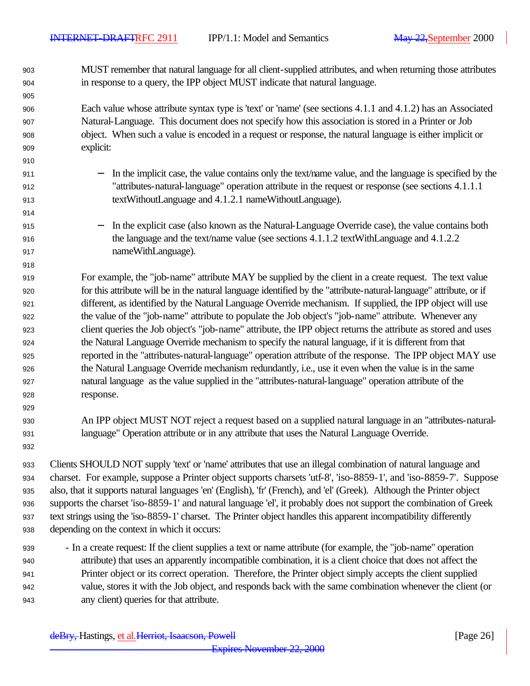MUST remember that natural language for all client-supplied attributes, and when returning those attributes in response to a query, the IPP object MUST indicate that natural language.

 Each value whose attribute syntax type is 'text' or 'name' (see sections 4.1.1 and 4.1.2) has an Associated Natural-Language. This document does not specify how this association is stored in a Printer or Job object. When such a value is encoded in a request or response, the natural language is either implicit or explicit:

- 911 − In the implicit case, the value contains only the text/name value, and the language is specified by the "attributes-natural-language" operation attribute in the request or response (see sections 4.1.1.1 textWithoutLanguage and 4.1.2.1 nameWithoutLanguage).
- − In the explicit case (also known as the Natural-Language Override case), the value contains both 916 the language and the text/name value (see sections 4.1.1.2 textWithLanguage and 4.1.2.2 nameWithLanguage).

 For example, the "job-name" attribute MAY be supplied by the client in a create request. The text value for this attribute will be in the natural language identified by the "attribute-natural-language" attribute, or if different, as identified by the Natural Language Override mechanism. If supplied, the IPP object will use the value of the "job-name" attribute to populate the Job object's "job-name" attribute. Whenever any client queries the Job object's "job-name" attribute, the IPP object returns the attribute as stored and uses the Natural Language Override mechanism to specify the natural language, if it is different from that reported in the "attributes-natural-language" operation attribute of the response. The IPP object MAY use the Natural Language Override mechanism redundantly, i.e., use it even when the value is in the same natural language as the value supplied in the "attributes-natural-language" operation attribute of the response.

- An IPP object MUST NOT reject a request based on a supplied natural language in an "attributes-natural-language" Operation attribute or in any attribute that uses the Natural Language Override.
- Clients SHOULD NOT supply 'text' or 'name' attributes that use an illegal combination of natural language and charset. For example, suppose a Printer object supports charsets 'utf-8', 'iso-8859-1', and 'iso-8859-7'. Suppose also, that it supports natural languages 'en' (English), 'fr' (French), and 'el' (Greek). Although the Printer object supports the charset 'iso-8859-1' and natural language 'el', it probably does not support the combination of Greek text strings using the 'iso-8859-1' charset. The Printer object handles this apparent incompatibility differently depending on the context in which it occurs:
- In a create request: If the client supplies a text or name attribute (for example, the "job-name" operation attribute) that uses an apparently incompatible combination, it is a client choice that does not affect the Printer object or its correct operation. Therefore, the Printer object simply accepts the client supplied value, stores it with the Job object, and responds back with the same combination whenever the client (or any client) queries for that attribute.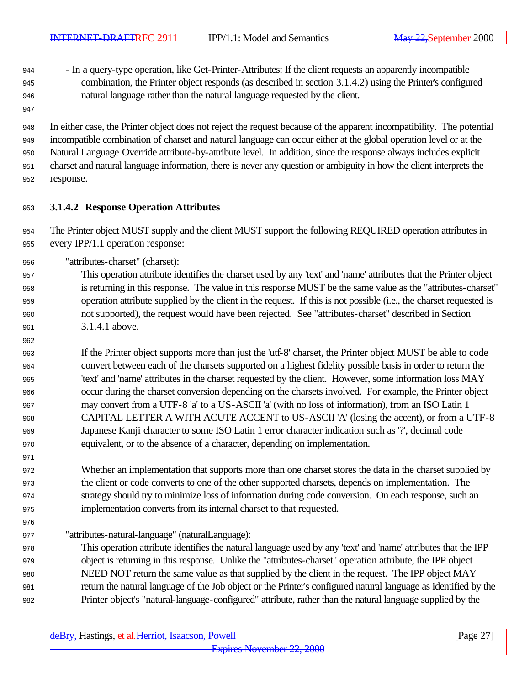- In a query-type operation, like Get-Printer-Attributes: If the client requests an apparently incompatible combination, the Printer object responds (as described in section 3.1.4.2) using the Printer's configured natural language rather than the natural language requested by the client.
- 

 In either case, the Printer object does not reject the request because of the apparent incompatibility. The potential incompatible combination of charset and natural language can occur either at the global operation level or at the Natural Language Override attribute-by-attribute level. In addition, since the response always includes explicit charset and natural language information, there is never any question or ambiguity in how the client interprets the response.

### **3.1.4.2 Response Operation Attributes**

 The Printer object MUST supply and the client MUST support the following REQUIRED operation attributes in every IPP/1.1 operation response:

"attributes-charset" (charset):

 This operation attribute identifies the charset used by any 'text' and 'name' attributes that the Printer object is returning in this response. The value in this response MUST be the same value as the "attributes-charset" operation attribute supplied by the client in the request. If this is not possible (i.e., the charset requested is not supported), the request would have been rejected. See "attributes-charset" described in Section 3.1.4.1 above.

 If the Printer object supports more than just the 'utf-8' charset, the Printer object MUST be able to code convert between each of the charsets supported on a highest fidelity possible basis in order to return the 'text' and 'name' attributes in the charset requested by the client. However, some information loss MAY occur during the charset conversion depending on the charsets involved. For example, the Printer object may convert from a UTF-8 'a' to a US-ASCII 'a' (with no loss of information), from an ISO Latin 1 CAPITAL LETTER A WITH ACUTE ACCENT to US-ASCII 'A' (losing the accent), or from a UTF-8 Japanese Kanji character to some ISO Latin 1 error character indication such as '?', decimal code equivalent, or to the absence of a character, depending on implementation.

 Whether an implementation that supports more than one charset stores the data in the charset supplied by the client or code converts to one of the other supported charsets, depends on implementation. The strategy should try to minimize loss of information during code conversion. On each response, such an implementation converts from its internal charset to that requested.

"attributes-natural-language" (naturalLanguage):

 This operation attribute identifies the natural language used by any 'text' and 'name' attributes that the IPP object is returning in this response. Unlike the "attributes-charset" operation attribute, the IPP object NEED NOT return the same value as that supplied by the client in the request. The IPP object MAY return the natural language of the Job object or the Printer's configured natural language as identified by the Printer object's "natural-language-configured" attribute, rather than the natural language supplied by the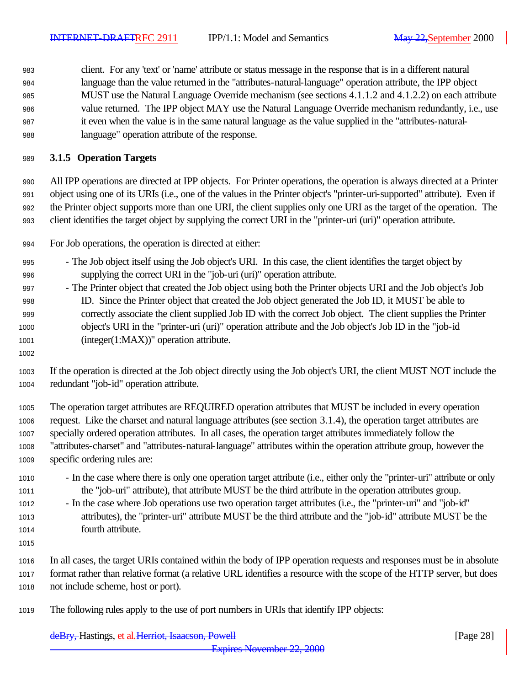client. For any 'text' or 'name' attribute or status message in the response that is in a different natural language than the value returned in the "attributes-natural-language" operation attribute, the IPP object MUST use the Natural Language Override mechanism (see sections 4.1.1.2 and 4.1.2.2) on each attribute value returned. The IPP object MAY use the Natural Language Override mechanism redundantly, i.e., use it even when the value is in the same natural language as the value supplied in the "attributes-natural-language" operation attribute of the response.

### **3.1.5 Operation Targets**

 All IPP operations are directed at IPP objects. For Printer operations, the operation is always directed at a Printer object using one of its URIs (i.e., one of the values in the Printer object's "printer-uri-supported" attribute). Even if the Printer object supports more than one URI, the client supplies only one URI as the target of the operation. The client identifies the target object by supplying the correct URI in the "printer-uri (uri)" operation attribute.

- For Job operations, the operation is directed at either:
- The Job object itself using the Job object's URI. In this case, the client identifies the target object by supplying the correct URI in the "job-uri (uri)" operation attribute.
- The Printer object that created the Job object using both the Printer objects URI and the Job object's Job ID. Since the Printer object that created the Job object generated the Job ID, it MUST be able to correctly associate the client supplied Job ID with the correct Job object. The client supplies the Printer object's URI in the "printer-uri (uri)" operation attribute and the Job object's Job ID in the "job-id (integer(1:MAX))" operation attribute.
- 
- If the operation is directed at the Job object directly using the Job object's URI, the client MUST NOT include the redundant "job-id" operation attribute.
- The operation target attributes are REQUIRED operation attributes that MUST be included in every operation request. Like the charset and natural language attributes (see section 3.1.4), the operation target attributes are specially ordered operation attributes. In all cases, the operation target attributes immediately follow the "attributes-charset" and "attributes-natural-language" attributes within the operation attribute group, however the specific ordering rules are:
- In the case where there is only one operation target attribute (i.e., either only the "printer-uri" attribute or only the "job-uri" attribute), that attribute MUST be the third attribute in the operation attributes group.
- In the case where Job operations use two operation target attributes (i.e., the "printer-uri" and "job-id" attributes), the "printer-uri" attribute MUST be the third attribute and the "job-id" attribute MUST be the fourth attribute.
- 

 In all cases, the target URIs contained within the body of IPP operation requests and responses must be in absolute format rather than relative format (a relative URL identifies a resource with the scope of the HTTP server, but does not include scheme, host or port).

The following rules apply to the use of port numbers in URIs that identify IPP objects: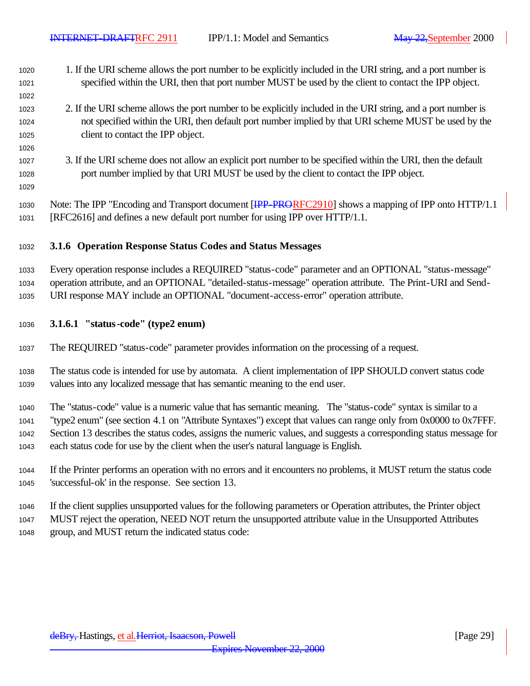- 1. If the URI scheme allows the port number to be explicitly included in the URI string, and a port number is specified within the URI, then that port number MUST be used by the client to contact the IPP object.
- 2. If the URI scheme allows the port number to be explicitly included in the URI string, and a port number is not specified within the URI, then default port number implied by that URI scheme MUST be used by the client to contact the IPP object.
- 3. If the URI scheme does not allow an explicit port number to be specified within the URI, then the default port number implied by that URI MUST be used by the client to contact the IPP object.
- 

1030 Note: The IPP "Encoding and Transport document [IPP-PRORFC2910] shows a mapping of IPP onto HTTP/1.1 [RFC2616] and defines a new default port number for using IPP over HTTP/1.1.

#### **3.1.6 Operation Response Status Codes and Status Messages**

Every operation response includes a REQUIRED "status-code" parameter and an OPTIONAL "status-message"

operation attribute, and an OPTIONAL "detailed-status-message" operation attribute. The Print-URI and Send-

URI response MAY include an OPTIONAL "document-access-error" operation attribute.

#### **3.1.6.1 "status-code" (type2 enum)**

The REQUIRED "status-code" parameter provides information on the processing of a request.

 The status code is intended for use by automata. A client implementation of IPP SHOULD convert status code values into any localized message that has semantic meaning to the end user.

The "status-code" value is a numeric value that has semantic meaning. The "status-code" syntax is similar to a

"type2 enum" (see section 4.1 on "Attribute Syntaxes") except that values can range only from 0x0000 to 0x7FFF.

Section 13 describes the status codes, assigns the numeric values, and suggests a corresponding status message for

each status code for use by the client when the user's natural language is English.

 If the Printer performs an operation with no errors and it encounters no problems, it MUST return the status code 'successful-ok' in the response. See section 13.

If the client supplies unsupported values for the following parameters or Operation attributes, the Printer object

MUST reject the operation, NEED NOT return the unsupported attribute value in the Unsupported Attributes

group, and MUST return the indicated status code: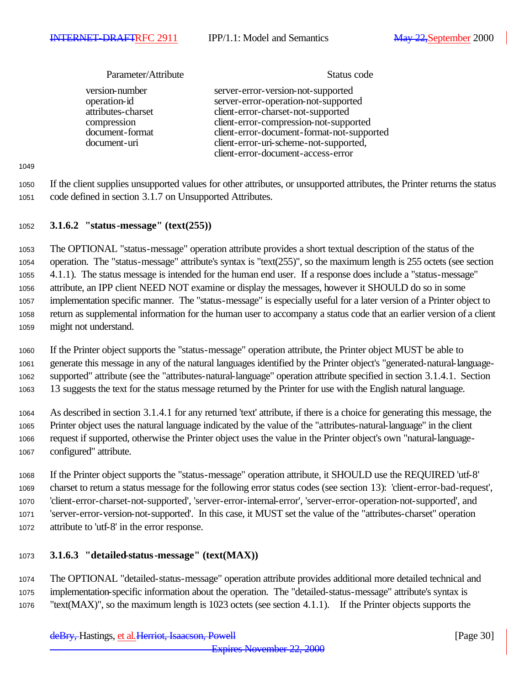| Parameter/Attribute                                                                                    | Status code                                                                                                                                                                                                                                                                              |
|--------------------------------------------------------------------------------------------------------|------------------------------------------------------------------------------------------------------------------------------------------------------------------------------------------------------------------------------------------------------------------------------------------|
| version-number<br>operation-id<br>attributes-charset<br>compression<br>document-format<br>document-uri | server-error-version-not-supported<br>server-error-operation-not-supported<br>client-error-charset-not-supported<br>client-error-compression-not-supported<br>client-error-document-format-not-supported<br>client-error-uri-scheme-not-supported,<br>client-error-document-access-error |

#### **3.1.6.2 "status-message" (text(255))**

 The OPTIONAL "status-message" operation attribute provides a short textual description of the status of the operation. The "status-message" attribute's syntax is "text(255)", so the maximum length is 255 octets (see section 4.1.1). The status message is intended for the human end user. If a response does include a "status-message" attribute, an IPP client NEED NOT examine or display the messages, however it SHOULD do so in some implementation specific manner. The "status-message" is especially useful for a later version of a Printer object to return as supplemental information for the human user to accompany a status code that an earlier version of a client might not understand.

 If the Printer object supports the "status-message" operation attribute, the Printer object MUST be able to generate this message in any of the natural languages identified by the Printer object's "generated-natural-language- supported" attribute (see the "attributes-natural-language" operation attribute specified in section 3.1.4.1. Section 13 suggests the text for the status message returned by the Printer for use with the English natural language.

 As described in section 3.1.4.1 for any returned 'text' attribute, if there is a choice for generating this message, the Printer object uses the natural language indicated by the value of the "attributes-natural-language" in the client request if supported, otherwise the Printer object uses the value in the Printer object's own "natural-language-configured" attribute.

 If the Printer object supports the "status-message" operation attribute, it SHOULD use the REQUIRED 'utf-8' charset to return a status message for the following error status codes (see section 13): 'client-error-bad-request', 'client-error-charset-not-supported', 'server-error-internal-error', 'server-error-operation-not-supported', and 'server-error-version-not-supported'. In this case, it MUST set the value of the "attributes-charset" operation attribute to 'utf-8' in the error response.

### **3.1.6.3 "detailed-status-message" (text(MAX))**

 The OPTIONAL "detailed-status-message" operation attribute provides additional more detailed technical and implementation-specific information about the operation. The "detailed-status-message" attribute's syntax is "text(MAX)", so the maximum length is 1023 octets (see section 4.1.1). If the Printer objects supports the

 If the client supplies unsupported values for other attributes, or unsupported attributes, the Printer returns the status code defined in section 3.1.7 on Unsupported Attributes.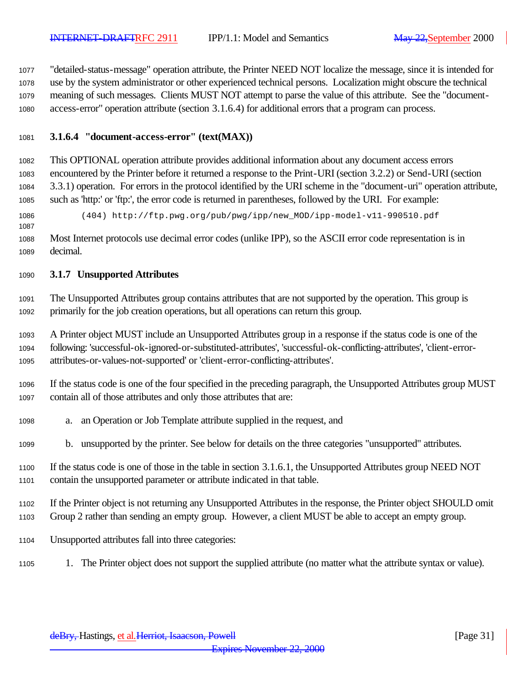"detailed-status-message" operation attribute, the Printer NEED NOT localize the message, since it is intended for use by the system administrator or other experienced technical persons. Localization might obscure the technical meaning of such messages. Clients MUST NOT attempt to parse the value of this attribute. See the "document-access-error" operation attribute (section 3.1.6.4) for additional errors that a program can process.

#### **3.1.6.4 "document-access-error" (text(MAX))**

 This OPTIONAL operation attribute provides additional information about any document access errors encountered by the Printer before it returned a response to the Print-URI (section 3.2.2) or Send-URI (section 3.3.1) operation. For errors in the protocol identified by the URI scheme in the "document-uri" operation attribute, such as 'http:' or 'ftp:', the error code is returned in parentheses, followed by the URI. For example:

(404) http://ftp.pwg.org/pub/pwg/ipp/new\_MOD/ipp-model-v11-990510.pdf

 Most Internet protocols use decimal error codes (unlike IPP), so the ASCII error code representation is in decimal.

#### **3.1.7 Unsupported Attributes**

 The Unsupported Attributes group contains attributes that are not supported by the operation. This group is primarily for the job creation operations, but all operations can return this group.

 A Printer object MUST include an Unsupported Attributes group in a response if the status code is one of the following: 'successful-ok-ignored-or-substituted-attributes', 'successful-ok-conflicting-attributes', 'client-error-attributes-or-values-not-supported' or 'client-error-conflicting-attributes'.

 If the status code is one of the four specified in the preceding paragraph, the Unsupported Attributes group MUST contain all of those attributes and only those attributes that are:

- a. an Operation or Job Template attribute supplied in the request, and
- b. unsupported by the printer. See below for details on the three categories "unsupported" attributes.
- If the status code is one of those in the table in section 3.1.6.1, the Unsupported Attributes group NEED NOT contain the unsupported parameter or attribute indicated in that table.
- If the Printer object is not returning any Unsupported Attributes in the response, the Printer object SHOULD omit Group 2 rather than sending an empty group. However, a client MUST be able to accept an empty group.
- Unsupported attributes fall into three categories:
- 1. The Printer object does not support the supplied attribute (no matter what the attribute syntax or value).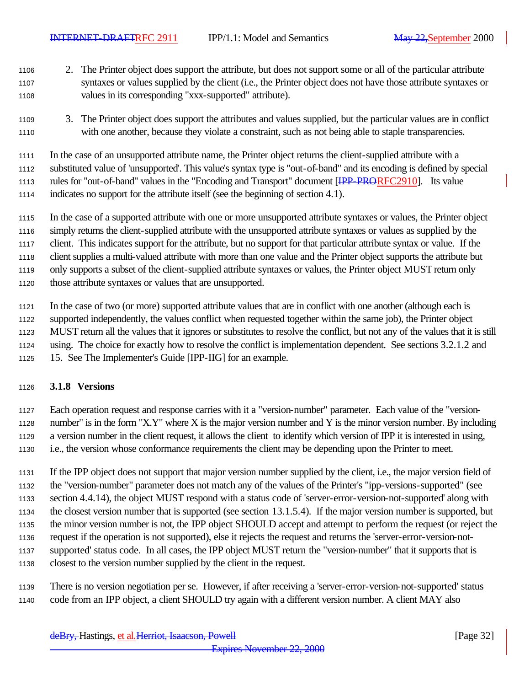- 2. The Printer object does support the attribute, but does not support some or all of the particular attribute syntaxes or values supplied by the client (i.e., the Printer object does not have those attribute syntaxes or values in its corresponding "xxx-supported" attribute).
- 3. The Printer object does support the attributes and values supplied, but the particular values are in conflict with one another, because they violate a constraint, such as not being able to staple transparencies.

 In the case of an unsupported attribute name, the Printer object returns the client-supplied attribute with a substituted value of 'unsupported'. This value's syntax type is "out-of-band" and its encoding is defined by special 1113 rules for "out-of-band" values in the "Encoding and Transport" document [IPP-PRORFC2910]. Its value indicates no support for the attribute itself (see the beginning of section 4.1).

- In the case of a supported attribute with one or more unsupported attribute syntaxes or values, the Printer object simply returns the client-supplied attribute with the unsupported attribute syntaxes or values as supplied by the client. This indicates support for the attribute, but no support for that particular attribute syntax or value. If the client supplies a multi-valued attribute with more than one value and the Printer object supports the attribute but only supports a subset of the client-supplied attribute syntaxes or values, the Printer object MUST return only
- those attribute syntaxes or values that are unsupported.

 In the case of two (or more) supported attribute values that are in conflict with one another (although each is supported independently, the values conflict when requested together within the same job), the Printer object MUST return all the values that it ignores or substitutes to resolve the conflict, but not any of the values that it is still using. The choice for exactly how to resolve the conflict is implementation dependent. See sections 3.2.1.2 and 15. See The Implementer's Guide [IPP-IIG] for an example.

### **3.1.8 Versions**

 Each operation request and response carries with it a "version-number" parameter. Each value of the "version-1128 number" is in the form "X.Y" where X is the major version number and Y is the minor version number. By including a version number in the client request, it allows the client to identify which version of IPP it is interested in using, i.e., the version whose conformance requirements the client may be depending upon the Printer to meet.

 If the IPP object does not support that major version number supplied by the client, i.e., the major version field of the "version-number" parameter does not match any of the values of the Printer's "ipp-versions-supported" (see section 4.4.14), the object MUST respond with a status code of 'server-error-version-not-supported' along with the closest version number that is supported (see section 13.1.5.4). If the major version number is supported, but the minor version number is not, the IPP object SHOULD accept and attempt to perform the request (or reject the request if the operation is not supported), else it rejects the request and returns the 'server-error-version-not- supported' status code. In all cases, the IPP object MUST return the "version-number" that it supports that is closest to the version number supplied by the client in the request.

 There is no version negotiation per se. However, if after receiving a 'server-error-version-not-supported' status code from an IPP object, a client SHOULD try again with a different version number. A client MAY also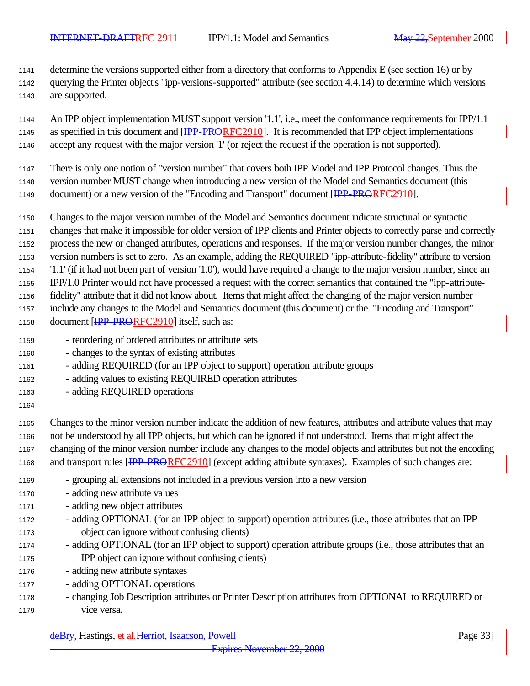determine the versions supported either from a directory that conforms to Appendix E (see section 16) or by

- querying the Printer object's "ipp-versions-supported" attribute (see section 4.4.14) to determine which versions
- are supported.

 An IPP object implementation MUST support version '1.1', i.e., meet the conformance requirements for IPP/1.1 1145 as specified in this document and [IPP-PRORFC2910]. It is recommended that IPP object implementations accept any request with the major version '1' (or reject the request if the operation is not supported).

- There is only one notion of "version number" that covers both IPP Model and IPP Protocol changes. Thus the
- version number MUST change when introducing a new version of the Model and Semantics document (this
- 1149 document) or a new version of the "Encoding and Transport" document [IPP-PRORFC2910].
- Changes to the major version number of the Model and Semantics document indicate structural or syntactic changes that make it impossible for older version of IPP clients and Printer objects to correctly parse and correctly process the new or changed attributes, operations and responses. If the major version number changes, the minor version numbers is set to zero. As an example, adding the REQUIRED "ipp-attribute-fidelity" attribute to version '1.1' (if it had not been part of version '1.0'), would have required a change to the major version number, since an IPP/1.0 Printer would not have processed a request with the correct semantics that contained the "ipp-attribute- fidelity" attribute that it did not know about. Items that might affect the changing of the major version number include any changes to the Model and Semantics document (this document) or the "Encoding and Transport" 1158 document [IPP-PRORFC2910] itself, such as:
- reordering of ordered attributes or attribute sets
- changes to the syntax of existing attributes
- adding REQUIRED (for an IPP object to support) operation attribute groups
- adding values to existing REQUIRED operation attributes
- adding REQUIRED operations
- 

 Changes to the minor version number indicate the addition of new features, attributes and attribute values that may not be understood by all IPP objects, but which can be ignored if not understood. Items that might affect the changing of the minor version number include any changes to the model objects and attributes but not the encoding 1168 and transport rules [IPP-PRORFC2910] (except adding attribute syntaxes). Examples of such changes are:

- grouping all extensions not included in a previous version into a new version
- adding new attribute values
- adding new object attributes
- adding OPTIONAL (for an IPP object to support) operation attributes (i.e., those attributes that an IPP object can ignore without confusing clients)
- adding OPTIONAL (for an IPP object to support) operation attribute groups (i.e., those attributes that an IPP object can ignore without confusing clients)
- adding new attribute syntaxes
- adding OPTIONAL operations
- changing Job Description attributes or Printer Description attributes from OPTIONAL to REQUIRED or vice versa.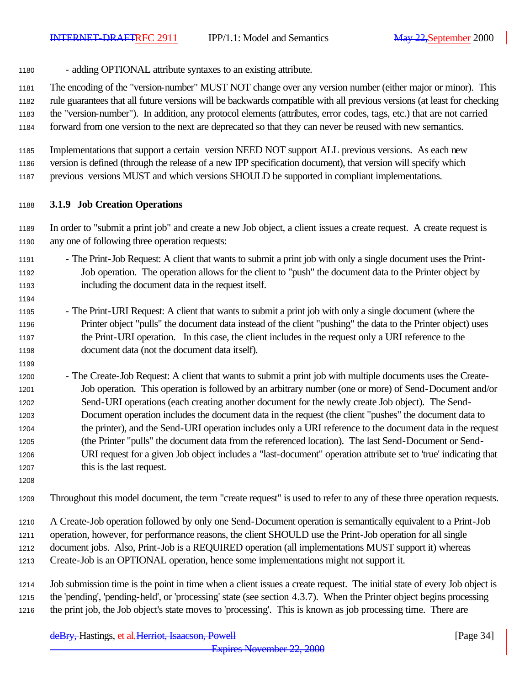- adding OPTIONAL attribute syntaxes to an existing attribute.

 The encoding of the "version-number" MUST NOT change over any version number (either major or minor). This rule guarantees that all future versions will be backwards compatible with all previous versions (at least for checking the "version-number"). In addition, any protocol elements (attributes, error codes, tags, etc.) that are not carried forward from one version to the next are deprecated so that they can never be reused with new semantics.

 Implementations that support a certain version NEED NOT support ALL previous versions. As each new version is defined (through the release of a new IPP specification document), that version will specify which previous versions MUST and which versions SHOULD be supported in compliant implementations.

#### **3.1.9 Job Creation Operations**

 In order to "submit a print job" and create a new Job object, a client issues a create request. A create request is any one of following three operation requests:

- The Print-Job Request: A client that wants to submit a print job with only a single document uses the Print- Job operation. The operation allows for the client to "push" the document data to the Printer object by including the document data in the request itself.
- The Print-URI Request: A client that wants to submit a print job with only a single document (where the Printer object "pulls" the document data instead of the client "pushing" the data to the Printer object) uses the Print-URI operation. In this case, the client includes in the request only a URI reference to the document data (not the document data itself).
- 1200 The Create-Job Request: A client that wants to submit a print job with multiple documents uses the Create- Job operation. This operation is followed by an arbitrary number (one or more) of Send-Document and/or Send-URI operations (each creating another document for the newly create Job object). The Send- Document operation includes the document data in the request (the client "pushes" the document data to the printer), and the Send-URI operation includes only a URI reference to the document data in the request (the Printer "pulls" the document data from the referenced location). The last Send-Document or Send- URI request for a given Job object includes a "last-document" operation attribute set to 'true' indicating that 1207 this is the last request.
- 

Throughout this model document, the term "create request" is used to refer to any of these three operation requests.

 A Create-Job operation followed by only one Send-Document operation is semantically equivalent to a Print-Job operation, however, for performance reasons, the client SHOULD use the Print-Job operation for all single document jobs. Also, Print-Job is a REQUIRED operation (all implementations MUST support it) whereas Create-Job is an OPTIONAL operation, hence some implementations might not support it.

 Job submission time is the point in time when a client issues a create request. The initial state of every Job object is the 'pending', 'pending-held', or 'processing' state (see section 4.3.7). When the Printer object begins processing the print job, the Job object's state moves to 'processing'. This is known as job processing time. There are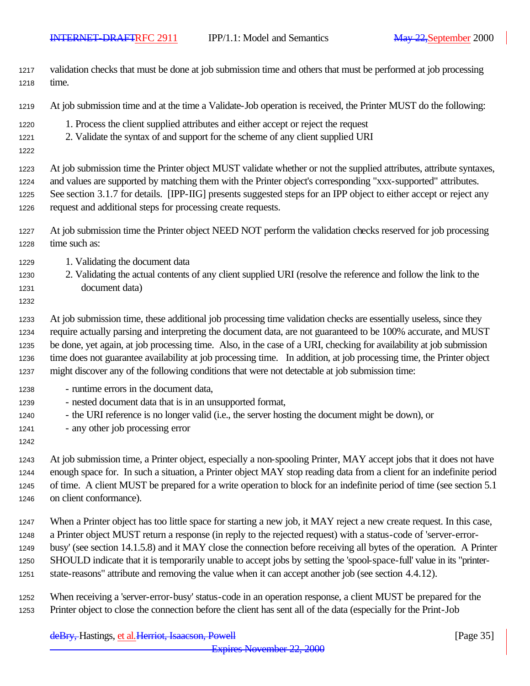- validation checks that must be done at job submission time and others that must be performed at job processing time.
- At job submission time and at the time a Validate-Job operation is received, the Printer MUST do the following:
- 1. Process the client supplied attributes and either accept or reject the request
- 2. Validate the syntax of and support for the scheme of any client supplied URI
- 

 At job submission time the Printer object MUST validate whether or not the supplied attributes, attribute syntaxes, and values are supported by matching them with the Printer object's corresponding "xxx-supported" attributes.

 See section 3.1.7 for details. [IPP-IIG] presents suggested steps for an IPP object to either accept or reject any request and additional steps for processing create requests.

- At job submission time the Printer object NEED NOT perform the validation checks reserved for job processing time such as:
- 1229 1. Validating the document data
- 2. Validating the actual contents of any client supplied URI (resolve the reference and follow the link to the document data)
- 

 At job submission time, these additional job processing time validation checks are essentially useless, since they require actually parsing and interpreting the document data, are not guaranteed to be 100% accurate, and MUST be done, yet again, at job processing time. Also, in the case of a URI, checking for availability at job submission time does not guarantee availability at job processing time. In addition, at job processing time, the Printer object might discover any of the following conditions that were not detectable at job submission time:

- runtime errors in the document data,
- nested document data that is in an unsupported format,
- the URI reference is no longer valid (i.e., the server hosting the document might be down), or
- any other job processing error
- 

 At job submission time, a Printer object, especially a non-spooling Printer, MAY accept jobs that it does not have enough space for. In such a situation, a Printer object MAY stop reading data from a client for an indefinite period of time. A client MUST be prepared for a write operation to block for an indefinite period of time (see section 5.1 on client conformance).

 When a Printer object has too little space for starting a new job, it MAY reject a new create request. In this case, a Printer object MUST return a response (in reply to the rejected request) with a status-code of 'server-error- busy' (see section 14.1.5.8) and it MAY close the connection before receiving all bytes of the operation. A Printer SHOULD indicate that it is temporarily unable to accept jobs by setting the 'spool-space-full' value in its "printer-state-reasons" attribute and removing the value when it can accept another job (see section 4.4.12).

 When receiving a 'server-error-busy' status-code in an operation response, a client MUST be prepared for the Printer object to close the connection before the client has sent all of the data (especially for the Print-Job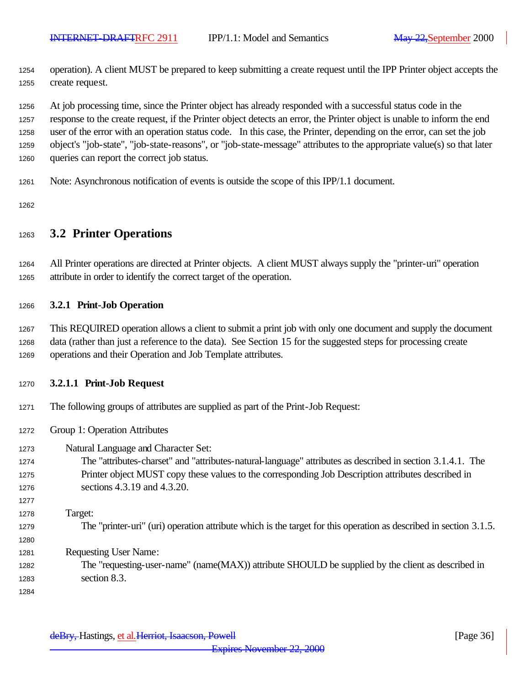operation). A client MUST be prepared to keep submitting a create request until the IPP Printer object accepts the create request.

 At job processing time, since the Printer object has already responded with a successful status code in the response to the create request, if the Printer object detects an error, the Printer object is unable to inform the end

 user of the error with an operation status code. In this case, the Printer, depending on the error, can set the job object's "job-state", "job-state-reasons", or "job-state-message" attributes to the appropriate value(s) so that later

- queries can report the correct job status.
- Note: Asynchronous notification of events is outside the scope of this IPP/1.1 document.

### **3.2 Printer Operations**

 All Printer operations are directed at Printer objects. A client MUST always supply the "printer-uri" operation attribute in order to identify the correct target of the operation.

#### **3.2.1 Print-Job Operation**

 This REQUIRED operation allows a client to submit a print job with only one document and supply the document data (rather than just a reference to the data). See Section 15 for the suggested steps for processing create operations and their Operation and Job Template attributes.

#### **3.2.1.1 Print-Job Request**

- The following groups of attributes are supplied as part of the Print-Job Request:
- Group 1: Operation Attributes
- Natural Language and Character Set:
- The "attributes-charset" and "attributes-natural-language" attributes as described in section 3.1.4.1. The Printer object MUST copy these values to the corresponding Job Description attributes described in sections 4.3.19 and 4.3.20.
- Target: The "printer-uri" (uri) operation attribute which is the target for this operation as described in section 3.1.5. Requesting User Name: The "requesting-user-name" (name(MAX)) attribute SHOULD be supplied by the client as described in
- section 8.3.
-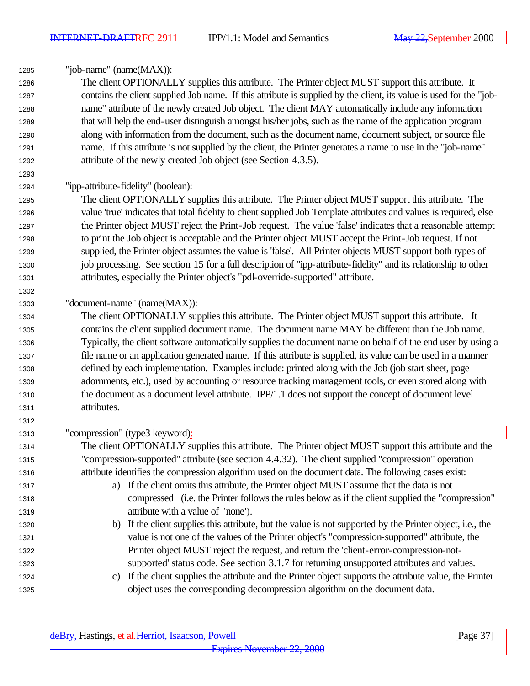"job-name" (name(MAX)):

 The client OPTIONALLY supplies this attribute. The Printer object MUST support this attribute. It contains the client supplied Job name. If this attribute is supplied by the client, its value is used for the "job- name" attribute of the newly created Job object. The client MAY automatically include any information that will help the end-user distinguish amongst his/her jobs, such as the name of the application program along with information from the document, such as the document name, document subject, or source file name. If this attribute is not supplied by the client, the Printer generates a name to use in the "job-name" attribute of the newly created Job object (see Section 4.3.5).

"ipp-attribute-fidelity" (boolean):

 The client OPTIONALLY supplies this attribute. The Printer object MUST support this attribute. The value 'true' indicates that total fidelity to client supplied Job Template attributes and values is required, else the Printer object MUST reject the Print-Job request. The value 'false' indicates that a reasonable attempt to print the Job object is acceptable and the Printer object MUST accept the Print-Job request. If not supplied, the Printer object assumes the value is 'false'. All Printer objects MUST support both types of 1300 job processing. See section 15 for a full description of "ipp-attribute-fidelity" and its relationship to other attributes, especially the Printer object's "pdl-override-supported" attribute.

## "document-name" (name(MAX)):

 The client OPTIONALLY supplies this attribute. The Printer object MUST support this attribute. It contains the client supplied document name. The document name MAY be different than the Job name. Typically, the client software automatically supplies the document name on behalf of the end user by using a file name or an application generated name. If this attribute is supplied, its value can be used in a manner defined by each implementation. Examples include: printed along with the Job (job start sheet, page adornments, etc.), used by accounting or resource tracking management tools, or even stored along with the document as a document level attribute. IPP/1.1 does not support the concept of document level attributes.

- "compression" (type3 keyword):
- The client OPTIONALLY supplies this attribute. The Printer object MUST support this attribute and the "compression-supported" attribute (see section 4.4.32). The client supplied "compression" operation attribute identifies the compression algorithm used on the document data. The following cases exist:
- a) If the client omits this attribute, the Printer object MUST assume that the data is not compressed (i.e. the Printer follows the rules below as if the client supplied the "compression" attribute with a value of 'none').
- b) If the client supplies this attribute, but the value is not supported by the Printer object, i.e., the value is not one of the values of the Printer object's "compression-supported" attribute, the Printer object MUST reject the request, and return the 'client-error-compression-not-supported' status code. See section 3.1.7 for returning unsupported attributes and values.
- c) If the client supplies the attribute and the Printer object supports the attribute value, the Printer object uses the corresponding decompression algorithm on the document data.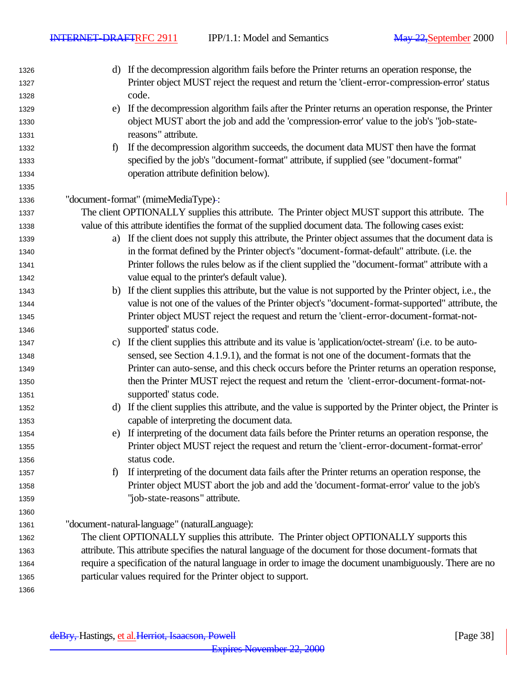$\overline{\phantom{a}}$ 

| 1326 |              | d) If the decompression algorithm fails before the Printer returns an operation response, the              |
|------|--------------|------------------------------------------------------------------------------------------------------------|
| 1327 |              | Printer object MUST reject the request and return the 'client-error-compression-error' status              |
| 1328 |              | code.                                                                                                      |
| 1329 | e)           | If the decompression algorithm fails after the Printer returns an operation response, the Printer          |
| 1330 |              | object MUST abort the job and add the 'compression-error' value to the job's "job-state-                   |
| 1331 |              | reasons" attribute.                                                                                        |
| 1332 | $\mathbf{f}$ | If the decompression algorithm succeeds, the document data MUST then have the format                       |
| 1333 |              | specified by the job's "document-format" attribute, if supplied (see "document-format"                     |
| 1334 |              | operation attribute definition below).                                                                     |
| 1335 |              |                                                                                                            |
| 1336 |              | "document-format" (mimeMediaType)-:                                                                        |
| 1337 |              | The client OPTIONALLY supplies this attribute. The Printer object MUST support this attribute. The         |
| 1338 |              | value of this attribute identifies the format of the supplied document data. The following cases exist:    |
| 1339 |              | a) If the client does not supply this attribute, the Printer object assumes that the document data is      |
| 1340 |              | in the format defined by the Printer object's "document-format-default" attribute. (i.e. the               |
| 1341 |              | Printer follows the rules below as if the client supplied the "document-format" attribute with a           |
| 1342 |              | value equal to the printer's default value).                                                               |
| 1343 | b)           | If the client supplies this attribute, but the value is not supported by the Printer object, i.e., the     |
| 1344 |              | value is not one of the values of the Printer object's "document-format-supported" attribute, the          |
| 1345 |              | Printer object MUST reject the request and return the 'client-error-document-format-not-                   |
| 1346 |              | supported' status code.                                                                                    |
| 1347 | c)           | If the client supplies this attribute and its value is 'application/octet-stream' (i.e. to be auto-        |
| 1348 |              | sensed, see Section 4.1.9.1), and the format is not one of the document-formats that the                   |
| 1349 |              | Printer can auto-sense, and this check occurs before the Printer returns an operation response,            |
| 1350 |              | then the Printer MUST reject the request and return the 'client-error-document-format-not-                 |
| 1351 |              | supported' status code.                                                                                    |
| 1352 |              | d) If the client supplies this attribute, and the value is supported by the Printer object, the Printer is |
| 1353 |              | capable of interpreting the document data.                                                                 |
| 1354 | e)           | If interpreting of the document data fails before the Printer returns an operation response, the           |
| 1355 |              | Printer object MUST reject the request and return the 'client-error-document-format-error'                 |
| 1356 |              | status code.                                                                                               |
| 1357 | $\mathbf{f}$ | If interpreting of the document data fails after the Printer returns an operation response, the            |
| 1358 |              | Printer object MUST abort the job and add the 'document-format-error' value to the job's                   |
| 1359 |              | "job-state-reasons" attribute.                                                                             |
| 1360 |              |                                                                                                            |
| 1361 |              | "document-natural-language" (naturalLanguage):                                                             |
| 1362 |              | The client OPTIONALLY supplies this attribute. The Printer object OPTIONALLY supports this                 |
| 1363 |              | attribute. This attribute specifies the natural language of the document for those document-formats that   |
| 1364 |              | require a specification of the natural language in order to image the document unambiguously. There are no |
| 1365 |              | particular values required for the Printer object to support.                                              |
| 1366 |              |                                                                                                            |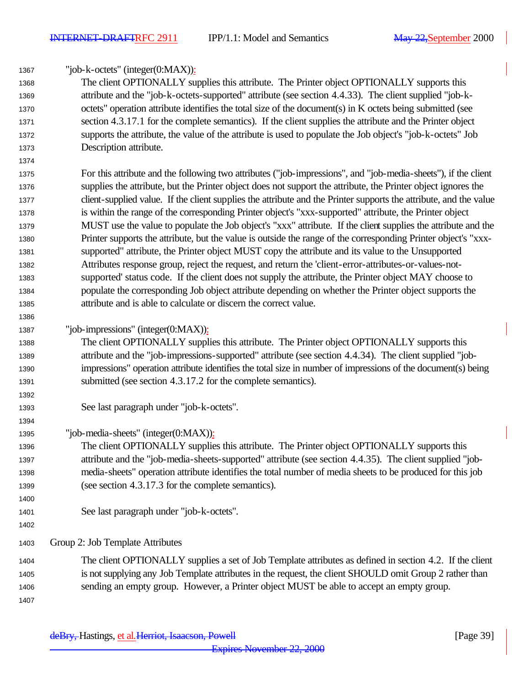| 1367         | "job-k-octets" (integer(0:MAX)):                                                                                                                                                                                      |
|--------------|-----------------------------------------------------------------------------------------------------------------------------------------------------------------------------------------------------------------------|
| 1368         | The client OPTIONALLY supplies this attribute. The Printer object OPTIONALLY supports this                                                                                                                            |
| 1369         | attribute and the "job-k-octets-supported" attribute (see section 4.4.33). The client supplied "job-k-                                                                                                                |
| 1370         | octets" operation attribute identifies the total size of the document(s) in K octets being submitted (see                                                                                                             |
| 1371         | section 4.3.17.1 for the complete semantics). If the client supplies the attribute and the Printer object                                                                                                             |
| 1372         | supports the attribute, the value of the attribute is used to populate the Job object's "job-k-octets" Job                                                                                                            |
| 1373         | Description attribute.                                                                                                                                                                                                |
| 1374         |                                                                                                                                                                                                                       |
| 1375         | For this attribute and the following two attributes ("job-impressions", and "job-media-sheets"), if the client                                                                                                        |
| 1376         | supplies the attribute, but the Printer object does not support the attribute, the Printer object ignores the                                                                                                         |
| 1377         | client-supplied value. If the client supplies the attribute and the Printer supports the attribute, and the value                                                                                                     |
| 1378         | is within the range of the corresponding Printer object's "xxx-supported" attribute, the Printer object                                                                                                               |
| 1379         | MUST use the value to populate the Job object's "xxx" attribute. If the client supplies the attribute and the                                                                                                         |
| 1380         | Printer supports the attribute, but the value is outside the range of the corresponding Printer object's "xxx-                                                                                                        |
| 1381         | supported" attribute, the Printer object MUST copy the attribute and its value to the Unsupported                                                                                                                     |
| 1382         | Attributes response group, reject the request, and return the 'client-error-attributes-or-values-not-                                                                                                                 |
| 1383         | supported' status code. If the client does not supply the attribute, the Printer object MAY choose to                                                                                                                 |
| 1384         | populate the corresponding Job object attribute depending on whether the Printer object supports the                                                                                                                  |
| 1385         | attribute and is able to calculate or discern the correct value.                                                                                                                                                      |
| 1386         |                                                                                                                                                                                                                       |
| 1387         | "job-impressions" (integer(0:MAX)):                                                                                                                                                                                   |
| 1388         | The client OPTIONALLY supplies this attribute. The Printer object OPTIONALLY supports this                                                                                                                            |
| 1389         | attribute and the "job-impressions-supported" attribute (see section 4.4.34). The client supplied "job-                                                                                                               |
| 1390         | impressions" operation attribute identifies the total size in number of impressions of the document(s) being                                                                                                          |
| 1391         | submitted (see section 4.3.17.2 for the complete semantics).                                                                                                                                                          |
| 1392         |                                                                                                                                                                                                                       |
| 1393         | See last paragraph under "job-k-octets".                                                                                                                                                                              |
| 1394         |                                                                                                                                                                                                                       |
| 1395         | "job-media-sheets" (integer(0:MAX)):                                                                                                                                                                                  |
| 1396         | The client OPTIONALLY supplies this attribute. The Printer object OPTIONALLY supports this                                                                                                                            |
| 1397         | attribute and the "job-media-sheets-supported" attribute (see section 4.4.35). The client supplied "job-<br>media-sheets" operation attribute identifies the total number of media sheets to be produced for this job |
| 1398         | (see section 4.3.17.3 for the complete semantics).                                                                                                                                                                    |
| 1399<br>1400 |                                                                                                                                                                                                                       |
| 1401         | See last paragraph under "job-k-octets".                                                                                                                                                                              |
| 1402         |                                                                                                                                                                                                                       |
|              |                                                                                                                                                                                                                       |
| 1403         | Group 2: Job Template Attributes                                                                                                                                                                                      |
| 1404         | The client OPTIONALLY supplies a set of Job Template attributes as defined in section 4.2. If the client                                                                                                              |
| 1405         | is not supplying any Job Template attributes in the request, the client SHOULD omit Group 2 rather than                                                                                                               |
| 1406         | sending an empty group. However, a Printer object MUST be able to accept an empty group.                                                                                                                              |
| 1407         |                                                                                                                                                                                                                       |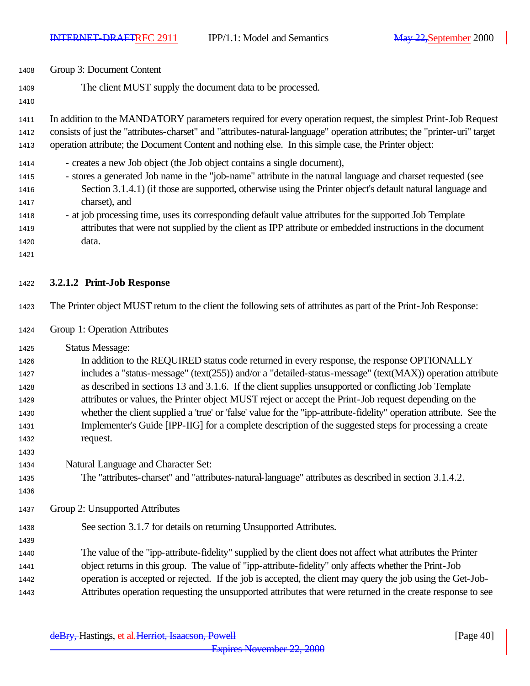| 1408 | Group 3: Document Content                                                                                                  |  |  |  |
|------|----------------------------------------------------------------------------------------------------------------------------|--|--|--|
| 1409 | The client MUST supply the document data to be processed.                                                                  |  |  |  |
| 1410 |                                                                                                                            |  |  |  |
| 1411 | In addition to the MANDATORY parameters required for every operation request, the simplest Print-Job Request               |  |  |  |
| 1412 | consists of just the "attributes-charset" and "attributes-natural-language" operation attributes; the "printer-uri" target |  |  |  |
| 1413 | operation attribute; the Document Content and nothing else. In this simple case, the Printer object:                       |  |  |  |
| 1414 | - creates a new Job object (the Job object contains a single document),                                                    |  |  |  |
| 1415 | - stores a generated Job name in the "job-name" attribute in the natural language and charset requested (see               |  |  |  |
| 1416 | Section 3.1.4.1) (if those are supported, otherwise using the Printer object's default natural language and                |  |  |  |
| 1417 | charset), and                                                                                                              |  |  |  |
| 1418 | - at job processing time, uses its corresponding default value attributes for the supported Job Template                   |  |  |  |
| 1419 | attributes that were not supplied by the client as IPP attribute or embedded instructions in the document                  |  |  |  |
| 1420 | data.                                                                                                                      |  |  |  |
| 1421 |                                                                                                                            |  |  |  |
| 1422 | 3.2.1.2 Print-Job Response                                                                                                 |  |  |  |
| 1423 | The Printer object MUST return to the client the following sets of attributes as part of the Print-Job Response:           |  |  |  |
| 1424 | Group 1: Operation Attributes                                                                                              |  |  |  |
| 1425 | <b>Status Message:</b>                                                                                                     |  |  |  |
| 1426 | In addition to the REQUIRED status code returned in every response, the response OPTIONALLY                                |  |  |  |
| 1427 | includes a "status-message" (text(255)) and/or a "detailed-status-message" (text(MAX)) operation attribute                 |  |  |  |
| 1428 | as described in sections 13 and 3.1.6. If the client supplies unsupported or conflicting Job Template                      |  |  |  |
| 1429 | attributes or values, the Printer object MUST reject or accept the Print-Job request depending on the                      |  |  |  |
| 1430 | whether the client supplied a 'true' or 'false' value for the "ipp-attribute-fidelity" operation attribute. See the        |  |  |  |
| 1431 | Implementer's Guide [IPP-IIG] for a complete description of the suggested steps for processing a create                    |  |  |  |
| 1432 | request.                                                                                                                   |  |  |  |
| 1433 |                                                                                                                            |  |  |  |
| 1434 | Natural Language and Character Set:                                                                                        |  |  |  |
| 1435 | The "attributes-charset" and "attributes-natural-language" attributes as described in section 3.1.4.2.                     |  |  |  |
| 1436 |                                                                                                                            |  |  |  |
| 1437 | Group 2: Unsupported Attributes                                                                                            |  |  |  |
| 1438 | See section 3.1.7 for details on returning Unsupported Attributes.                                                         |  |  |  |

 The value of the "ipp-attribute-fidelity" supplied by the client does not affect what attributes the Printer object returns in this group. The value of "ipp-attribute-fidelity" only affects whether the Print-Job operation is accepted or rejected. If the job is accepted, the client may query the job using the Get-Job-Attributes operation requesting the unsupported attributes that were returned in the create response to see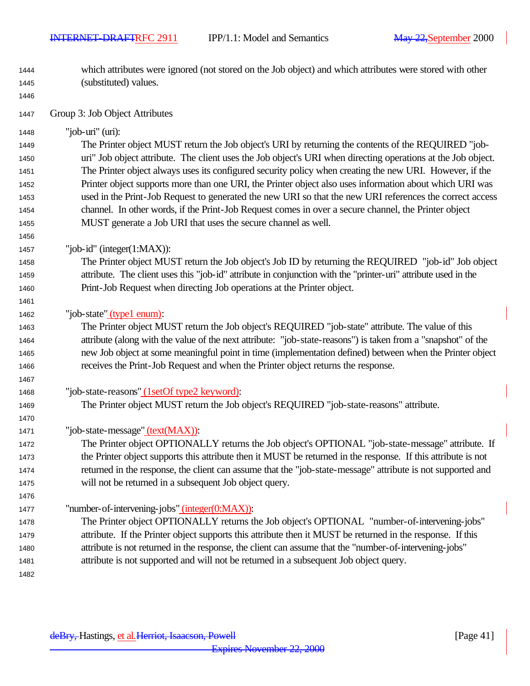- which attributes were ignored (not stored on the Job object) and which attributes were stored with other (substituted) values.
- 

Group 3: Job Object Attributes

"job-uri" (uri):

 The Printer object MUST return the Job object's URI by returning the contents of the REQUIRED "job- uri" Job object attribute. The client uses the Job object's URI when directing operations at the Job object. The Printer object always uses its configured security policy when creating the new URI. However, if the Printer object supports more than one URI, the Printer object also uses information about which URI was used in the Print-Job Request to generated the new URI so that the new URI references the correct access channel. In other words, if the Print-Job Request comes in over a secure channel, the Printer object MUST generate a Job URI that uses the secure channel as well.

"job-id" (integer(1:MAX)):

 The Printer object MUST return the Job object's Job ID by returning the REQUIRED "job-id" Job object attribute. The client uses this "job-id" attribute in conjunction with the "printer-uri" attribute used in the Print-Job Request when directing Job operations at the Printer object.

1462 "job-state" (type1 enum):

- The Printer object MUST return the Job object's REQUIRED "job-state" attribute. The value of this attribute (along with the value of the next attribute: "job-state-reasons") is taken from a "snapshot" of the new Job object at some meaningful point in time (implementation defined) between when the Printer object receives the Print-Job Request and when the Printer object returns the response.
- "job-state-reasons" (1setOf type2 keyword):

The Printer object MUST return the Job object's REQUIRED "job-state-reasons" attribute.

"job-state-message" (text(MAX)):

 The Printer object OPTIONALLY returns the Job object's OPTIONAL "job-state-message" attribute. If the Printer object supports this attribute then it MUST be returned in the response. If this attribute is not returned in the response, the client can assume that the "job-state-message" attribute is not supported and will not be returned in a subsequent Job object query.

"number-of-intervening-jobs" (integer(0:MAX)):

- The Printer object OPTIONALLY returns the Job object's OPTIONAL "number-of-intervening-jobs" attribute. If the Printer object supports this attribute then it MUST be returned in the response. If this attribute is not returned in the response, the client can assume that the "number-of-intervening-jobs" attribute is not supported and will not be returned in a subsequent Job object query.
-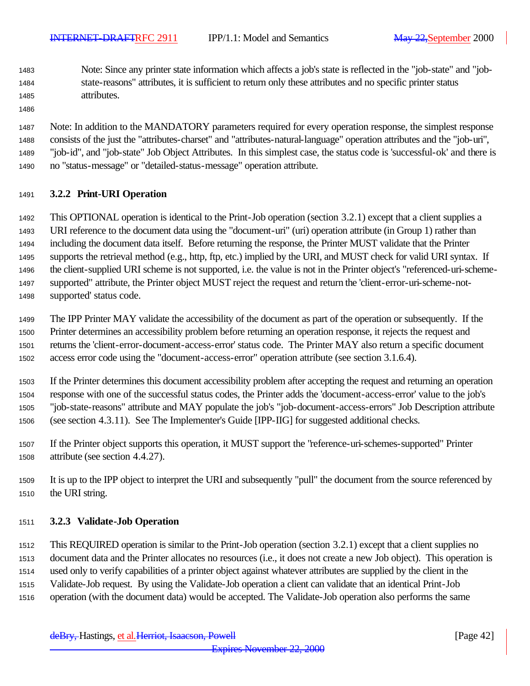- Note: Since any printer state information which affects a job's state is reflected in the "job-state" and "job- state-reasons" attributes, it is sufficient to return only these attributes and no specific printer status attributes.
- 

 Note: In addition to the MANDATORY parameters required for every operation response, the simplest response consists of the just the "attributes-charset" and "attributes-natural-language" operation attributes and the "job-uri", "job-id", and "job-state" Job Object Attributes. In this simplest case, the status code is 'successful-ok' and there is no "status-message" or "detailed-status-message" operation attribute.

## **3.2.2 Print-URI Operation**

 This OPTIONAL operation is identical to the Print-Job operation (section 3.2.1) except that a client supplies a URI reference to the document data using the "document-uri" (uri) operation attribute (in Group 1) rather than including the document data itself. Before returning the response, the Printer MUST validate that the Printer supports the retrieval method (e.g., http, ftp, etc.) implied by the URI, and MUST check for valid URI syntax. If the client-supplied URI scheme is not supported, i.e. the value is not in the Printer object's "referenced-uri-scheme- supported" attribute, the Printer object MUST reject the request and return the 'client-error-uri-scheme-not-supported' status code.

 The IPP Printer MAY validate the accessibility of the document as part of the operation or subsequently. If the Printer determines an accessibility problem before returning an operation response, it rejects the request and returns the 'client-error-document-access-error' status code. The Printer MAY also return a specific document access error code using the "document-access-error" operation attribute (see section 3.1.6.4).

 If the Printer determines this document accessibility problem after accepting the request and returning an operation response with one of the successful status codes, the Printer adds the 'document-access-error' value to the job's "job-state-reasons" attribute and MAY populate the job's "job-document-access-errors" Job Description attribute (see section 4.3.11). See The Implementer's Guide [IPP-IIG] for suggested additional checks.

- If the Printer object supports this operation, it MUST support the "reference-uri-schemes-supported" Printer attribute (see section 4.4.27).
- It is up to the IPP object to interpret the URI and subsequently "pull" the document from the source referenced by the URI string.

## **3.2.3 Validate-Job Operation**

This REQUIRED operation is similar to the Print-Job operation (section 3.2.1) except that a client supplies no

document data and the Printer allocates no resources (i.e., it does not create a new Job object). This operation is

used only to verify capabilities of a printer object against whatever attributes are supplied by the client in the

Validate-Job request. By using the Validate-Job operation a client can validate that an identical Print-Job

operation (with the document data) would be accepted. The Validate-Job operation also performs the same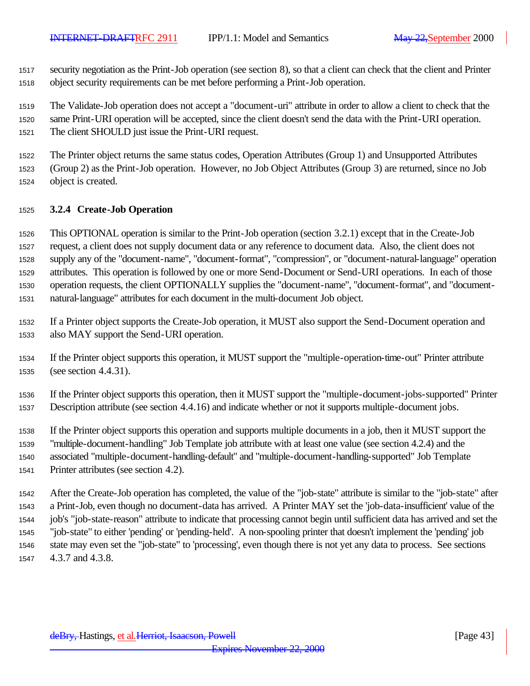security negotiation as the Print-Job operation (see section 8), so that a client can check that the client and Printer object security requirements can be met before performing a Print-Job operation.

 The Validate-Job operation does not accept a "document-uri" attribute in order to allow a client to check that the same Print-URI operation will be accepted, since the client doesn't send the data with the Print-URI operation. The client SHOULD just issue the Print-URI request.

The Printer object returns the same status codes, Operation Attributes (Group 1) and Unsupported Attributes

(Group 2) as the Print-Job operation. However, no Job Object Attributes (Group 3) are returned, since no Job

object is created.

#### **3.2.4 Create-Job Operation**

 This OPTIONAL operation is similar to the Print-Job operation (section 3.2.1) except that in the Create-Job request, a client does not supply document data or any reference to document data. Also, the client does not supply any of the "document-name", "document-format", "compression", or "document-natural-language" operation attributes. This operation is followed by one or more Send-Document or Send-URI operations. In each of those operation requests, the client OPTIONALLY supplies the "document-name", "document-format", and "document-natural-language" attributes for each document in the multi-document Job object.

 If a Printer object supports the Create-Job operation, it MUST also support the Send-Document operation and also MAY support the Send-URI operation.

 If the Printer object supports this operation, it MUST support the "multiple-operation-time-out" Printer attribute (see section 4.4.31).

 If the Printer object supports this operation, then it MUST support the "multiple-document-jobs-supported" Printer Description attribute (see section 4.4.16) and indicate whether or not it supports multiple-document jobs.

If the Printer object supports this operation and supports multiple documents in a job, then it MUST support the

"multiple-document-handling" Job Template job attribute with at least one value (see section 4.2.4) and the

associated "multiple-document-handling-default" and "multiple-document-handling-supported" Job Template

Printer attributes (see section 4.2).

 After the Create-Job operation has completed, the value of the "job-state" attribute is similar to the "job-state" after a Print-Job, even though no document-data has arrived. A Printer MAY set the 'job-data-insufficient' value of the job's "job-state-reason" attribute to indicate that processing cannot begin until sufficient data has arrived and set the "job-state" to either 'pending' or 'pending-held'. A non-spooling printer that doesn't implement the 'pending' job state may even set the "job-state" to 'processing', even though there is not yet any data to process. See sections 4.3.7 and 4.3.8.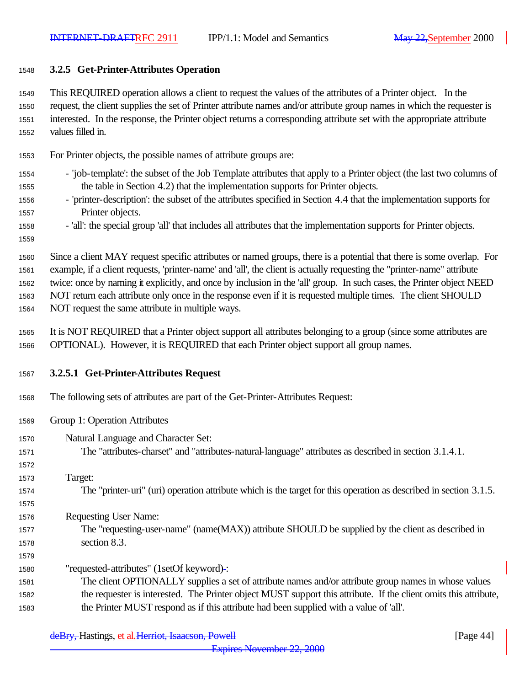## **3.2.5 Get-Printer-Attributes Operation**

 This REQUIRED operation allows a client to request the values of the attributes of a Printer object. In the request, the client supplies the set of Printer attribute names and/or attribute group names in which the requester is interested. In the response, the Printer object returns a corresponding attribute set with the appropriate attribute values filled in.

For Printer objects, the possible names of attribute groups are:

- 'job-template': the subset of the Job Template attributes that apply to a Printer object (the last two columns of the table in Section 4.2) that the implementation supports for Printer objects.
- 'printer-description': the subset of the attributes specified in Section 4.4 that the implementation supports for Printer objects.
- 1558 'all': the special group 'all' that includes all attributes that the implementation supports for Printer objects.
- Since a client MAY request specific attributes or named groups, there is a potential that there is some overlap. For example, if a client requests, 'printer-name' and 'all', the client is actually requesting the "printer-name" attribute twice: once by naming it explicitly, and once by inclusion in the 'all' group. In such cases, the Printer object NEED

NOT return each attribute only once in the response even if it is requested multiple times. The client SHOULD

NOT request the same attribute in multiple ways.

- It is NOT REQUIRED that a Printer object support all attributes belonging to a group (since some attributes are OPTIONAL). However, it is REQUIRED that each Printer object support all group names.
- **3.2.5.1 Get-Printer-Attributes Request**
- The following sets of attributes are part of the Get-Printer-Attributes Request:
- Group 1: Operation Attributes
- Natural Language and Character Set:
- The "attributes-charset" and "attributes-natural-language" attributes as described in section 3.1.4.1.
- 
- Target:

- The "printer-uri" (uri) operation attribute which is the target for this operation as described in section 3.1.5.
- Requesting User Name:
- The "requesting-user-name" (name(MAX)) attribute SHOULD be supplied by the client as described in section 8.3.
- "requested-attributes" (1setOf keyword) :
- The client OPTIONALLY supplies a set of attribute names and/or attribute group names in whose values the requester is interested. The Printer object MUST support this attribute. If the client omits this attribute, the Printer MUST respond as if this attribute had been supplied with a value of 'all'.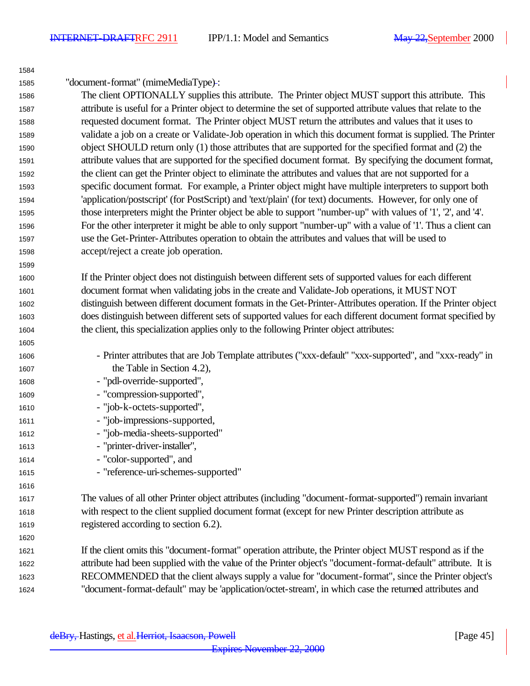"document-format" (mimeMediaType) :

 The client OPTIONALLY supplies this attribute. The Printer object MUST support this attribute. This attribute is useful for a Printer object to determine the set of supported attribute values that relate to the requested document format. The Printer object MUST return the attributes and values that it uses to validate a job on a create or Validate-Job operation in which this document format is supplied. The Printer object SHOULD return only (1) those attributes that are supported for the specified format and (2) the attribute values that are supported for the specified document format. By specifying the document format, the client can get the Printer object to eliminate the attributes and values that are not supported for a specific document format. For example, a Printer object might have multiple interpreters to support both 'application/postscript' (for PostScript) and 'text/plain' (for text) documents. However, for only one of those interpreters might the Printer object be able to support "number-up" with values of '1', '2', and '4'. For the other interpreter it might be able to only support "number-up" with a value of '1'. Thus a client can use the Get-Printer-Attributes operation to obtain the attributes and values that will be used to accept/reject a create job operation.

 If the Printer object does not distinguish between different sets of supported values for each different document format when validating jobs in the create and Validate-Job operations, it MUST NOT distinguish between different document formats in the Get-Printer-Attributes operation. If the Printer object does distinguish between different sets of supported values for each different document format specified by the client, this specialization applies only to the following Printer object attributes:

- Printer attributes that are Job Template attributes ("xxx-default" "xxx-supported", and "xxx-ready" in the Table in Section 4.2),
- "pdl-override-supported",
- "compression-supported",
- "job-k-octets-supported",
- "job-impressions-supported,
- "job-media-sheets-supported"
- "printer-driver-installer",
- 1614 "color-supported", and
- "reference-uri-schemes-supported"

 The values of all other Printer object attributes (including "document-format-supported") remain invariant with respect to the client supplied document format (except for new Printer description attribute as registered according to section 6.2).

 If the client omits this "document-format" operation attribute, the Printer object MUST respond as if the attribute had been supplied with the value of the Printer object's "document-format-default" attribute. It is RECOMMENDED that the client always supply a value for "document-format", since the Printer object's "document-format-default" may be 'application/octet-stream', in which case the returned attributes and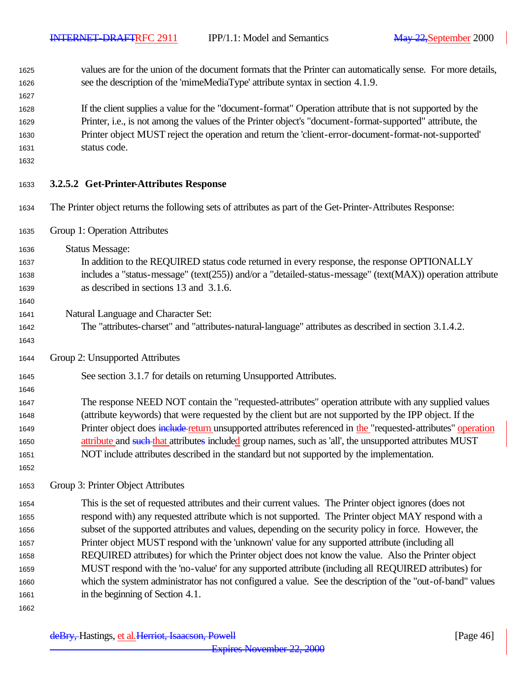values are for the union of the document formats that the Printer can automatically sense. For more details, see the description of the 'mimeMediaType' attribute syntax in section 4.1.9.

 If the client supplies a value for the "document-format" Operation attribute that is not supported by the Printer, i.e., is not among the values of the Printer object's "document-format-supported" attribute, the Printer object MUST reject the operation and return the 'client-error-document-format-not-supported' status code.

#### **3.2.5.2 Get-Printer-Attributes Response**

- The Printer object returns the following sets of attributes as part of the Get-Printer-Attributes Response:
- Group 1: Operation Attributes

Status Message:

- In addition to the REQUIRED status code returned in every response, the response OPTIONALLY includes a "status-message" (text(255)) and/or a "detailed-status-message" (text(MAX)) operation attribute as described in sections 13 and 3.1.6.
- Natural Language and Character Set:
- The "attributes-charset" and "attributes-natural-language" attributes as described in section 3.1.4.2.
- Group 2: Unsupported Attributes
- See section 3.1.7 for details on returning Unsupported Attributes.
- The response NEED NOT contain the "requested-attributes" operation attribute with any supplied values (attribute keywords) that were requested by the client but are not supported by the IPP object. If the 1649 Printer object does include return unsupported attributes referenced in the "requested-attributes" operation 1650 attribute and such that attributes included group names, such as 'all', the unsupported attributes MUST NOT include attributes described in the standard but not supported by the implementation.
- 

## Group 3: Printer Object Attributes

 This is the set of requested attributes and their current values. The Printer object ignores (does not respond with) any requested attribute which is not supported. The Printer object MAY respond with a subset of the supported attributes and values, depending on the security policy in force. However, the Printer object MUST respond with the 'unknown' value for any supported attribute (including all REQUIRED attributes) for which the Printer object does not know the value. Also the Printer object MUST respond with the 'no-value' for any supported attribute (including all REQUIRED attributes) for which the system administrator has not configured a value. See the description of the "out-of-band" values in the beginning of Section 4.1.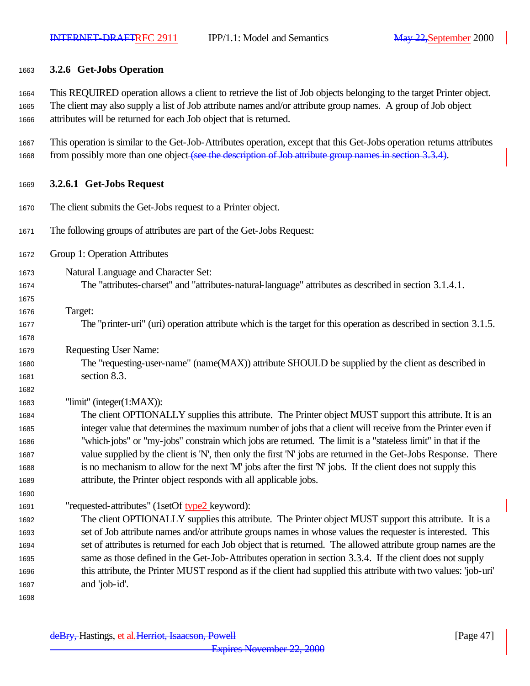#### **3.2.6 Get-Jobs Operation**

 This REQUIRED operation allows a client to retrieve the list of Job objects belonging to the target Printer object. The client may also supply a list of Job attribute names and/or attribute group names. A group of Job object attributes will be returned for each Job object that is returned.

 This operation is similar to the Get-Job-Attributes operation, except that this Get-Jobs operation returns attributes 1668 from possibly more than one object (see the description of Job attribute group names in section 3.3.4).

#### **3.2.6.1 Get-Jobs Request**

- The client submits the Get-Jobs request to a Printer object.
- The following groups of attributes are part of the Get-Jobs Request:
- Group 1: Operation Attributes
- Natural Language and Character Set: The "attributes-charset" and "attributes-natural-language" attributes as described in section 3.1.4.1.
- Target:

- The "printer-uri" (uri) operation attribute which is the target for this operation as described in section 3.1.5.
- Requesting User Name:
- The "requesting-user-name" (name(MAX)) attribute SHOULD be supplied by the client as described in section 8.3.

"limit" (integer(1:MAX)):

 The client OPTIONALLY supplies this attribute. The Printer object MUST support this attribute. It is an integer value that determines the maximum number of jobs that a client will receive from the Printer even if "which-jobs" or "my-jobs" constrain which jobs are returned. The limit is a "stateless limit" in that if the value supplied by the client is 'N', then only the first 'N' jobs are returned in the Get-Jobs Response. There is no mechanism to allow for the next 'M' jobs after the first 'N' jobs. If the client does not supply this attribute, the Printer object responds with all applicable jobs.

"requested-attributes" (1setOf type2 keyword):

 The client OPTIONALLY supplies this attribute. The Printer object MUST support this attribute. It is a set of Job attribute names and/or attribute groups names in whose values the requester is interested. This set of attributes is returned for each Job object that is returned. The allowed attribute group names are the same as those defined in the Get-Job-Attributes operation in section 3.3.4. If the client does not supply this attribute, the Printer MUST respond as if the client had supplied this attribute with two values: 'job-uri' and 'job-id'.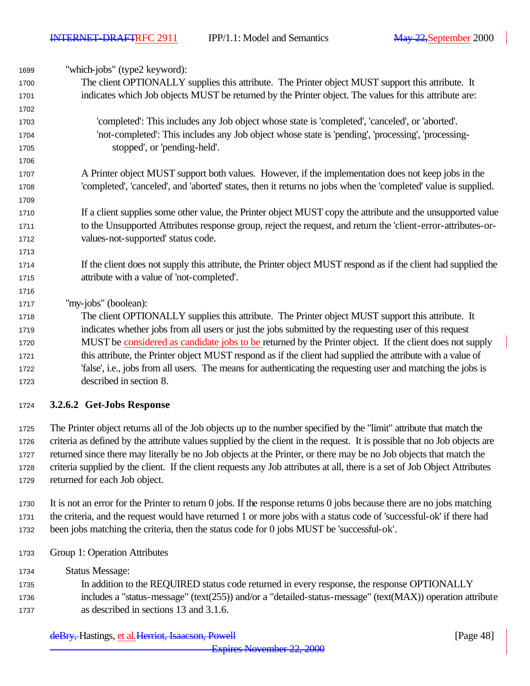"which-jobs" (type2 keyword): The client OPTIONALLY supplies this attribute. The Printer object MUST support this attribute. It indicates which Job objects MUST be returned by the Printer object. The values for this attribute are: 'completed': This includes any Job object whose state is 'completed', 'canceled', or 'aborted'. 'not-completed': This includes any Job object whose state is 'pending', 'processing', 'processing- stopped', or 'pending-held'. A Printer object MUST support both values. However, if the implementation does not keep jobs in the 'completed', 'canceled', and 'aborted' states, then it returns no jobs when the 'completed' value is supplied. 1710 If a client supplies some other value, the Printer object MUST copy the attribute and the unsupported value to the Unsupported Attributes response group, reject the request, and return the 'client-error-attributes-or- values-not-supported' status code. If the client does not supply this attribute, the Printer object MUST respond as if the client had supplied the attribute with a value of 'not-completed'. "my-jobs" (boolean): The client OPTIONALLY supplies this attribute. The Printer object MUST support this attribute. It indicates whether jobs from all users or just the jobs submitted by the requesting user of this request MUST be considered as candidate jobs to be returned by the Printer object. If the client does not supply this attribute, the Printer object MUST respond as if the client had supplied the attribute with a value of 'false', i.e., jobs from all users. The means for authenticating the requesting user and matching the jobs is described in section 8.

## **3.2.6.2 Get-Jobs Response**

 The Printer object returns all of the Job objects up to the number specified by the "limit" attribute that match the criteria as defined by the attribute values supplied by the client in the request. It is possible that no Job objects are returned since there may literally be no Job objects at the Printer, or there may be no Job objects that match the criteria supplied by the client. If the client requests any Job attributes at all, there is a set of Job Object Attributes returned for each Job object.

- It is not an error for the Printer to return 0 jobs. If the response returns 0 jobs because there are no jobs matching the criteria, and the request would have returned 1 or more jobs with a status code of 'successful-ok' if there had been jobs matching the criteria, then the status code for 0 jobs MUST be 'successful-ok'.
- Group 1: Operation Attributes
- Status Message:
- In addition to the REQUIRED status code returned in every response, the response OPTIONALLY includes a "status-message" (text(255)) and/or a "detailed-status-message" (text(MAX)) operation attribute as described in sections 13 and 3.1.6.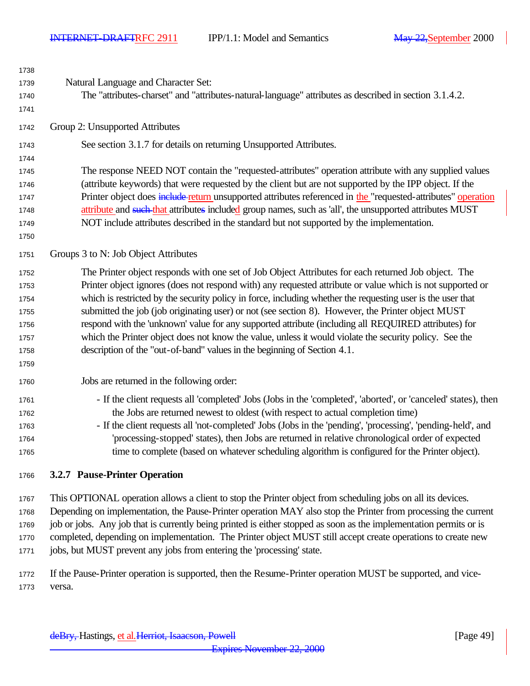| 1738<br>1739 | Natural Language and Character Set:                                                                            |
|--------------|----------------------------------------------------------------------------------------------------------------|
| 1740         | The "attributes-charset" and "attributes-natural-language" attributes as described in section 3.1.4.2.         |
| 1741         |                                                                                                                |
| 1742         | Group 2: Unsupported Attributes                                                                                |
| 1743         | See section 3.1.7 for details on returning Unsupported Attributes.                                             |
| 1744         |                                                                                                                |
| 1745         | The response NEED NOT contain the "requested-attributes" operation attribute with any supplied values          |
| 1746         | (attribute keywords) that were requested by the client but are not supported by the IPP object. If the         |
| 1747         | Printer object does include return unsupported attributes referenced in the "requested-attributes" operation   |
| 1748         | attribute and such that attributes included group names, such as 'all', the unsupported attributes MUST        |
| 1749         | NOT include attributes described in the standard but not supported by the implementation.                      |
| 1750         |                                                                                                                |
| 1751         | Groups 3 to N: Job Object Attributes                                                                           |
| 1752         | The Printer object responds with one set of Job Object Attributes for each returned Job object. The            |
| 1753         | Printer object ignores (does not respond with) any requested attribute or value which is not supported or      |
| 1754         | which is restricted by the security policy in force, including whether the requesting user is the user that    |
| 1755         | submitted the job (job originating user) or not (see section 8). However, the Printer object MUST              |
| 1756         | respond with the 'unknown' value for any supported attribute (including all REQUIRED attributes) for           |
| 1757         | which the Printer object does not know the value, unless it would violate the security policy. See the         |
| 1758         | description of the "out-of-band" values in the beginning of Section 4.1.                                       |
| 1759         |                                                                                                                |
| 1760         | Jobs are returned in the following order:                                                                      |
| 1761         | - If the client requests all 'completed' Jobs (Jobs in the 'completed', 'aborted', or 'canceled' states), then |
| 1762         | the Jobs are returned newest to oldest (with respect to actual completion time)                                |
| 1763         | - If the client requests all 'not-completed' Jobs (Jobs in the 'pending', 'processing', 'pending-held', and    |
| 1764         | 'processing-stopped' states), then Jobs are returned in relative chronological order of expected               |
| 1765         | time to complete (based on whatever scheduling algorithm is configured for the Printer object).                |
| 1766         | 3.2.7 Pause-Printer Operation                                                                                  |
|              |                                                                                                                |
|              |                                                                                                                |

 This OPTIONAL operation allows a client to stop the Printer object from scheduling jobs on all its devices. Depending on implementation, the Pause-Printer operation MAY also stop the Printer from processing the current 1769 job or jobs. Any job that is currently being printed is either stopped as soon as the implementation permits or is completed, depending on implementation. The Printer object MUST still accept create operations to create new jobs, but MUST prevent any jobs from entering the 'processing' state.

 If the Pause-Printer operation is supported, then the Resume-Printer operation MUST be supported, and vice-versa.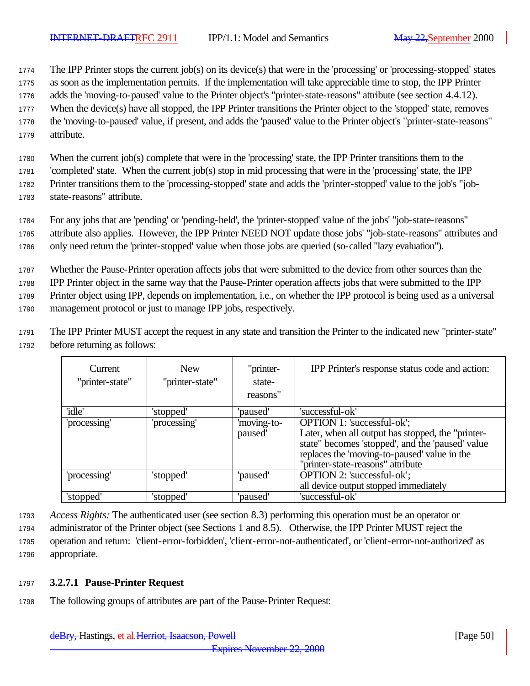<sup>1774</sup> The IPP Printer stops the current job(s) on its device(s) that were in the 'processing' or 'processing-stopped' states

- <sup>1775</sup> as soon as the implementation permits. If the implementation will take appreciable time to stop, the IPP Printer
- <sup>1776</sup> adds the 'moving-to-paused' value to the Printer object's "printer-state-reasons" attribute (see section 4.4.12).
- <sup>1777</sup> When the device(s) have all stopped, the IPP Printer transitions the Printer object to the 'stopped' state, removes
- <sup>1778</sup> the 'moving-to-paused' value, if present, and adds the 'paused' value to the Printer object's "printer-state-reasons" <sup>1779</sup> attribute.
- <sup>1780</sup> When the current job(s) complete that were in the 'processing' state, the IPP Printer transitions them to the

<sup>1781</sup> 'completed' state. When the current job(s) stop in mid processing that were in the 'processing' state, the IPP

<sup>1782</sup> Printer transitions them to the 'processing-stopped' state and adds the 'printer-stopped' value to the job's "job-

<sup>1783</sup> state-reasons" attribute.

<sup>1784</sup> For any jobs that are 'pending' or 'pending-held', the 'printer-stopped' value of the jobs' "job-state-reasons" <sup>1785</sup> attribute also applies. However, the IPP Printer NEED NOT update those jobs' "job-state-reasons" attributes and

<sup>1786</sup> only need return the 'printer-stopped' value when those jobs are queried (so-called "lazy evaluation").

<sup>1787</sup> Whether the Pause-Printer operation affects jobs that were submitted to the device from other sources than the

<sup>1788</sup> IPP Printer object in the same way that the Pause-Printer operation affects jobs that were submitted to the IPP

<sup>1789</sup> Printer object using IPP, depends on implementation, i.e., on whether the IPP protocol is being used as a universal

<sup>1790</sup> management protocol or just to manage IPP jobs, respectively.

<sup>1791</sup> The IPP Printer MUST accept the request in any state and transition the Printer to the indicated new "printer-state" <sup>1792</sup> before returning as follows:

| Current<br>"printer-state" | <b>New</b><br>"printer-state" | "printer-<br>state-<br>reasons" | IPP Printer's response status code and action:                                                                                                                                                                                  |
|----------------------------|-------------------------------|---------------------------------|---------------------------------------------------------------------------------------------------------------------------------------------------------------------------------------------------------------------------------|
| 'idle'                     | 'stopped'                     | 'paused'                        | 'successful-ok'                                                                                                                                                                                                                 |
| 'processing'               | 'processing'                  | 'moving-to-<br>paused'          | <b>OPTION 1:</b> 'successful-ok';<br>Later, when all output has stopped, the "printer-<br>state" becomes 'stopped', and the 'paused' value<br>replaces the 'moving-to-paused' value in the<br>"printer-state-reasons" attribute |
| 'processing'               | 'stopped'                     | 'paused'                        | OPTION 2: 'successful-ok';<br>all device output stopped immediately                                                                                                                                                             |
| 'stopped'                  | 'stopped'                     | 'paused'                        | 'successful-ok'                                                                                                                                                                                                                 |

<sup>1793</sup> *Access Rights:* The authenticated user (see section 8.3) performing this operation must be an operator or

<sup>1794</sup> administrator of the Printer object (see Sections 1 and 8.5). Otherwise, the IPP Printer MUST reject the <sup>1795</sup> operation and return: 'client-error-forbidden', 'client-error-not-authenticated', or 'client-error-not-authorized' as

<sup>1796</sup> appropriate.

## <sup>1797</sup> **3.2.7.1 Pause-Printer Request**

<sup>1798</sup> The following groups of attributes are part of the Pause-Printer Request: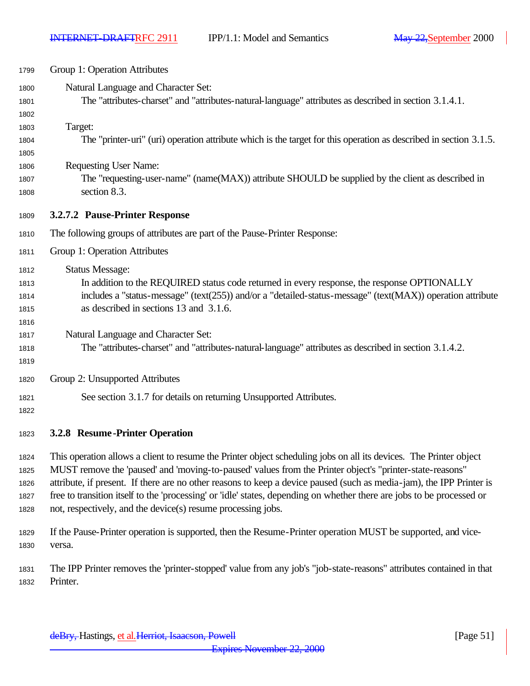| 1799    | Group 1: Operation Attributes                                                                                      |  |  |
|---------|--------------------------------------------------------------------------------------------------------------------|--|--|
| 1800    | Natural Language and Character Set:                                                                                |  |  |
| 1801    | The "attributes-charset" and "attributes-natural-language" attributes as described in section 3.1.4.1.             |  |  |
| 1802    |                                                                                                                    |  |  |
| 1803    | Target:                                                                                                            |  |  |
| 1804    | The "printer-uri" (uri) operation attribute which is the target for this operation as described in section 3.1.5.  |  |  |
| 1805    |                                                                                                                    |  |  |
| 1806    | <b>Requesting User Name:</b>                                                                                       |  |  |
| 1807    | The "requesting-user-name" (name(MAX)) attribute SHOULD be supplied by the client as described in                  |  |  |
| 1808    | section 8.3.                                                                                                       |  |  |
| 1809    | 3.2.7.2 Pause-Printer Response                                                                                     |  |  |
| 1810    | The following groups of attributes are part of the Pause-Printer Response:                                         |  |  |
| 1811    | Group 1: Operation Attributes                                                                                      |  |  |
| 1812    | <b>Status Message:</b>                                                                                             |  |  |
| 1813    | In addition to the REQUIRED status code returned in every response, the response OPTIONALLY                        |  |  |
| 1814    | includes a "status-message" (text(255)) and/or a "detailed-status-message" (text(MAX)) operation attribute         |  |  |
| 1815    | as described in sections 13 and 3.1.6.                                                                             |  |  |
| 1816    |                                                                                                                    |  |  |
| 1817    | Natural Language and Character Set:                                                                                |  |  |
| 1818    | The "attributes-charset" and "attributes-natural-language" attributes as described in section 3.1.4.2.             |  |  |
| 1819    |                                                                                                                    |  |  |
| 1820    | Group 2: Unsupported Attributes                                                                                    |  |  |
| 1821    | See section 3.1.7 for details on returning Unsupported Attributes.                                                 |  |  |
| 1822    |                                                                                                                    |  |  |
| 1823    | 3.2.8 Resume-Printer Operation                                                                                     |  |  |
| 1824    | This operation allows a client to resume the Printer object scheduling jobs on all its devices. The Printer object |  |  |
| $100 -$ | MITCT noncorre the beauced and because to more all reduce from the Drinton chicate lluminten atote moceanell       |  |  |

 MUST remove the 'paused' and 'moving-to-paused' values from the Printer object's "printer-state-reasons" attribute, if present. If there are no other reasons to keep a device paused (such as media-jam), the IPP Printer is free to transition itself to the 'processing' or 'idle' states, depending on whether there are jobs to be processed or not, respectively, and the device(s) resume processing jobs.

 If the Pause-Printer operation is supported, then the Resume-Printer operation MUST be supported, and vice-versa.

 The IPP Printer removes the 'printer-stopped' value from any job's "job-state-reasons" attributes contained in that Printer.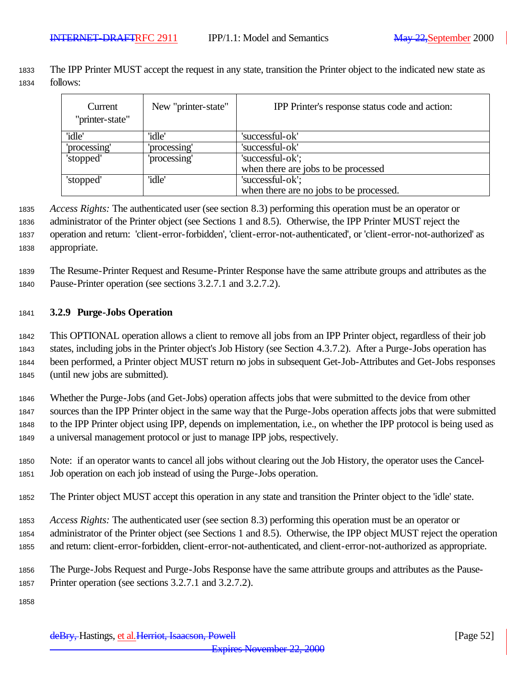The IPP Printer MUST accept the request in any state, transition the Printer object to the indicated new state as follows:

| Current<br>"printer-state" | New "printer-state" | IPP Printer's response status code and action: |  |
|----------------------------|---------------------|------------------------------------------------|--|
| 'idle'                     | 'idle'              | 'successful-ok'                                |  |
| 'processing'               | 'processing'        | 'successful-ok'                                |  |
| 'stopped'                  | 'processing'        | 'successful-ok';                               |  |
|                            |                     | when there are jobs to be processed            |  |
| 'stopped'                  | 'idle'              | 'successful-ok';                               |  |
|                            |                     | when there are no jobs to be processed.        |  |

 *Access Rights:* The authenticated user (see section 8.3) performing this operation must be an operator or administrator of the Printer object (see Sections 1 and 8.5). Otherwise, the IPP Printer MUST reject the operation and return: 'client-error-forbidden', 'client-error-not-authenticated', or 'client-error-not-authorized' as appropriate.

 The Resume-Printer Request and Resume-Printer Response have the same attribute groups and attributes as the Pause-Printer operation (see sections 3.2.7.1 and 3.2.7.2).

## **3.2.9 Purge-Jobs Operation**

 This OPTIONAL operation allows a client to remove all jobs from an IPP Printer object, regardless of their job states, including jobs in the Printer object's Job History (see Section 4.3.7.2). After a Purge-Jobs operation has been performed, a Printer object MUST return no jobs in subsequent Get-Job-Attributes and Get-Jobs responses (until new jobs are submitted).

 Whether the Purge-Jobs (and Get-Jobs) operation affects jobs that were submitted to the device from other sources than the IPP Printer object in the same way that the Purge-Jobs operation affects jobs that were submitted to the IPP Printer object using IPP, depends on implementation, i.e., on whether the IPP protocol is being used as a universal management protocol or just to manage IPP jobs, respectively.

- Note: if an operator wants to cancel all jobs without clearing out the Job History, the operator uses the Cancel-Job operation on each job instead of using the Purge-Jobs operation.
- The Printer object MUST accept this operation in any state and transition the Printer object to the 'idle' state.
- *Access Rights:* The authenticated user (see section 8.3) performing this operation must be an operator or administrator of the Printer object (see Sections 1 and 8.5). Otherwise, the IPP object MUST reject the operation and return: client-error-forbidden, client-error-not-authenticated, and client-error-not-authorized as appropriate.
- The Purge-Jobs Request and Purge-Jobs Response have the same attribute groups and attributes as the Pause-Printer operation (see sections 3.2.7.1 and 3.2.7.2).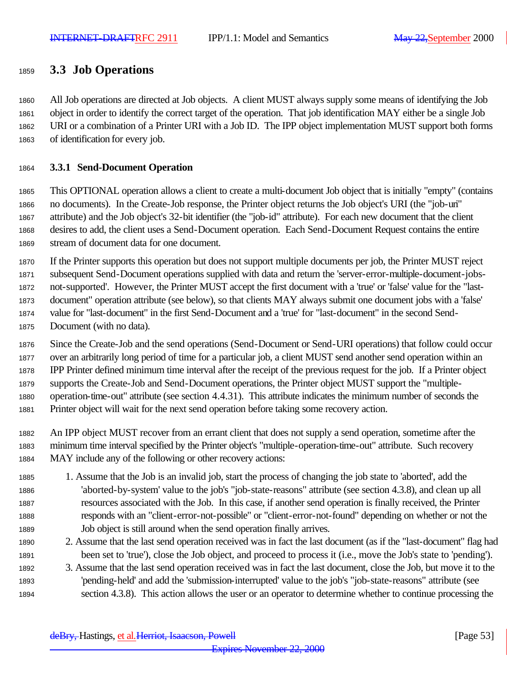## **3.3 Job Operations**

 All Job operations are directed at Job objects. A client MUST always supply some means of identifying the Job object in order to identify the correct target of the operation. That job identification MAY either be a single Job URI or a combination of a Printer URI with a Job ID. The IPP object implementation MUST support both forms of identification for every job.

## **3.3.1 Send-Document Operation**

 This OPTIONAL operation allows a client to create a multi-document Job object that is initially "empty" (contains no documents). In the Create-Job response, the Printer object returns the Job object's URI (the "job-uri" attribute) and the Job object's 32-bit identifier (the "job-id" attribute). For each new document that the client desires to add, the client uses a Send-Document operation. Each Send-Document Request contains the entire stream of document data for one document.

 If the Printer supports this operation but does not support multiple documents per job, the Printer MUST reject subsequent Send-Document operations supplied with data and return the 'server-error-multiple-document-jobs- not-supported'. However, the Printer MUST accept the first document with a 'true' or 'false' value for the "last- document" operation attribute (see below), so that clients MAY always submit one document jobs with a 'false' value for "last-document" in the first Send-Document and a 'true' for "last-document" in the second Send-

Document (with no data).

 Since the Create-Job and the send operations (Send-Document or Send-URI operations) that follow could occur over an arbitrarily long period of time for a particular job, a client MUST send another send operation within an IPP Printer defined minimum time interval after the receipt of the previous request for the job. If a Printer object supports the Create-Job and Send-Document operations, the Printer object MUST support the "multiple- operation-time-out" attribute (see section 4.4.31). This attribute indicates the minimum number of seconds the Printer object will wait for the next send operation before taking some recovery action.

 An IPP object MUST recover from an errant client that does not supply a send operation, sometime after the minimum time interval specified by the Printer object's "multiple-operation-time-out" attribute. Such recovery MAY include any of the following or other recovery actions:

- 1. Assume that the Job is an invalid job, start the process of changing the job state to 'aborted', add the 'aborted-by-system' value to the job's "job-state-reasons" attribute (see section 4.3.8), and clean up all resources associated with the Job. In this case, if another send operation is finally received, the Printer responds with an "client-error-not-possible" or "client-error-not-found" depending on whether or not the Job object is still around when the send operation finally arrives.
- 2. Assume that the last send operation received was in fact the last document (as if the "last-document" flag had been set to 'true'), close the Job object, and proceed to process it (i.e., move the Job's state to 'pending').
- 3. Assume that the last send operation received was in fact the last document, close the Job, but move it to the 'pending-held' and add the 'submission-interrupted' value to the job's "job-state-reasons" attribute (see section 4.3.8). This action allows the user or an operator to determine whether to continue processing the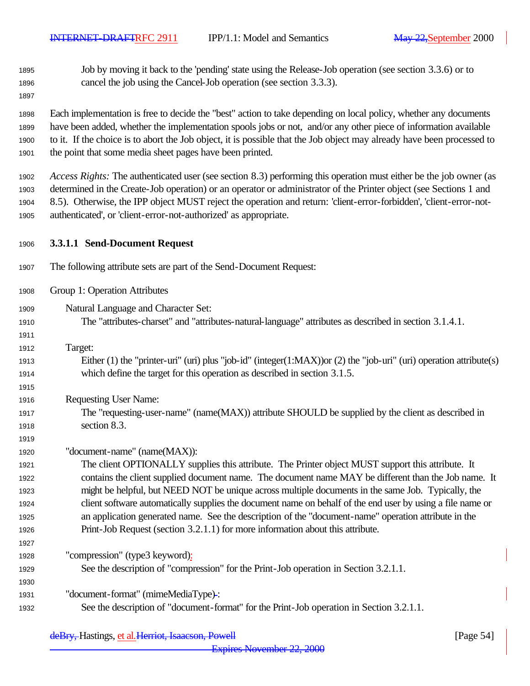Job by moving it back to the 'pending' state using the Release-Job operation (see section 3.3.6) or to cancel the job using the Cancel-Job operation (see section 3.3.3).

 Each implementation is free to decide the "best" action to take depending on local policy, whether any documents have been added, whether the implementation spools jobs or not, and/or any other piece of information available to it. If the choice is to abort the Job object, it is possible that the Job object may already have been processed to the point that some media sheet pages have been printed.

 *Access Rights:* The authenticated user (see section 8.3) performing this operation must either be the job owner (as determined in the Create-Job operation) or an operator or administrator of the Printer object (see Sections 1 and 8.5). Otherwise, the IPP object MUST reject the operation and return: 'client-error-forbidden', 'client-error-not-authenticated', or 'client-error-not-authorized' as appropriate.

- **3.3.1.1 Send-Document Request**
- The following attribute sets are part of the Send-Document Request:
- Group 1: Operation Attributes
- Natural Language and Character Set:
- The "attributes-charset" and "attributes-natural-language" attributes as described in section 3.1.4.1.
- Target:

- Either (1) the "printer-uri" (uri) plus "job-id" (integer(1:MAX))or (2) the "job-uri" (uri) operation attribute(s) which define the target for this operation as described in section 3.1.5.
- Requesting User Name:
- The "requesting-user-name" (name(MAX)) attribute SHOULD be supplied by the client as described in section 8.3.
- "document-name" (name(MAX)):

 The client OPTIONALLY supplies this attribute. The Printer object MUST support this attribute. It contains the client supplied document name. The document name MAY be different than the Job name. It might be helpful, but NEED NOT be unique across multiple documents in the same Job. Typically, the client software automatically supplies the document name on behalf of the end user by using a file name or an application generated name. See the description of the "document-name" operation attribute in the Print-Job Request (section 3.2.1.1) for more information about this attribute.

- "compression" (type3 keyword):
- See the description of "compression" for the Print-Job operation in Section 3.2.1.1.
- "document-format" (mimeMediaType) :
- See the description of "document-format" for the Print-Job operation in Section 3.2.1.1.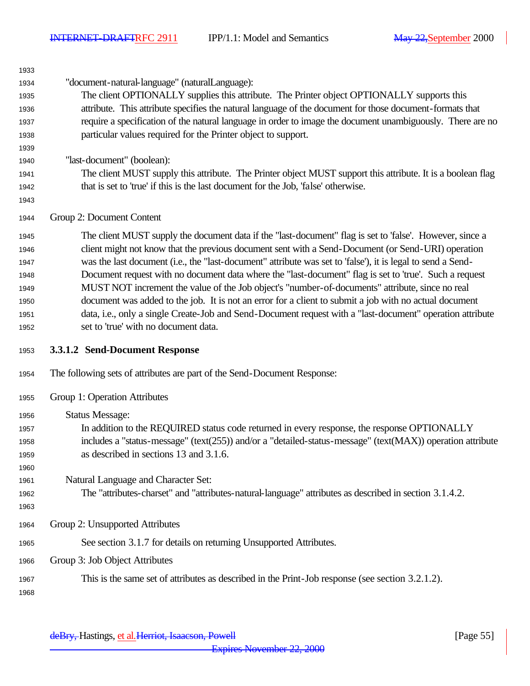| 1934 | "document-natural-language" (naturalLanguage):                                                                        |  |  |
|------|-----------------------------------------------------------------------------------------------------------------------|--|--|
| 1935 | The client OPTIONALLY supplies this attribute. The Printer object OPTIONALLY supports this                            |  |  |
| 1936 | attribute. This attribute specifies the natural language of the document for those document-formats that              |  |  |
| 1937 | require a specification of the natural language in order to image the document unambiguously. There are no            |  |  |
| 1938 | particular values required for the Printer object to support.                                                         |  |  |
| 1939 |                                                                                                                       |  |  |
| 1940 | "last-document" (boolean):                                                                                            |  |  |
| 1941 | The client MUST supply this attribute. The Printer object MUST support this attribute. It is a boolean flag           |  |  |
| 1942 | that is set to 'true' if this is the last document for the Job, 'false' otherwise.                                    |  |  |
| 1943 |                                                                                                                       |  |  |
| 1944 | Group 2: Document Content                                                                                             |  |  |
| 1945 | The client MUST supply the document data if the "last-document" flag is set to 'false'. However, since a              |  |  |
| 1946 | client might not know that the previous document sent with a Send-Document (or Send-URI) operation                    |  |  |
| 1947 | was the last document (i.e., the "last-document" attribute was set to 'false'), it is legal to send a Send-           |  |  |
| 1948 | Document request with no document data where the "last-document" flag is set to 'true'. Such a request                |  |  |
| 1949 | MUST NOT increment the value of the Job object's "number-of-documents" attribute, since no real                       |  |  |
| 1950 | document was added to the job. It is not an error for a client to submit a job with no actual document                |  |  |
| 1951 | data, i.e., only a single Create-Job and Send-Document request with a "last-document" operation attribute             |  |  |
| 1952 | set to 'true' with no document data.                                                                                  |  |  |
|      |                                                                                                                       |  |  |
| 1953 | 3.3.1.2 Send-Document Response                                                                                        |  |  |
| 1954 | The following sets of attributes are part of the Send-Document Response:                                              |  |  |
| 1955 | Group 1: Operation Attributes                                                                                         |  |  |
| 1956 |                                                                                                                       |  |  |
| 1957 | <b>Status Message:</b><br>In addition to the REQUIRED status code returned in every response, the response OPTIONALLY |  |  |
| 1958 | includes a "status-message" (text(255)) and/or a "detailed-status-message" (text(MAX)) operation attribute            |  |  |
| 1959 | as described in sections 13 and 3.1.6.                                                                                |  |  |
| 1960 |                                                                                                                       |  |  |
| 1961 | Natural Language and Character Set:                                                                                   |  |  |
| 1962 | The "attributes-charset" and "attributes-natural-language" attributes as described in section 3.1.4.2.                |  |  |
| 1963 |                                                                                                                       |  |  |
| 1964 | Group 2: Unsupported Attributes                                                                                       |  |  |
| 1965 | See section 3.1.7 for details on returning Unsupported Attributes.                                                    |  |  |
| 1966 | Group 3: Job Object Attributes                                                                                        |  |  |
| 1967 | This is the same set of attributes as described in the Print-Job response (see section 3.2.1.2).                      |  |  |
| 1968 |                                                                                                                       |  |  |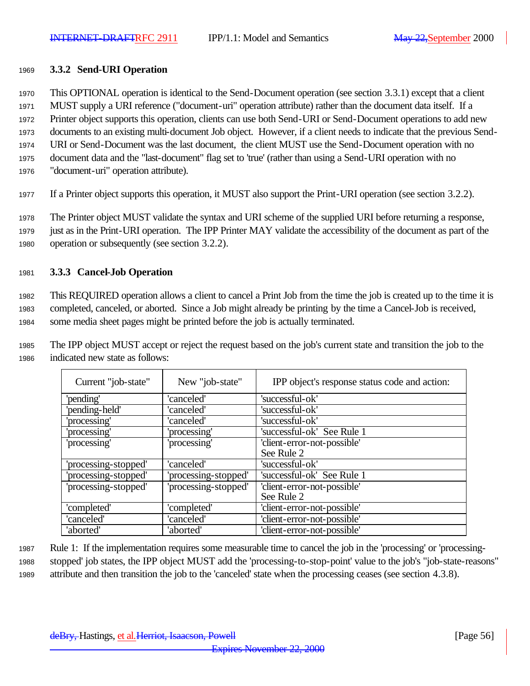#### <sup>1969</sup> **3.3.2 Send-URI Operation**

<sup>1970</sup> This OPTIONAL operation is identical to the Send-Document operation (see section 3.3.1) except that a client

<sup>1971</sup> MUST supply a URI reference ("document-uri" operation attribute) rather than the document data itself. If a

<sup>1972</sup> Printer object supports this operation, clients can use both Send-URI or Send-Document operations to add new

- <sup>1973</sup> documents to an existing multi-document Job object. However, if a client needs to indicate that the previous Send-<sup>1974</sup> URI or Send-Document was the last document, the client MUST use the Send-Document operation with no
- <sup>1975</sup> document data and the "last-document" flag set to 'true' (rather than using a Send-URI operation with no
- <sup>1976</sup> "document-uri" operation attribute).
- <sup>1977</sup> If a Printer object supports this operation, it MUST also support the Print-URI operation (see section 3.2.2).

<sup>1978</sup> The Printer object MUST validate the syntax and URI scheme of the supplied URI before returning a response, <sup>1979</sup> just as in the Print-URI operation. The IPP Printer MAY validate the accessibility of the document as part of the <sup>1980</sup> operation or subsequently (see section 3.2.2).

## <sup>1981</sup> **3.3.3 Cancel-Job Operation**

<sup>1982</sup> This REQUIRED operation allows a client to cancel a Print Job from the time the job is created up to the time it is <sup>1983</sup> completed, canceled, or aborted. Since a Job might already be printing by the time a Cancel-Job is received, <sup>1984</sup> some media sheet pages might be printed before the job is actually terminated.

<sup>1985</sup> The IPP object MUST accept or reject the request based on the job's current state and transition the job to the <sup>1986</sup> indicated new state as follows:

| Current "job-state"  | New "job-state"      | IPP object's response status code and action: |
|----------------------|----------------------|-----------------------------------------------|
| 'pending'            | 'canceled'           | 'successful-ok'                               |
| 'pending-held'       | 'canceled'           | 'successful-ok'                               |
| 'processing'         | 'canceled'           | 'successful-ok'                               |
| 'processing'         | 'processing'         | 'successful-ok' See Rule 1                    |
| 'processing'         | 'processing'         | 'client-error-not-possible'                   |
|                      |                      | See Rule 2                                    |
| 'processing-stopped' | 'canceled'           | 'successful-ok'                               |
| 'processing-stopped' | processing-stopped'  | 'successful-ok' See Rule 1                    |
| 'processing-stopped' | 'processing-stopped' | 'client-error-not-possible'                   |
|                      |                      | See Rule 2                                    |
| 'completed'          | 'completed'          | 'client-error-not-possible'                   |
| 'canceled'           | 'canceled'           | 'client-error-not-possible'                   |
| 'aborted'            | 'aborted'            | 'client-error-not-possible'                   |

<sup>1987</sup> Rule 1: If the implementation requires some measurable time to cancel the job in the 'processing' or 'processing-<sup>1988</sup> stopped' job states, the IPP object MUST add the 'processing-to-stop-point' value to the job's "job-state-reasons" <sup>1989</sup> attribute and then transition the job to the 'canceled' state when the processing ceases (see section 4.3.8).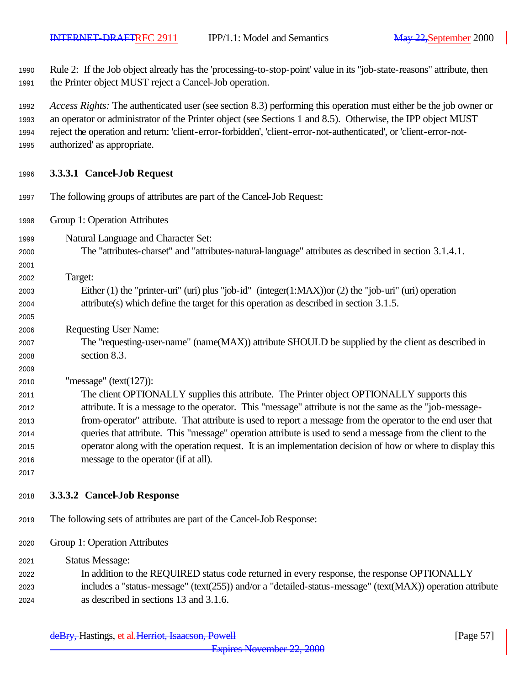Rule 2: If the Job object already has the 'processing-to-stop-point' value in its "job-state-reasons" attribute, then the Printer object MUST reject a Cancel-Job operation.

 *Access Rights:* The authenticated user (see section 8.3) performing this operation must either be the job owner or an operator or administrator of the Printer object (see Sections 1 and 8.5). Otherwise, the IPP object MUST reject the operation and return: 'client-error-forbidden', 'client-error-not-authenticated', or 'client-error-not-authorized' as appropriate.

#### **3.3.3.1 Cancel-Job Request**

- The following groups of attributes are part of the Cancel-Job Request: Group 1: Operation Attributes Natural Language and Character Set: The "attributes-charset" and "attributes-natural-language" attributes as described in section 3.1.4.1. Target: Either (1) the "printer-uri" (uri) plus "job-id" (integer(1:MAX))or (2) the "job-uri" (uri) operation attribute(s) which define the target for this operation as described in section 3.1.5. Requesting User Name: The "requesting-user-name" (name(MAX)) attribute SHOULD be supplied by the client as described in section 8.3. "message" (text(127)): The client OPTIONALLY supplies this attribute. The Printer object OPTIONALLY supports this attribute. It is a message to the operator. This "message" attribute is not the same as the "job-message- from-operator" attribute. That attribute is used to report a message from the operator to the end user that queries that attribute. This "message" operation attribute is used to send a message from the client to the operator along with the operation request. It is an implementation decision of how or where to display this message to the operator (if at all).
- **3.3.3.2 Cancel-Job Response**
- The following sets of attributes are part of the Cancel-Job Response:
- Group 1: Operation Attributes
- Status Message: In addition to the REQUIRED status code returned in every response, the response OPTIONALLY includes a "status-message" (text(255)) and/or a "detailed-status-message" (text(MAX)) operation attribute as described in sections 13 and 3.1.6.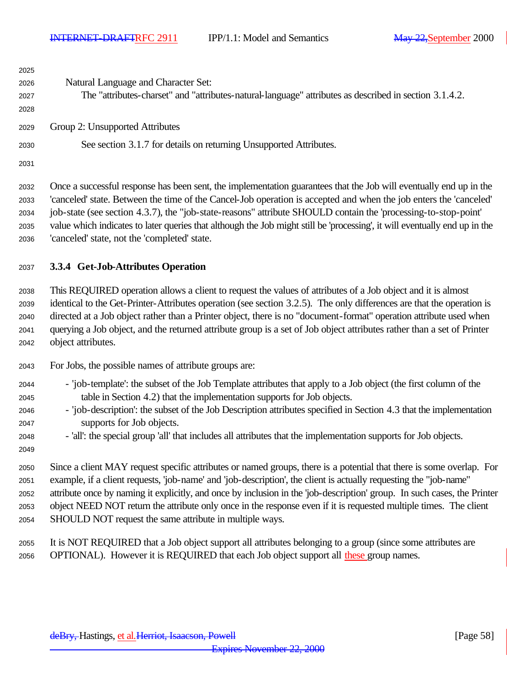| 2025                                 |                                                                                                                                                                                                                                                                                                                                                                                                                                                                                                                                         |
|--------------------------------------|-----------------------------------------------------------------------------------------------------------------------------------------------------------------------------------------------------------------------------------------------------------------------------------------------------------------------------------------------------------------------------------------------------------------------------------------------------------------------------------------------------------------------------------------|
| 2026                                 | Natural Language and Character Set:                                                                                                                                                                                                                                                                                                                                                                                                                                                                                                     |
| 2027                                 | The "attributes-charset" and "attributes-natural-language" attributes as described in section 3.1.4.2.                                                                                                                                                                                                                                                                                                                                                                                                                                  |
| 2028                                 |                                                                                                                                                                                                                                                                                                                                                                                                                                                                                                                                         |
| 2029                                 | Group 2: Unsupported Attributes                                                                                                                                                                                                                                                                                                                                                                                                                                                                                                         |
| 2030                                 | See section 3.1.7 for details on returning Unsupported Attributes.                                                                                                                                                                                                                                                                                                                                                                                                                                                                      |
| 2031                                 |                                                                                                                                                                                                                                                                                                                                                                                                                                                                                                                                         |
| 2032<br>2033<br>2034<br>2035<br>2036 | Once a successful response has been sent, the implementation guarantees that the Job will eventually end up in the<br>'canceled' state. Between the time of the Cancel-Job operation is accepted and when the job enters the 'canceled'<br>job-state (see section 4.3.7), the "job-state-reasons" attribute SHOULD contain the 'processing-to-stop-point'<br>value which indicates to later queries that although the Job might still be 'processing', it will eventually end up in the<br>'canceled' state, not the 'completed' state. |
| 2037                                 | 3.3.4 Get-Job-Attributes Operation                                                                                                                                                                                                                                                                                                                                                                                                                                                                                                      |
| 2038                                 | This REQUIRED operation allows a client to request the values of attributes of a Job object and it is almost                                                                                                                                                                                                                                                                                                                                                                                                                            |
| 2039                                 | identical to the Get-Printer-Attributes operation (see section 3.2.5). The only differences are that the operation is                                                                                                                                                                                                                                                                                                                                                                                                                   |
| 2040                                 | directed at a Job object rather than a Printer object, there is no "document-format" operation attribute used when                                                                                                                                                                                                                                                                                                                                                                                                                      |
| 2041                                 | querying a Job object, and the returned attribute group is a set of Job object attributes rather than a set of Printer                                                                                                                                                                                                                                                                                                                                                                                                                  |
| 2042                                 | object attributes.                                                                                                                                                                                                                                                                                                                                                                                                                                                                                                                      |
| 2043                                 | For Jobs, the possible names of attribute groups are:                                                                                                                                                                                                                                                                                                                                                                                                                                                                                   |
| 2044                                 | - 'job-template': the subset of the Job Template attributes that apply to a Job object (the first column of the                                                                                                                                                                                                                                                                                                                                                                                                                         |
| 2045                                 | table in Section 4.2) that the implementation supports for Job objects.                                                                                                                                                                                                                                                                                                                                                                                                                                                                 |
| 2046                                 | - 'job-description': the subset of the Job Description attributes specified in Section 4.3 that the implementation                                                                                                                                                                                                                                                                                                                                                                                                                      |
| 2047                                 | supports for Job objects.                                                                                                                                                                                                                                                                                                                                                                                                                                                                                                               |
| 2048                                 | - 'all': the special group 'all' that includes all attributes that the implementation supports for Job objects.                                                                                                                                                                                                                                                                                                                                                                                                                         |
| 2049                                 |                                                                                                                                                                                                                                                                                                                                                                                                                                                                                                                                         |
| 2050                                 | Since a client MAY request specific attributes or named groups, there is a potential that there is some overlap. For                                                                                                                                                                                                                                                                                                                                                                                                                    |
| 2051                                 | example, if a client requests, 'job-name' and 'job-description', the client is actually requesting the "job-name"<br>attribute once by naming it explicitly, and once by inclusion in the 'job-description' group. In such cases, the Printer                                                                                                                                                                                                                                                                                           |
| 2052<br>2053                         | object NEED NOT return the attribute only once in the response even if it is requested multiple times. The client                                                                                                                                                                                                                                                                                                                                                                                                                       |
| 2054                                 | SHOULD NOT request the same attribute in multiple ways.                                                                                                                                                                                                                                                                                                                                                                                                                                                                                 |
|                                      |                                                                                                                                                                                                                                                                                                                                                                                                                                                                                                                                         |
| 2055<br>2056                         | It is NOT REQUIRED that a Job object support all attributes belonging to a group (since some attributes are<br>OPTIONAL). However it is REQUIRED that each Job object support all these group names.                                                                                                                                                                                                                                                                                                                                    |
|                                      |                                                                                                                                                                                                                                                                                                                                                                                                                                                                                                                                         |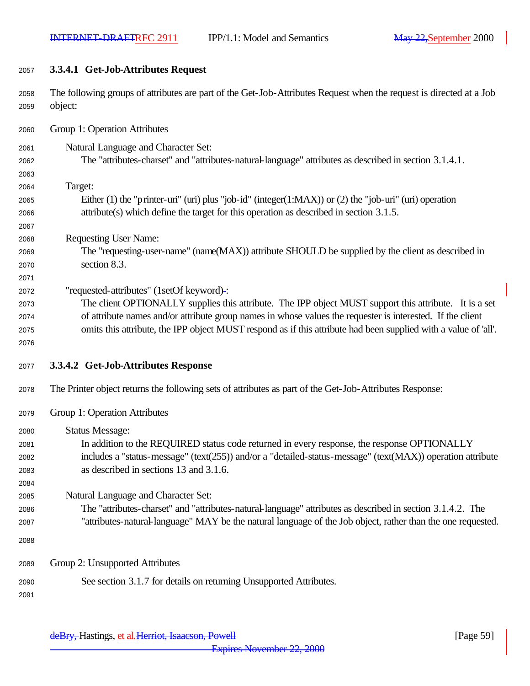**3.3.4.1 Get-Job-Attributes Request**

 The following groups of attributes are part of the Get-Job-Attributes Request when the request is directed at a Job object:

Group 1: Operation Attributes

- Natural Language and Character Set:
- The "attributes-charset" and "attributes-natural-language" attributes as described in section 3.1.4.1.
- Target:

- Either (1) the "printer-uri" (uri) plus "job-id" (integer(1:MAX)) or (2) the "job-uri" (uri) operation attribute(s) which define the target for this operation as described in section 3.1.5.
- Requesting User Name:
- The "requesting-user-name" (name(MAX)) attribute SHOULD be supplied by the client as described in section 8.3.
- "requested-attributes" (1setOf keyword) :
- The client OPTIONALLY supplies this attribute. The IPP object MUST support this attribute. It is a set of attribute names and/or attribute group names in whose values the requester is interested. If the client omits this attribute, the IPP object MUST respond as if this attribute had been supplied with a value of 'all'.
- 
- **3.3.4.2 Get-Job-Attributes Response**
- The Printer object returns the following sets of attributes as part of the Get-Job-Attributes Response:
- Group 1: Operation Attributes
- Status Message: In addition to the REQUIRED status code returned in every response, the response OPTIONALLY includes a "status-message" (text(255)) and/or a "detailed-status-message" (text(MAX)) operation attribute as described in sections 13 and 3.1.6.
- Natural Language and Character Set:
- The "attributes-charset" and "attributes-natural-language" attributes as described in section 3.1.4.2. The
	- "attributes-natural-language" MAY be the natural language of the Job object, rather than the one requested.
	- Group 2: Unsupported Attributes
	- See section 3.1.7 for details on returning Unsupported Attributes.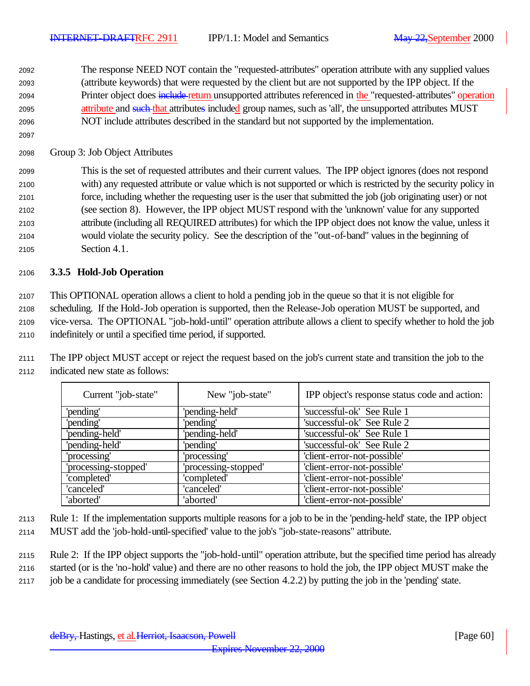The response NEED NOT contain the "requested-attributes" operation attribute with any supplied values (attribute keywords) that were requested by the client but are not supported by the IPP object. If the 2094 Printer object does include return unsupported attributes referenced in the "requested-attributes" operation 2095 attribute and such that attributes included group names, such as 'all', the unsupported attributes MUST NOT include attributes described in the standard but not supported by the implementation.

Group 3: Job Object Attributes

 This is the set of requested attributes and their current values. The IPP object ignores (does not respond with) any requested attribute or value which is not supported or which is restricted by the security policy in force, including whether the requesting user is the user that submitted the job (job originating user) or not (see section 8). However, the IPP object MUST respond with the 'unknown' value for any supported attribute (including all REQUIRED attributes) for which the IPP object does not know the value, unless it would violate the security policy. See the description of the "out-of-band" values in the beginning of Section 4.1.

## **3.3.5 Hold-Job Operation**

 This OPTIONAL operation allows a client to hold a pending job in the queue so that it is not eligible for scheduling. If the Hold-Job operation is supported, then the Release-Job operation MUST be supported, and vice-versa. The OPTIONAL "job-hold-until" operation attribute allows a client to specify whether to hold the job indefinitely or until a specified time period, if supported.

 The IPP object MUST accept or reject the request based on the job's current state and transition the job to the indicated new state as follows:

| Current "job-state"  | New "job-state"      | IPP object's response status code and action: |
|----------------------|----------------------|-----------------------------------------------|
| 'pending'            | 'pending-held'       | 'successful-ok' See Rule 1                    |
| 'pending'            | 'pending'            | 'successful-ok' See Rule 2                    |
| 'pending-held'       | 'pending-held'       | 'successful-ok' See Rule 1                    |
| 'pending-held'       | 'pending'            | 'successful-ok' See Rule 2                    |
| 'processing'         | 'processing'         | 'client-error-not-possible'                   |
| 'processing-stopped' | 'processing-stopped' | 'client-error-not-possible'                   |
| 'completed'          | 'completed'          | 'client-error-not-possible'                   |
| 'canceled'           | 'canceled'           | 'client-error-not-possible'                   |
| 'aborted'            | 'aborted'            | 'client-error-not-possible'                   |

- Rule 1: If the implementation supports multiple reasons for a job to be in the 'pending-held' state, the IPP object
- MUST add the 'job-hold-until-specified' value to the job's "job-state-reasons" attribute.
- Rule 2: If the IPP object supports the "job-hold-until" operation attribute, but the specified time period has already
- started (or is the 'no-hold' value) and there are no other reasons to hold the job, the IPP object MUST make the
- job be a candidate for processing immediately (see Section 4.2.2) by putting the job in the 'pending' state.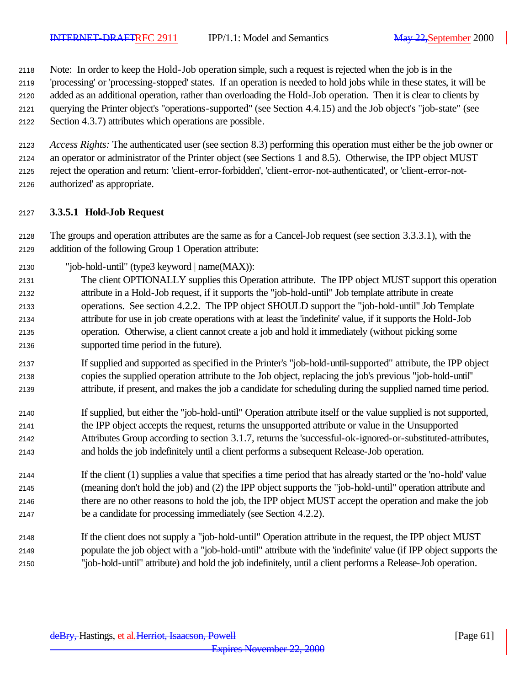Note: In order to keep the Hold-Job operation simple, such a request is rejected when the job is in the

'processing' or 'processing-stopped' states. If an operation is needed to hold jobs while in these states, it will be

 added as an additional operation, rather than overloading the Hold-Job operation. Then it is clear to clients by querying the Printer object's "operations-supported" (see Section 4.4.15) and the Job object's "job-state" (see

Section 4.3.7) attributes which operations are possible.

 *Access Rights:* The authenticated user (see section 8.3) performing this operation must either be the job owner or an operator or administrator of the Printer object (see Sections 1 and 8.5). Otherwise, the IPP object MUST reject the operation and return: 'client-error-forbidden', 'client-error-not-authenticated', or 'client-error-not-authorized' as appropriate.

## **3.3.5.1 Hold-Job Request**

 The groups and operation attributes are the same as for a Cancel-Job request (see section 3.3.3.1), with the addition of the following Group 1 Operation attribute:

- "job-hold-until" (type3 keyword | name(MAX)):
- The client OPTIONALLY supplies this Operation attribute. The IPP object MUST support this operation attribute in a Hold-Job request, if it supports the "job-hold-until" Job template attribute in create operations. See section 4.2.2. The IPP object SHOULD support the "job-hold-until" Job Template attribute for use in job create operations with at least the 'indefinite' value, if it supports the Hold-Job operation. Otherwise, a client cannot create a job and hold it immediately (without picking some supported time period in the future).
- If supplied and supported as specified in the Printer's "job-hold-until-supported" attribute, the IPP object copies the supplied operation attribute to the Job object, replacing the job's previous "job-hold-until" attribute, if present, and makes the job a candidate for scheduling during the supplied named time period.
- If supplied, but either the "job-hold-until" Operation attribute itself or the value supplied is not supported, the IPP object accepts the request, returns the unsupported attribute or value in the Unsupported Attributes Group according to section 3.1.7, returns the 'successful-ok-ignored-or-substituted-attributes, and holds the job indefinitely until a client performs a subsequent Release-Job operation.
- If the client (1) supplies a value that specifies a time period that has already started or the 'no-hold' value (meaning don't hold the job) and (2) the IPP object supports the "job-hold-until" operation attribute and there are no other reasons to hold the job, the IPP object MUST accept the operation and make the job be a candidate for processing immediately (see Section 4.2.2).
- If the client does not supply a "job-hold-until" Operation attribute in the request, the IPP object MUST populate the job object with a "job-hold-until" attribute with the 'indefinite' value (if IPP object supports the "job-hold-until" attribute) and hold the job indefinitely, until a client performs a Release-Job operation.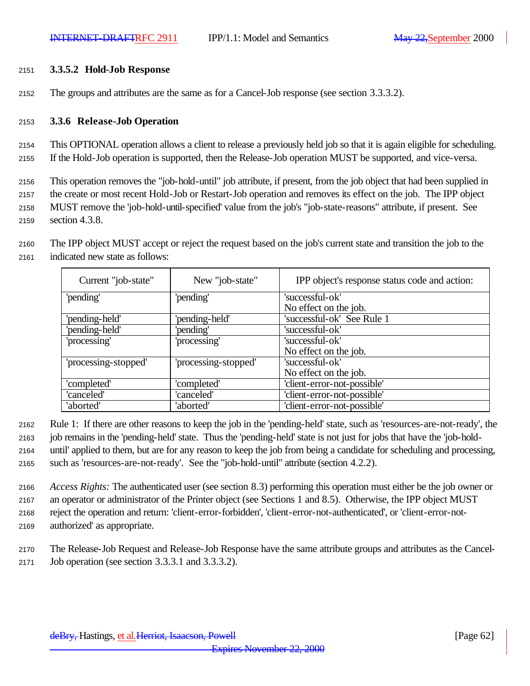#### <sup>2151</sup> **3.3.5.2 Hold-Job Response**

<sup>2152</sup> The groups and attributes are the same as for a Cancel-Job response (see section 3.3.3.2).

#### <sup>2153</sup> **3.3.6 Release-Job Operation**

<sup>2154</sup> This OPTIONAL operation allows a client to release a previously held job so that it is again eligible for scheduling. <sup>2155</sup> If the Hold-Job operation is supported, then the Release-Job operation MUST be supported, and vice-versa.

 This operation removes the "job-hold-until" job attribute, if present, from the job object that had been supplied in the create or most recent Hold-Job or Restart-Job operation and removes its effect on the job. The IPP object MUST remove the 'job-hold-until-specified' value from the job's "job-state-reasons" attribute, if present. See section 4.3.8.

<sup>2160</sup> The IPP object MUST accept or reject the request based on the job's current state and transition the job to the <sup>2161</sup> indicated new state as follows:

| Current "job-state"  | New "job-state"      | IPP object's response status code and action: |
|----------------------|----------------------|-----------------------------------------------|
| 'pending'            | 'pending'            | 'successful-ok'                               |
|                      |                      | No effect on the job.                         |
| 'pending-held'       | 'pending-held'       | 'successful-ok' See Rule 1                    |
| 'pending-held'       | 'pending'            | 'successful-ok'                               |
| 'processing'         | 'processing'         | 'successful-ok'                               |
|                      |                      | No effect on the job.                         |
| 'processing-stopped' | 'processing-stopped' | 'successful-ok'                               |
|                      |                      | No effect on the job.                         |
| 'completed'          | 'completed'          | 'client-error-not-possible'                   |
| 'canceled'           | 'canceled'           | 'client-error-not-possible'                   |
| 'aborted'            | 'aborted'            | 'client-error-not-possible'                   |

 Rule 1: If there are other reasons to keep the job in the 'pending-held' state, such as 'resources-are-not-ready', the job remains in the 'pending-held' state. Thus the 'pending-held' state is not just for jobs that have the 'job-hold- until' applied to them, but are for any reason to keep the job from being a candidate for scheduling and processing, such as 'resources-are-not-ready'. See the "job-hold-until" attribute (section 4.2.2).

 *Access Rights:* The authenticated user (see section 8.3) performing this operation must either be the job owner or an operator or administrator of the Printer object (see Sections 1 and 8.5). Otherwise, the IPP object MUST reject the operation and return: 'client-error-forbidden', 'client-error-not-authenticated', or 'client-error-not-authorized' as appropriate.

<sup>2170</sup> The Release-Job Request and Release-Job Response have the same attribute groups and attributes as the Cancel-<sup>2171</sup> Job operation (see section 3.3.3.1 and 3.3.3.2).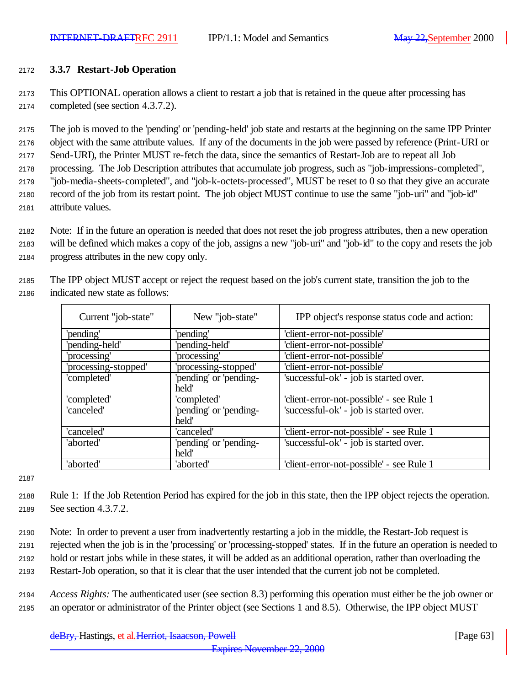#### <sup>2172</sup> **3.3.7 Restart-Job Operation**

<sup>2173</sup> This OPTIONAL operation allows a client to restart a job that is retained in the queue after processing has <sup>2174</sup> completed (see section 4.3.7.2).

 The job is moved to the 'pending' or 'pending-held' job state and restarts at the beginning on the same IPP Printer object with the same attribute values. If any of the documents in the job were passed by reference (Print-URI or Send-URI), the Printer MUST re-fetch the data, since the semantics of Restart-Job are to repeat all Job processing. The Job Description attributes that accumulate job progress, such as "job-impressions-completed", "job-media-sheets-completed", and "job-k-octets-processed", MUST be reset to 0 so that they give an accurate record of the job from its restart point. The job object MUST continue to use the same "job-uri" and "job-id" attribute values.

- <sup>2182</sup> Note: If in the future an operation is needed that does not reset the job progress attributes, then a new operation <sup>2183</sup> will be defined which makes a copy of the job, assigns a new "job-uri" and "job-id" to the copy and resets the job
- <sup>2184</sup> progress attributes in the new copy only.

<sup>2185</sup> The IPP object MUST accept or reject the request based on the job's current state, transition the job to the <sup>2186</sup> indicated new state as follows:

| Current "job-state"  | New "job-state"                 | IPP object's response status code and action: |
|----------------------|---------------------------------|-----------------------------------------------|
| 'pending'            | 'pending'                       | 'client-error-not-possible'                   |
| 'pending-held'       | 'pending-held'                  | 'client-error-not-possible'                   |
| 'processing'         | 'processing'                    | 'client-error-not-possible'                   |
| 'processing-stopped' | processing-stopped'             | 'client-error-not-possible'                   |
| 'completed'          | 'pending' or 'pending-<br>held' | 'successful-ok' - job is started over.        |
| 'completed'          | 'completed'                     | 'client-error-not-possible' - see Rule 1      |
| 'canceled'           | 'pending' or 'pending-<br>held' | 'successful-ok' - job is started over.        |
| 'canceled'           | 'canceled'                      | 'client-error-not-possible' - see Rule 1      |
| 'aborted'            | 'pending' or 'pending-<br>held' | 'successful-ok' - job is started over.        |
| 'aborted'            | 'aborted'                       | 'client-error-not-possible' - see Rule 1      |

2187

<sup>2188</sup> Rule 1: If the Job Retention Period has expired for the job in this state, then the IPP object rejects the operation. <sup>2189</sup> See section 4.3.7.2.

- <sup>2190</sup> Note: In order to prevent a user from inadvertently restarting a job in the middle, the Restart-Job request is <sup>2191</sup> rejected when the job is in the 'processing' or 'processing-stopped' states. If in the future an operation is needed to <sup>2192</sup> hold or restart jobs while in these states, it will be added as an additional operation, rather than overloading the <sup>2193</sup> Restart-Job operation, so that it is clear that the user intended that the current job not be completed.
- <sup>2194</sup> *Access Rights:* The authenticated user (see section 8.3) performing this operation must either be the job owner or <sup>2195</sup> an operator or administrator of the Printer object (see Sections 1 and 8.5). Otherwise, the IPP object MUST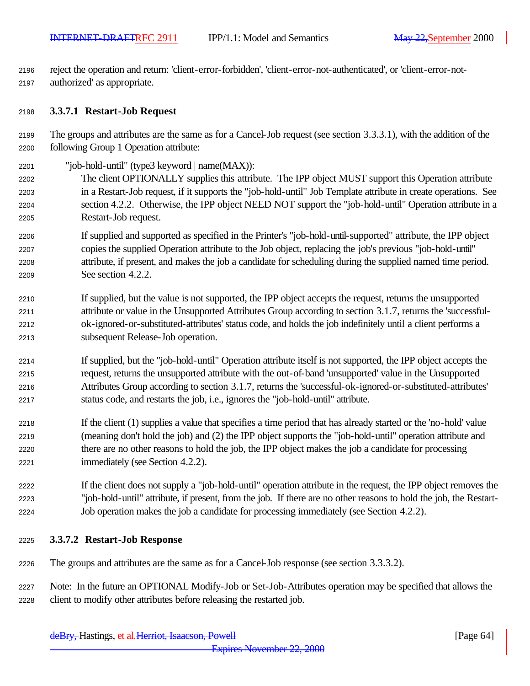reject the operation and return: 'client-error-forbidden', 'client-error-not-authenticated', or 'client-error-not-authorized' as appropriate.

#### **3.3.7.1 Restart-Job Request**

- The groups and attributes are the same as for a Cancel-Job request (see section 3.3.3.1), with the addition of the following Group 1 Operation attribute:
- "job-hold-until" (type3 keyword | name(MAX)):
- The client OPTIONALLY supplies this attribute. The IPP object MUST support this Operation attribute in a Restart-Job request, if it supports the "job-hold-until" Job Template attribute in create operations. See section 4.2.2. Otherwise, the IPP object NEED NOT support the "job-hold-until" Operation attribute in a Restart-Job request.
- If supplied and supported as specified in the Printer's "job-hold-until-supported" attribute, the IPP object copies the supplied Operation attribute to the Job object, replacing the job's previous "job-hold-until" attribute, if present, and makes the job a candidate for scheduling during the supplied named time period. See section 4.2.2.
- If supplied, but the value is not supported, the IPP object accepts the request, returns the unsupported attribute or value in the Unsupported Attributes Group according to section 3.1.7, returns the 'successful- ok-ignored-or-substituted-attributes' status code, and holds the job indefinitely until a client performs a subsequent Release-Job operation.
- If supplied, but the "job-hold-until" Operation attribute itself is not supported, the IPP object accepts the request, returns the unsupported attribute with the out-of-band 'unsupported' value in the Unsupported Attributes Group according to section 3.1.7, returns the 'successful-ok-ignored-or-substituted-attributes' status code, and restarts the job, i.e., ignores the "job-hold-until" attribute.
- If the client (1) supplies a value that specifies a time period that has already started or the 'no-hold' value (meaning don't hold the job) and (2) the IPP object supports the "job-hold-until" operation attribute and there are no other reasons to hold the job, the IPP object makes the job a candidate for processing immediately (see Section 4.2.2).
- If the client does not supply a "job-hold-until" operation attribute in the request, the IPP object removes the "job-hold-until" attribute, if present, from the job. If there are no other reasons to hold the job, the Restart-Job operation makes the job a candidate for processing immediately (see Section 4.2.2).
- **3.3.7.2 Restart-Job Response**
- The groups and attributes are the same as for a Cancel-Job response (see section 3.3.3.2).
- Note: In the future an OPTIONAL Modify-Job or Set-Job-Attributes operation may be specified that allows the client to modify other attributes before releasing the restarted job.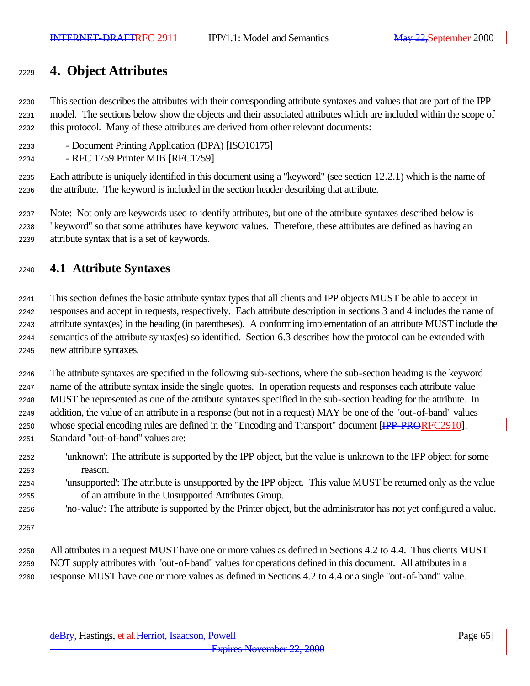# **4. Object Attributes**

 This section describes the attributes with their corresponding attribute syntaxes and values that are part of the IPP model. The sections below show the objects and their associated attributes which are included within the scope of this protocol. Many of these attributes are derived from other relevant documents:

- Document Printing Application (DPA) [ISO10175]
- RFC 1759 Printer MIB [RFC1759]

 Each attribute is uniquely identified in this document using a "keyword" (see section 12.2.1) which is the name of the attribute. The keyword is included in the section header describing that attribute.

 Note: Not only are keywords used to identify attributes, but one of the attribute syntaxes described below is "keyword" so that some attributes have keyword values. Therefore, these attributes are defined as having an attribute syntax that is a set of keywords.

## **4.1 Attribute Syntaxes**

 This section defines the basic attribute syntax types that all clients and IPP objects MUST be able to accept in responses and accept in requests, respectively. Each attribute description in sections 3 and 4 includes the name of attribute syntax(es) in the heading (in parentheses). A conforming implementation of an attribute MUST include the semantics of the attribute syntax(es) so identified. Section 6.3 describes how the protocol can be extended with new attribute syntaxes.

 The attribute syntaxes are specified in the following sub-sections, where the sub-section heading is the keyword name of the attribute syntax inside the single quotes. In operation requests and responses each attribute value MUST be represented as one of the attribute syntaxes specified in the sub-section heading for the attribute. In addition, the value of an attribute in a response (but not in a request) MAY be one of the "out-of-band" values 2250 whose special encoding rules are defined in the "Encoding and Transport" document [IPP-PRORFC2910]. Standard "out-of-band" values are:

- 'unknown': The attribute is supported by the IPP object, but the value is unknown to the IPP object for some reason.
- 'unsupported': The attribute is unsupported by the IPP object. This value MUST be returned only as the value of an attribute in the Unsupported Attributes Group.
- 'no-value': The attribute is supported by the Printer object, but the administrator has not yet configured a value.

 All attributes in a request MUST have one or more values as defined in Sections 4.2 to 4.4. Thus clients MUST NOT supply attributes with "out-of-band" values for operations defined in this document. All attributes in a response MUST have one or more values as defined in Sections 4.2 to 4.4 or a single "out-of-band" value.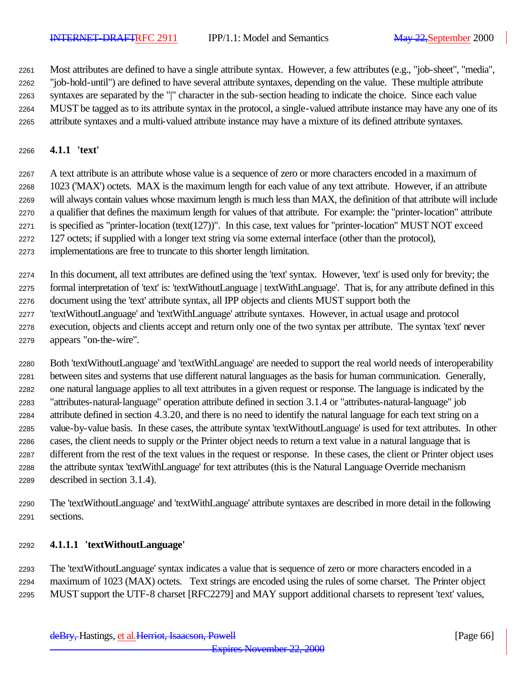Most attributes are defined to have a single attribute syntax. However, a few attributes (e.g., "job-sheet", "media", "job-hold-until") are defined to have several attribute syntaxes, depending on the value. These multiple attribute syntaxes are separated by the "|" character in the sub-section heading to indicate the choice. Since each value MUST be tagged as to its attribute syntax in the protocol, a single-valued attribute instance may have any one of its attribute syntaxes and a multi-valued attribute instance may have a mixture of its defined attribute syntaxes.

## **4.1.1 'text'**

 A text attribute is an attribute whose value is a sequence of zero or more characters encoded in a maximum of 1023 ('MAX') octets. MAX is the maximum length for each value of any text attribute. However, if an attribute will always contain values whose maximum length is much less than MAX, the definition of that attribute will include a qualifier that defines the maximum length for values of that attribute. For example: the "printer-location" attribute is specified as "printer-location (text(127))". In this case, text values for "printer-location" MUST NOT exceed 127 octets; if supplied with a longer text string via some external interface (other than the protocol),

implementations are free to truncate to this shorter length limitation.

 In this document, all text attributes are defined using the 'text' syntax. However, 'text' is used only for brevity; the formal interpretation of 'text' is: 'textWithoutLanguage | textWithLanguage'. That is, for any attribute defined in this document using the 'text' attribute syntax, all IPP objects and clients MUST support both the

- 'textWithoutLanguage' and 'textWithLanguage' attribute syntaxes. However, in actual usage and protocol
- execution, objects and clients accept and return only one of the two syntax per attribute. The syntax 'text' never appears "on-the-wire".

 Both 'textWithoutLanguage' and 'textWithLanguage' are needed to support the real world needs of interoperability between sites and systems that use different natural languages as the basis for human communication. Generally, one natural language applies to all text attributes in a given request or response. The language is indicated by the "attributes-natural-language" operation attribute defined in section 3.1.4 or "attributes-natural-language" job attribute defined in section 4.3.20, and there is no need to identify the natural language for each text string on a value-by-value basis. In these cases, the attribute syntax 'textWithoutLanguage' is used for text attributes. In other cases, the client needs to supply or the Printer object needs to return a text value in a natural language that is different from the rest of the text values in the request or response. In these cases, the client or Printer object uses the attribute syntax 'textWithLanguage' for text attributes (this is the Natural Language Override mechanism described in section 3.1.4).

 The 'textWithoutLanguage' and 'textWithLanguage' attribute syntaxes are described in more detail in the following sections.

## **4.1.1.1 'textWithoutLanguage'**

 The 'textWithoutLanguage' syntax indicates a value that is sequence of zero or more characters encoded in a maximum of 1023 (MAX) octets. Text strings are encoded using the rules of some charset. The Printer object MUST support the UTF-8 charset [RFC2279] and MAY support additional charsets to represent 'text' values,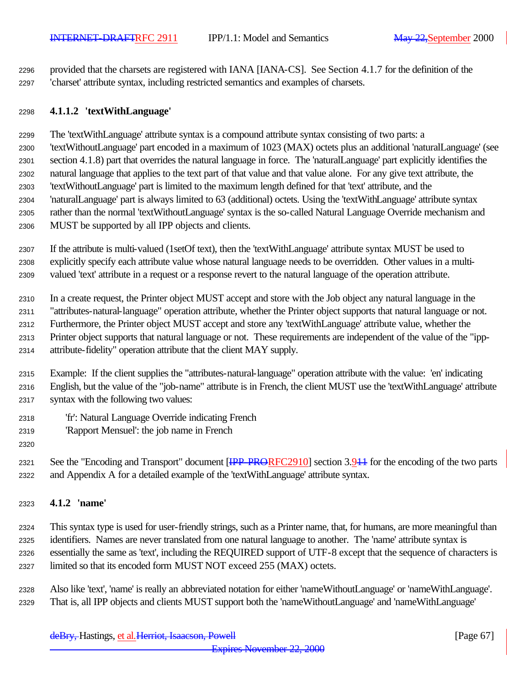provided that the charsets are registered with IANA [IANA-CS]. See Section 4.1.7 for the definition of the 'charset' attribute syntax, including restricted semantics and examples of charsets.

#### **4.1.1.2 'textWithLanguage'**

 The 'textWithLanguage' attribute syntax is a compound attribute syntax consisting of two parts: a 'textWithoutLanguage' part encoded in a maximum of 1023 (MAX) octets plus an additional 'naturalLanguage' (see section 4.1.8) part that overrides the natural language in force. The 'naturalLanguage' part explicitly identifies the natural language that applies to the text part of that value and that value alone. For any give text attribute, the 'textWithoutLanguage' part is limited to the maximum length defined for that 'text' attribute, and the 'naturalLanguage' part is always limited to 63 (additional) octets. Using the 'textWithLanguage' attribute syntax rather than the normal 'textWithoutLanguage' syntax is the so-called Natural Language Override mechanism and MUST be supported by all IPP objects and clients.

 If the attribute is multi-valued (1setOf text), then the 'textWithLanguage' attribute syntax MUST be used to explicitly specify each attribute value whose natural language needs to be overridden. Other values in a multi-valued 'text' attribute in a request or a response revert to the natural language of the operation attribute.

 In a create request, the Printer object MUST accept and store with the Job object any natural language in the "attributes-natural-language" operation attribute, whether the Printer object supports that natural language or not. Furthermore, the Printer object MUST accept and store any 'textWithLanguage' attribute value, whether the Printer object supports that natural language or not. These requirements are independent of the value of the "ipp-attribute-fidelity" operation attribute that the client MAY supply.

 Example: If the client supplies the "attributes-natural-language" operation attribute with the value: 'en' indicating English, but the value of the "job-name" attribute is in French, the client MUST use the 'textWithLanguage' attribute syntax with the following two values:

- 'fr': Natural Language Override indicating French
- 'Rapport Mensuel': the job name in French
- 

2321 See the "Encoding and Transport" document [<del>IPP-PRO</del>RFC2910] section 3.944 for the encoding of the two parts and Appendix A for a detailed example of the 'textWithLanguage' attribute syntax.

## **4.1.2 'name'**

 This syntax type is used for user-friendly strings, such as a Printer name, that, for humans, are more meaningful than identifiers. Names are never translated from one natural language to another. The 'name' attribute syntax is essentially the same as 'text', including the REQUIRED support of UTF-8 except that the sequence of characters is limited so that its encoded form MUST NOT exceed 255 (MAX) octets.

 Also like 'text', 'name' is really an abbreviated notation for either 'nameWithoutLanguage' or 'nameWithLanguage'. That is, all IPP objects and clients MUST support both the 'nameWithoutLanguage' and 'nameWithLanguage'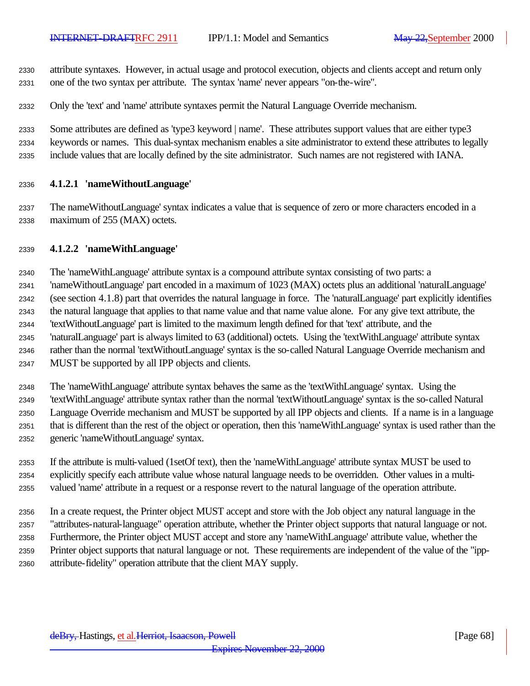attribute syntaxes. However, in actual usage and protocol execution, objects and clients accept and return only one of the two syntax per attribute. The syntax 'name' never appears "on-the-wire".

Only the 'text' and 'name' attribute syntaxes permit the Natural Language Override mechanism.

 Some attributes are defined as 'type3 keyword | name'. These attributes support values that are either type3 keywords or names. This dual-syntax mechanism enables a site administrator to extend these attributes to legally include values that are locally defined by the site administrator. Such names are not registered with IANA.

#### **4.1.2.1 'nameWithoutLanguage'**

 The nameWithoutLanguage' syntax indicates a value that is sequence of zero or more characters encoded in a maximum of 255 (MAX) octets.

#### **4.1.2.2 'nameWithLanguage'**

The 'nameWithLanguage' attribute syntax is a compound attribute syntax consisting of two parts: a

 'nameWithoutLanguage' part encoded in a maximum of 1023 (MAX) octets plus an additional 'naturalLanguage' (see section 4.1.8) part that overrides the natural language in force. The 'naturalLanguage' part explicitly identifies

 the natural language that applies to that name value and that name value alone. For any give text attribute, the 'textWithoutLanguage' part is limited to the maximum length defined for that 'text' attribute, and the

'naturalLanguage' part is always limited to 63 (additional) octets. Using the 'textWithLanguage' attribute syntax

 rather than the normal 'textWithoutLanguage' syntax is the so-called Natural Language Override mechanism and MUST be supported by all IPP objects and clients.

The 'nameWithLanguage' attribute syntax behaves the same as the 'textWithLanguage' syntax. Using the

 'textWithLanguage' attribute syntax rather than the normal 'textWithoutLanguage' syntax is the so-called Natural Language Override mechanism and MUST be supported by all IPP objects and clients. If a name is in a language that is different than the rest of the object or operation, then this 'nameWithLanguage' syntax is used rather than the generic 'nameWithoutLanguage' syntax.

 If the attribute is multi-valued (1setOf text), then the 'nameWithLanguage' attribute syntax MUST be used to explicitly specify each attribute value whose natural language needs to be overridden. Other values in a multi-valued 'name' attribute in a request or a response revert to the natural language of the operation attribute.

 In a create request, the Printer object MUST accept and store with the Job object any natural language in the "attributes-natural-language" operation attribute, whether the Printer object supports that natural language or not. Furthermore, the Printer object MUST accept and store any 'nameWithLanguage' attribute value, whether the Printer object supports that natural language or not. These requirements are independent of the value of the "ipp-attribute-fidelity" operation attribute that the client MAY supply.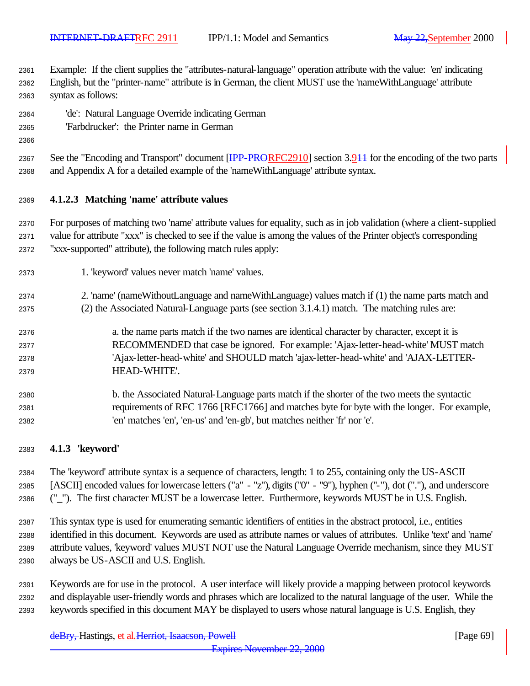Example: If the client supplies the "attributes-natural-language" operation attribute with the value: 'en' indicating

- English, but the "printer-name" attribute is in German, the client MUST use the 'nameWithLanguage' attribute syntax as follows:
- 'de': Natural Language Override indicating German
- 'Farbdrucker': the Printer name in German
- 

2367 See the "Encoding and Transport" document [<del>IPP-PRORFC2910]</del> section 3.944 for the encoding of the two parts and Appendix A for a detailed example of the 'nameWithLanguage' attribute syntax.

## **4.1.2.3 Matching 'name' attribute values**

 For purposes of matching two 'name' attribute values for equality, such as in job validation (where a client-supplied value for attribute "xxx" is checked to see if the value is among the values of the Printer object's corresponding "xxx-supported" attribute), the following match rules apply:

- 1. 'keyword' values never match 'name' values.
- 2. 'name' (nameWithoutLanguage and nameWithLanguage) values match if (1) the name parts match and
- (2) the Associated Natural-Language parts (see section 3.1.4.1) match. The matching rules are:
- a. the name parts match if the two names are identical character by character, except it is RECOMMENDED that case be ignored. For example: 'Ajax-letter-head-white' MUST match 'Ajax-letter-head-white' and SHOULD match 'ajax-letter-head-white' and 'AJAX-LETTER-HEAD-WHITE'.
- b. the Associated Natural-Language parts match if the shorter of the two meets the syntactic requirements of RFC 1766 [RFC1766] and matches byte for byte with the longer. For example, 'en' matches 'en', 'en-us' and 'en-gb', but matches neither 'fr' nor 'e'.

## **4.1.3 'keyword'**

 The 'keyword' attribute syntax is a sequence of characters, length: 1 to 255, containing only the US-ASCII [ASCII] encoded values for lowercase letters ("a" - "z"), digits ("0" - "9"), hyphen ("-"), dot ("."), and underscore ("\_"). The first character MUST be a lowercase letter. Furthermore, keywords MUST be in U.S. English.

 This syntax type is used for enumerating semantic identifiers of entities in the abstract protocol, i.e., entities identified in this document. Keywords are used as attribute names or values of attributes. Unlike 'text' and 'name' attribute values, 'keyword' values MUST NOT use the Natural Language Override mechanism, since they MUST always be US-ASCII and U.S. English.

 Keywords are for use in the protocol. A user interface will likely provide a mapping between protocol keywords and displayable user-friendly words and phrases which are localized to the natural language of the user. While the keywords specified in this document MAY be displayed to users whose natural language is U.S. English, they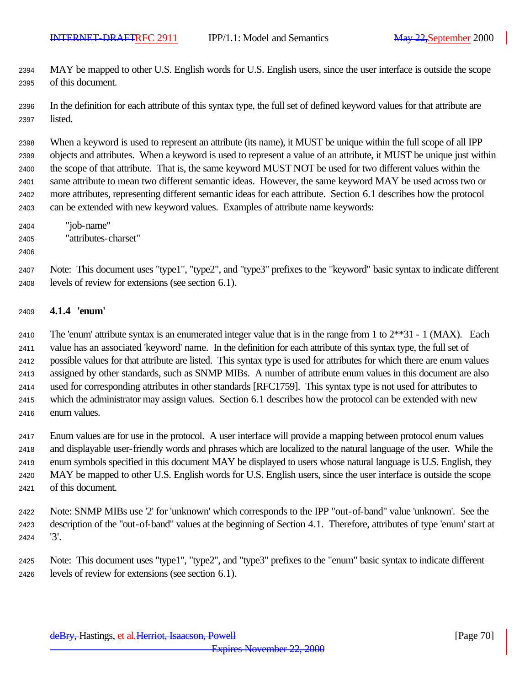MAY be mapped to other U.S. English words for U.S. English users, since the user interface is outside the scope of this document.

 In the definition for each attribute of this syntax type, the full set of defined keyword values for that attribute are listed.

 When a keyword is used to represent an attribute (its name), it MUST be unique within the full scope of all IPP objects and attributes. When a keyword is used to represent a value of an attribute, it MUST be unique just within the scope of that attribute. That is, the same keyword MUST NOT be used for two different values within the same attribute to mean two different semantic ideas. However, the same keyword MAY be used across two or more attributes, representing different semantic ideas for each attribute. Section 6.1 describes how the protocol can be extended with new keyword values. Examples of attribute name keywords:

- "job-name"
- "attributes-charset"
- 

 Note: This document uses "type1", "type2", and "type3" prefixes to the "keyword" basic syntax to indicate different levels of review for extensions (see section 6.1).

#### **4.1.4 'enum'**

2410 The 'enum' attribute syntax is an enumerated integer value that is in the range from 1 to  $2^{**}31 - 1$  (MAX). Each value has an associated 'keyword' name. In the definition for each attribute of this syntax type, the full set of possible values for that attribute are listed. This syntax type is used for attributes for which there are enum values assigned by other standards, such as SNMP MIBs. A number of attribute enum values in this document are also used for corresponding attributes in other standards [RFC1759]. This syntax type is not used for attributes to which the administrator may assign values. Section 6.1 describes how the protocol can be extended with new enum values.

 Enum values are for use in the protocol. A user interface will provide a mapping between protocol enum values and displayable user-friendly words and phrases which are localized to the natural language of the user. While the enum symbols specified in this document MAY be displayed to users whose natural language is U.S. English, they MAY be mapped to other U.S. English words for U.S. English users, since the user interface is outside the scope of this document.

 Note: SNMP MIBs use '2' for 'unknown' which corresponds to the IPP "out-of-band" value 'unknown'. See the description of the "out-of-band" values at the beginning of Section 4.1. Therefore, attributes of type 'enum' start at '3'.

 Note: This document uses "type1", "type2", and "type3" prefixes to the "enum" basic syntax to indicate different levels of review for extensions (see section 6.1).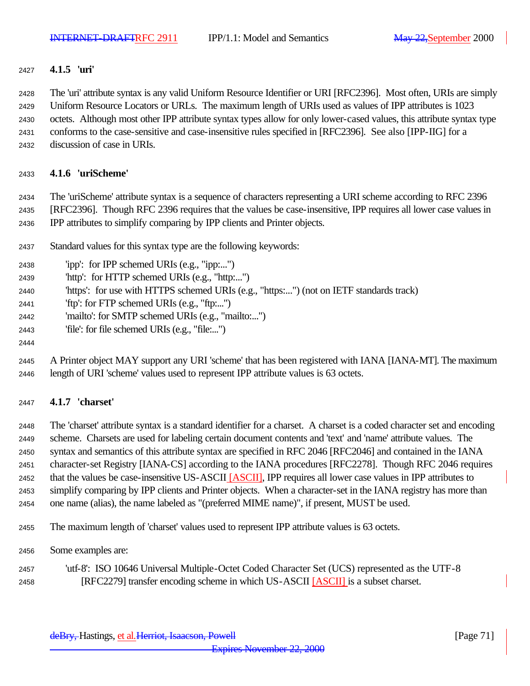## **4.1.5 'uri'**

The 'uri' attribute syntax is any valid Uniform Resource Identifier or URI [RFC2396]. Most often, URIs are simply

Uniform Resource Locators or URLs. The maximum length of URIs used as values of IPP attributes is 1023

octets. Although most other IPP attribute syntax types allow for only lower-cased values, this attribute syntax type

- conforms to the case-sensitive and case-insensitive rules specified in [RFC2396]. See also [IPP-IIG] for a
- discussion of case in URIs.

## **4.1.6 'uriScheme'**

 The 'uriScheme' attribute syntax is a sequence of characters representing a URI scheme according to RFC 2396 [RFC2396]. Though RFC 2396 requires that the values be case-insensitive, IPP requires all lower case values in IPP attributes to simplify comparing by IPP clients and Printer objects.

- Standard values for this syntax type are the following keywords:
- 'ipp': for IPP schemed URIs (e.g., "ipp:...") 'http': for HTTP schemed URIs (e.g., "http:...") 'https': for use with HTTPS schemed URIs (e.g., "https:...") (not on IETF standards track) 'ftp': for FTP schemed URIs (e.g., "ftp:...") 'mailto': for SMTP schemed URIs (e.g., "mailto:...") 'file': for file schemed URIs (e.g., "file:...")
- A Printer object MAY support any URI 'scheme' that has been registered with IANA [IANA-MT]. The maximum length of URI 'scheme' values used to represent IPP attribute values is 63 octets.

## **4.1.7 'charset'**

 The 'charset' attribute syntax is a standard identifier for a charset. A charset is a coded character set and encoding scheme. Charsets are used for labeling certain document contents and 'text' and 'name' attribute values. The syntax and semantics of this attribute syntax are specified in RFC 2046 [RFC2046] and contained in the IANA character-set Registry [IANA-CS] according to the IANA procedures [RFC2278]. Though RFC 2046 requires 2452 that the values be case-insensitive US-ASCII [ASCII], IPP requires all lower case values in IPP attributes to simplify comparing by IPP clients and Printer objects. When a character-set in the IANA registry has more than one name (alias), the name labeled as "(preferred MIME name)", if present, MUST be used.

- The maximum length of 'charset' values used to represent IPP attribute values is 63 octets.
- Some examples are:
- 'utf-8': ISO 10646 Universal Multiple-Octet Coded Character Set (UCS) represented as the UTF-8 [RFC2279] transfer encoding scheme in which US-ASCII [ASCII] is a subset charset.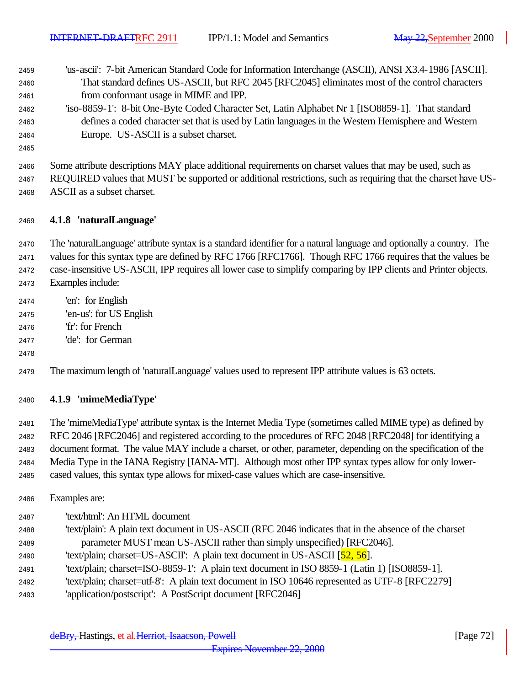- 'us-ascii': 7-bit American Standard Code for Information Interchange (ASCII), ANSI X3.4-1986 [ASCII]. That standard defines US-ASCII, but RFC 2045 [RFC2045] eliminates most of the control characters from conformant usage in MIME and IPP.
- 'iso-8859-1': 8-bit One-Byte Coded Character Set, Latin Alphabet Nr 1 [ISO8859-1]. That standard defines a coded character set that is used by Latin languages in the Western Hemisphere and Western Europe. US-ASCII is a subset charset.
- 

 Some attribute descriptions MAY place additional requirements on charset values that may be used, such as REQUIRED values that MUST be supported or additional restrictions, such as requiring that the charset have US-ASCII as a subset charset.

## **4.1.8 'naturalLanguage'**

The 'naturalLanguage' attribute syntax is a standard identifier for a natural language and optionally a country. The

values for this syntax type are defined by RFC 1766 [RFC1766]. Though RFC 1766 requires that the values be

case-insensitive US-ASCII, IPP requires all lower case to simplify comparing by IPP clients and Printer objects.

- Examples include:
- 'en': for English
- 'en-us': for US English
- 'fr': for French
- 'de': for German

#### 

The maximum length of 'naturalLanguage' values used to represent IPP attribute values is 63 octets.

#### **4.1.9 'mimeMediaType'**

 The 'mimeMediaType' attribute syntax is the Internet Media Type (sometimes called MIME type) as defined by RFC 2046 [RFC2046] and registered according to the procedures of RFC 2048 [RFC2048] for identifying a document format. The value MAY include a charset, or other, parameter, depending on the specification of the Media Type in the IANA Registry [IANA-MT]. Although most other IPP syntax types allow for only lower-cased values, this syntax type allows for mixed-case values which are case-insensitive.

- Examples are:
- 'text/html': An HTML document 'text/plain': A plain text document in US-ASCII (RFC 2046 indicates that in the absence of the charset parameter MUST mean US-ASCII rather than simply unspecified) [RFC2046]. 2490 'text/plain; charset=US-ASCII': A plain text document in US-ASCII  $[52, 56]$ . 'text/plain; charset=ISO-8859-1': A plain text document in ISO 8859-1 (Latin 1) [ISO8859-1]. 'text/plain; charset=utf-8': A plain text document in ISO 10646 represented as UTF-8 [RFC2279] 'application/postscript': A PostScript document [RFC2046]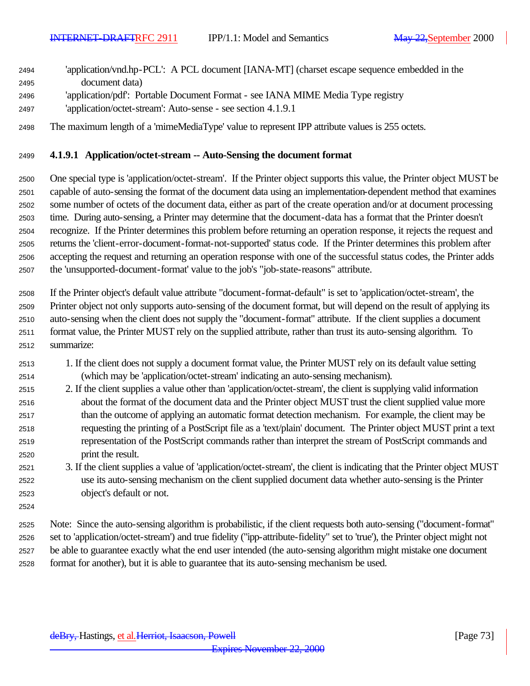| 2494          | 'application/vnd.hp-PCL': A PCL document [IANA-MT] (charset escape sequence embedded in the                                                                                                                                            |
|---------------|----------------------------------------------------------------------------------------------------------------------------------------------------------------------------------------------------------------------------------------|
| 2495          | document data)                                                                                                                                                                                                                         |
| 2496          | 'application/pdf': Portable Document Format - see IANA MIME Media Type registry                                                                                                                                                        |
| 2497          | 'application/octet-stream': Auto-sense - see section 4.1.9.1                                                                                                                                                                           |
| 2498          | The maximum length of a 'mimeMediaType' value to represent IPP attribute values is 255 octets.                                                                                                                                         |
| 2499          | 4.1.9.1 Application/octet-stream -- Auto-Sensing the document format                                                                                                                                                                   |
| 2500<br>0.001 | One special type is 'application/octet-stream'. If the Printer object supports this value, the Printer object MUST be<br>copela of outo conging the formet of the document dete using on implementation dependent method that exemines |

 capable of auto-sensing the format of the document data using an implementation-dependent method that examines some number of octets of the document data, either as part of the create operation and/or at document processing time. During auto-sensing, a Printer may determine that the document-data has a format that the Printer doesn't recognize. If the Printer determines this problem before returning an operation response, it rejects the request and returns the 'client-error-document-format-not-supported' status code. If the Printer determines this problem after accepting the request and returning an operation response with one of the successful status codes, the Printer adds the 'unsupported-document-format' value to the job's "job-state-reasons" attribute.

 If the Printer object's default value attribute "document-format-default" is set to 'application/octet-stream', the Printer object not only supports auto-sensing of the document format, but will depend on the result of applying its auto-sensing when the client does not supply the "document-format" attribute. If the client supplies a document format value, the Printer MUST rely on the supplied attribute, rather than trust its auto-sensing algorithm. To summarize:

- 1. If the client does not supply a document format value, the Printer MUST rely on its default value setting (which may be 'application/octet-stream' indicating an auto-sensing mechanism).
- 2. If the client supplies a value other than 'application/octet-stream', the client is supplying valid information about the format of the document data and the Printer object MUST trust the client supplied value more than the outcome of applying an automatic format detection mechanism. For example, the client may be requesting the printing of a PostScript file as a 'text/plain' document. The Printer object MUST print a text representation of the PostScript commands rather than interpret the stream of PostScript commands and print the result.
- 3. If the client supplies a value of 'application/octet-stream', the client is indicating that the Printer object MUST use its auto-sensing mechanism on the client supplied document data whether auto-sensing is the Printer object's default or not.
- 

 Note: Since the auto-sensing algorithm is probabilistic, if the client requests both auto-sensing ("document-format" set to 'application/octet-stream') and true fidelity ("ipp-attribute-fidelity" set to 'true'), the Printer object might not be able to guarantee exactly what the end user intended (the auto-sensing algorithm might mistake one document format for another), but it is able to guarantee that its auto-sensing mechanism be used.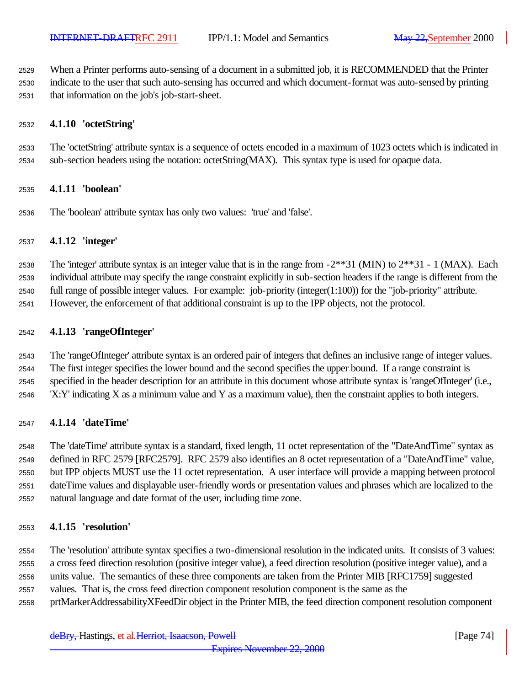When a Printer performs auto-sensing of a document in a submitted job, it is RECOMMENDED that the Printer

 indicate to the user that such auto-sensing has occurred and which document-format was auto-sensed by printing that information on the job's job-start-sheet.

# **4.1.10 'octetString'**

 The 'octetString' attribute syntax is a sequence of octets encoded in a maximum of 1023 octets which is indicated in sub-section headers using the notation: octetString(MAX). This syntax type is used for opaque data.

# **4.1.11 'boolean'**

The 'boolean' attribute syntax has only two values: 'true' and 'false'.

# **4.1.12 'integer'**

2538 The 'integer' attribute syntax is an integer value that is in the range from  $-2**31$  (MIN) to  $2**31$  - 1 (MAX). Each

 individual attribute may specify the range constraint explicitly in sub-section headers if the range is different from the full range of possible integer values. For example: job-priority (integer(1:100)) for the "job-priority" attribute.

However, the enforcement of that additional constraint is up to the IPP objects, not the protocol.

# **4.1.13 'rangeOfInteger'**

 The 'rangeOfInteger' attribute syntax is an ordered pair of integers that defines an inclusive range of integer values. The first integer specifies the lower bound and the second specifies the upper bound. If a range constraint is

specified in the header description for an attribute in this document whose attribute syntax is 'rangeOfInteger' (i.e.,

'X:Y' indicating X as a minimum value and Y as a maximum value), then the constraint applies to both integers.

# **4.1.14 'dateTime'**

 The 'dateTime' attribute syntax is a standard, fixed length, 11 octet representation of the "DateAndTime" syntax as defined in RFC 2579 [RFC2579]. RFC 2579 also identifies an 8 octet representation of a "DateAndTime" value, but IPP objects MUST use the 11 octet representation. A user interface will provide a mapping between protocol dateTime values and displayable user-friendly words or presentation values and phrases which are localized to the natural language and date format of the user, including time zone.

# **4.1.15 'resolution'**

 The 'resolution' attribute syntax specifies a two-dimensional resolution in the indicated units. It consists of 3 values: a cross feed direction resolution (positive integer value), a feed direction resolution (positive integer value), and a

- units value. The semantics of these three components are taken from the Printer MIB [RFC1759] suggested
- values. That is, the cross feed direction component resolution component is the same as the
- prtMarkerAddressabilityXFeedDir object in the Printer MIB, the feed direction component resolution component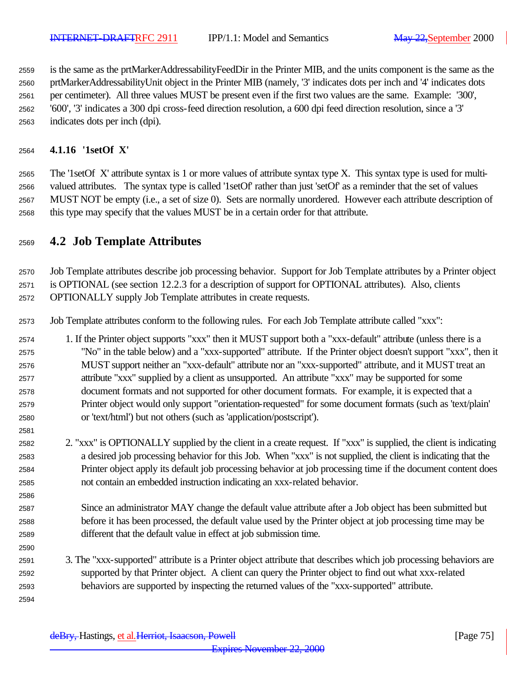is the same as the prtMarkerAddressabilityFeedDir in the Printer MIB, and the units component is the same as the prtMarkerAddressabilityUnit object in the Printer MIB (namely, '3' indicates dots per inch and '4' indicates dots per centimeter). All three values MUST be present even if the first two values are the same. Example: '300', '600', '3' indicates a 300 dpi cross-feed direction resolution, a 600 dpi feed direction resolution, since a '3'

indicates dots per inch (dpi).

# **4.1.16 '1setOf X'**

 The '1setOf X' attribute syntax is 1 or more values of attribute syntax type X. This syntax type is used for multi- valued attributes. The syntax type is called '1setOf' rather than just 'setOf' as a reminder that the set of values MUST NOT be empty (i.e., a set of size 0). Sets are normally unordered. However each attribute description of this type may specify that the values MUST be in a certain order for that attribute.

# **4.2 Job Template Attributes**

 Job Template attributes describe job processing behavior. Support for Job Template attributes by a Printer object is OPTIONAL (see section 12.2.3 for a description of support for OPTIONAL attributes). Also, clients

OPTIONALLY supply Job Template attributes in create requests.

Job Template attributes conform to the following rules. For each Job Template attribute called "xxx":

 1. If the Printer object supports "xxx" then it MUST support both a "xxx-default" attribute (unless there is a "No" in the table below) and a "xxx-supported" attribute. If the Printer object doesn't support "xxx", then it MUST support neither an "xxx-default" attribute nor an "xxx-supported" attribute, and it MUST treat an attribute "xxx" supplied by a client as unsupported. An attribute "xxx" may be supported for some document formats and not supported for other document formats. For example, it is expected that a Printer object would only support "orientation-requested" for some document formats (such as 'text/plain' or 'text/html') but not others (such as 'application/postscript').

- 2. "xxx" is OPTIONALLY supplied by the client in a create request. If "xxx" is supplied, the client is indicating a desired job processing behavior for this Job. When "xxx" is not supplied, the client is indicating that the Printer object apply its default job processing behavior at job processing time if the document content does not contain an embedded instruction indicating an xxx-related behavior.
- Since an administrator MAY change the default value attribute after a Job object has been submitted but before it has been processed, the default value used by the Printer object at job processing time may be different that the default value in effect at job submission time.
- 3. The "xxx-supported" attribute is a Printer object attribute that describes which job processing behaviors are supported by that Printer object. A client can query the Printer object to find out what xxx-related behaviors are supported by inspecting the returned values of the "xxx-supported" attribute.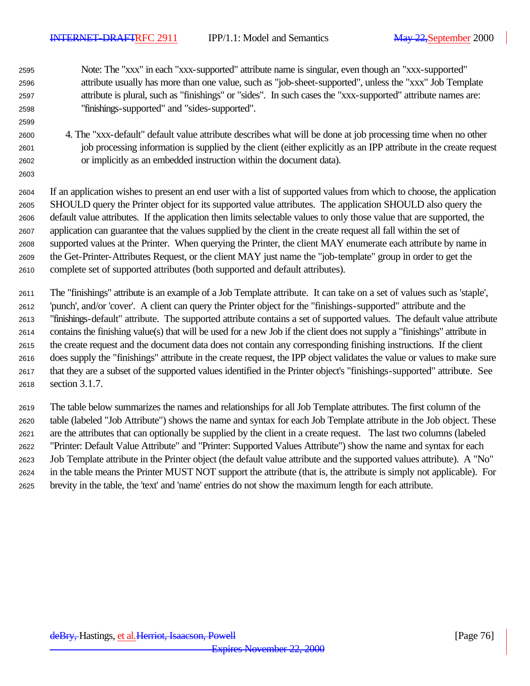Note: The "xxx" in each "xxx-supported" attribute name is singular, even though an "xxx-supported" attribute usually has more than one value, such as "job-sheet-supported", unless the "xxx" Job Template attribute is plural, such as "finishings" or "sides". In such cases the "xxx-supported" attribute names are: "finishings-supported" and "sides-supported".

 4. The "xxx-default" default value attribute describes what will be done at job processing time when no other job processing information is supplied by the client (either explicitly as an IPP attribute in the create request or implicitly as an embedded instruction within the document data).

 If an application wishes to present an end user with a list of supported values from which to choose, the application SHOULD query the Printer object for its supported value attributes. The application SHOULD also query the default value attributes. If the application then limits selectable values to only those value that are supported, the application can guarantee that the values supplied by the client in the create request all fall within the set of supported values at the Printer. When querying the Printer, the client MAY enumerate each attribute by name in the Get-Printer-Attributes Request, or the client MAY just name the "job-template" group in order to get the complete set of supported attributes (both supported and default attributes).

 The "finishings" attribute is an example of a Job Template attribute. It can take on a set of values such as 'staple', 'punch', and/or 'cover'. A client can query the Printer object for the "finishings-supported" attribute and the "finishings-default" attribute. The supported attribute contains a set of supported values. The default value attribute contains the finishing value(s) that will be used for a new Job if the client does not supply a "finishings" attribute in the create request and the document data does not contain any corresponding finishing instructions. If the client does supply the "finishings" attribute in the create request, the IPP object validates the value or values to make sure that they are a subset of the supported values identified in the Printer object's "finishings-supported" attribute. See section 3.1.7.

 The table below summarizes the names and relationships for all Job Template attributes. The first column of the table (labeled "Job Attribute") shows the name and syntax for each Job Template attribute in the Job object. These are the attributes that can optionally be supplied by the client in a create request. The last two columns (labeled "Printer: Default Value Attribute" and "Printer: Supported Values Attribute") show the name and syntax for each Job Template attribute in the Printer object (the default value attribute and the supported values attribute). A "No" in the table means the Printer MUST NOT support the attribute (that is, the attribute is simply not applicable). For brevity in the table, the 'text' and 'name' entries do not show the maximum length for each attribute.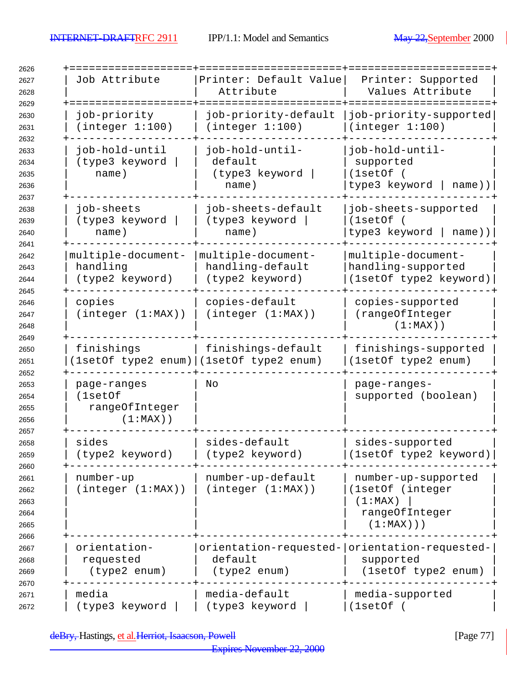$\overline{\phantom{a}}$ 

| Job Attribute<br>+=================                     | Printer: Default Value<br>Attribute<br>======             | Printer: Supported<br>Values Attribute<br>===========                                |
|---------------------------------------------------------|-----------------------------------------------------------|--------------------------------------------------------------------------------------|
| job-priority<br>(integer 1:100)                         | job-priority-default<br>(integer 1:100)                   | job-priority-supported<br>(integer 1:100)                                            |
| job-hold-until<br>(type3 keyword<br>name)               | job-hold-until-<br>default<br>(type3 keyword<br>name)     | job-hold-until-<br>supported<br>(1setOf)<br>type3 keyword  <br>name))                |
| job-sheets<br>(type3 keyword<br>name)                   | job-sheets-default<br>(type3 keyword<br>name)             | job-sheets-supported<br>(1setOf)<br>type3 keyword  <br>name))                        |
| multiple-document-<br>handling<br>(type2 keyword)       | multiple-document-<br>handling-default<br>(type2 keyword) | multiple-document-<br>handling-supported<br>(1setOf type2 keyword)                   |
| copies<br>(integer (1:MAX))                             | copies-default<br>(integer (1:MAX))                       | copies-supported<br>(rangeOfInteger<br>$(1:MAX)$ )                                   |
| finishings<br>(lsetOf type2 enum) (lsetOf type2 enum)   | finishings-default                                        | finishings-supported<br>(1setOf type2 enum)                                          |
| page-ranges<br>(1setOf<br>rangeOfInteger<br>$(1:MAX)$ ) | Νo                                                        | page-ranges-<br>supported (boolean)                                                  |
| sides<br>(type2 keyword)                                | sides-default<br>(type2 keyword)                          | sides-supported<br>(1setOf type2 keyword)                                            |
| number-up<br>(integer (1:MAX))                          | number-up-default<br>(integer (1:MAX))                    | number-up-supported<br>(1setOf (integer<br>(1:MAX)<br>rangeOfInteger<br>$(1:MAX)$ )) |
| orientation-<br>requested<br>(type2 enum)               | default<br>(type2 enum)                                   | orientation-requested- orientation-requested-<br>supported<br>(1setOf type2 enum)    |
| media<br>(type3 keyword                                 | media-default<br>(type3 keyword                           | media-supported<br>(1setOf (                                                         |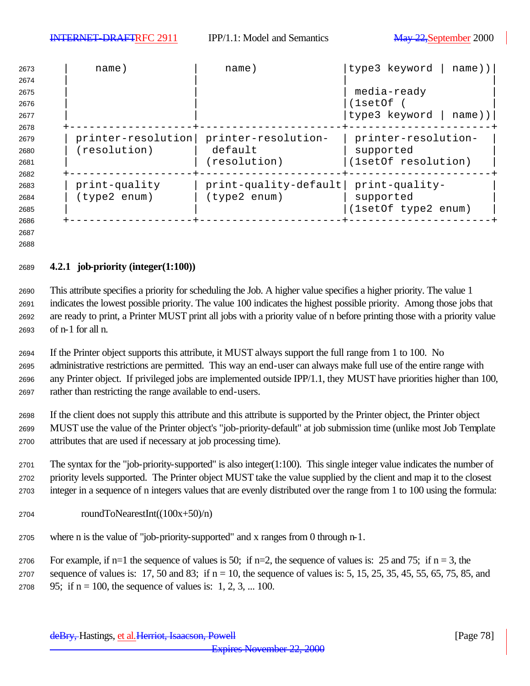| 2673 | name)              | name)                 | type3 keyword<br>name)) |
|------|--------------------|-----------------------|-------------------------|
| 2674 |                    |                       |                         |
| 2675 |                    |                       | media-ready             |
| 2676 |                    |                       | (lsetOf                 |
| 2677 |                    |                       | type3 keyword<br>name)) |
| 2678 |                    |                       |                         |
| 2679 | printer-resolution | printer-resolution-   | printer-resolution-     |
| 2680 | (resolution)       | default               | supported               |
| 2681 |                    | (resolution)          | (1setOf resolution)     |
| 2682 |                    |                       |                         |
| 2683 | print-quality      | print-quality-default | print-quality-          |
| 2684 | (type2 enum)       | (type2 enum)          | supported               |
| 2685 |                    |                       | (1setOf type2 enum)     |
| 2686 |                    |                       |                         |
| 2687 |                    |                       |                         |

# **4.2.1 job-priority (integer(1:100))**

 This attribute specifies a priority for scheduling the Job. A higher value specifies a higher priority. The value 1 indicates the lowest possible priority. The value 100 indicates the highest possible priority. Among those jobs that are ready to print, a Printer MUST print all jobs with a priority value of n before printing those with a priority value of n-1 for all n.

 If the Printer object supports this attribute, it MUST always support the full range from 1 to 100. No administrative restrictions are permitted. This way an end-user can always make full use of the entire range with any Printer object. If privileged jobs are implemented outside IPP/1.1, they MUST have priorities higher than 100, rather than restricting the range available to end-users.

 If the client does not supply this attribute and this attribute is supported by the Printer object, the Printer object MUST use the value of the Printer object's "job-priority-default" at job submission time (unlike most Job Template attributes that are used if necessary at job processing time).

 The syntax for the "job-priority-supported" is also integer(1:100). This single integer value indicates the number of priority levels supported. The Printer object MUST take the value supplied by the client and map it to the closest integer in a sequence of n integers values that are evenly distributed over the range from 1 to 100 using the formula:

- roundToNearestInt( $(100x+50)/n$ )
- where n is the value of "job-priority-supported" and x ranges from 0 through n-1.

2706 For example, if n=1 the sequence of values is 50; if n=2, the sequence of values is: 25 and 75; if n = 3, the 2707 sequence of values is:  $17, 50$  and  $83$ ; if  $n = 10$ , the sequence of values is:  $5, 15, 25, 35, 45, 55, 65, 75, 85$ , and 2708 95; if  $n = 100$ , the sequence of values is: 1, 2, 3, ... 100.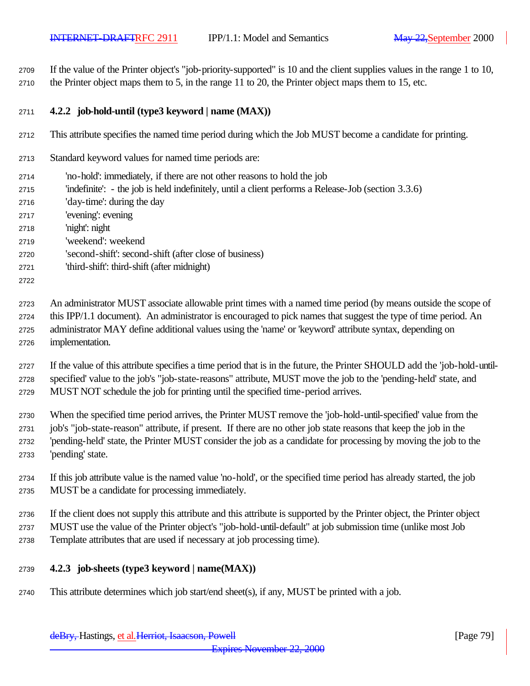If the value of the Printer object's "job-priority-supported" is 10 and the client supplies values in the range 1 to 10, the Printer object maps them to 5, in the range 11 to 20, the Printer object maps them to 15, etc.

# **4.2.2 job-hold-until (type3 keyword | name (MAX))**

- This attribute specifies the named time period during which the Job MUST become a candidate for printing.
- Standard keyword values for named time periods are:
- 'no-hold': immediately, if there are not other reasons to hold the job
- 'indefinite': the job is held indefinitely, until a client performs a Release-Job (section 3.3.6)
- 'day-time': during the day
- 'evening': evening
- 'night': night
- 'weekend': weekend
- 'second-shift': second-shift (after close of business)
- 'third-shift': third-shift (after midnight)
- 

 An administrator MUST associate allowable print times with a named time period (by means outside the scope of this IPP/1.1 document). An administrator is encouraged to pick names that suggest the type of time period. An administrator MAY define additional values using the 'name' or 'keyword' attribute syntax, depending on implementation.

 If the value of this attribute specifies a time period that is in the future, the Printer SHOULD add the 'job-hold-until- specified' value to the job's "job-state-reasons" attribute, MUST move the job to the 'pending-held' state, and MUST NOT schedule the job for printing until the specified time-period arrives.

 When the specified time period arrives, the Printer MUST remove the 'job-hold-until-specified' value from the job's "job-state-reason" attribute, if present. If there are no other job state reasons that keep the job in the 'pending-held' state, the Printer MUST consider the job as a candidate for processing by moving the job to the 'pending' state.

- If this job attribute value is the named value 'no-hold', or the specified time period has already started, the job MUST be a candidate for processing immediately.
- If the client does not supply this attribute and this attribute is supported by the Printer object, the Printer object MUST use the value of the Printer object's "job-hold-until-default" at job submission time (unlike most Job Template attributes that are used if necessary at job processing time).

# **4.2.3 job-sheets (type3 keyword | name(MAX))**

This attribute determines which job start/end sheet(s), if any, MUST be printed with a job.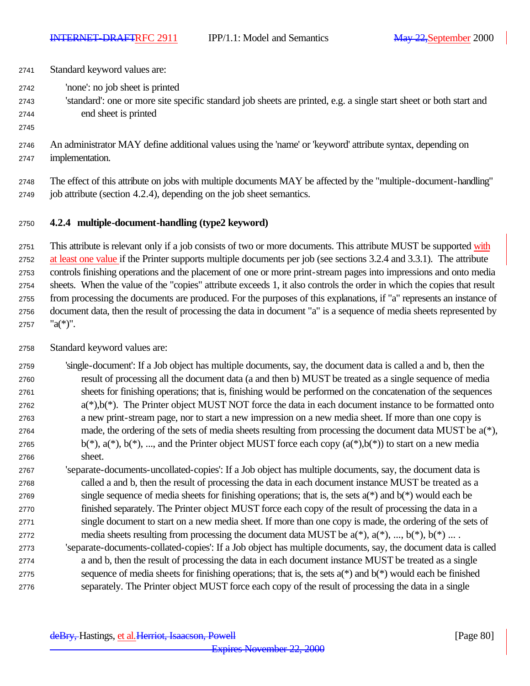Standard keyword values are: 'none': no job sheet is printed 'standard': one or more site specific standard job sheets are printed, e.g. a single start sheet or both start and end sheet is printed An administrator MAY define additional values using the 'name' or 'keyword' attribute syntax, depending on implementation.

 The effect of this attribute on jobs with multiple documents MAY be affected by the "multiple-document-handling" job attribute (section 4.2.4), depending on the job sheet semantics.

# **4.2.4 multiple-document-handling (type2 keyword)**

2751 This attribute is relevant only if a job consists of two or more documents. This attribute MUST be supported with at least one value if the Printer supports multiple documents per job (see sections 3.2.4 and 3.3.1). The attribute controls finishing operations and the placement of one or more print-stream pages into impressions and onto media sheets. When the value of the "copies" attribute exceeds 1, it also controls the order in which the copies that result from processing the documents are produced. For the purposes of this explanations, if "a" represents an instance of document data, then the result of processing the data in document "a" is a sequence of media sheets represented by 2757  $"a(*)"$ .

Standard keyword values are:

 'single-document': If a Job object has multiple documents, say, the document data is called a and b, then the result of processing all the document data (a and then b) MUST be treated as a single sequence of media sheets for finishing operations; that is, finishing would be performed on the concatenation of the sequences  $a(*)$ , b(\*). The Printer object MUST NOT force the data in each document instance to be formatted onto a new print-stream page, nor to start a new impression on a new media sheet. If more than one copy is made, the ordering of the sets of media sheets resulting from processing the document data MUST be a(\*), 2765 b(\*),  $a$ (\*),  $b$ (\*), ..., and the Printer object MUST force each copy  $(a$ (\*), $b$ (\*)) to start on a new media sheet.

 'separate-documents-uncollated-copies': If a Job object has multiple documents, say, the document data is called a and b, then the result of processing the data in each document instance MUST be treated as a 2769 single sequence of media sheets for finishing operations; that is, the sets  $a(*)$  and  $b(*)$  would each be finished separately. The Printer object MUST force each copy of the result of processing the data in a single document to start on a new media sheet. If more than one copy is made, the ordering of the sets of 2772 media sheets resulting from processing the document data MUST be  $a(*)$ ,  $a(*)$ , ...,  $b(*)$ ,  $b(*)$  ...

 'separate-documents-collated-copies': If a Job object has multiple documents, say, the document data is called a and b, then the result of processing the data in each document instance MUST be treated as a single 2775 sequence of media sheets for finishing operations; that is, the sets  $a(*)$  and  $b(*)$  would each be finished separately. The Printer object MUST force each copy of the result of processing the data in a single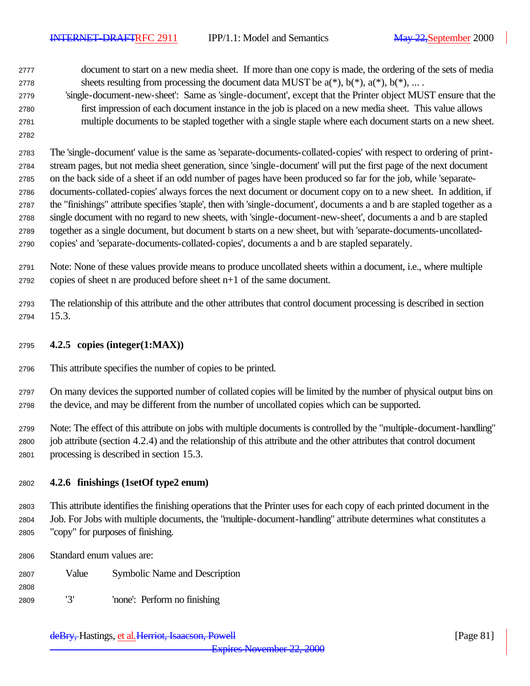document to start on a new media sheet. If more than one copy is made, the ordering of the sets of media 2778 sheets resulting from processing the document data MUST be  $a(*)$ ,  $b(*)$ ,  $a(*)$ ,  $b(*)$ , ...

- 'single-document-new-sheet': Same as 'single-document', except that the Printer object MUST ensure that the first impression of each document instance in the job is placed on a new media sheet. This value allows multiple documents to be stapled together with a single staple where each document starts on a new sheet.
- 

 The 'single-document' value is the same as 'separate-documents-collated-copies' with respect to ordering of print- stream pages, but not media sheet generation, since 'single-document' will put the first page of the next document on the back side of a sheet if an odd number of pages have been produced so far for the job, while 'separate- documents-collated-copies' always forces the next document or document copy on to a new sheet. In addition, if the "finishings" attribute specifies 'staple', then with 'single-document', documents a and b are stapled together as a single document with no regard to new sheets, with 'single-document-new-sheet', documents a and b are stapled together as a single document, but document b starts on a new sheet, but with 'separate-documents-uncollated-copies' and 'separate-documents-collated-copies', documents a and b are stapled separately.

 Note: None of these values provide means to produce uncollated sheets within a document, i.e., where multiple copies of sheet n are produced before sheet n+1 of the same document.

 The relationship of this attribute and the other attributes that control document processing is described in section 15.3.

# **4.2.5 copies (integer(1:MAX))**

This attribute specifies the number of copies to be printed.

 On many devices the supported number of collated copies will be limited by the number of physical output bins on the device, and may be different from the number of uncollated copies which can be supported.

 Note: The effect of this attribute on jobs with multiple documents is controlled by the "multiple-document-handling" job attribute (section 4.2.4) and the relationship of this attribute and the other attributes that control document processing is described in section 15.3.

# **4.2.6 finishings (1setOf type2 enum)**

 This attribute identifies the finishing operations that the Printer uses for each copy of each printed document in the Job. For Jobs with multiple documents, the "multiple-document-handling" attribute determines what constitutes a "copy" for purposes of finishing.

Standard enum values are:

Value Symbolic Name and Description

'3' 'none': Perform no finishing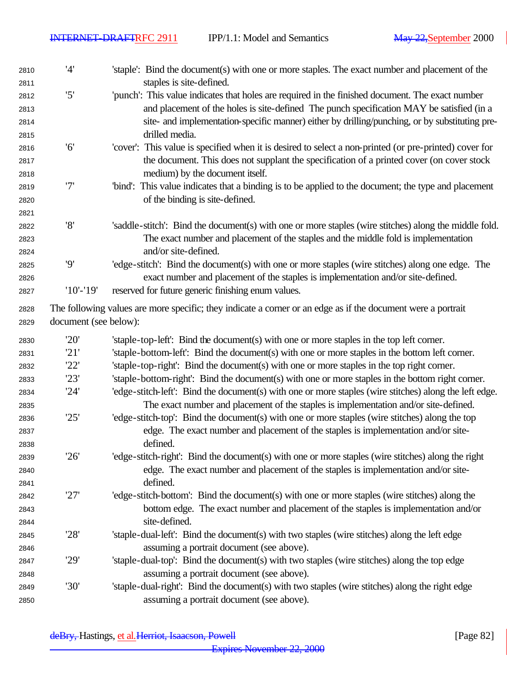$\overline{\phantom{a}}$ 

| 2810<br>2811 | '4'                   | 'staple': Bind the document(s) with one or more staples. The exact number and placement of the<br>staples is site-defined. |
|--------------|-----------------------|----------------------------------------------------------------------------------------------------------------------------|
|              | '5'                   | 'punch': This value indicates that holes are required in the finished document. The exact number                           |
| 2812<br>2813 |                       | and placement of the holes is site-defined The punch specification MAY be satisfied (in a                                  |
| 2814         |                       | site- and implementation-specific manner) either by drilling/punching, or by substituting pre-                             |
| 2815         |                       | drilled media.                                                                                                             |
| 2816         | '6'                   | 'cover': This value is specified when it is desired to select a non-printed (or pre-printed) cover for                     |
| 2817         |                       | the document. This does not supplant the specification of a printed cover (on cover stock                                  |
| 2818         |                       | medium) by the document itself.                                                                                            |
| 2819         | '7'                   | "bind": This value indicates that a binding is to be applied to the document; the type and placement                       |
| 2820         |                       | of the binding is site-defined.                                                                                            |
| 2821         |                       |                                                                                                                            |
| 2822         | '8'                   | 'saddle-stitch': Bind the document(s) with one or more staples (wire stitches) along the middle fold.                      |
| 2823         |                       | The exact number and placement of the staples and the middle fold is implementation                                        |
| 2824         |                       | and/or site-defined.                                                                                                       |
| 2825         | '9'                   | 'edge-stitch': Bind the document(s) with one or more staples (wire stitches) along one edge. The                           |
| 2826         |                       | exact number and placement of the staples is implementation and/or site-defined.                                           |
| 2827         | $'10'$ -'19'          | reserved for future generic finishing enum values.                                                                         |
| 2828         |                       | The following values are more specific; they indicate a corner or an edge as if the document were a portrait               |
| 2829         | document (see below): |                                                                                                                            |
| 2830         | '20'                  | 'staple-top-left': Bind the document(s) with one or more staples in the top left corner.                                   |
| 2831         | '21'                  | 'staple-bottom-left': Bind the document(s) with one or more staples in the bottom left corner.                             |
| 2832         | '22'                  | 'staple-top-right': Bind the document(s) with one or more staples in the top right corner.                                 |
| 2833         | '23'                  | 'staple-bottom-right': Bind the document(s) with one or more staples in the bottom right corner.                           |
| 2834         | '24'                  | 'edge-stitch-left': Bind the document(s) with one or more staples (wire stitches) along the left edge.                     |
| 2835         |                       | The exact number and placement of the staples is implementation and/or site-defined.                                       |
| 2836         | '25'                  | 'edge-stitch-top': Bind the document(s) with one or more staples (wire stitches) along the top                             |
| 2837         |                       | edge. The exact number and placement of the staples is implementation and/or site-                                         |
| 2838         |                       | defined.                                                                                                                   |
| 2839         | '26'                  | 'edge-stitch-right': Bind the document(s) with one or more staples (wire stitches) along the right                         |
| 2840         |                       | edge. The exact number and placement of the staples is implementation and/or site-                                         |
| 2841         |                       | defined.                                                                                                                   |
| 2842         | '27'                  | 'edge-stitch-bottom': Bind the document(s) with one or more staples (wire stitches) along the                              |
| 2843         |                       | bottom edge. The exact number and placement of the staples is implementation and/or                                        |
| 2844         |                       | site-defined.                                                                                                              |
| 2845         | '28'                  | 'staple-dual-left': Bind the document(s) with two staples (wire stitches) along the left edge                              |
| 2846         |                       | assuming a portrait document (see above).                                                                                  |
| 2847         | '29'                  | 'staple-dual-top': Bind the document(s) with two staples (wire stitches) along the top edge                                |
| 2848         |                       | assuming a portrait document (see above).                                                                                  |
| 2849         | '30'                  | 'staple-dual-right': Bind the document(s) with two staples (wire stitches) along the right edge                            |
| 2850         |                       | assuming a portrait document (see above).                                                                                  |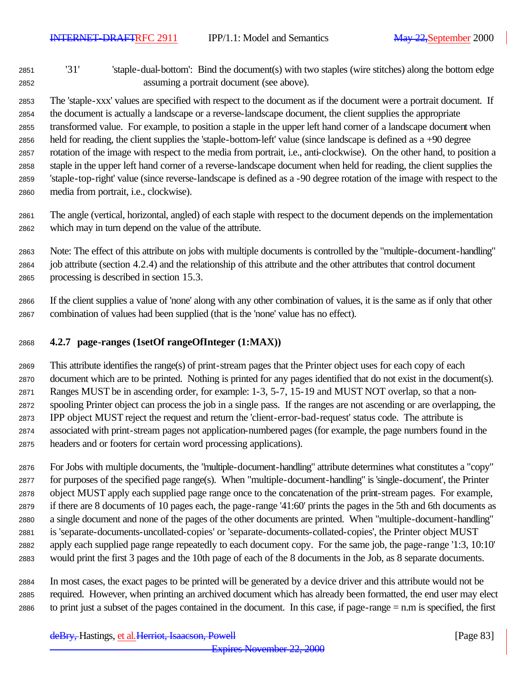'31' 'staple-dual-bottom': Bind the document(s) with two staples (wire stitches) along the bottom edge assuming a portrait document (see above).

 The 'staple-xxx' values are specified with respect to the document as if the document were a portrait document. If the document is actually a landscape or a reverse-landscape document, the client supplies the appropriate transformed value. For example, to position a staple in the upper left hand corner of a landscape document when held for reading, the client supplies the 'staple-bottom-left' value (since landscape is defined as a +90 degree rotation of the image with respect to the media from portrait, i.e., anti-clockwise). On the other hand, to position a staple in the upper left hand corner of a reverse-landscape document when held for reading, the client supplies the 'staple-top-right' value (since reverse-landscape is defined as a -90 degree rotation of the image with respect to the media from portrait, i.e., clockwise).

 The angle (vertical, horizontal, angled) of each staple with respect to the document depends on the implementation which may in turn depend on the value of the attribute.

 Note: The effect of this attribute on jobs with multiple documents is controlled by the "multiple-document-handling" job attribute (section 4.2.4) and the relationship of this attribute and the other attributes that control document processing is described in section 15.3.

 If the client supplies a value of 'none' along with any other combination of values, it is the same as if only that other combination of values had been supplied (that is the 'none' value has no effect).

# **4.2.7 page-ranges (1setOf rangeOfInteger (1:MAX))**

 This attribute identifies the range(s) of print-stream pages that the Printer object uses for each copy of each document which are to be printed. Nothing is printed for any pages identified that do not exist in the document(s). Ranges MUST be in ascending order, for example: 1-3, 5-7, 15-19 and MUST NOT overlap, so that a non- spooling Printer object can process the job in a single pass. If the ranges are not ascending or are overlapping, the IPP object MUST reject the request and return the 'client-error-bad-request' status code. The attribute is associated with print-stream pages not application-numbered pages (for example, the page numbers found in the headers and or footers for certain word processing applications).

 For Jobs with multiple documents, the "multiple-document-handling" attribute determines what constitutes a "copy" for purposes of the specified page range(s). When "multiple-document-handling" is 'single-document', the Printer object MUST apply each supplied page range once to the concatenation of the print-stream pages. For example, if there are 8 documents of 10 pages each, the page-range '41:60' prints the pages in the 5th and 6th documents as a single document and none of the pages of the other documents are printed. When "multiple-document-handling" is 'separate-documents-uncollated-copies' or 'separate-documents-collated-copies', the Printer object MUST apply each supplied page range repeatedly to each document copy. For the same job, the page-range '1:3, 10:10' would print the first 3 pages and the 10th page of each of the 8 documents in the Job, as 8 separate documents.

 In most cases, the exact pages to be printed will be generated by a device driver and this attribute would not be required. However, when printing an archived document which has already been formatted, the end user may elect to print just a subset of the pages contained in the document. In this case, if page-range = n.m is specified, the first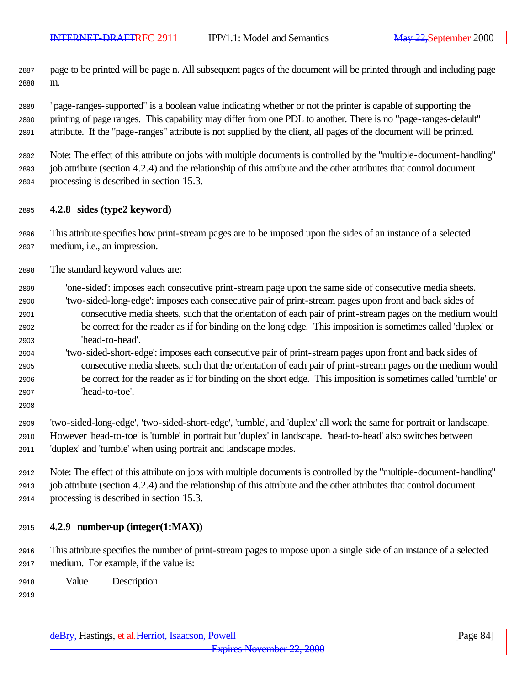page to be printed will be page n. All subsequent pages of the document will be printed through and including page m.

 "page-ranges-supported" is a boolean value indicating whether or not the printer is capable of supporting the printing of page ranges. This capability may differ from one PDL to another. There is no "page-ranges-default" attribute. If the "page-ranges" attribute is not supplied by the client, all pages of the document will be printed.

 Note: The effect of this attribute on jobs with multiple documents is controlled by the "multiple-document-handling" job attribute (section 4.2.4) and the relationship of this attribute and the other attributes that control document processing is described in section 15.3.

# **4.2.8 sides (type2 keyword)**

 This attribute specifies how print-stream pages are to be imposed upon the sides of an instance of a selected medium, i.e., an impression.

- The standard keyword values are:
- 'one-sided': imposes each consecutive print-stream page upon the same side of consecutive media sheets. 'two-sided-long-edge': imposes each consecutive pair of print-stream pages upon front and back sides of consecutive media sheets, such that the orientation of each pair of print-stream pages on the medium would be correct for the reader as if for binding on the long edge. This imposition is sometimes called 'duplex' or 'head-to-head'.
- 'two-sided-short-edge': imposes each consecutive pair of print-stream pages upon front and back sides of consecutive media sheets, such that the orientation of each pair of print-stream pages on the medium would be correct for the reader as if for binding on the short edge. This imposition is sometimes called 'tumble' or 'head-to-toe'.
- 

 'two-sided-long-edge', 'two-sided-short-edge', 'tumble', and 'duplex' all work the same for portrait or landscape. However 'head-to-toe' is 'tumble' in portrait but 'duplex' in landscape. 'head-to-head' also switches between 'duplex' and 'tumble' when using portrait and landscape modes.

 Note: The effect of this attribute on jobs with multiple documents is controlled by the "multiple-document-handling" job attribute (section 4.2.4) and the relationship of this attribute and the other attributes that control document processing is described in section 15.3.

# **4.2.9 number-up (integer(1:MAX))**

 This attribute specifies the number of print-stream pages to impose upon a single side of an instance of a selected medium. For example, if the value is:

- Value Description
-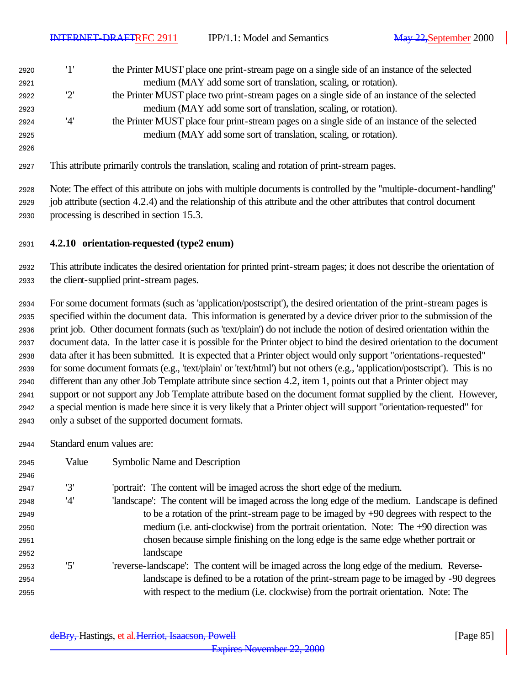'1' the Printer MUST place one print-stream page on a single side of an instance of the selected medium (MAY add some sort of translation, scaling, or rotation). '2' the Printer MUST place two print-stream pages on a single side of an instance of the selected medium (MAY add some sort of translation, scaling, or rotation). '4' the Printer MUST place four print-stream pages on a single side of an instance of the selected medium (MAY add some sort of translation, scaling, or rotation). 

This attribute primarily controls the translation, scaling and rotation of print-stream pages.

 Note: The effect of this attribute on jobs with multiple documents is controlled by the "multiple-document-handling" job attribute (section 4.2.4) and the relationship of this attribute and the other attributes that control document processing is described in section 15.3.

**4.2.10 orientation-requested (type2 enum)**

 This attribute indicates the desired orientation for printed print-stream pages; it does not describe the orientation of the client-supplied print-stream pages.

 For some document formats (such as 'application/postscript'), the desired orientation of the print-stream pages is specified within the document data. This information is generated by a device driver prior to the submission of the print job. Other document formats (such as 'text/plain') do not include the notion of desired orientation within the document data. In the latter case it is possible for the Printer object to bind the desired orientation to the document data after it has been submitted. It is expected that a Printer object would only support "orientations-requested" for some document formats (e.g., 'text/plain' or 'text/html') but not others (e.g., 'application/postscript'). This is no different than any other Job Template attribute since section 4.2, item 1, points out that a Printer object may support or not support any Job Template attribute based on the document format supplied by the client. However, a special mention is made here since it is very likely that a Printer object will support "orientation-requested" for only a subset of the supported document formats.

Standard enum values are:

| 2945 | Value | Symbolic Name and Description                                                                   |
|------|-------|-------------------------------------------------------------------------------------------------|
| 2946 |       |                                                                                                 |
| 2947 | '3'   | 'portrait': The content will be imaged across the short edge of the medium.                     |
| 2948 | '4'   | landscape': The content will be imaged across the long edge of the medium. Landscape is defined |
| 2949 |       | to be a rotation of the print-stream page to be imaged by $+90$ degrees with respect to the     |
| 2950 |       | medium (i.e. anti-clockwise) from the portrait orientation. Note: The +90 direction was         |
| 2951 |       | chosen because simple finishing on the long edge is the same edge whether portrait or           |
| 2952 |       | landscape                                                                                       |
| 2953 | '5'   | 'reverse-landscape': The content will be imaged across the long edge of the medium. Reverse-    |
| 2954 |       | landscape is defined to be a rotation of the print-stream page to be imaged by -90 degrees      |
| 2955 |       | with respect to the medium (i.e. clockwise) from the portrait orientation. Note: The            |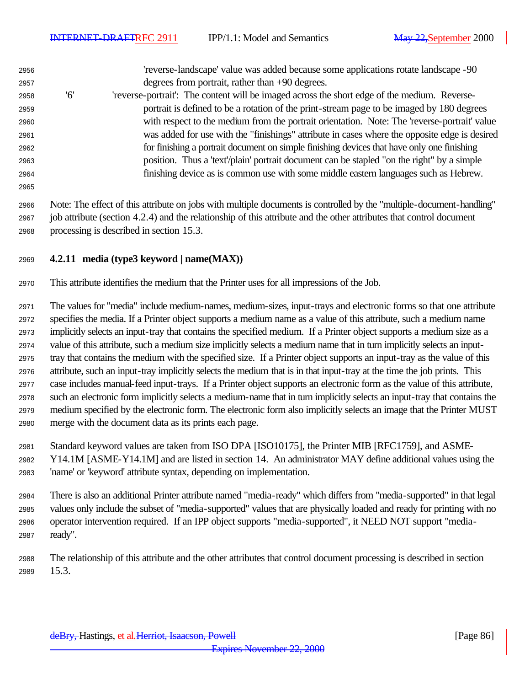'reverse-landscape' value was added because some applications rotate landscape -90 degrees from portrait, rather than +90 degrees. '6' 'reverse-portrait': The content will be imaged across the short edge of the medium. Reverse-

- portrait is defined to be a rotation of the print-stream page to be imaged by 180 degrees with respect to the medium from the portrait orientation. Note: The 'reverse-portrait' value was added for use with the "finishings" attribute in cases where the opposite edge is desired for finishing a portrait document on simple finishing devices that have only one finishing position. Thus a 'text'/plain' portrait document can be stapled "on the right" by a simple finishing device as is common use with some middle eastern languages such as Hebrew.
- 

 Note: The effect of this attribute on jobs with multiple documents is controlled by the "multiple-document-handling" job attribute (section 4.2.4) and the relationship of this attribute and the other attributes that control document processing is described in section 15.3.

# **4.2.11 media (type3 keyword | name(MAX))**

This attribute identifies the medium that the Printer uses for all impressions of the Job.

 The values for "media" include medium-names, medium-sizes, input-trays and electronic forms so that one attribute specifies the media. If a Printer object supports a medium name as a value of this attribute, such a medium name implicitly selects an input-tray that contains the specified medium. If a Printer object supports a medium size as a value of this attribute, such a medium size implicitly selects a medium name that in turn implicitly selects an input- tray that contains the medium with the specified size. If a Printer object supports an input-tray as the value of this attribute, such an input-tray implicitly selects the medium that is in that input-tray at the time the job prints. This case includes manual-feed input-trays. If a Printer object supports an electronic form as the value of this attribute, such an electronic form implicitly selects a medium-name that in turn implicitly selects an input-tray that contains the medium specified by the electronic form. The electronic form also implicitly selects an image that the Printer MUST merge with the document data as its prints each page.

- Standard keyword values are taken from ISO DPA [ISO10175], the Printer MIB [RFC1759], and ASME- Y14.1M [ASME-Y14.1M] and are listed in section 14. An administrator MAY define additional values using the 'name' or 'keyword' attribute syntax, depending on implementation.
- There is also an additional Printer attribute named "media-ready" which differs from "media-supported" in that legal values only include the subset of "media-supported" values that are physically loaded and ready for printing with no operator intervention required. If an IPP object supports "media-supported", it NEED NOT support "media-ready".
- The relationship of this attribute and the other attributes that control document processing is described in section 15.3.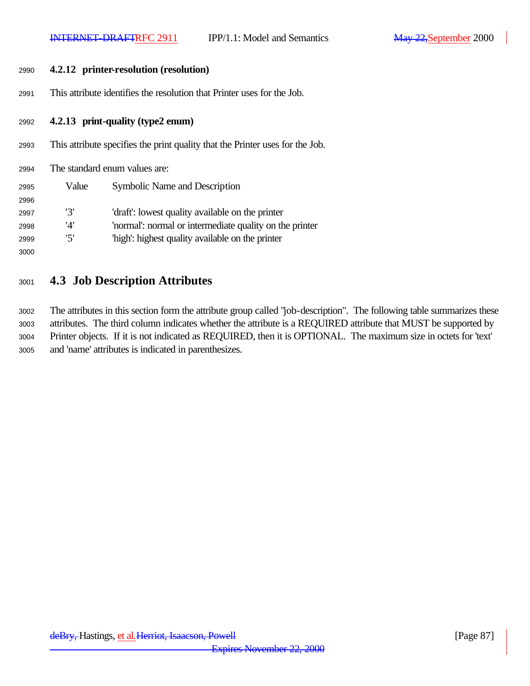| 2990 |       | 4.2.12 printer-resolution (resolution)                                        |
|------|-------|-------------------------------------------------------------------------------|
| 2991 |       | This attribute identifies the resolution that Printer uses for the Job.       |
| 2992 |       | 4.2.13 print-quality (type2 enum)                                             |
| 2993 |       | This attribute specifies the print quality that the Printer uses for the Job. |
| 2994 |       | The standard enum values are:                                                 |
| 2995 | Value | <b>Symbolic Name and Description</b>                                          |
| 2996 |       |                                                                               |
| 2997 | '3'   | 'draft': lowest quality available on the printer                              |
| 2998 | '4'   | 'normal': normal or intermediate quality on the printer                       |
| 2999 | '5'   | "high": highest quality available on the printer                              |
| 3000 |       |                                                                               |
|      |       |                                                                               |

# **4.3 Job Description Attributes**

 The attributes in this section form the attribute group called "job-description". The following table summarizes these attributes. The third column indicates whether the attribute is a REQUIRED attribute that MUST be supported by Printer objects. If it is not indicated as REQUIRED, then it is OPTIONAL. The maximum size in octets for 'text' and 'name' attributes is indicated in parenthesizes.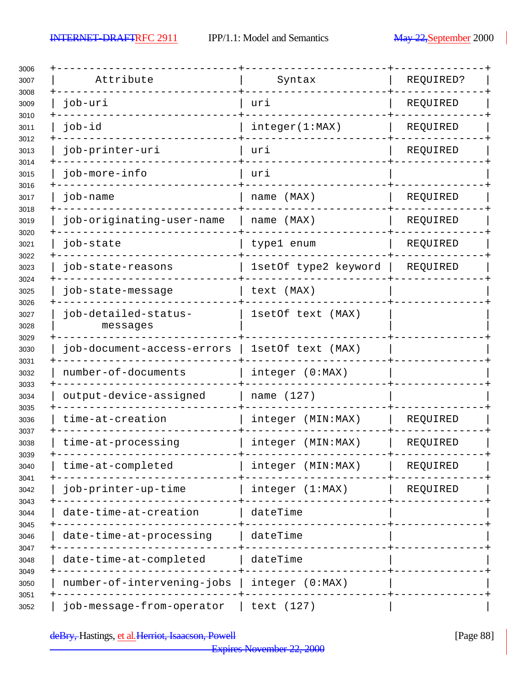$\overline{\phantom{a}}$ 

| Attribute                        | Syntax               | REQUIRED? |
|----------------------------------|----------------------|-----------|
| job-uri                          | uri                  | REQUIRED  |
| job-id                           | integer(1:MAX)       | REQUIRED  |
| job-printer-uri                  | uri                  | REQUIRED  |
| job-more-info                    | uri                  |           |
| job-name                         | name (MAX)           | REQUIRED  |
| job-originating-user-name        | name (MAX)           | REQUIRED  |
| job-state                        | type1 enum           | REQUIRED  |
| job-state-reasons                | 1setOf type2 keyword | REQUIRED  |
| job-state-message                | text (MAX)           |           |
| job-detailed-status-<br>messages | 1setOf text (MAX)    |           |
| job-document-access-errors       | 1setOf text (MAX)    |           |
| number-of-documents              | integer (0:MAX)      |           |
| output-device-assigned           | name (127)           |           |
| time-at-creation                 | (MIN:MAX)<br>integer | REQUIRED  |
| time-at-processing               | integer (MIN:MAX)    | REQUIRED  |
| time-at-completed                | integer (MIN: MAX)   | REQUIRED  |
| job-printer-up-time              | integer (1:MAX)      | REQUIRED  |
| date-time-at-creation            | dateTime             |           |
| date-time-at-processing          | dateTime             |           |
| date-time-at-completed           | dateTime             |           |
| number-of-intervening-jobs       | integer (0:MAX)      |           |
| job-message-from-operator        | text (127)           |           |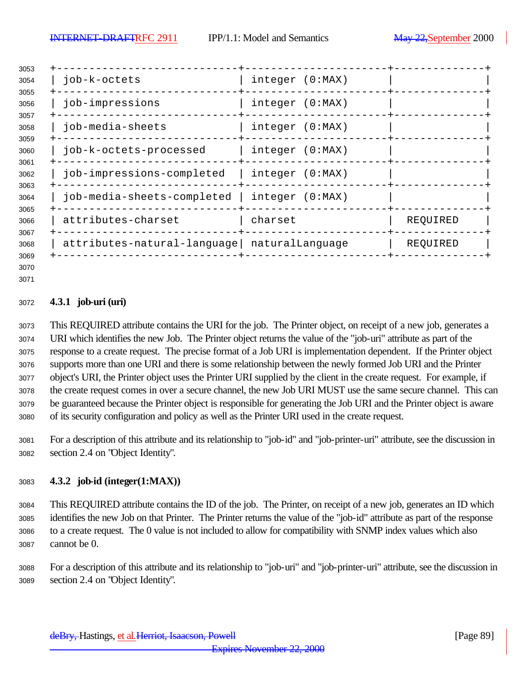| 3053         |                             |                 |          |
|--------------|-----------------------------|-----------------|----------|
| 3054<br>3055 | job-k-octets                | integer (0:MAX) |          |
| 3056         | job-impressions             | integer (0:MAX) |          |
| 3057<br>3058 | job-media-sheets            | integer (0:MAX) |          |
| 3059<br>3060 | job-k-octets-processed      | integer (0:MAX) |          |
| 3061<br>3062 | job-impressions-completed   | integer (0:MAX) |          |
| 3063<br>3064 | job-media-sheets-completed  | integer (0:MAX) |          |
| 3065<br>3066 | attributes-charset          | charset         | REQUIRED |
| 3067<br>3068 | attributes-natural-language | naturalLanguage | REQUIRED |
| 3069<br>3070 |                             |                 |          |

# **4.3.1 job-uri (uri)**

 This REQUIRED attribute contains the URI for the job. The Printer object, on receipt of a new job, generates a URI which identifies the new Job. The Printer object returns the value of the "job-uri" attribute as part of the response to a create request. The precise format of a Job URI is implementation dependent. If the Printer object supports more than one URI and there is some relationship between the newly formed Job URI and the Printer object's URI, the Printer object uses the Printer URI supplied by the client in the create request. For example, if the create request comes in over a secure channel, the new Job URI MUST use the same secure channel. This can be guaranteed because the Printer object is responsible for generating the Job URI and the Printer object is aware of its security configuration and policy as well as the Printer URI used in the create request.

 For a description of this attribute and its relationship to "job-id" and "job-printer-uri" attribute, see the discussion in section 2.4 on "Object Identity".

# **4.3.2 job-id (integer(1:MAX))**

 This REQUIRED attribute contains the ID of the job. The Printer, on receipt of a new job, generates an ID which identifies the new Job on that Printer. The Printer returns the value of the "job-id" attribute as part of the response to a create request. The 0 value is not included to allow for compatibility with SNMP index values which also cannot be 0.

 For a description of this attribute and its relationship to "job-uri" and "job-printer-uri" attribute, see the discussion in section 2.4 on "Object Identity".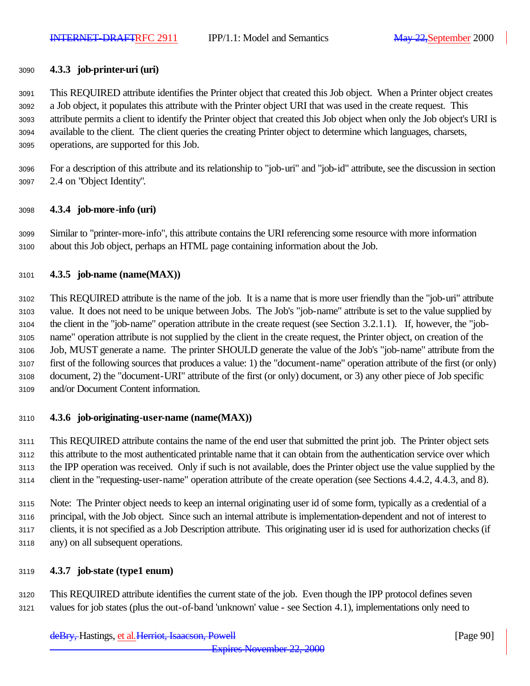# **4.3.3 job-printer-uri (uri)**

 This REQUIRED attribute identifies the Printer object that created this Job object. When a Printer object creates a Job object, it populates this attribute with the Printer object URI that was used in the create request. This attribute permits a client to identify the Printer object that created this Job object when only the Job object's URI is available to the client. The client queries the creating Printer object to determine which languages, charsets, operations, are supported for this Job.

 For a description of this attribute and its relationship to "job-uri" and "job-id" attribute, see the discussion in section 2.4 on "Object Identity".

# **4.3.4 job-more-info (uri)**

 Similar to "printer-more-info", this attribute contains the URI referencing some resource with more information about this Job object, perhaps an HTML page containing information about the Job.

# **4.3.5 job-name (name(MAX))**

 This REQUIRED attribute is the name of the job. It is a name that is more user friendly than the "job-uri" attribute value. It does not need to be unique between Jobs. The Job's "job-name" attribute is set to the value supplied by the client in the "job-name" operation attribute in the create request (see Section 3.2.1.1). If, however, the "job- name" operation attribute is not supplied by the client in the create request, the Printer object, on creation of the Job, MUST generate a name. The printer SHOULD generate the value of the Job's "job-name" attribute from the first of the following sources that produces a value: 1) the "document-name" operation attribute of the first (or only) document, 2) the "document-URI" attribute of the first (or only) document, or 3) any other piece of Job specific and/or Document Content information.

# **4.3.6 job-originating-user-name (name(MAX))**

 This REQUIRED attribute contains the name of the end user that submitted the print job. The Printer object sets this attribute to the most authenticated printable name that it can obtain from the authentication service over which the IPP operation was received. Only if such is not available, does the Printer object use the value supplied by the client in the "requesting-user-name" operation attribute of the create operation (see Sections 4.4.2, 4.4.3, and 8).

 Note: The Printer object needs to keep an internal originating user id of some form, typically as a credential of a principal, with the Job object. Since such an internal attribute is implementation-dependent and not of interest to clients, it is not specified as a Job Description attribute. This originating user id is used for authorization checks (if any) on all subsequent operations.

# **4.3.7 job-state (type1 enum)**

 This REQUIRED attribute identifies the current state of the job. Even though the IPP protocol defines seven values for job states (plus the out-of-band 'unknown' value - see Section 4.1), implementations only need to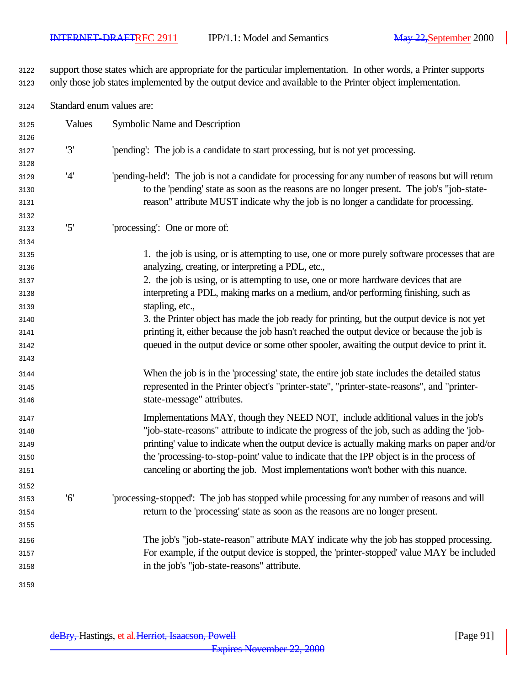support those states which are appropriate for the particular implementation. In other words, a Printer supports only those job states implemented by the output device and available to the Printer object implementation.

Standard enum values are:

| 3125<br>3126 | Values | Symbolic Name and Description                                                                                                                                                                     |
|--------------|--------|---------------------------------------------------------------------------------------------------------------------------------------------------------------------------------------------------|
| 3127         | '3'    | 'pending': The job is a candidate to start processing, but is not yet processing.                                                                                                                 |
| 3128         |        |                                                                                                                                                                                                   |
| 3129<br>3130 | '4'    | 'pending-held': The job is not a candidate for processing for any number of reasons but will return<br>to the 'pending' state as soon as the reasons are no longer present. The job's "job-state- |
| 3131         |        | reason" attribute MUST indicate why the job is no longer a candidate for processing.                                                                                                              |
| 3132         |        |                                                                                                                                                                                                   |
| 3133         | '5'    | 'processing': One or more of:                                                                                                                                                                     |
| 3134         |        |                                                                                                                                                                                                   |
| 3135         |        | 1. the job is using, or is attempting to use, one or more purely software processes that are                                                                                                      |
| 3136         |        | analyzing, creating, or interpreting a PDL, etc.,                                                                                                                                                 |
| 3137         |        | 2. the job is using, or is attempting to use, one or more hardware devices that are                                                                                                               |
| 3138         |        | interpreting a PDL, making marks on a medium, and/or performing finishing, such as                                                                                                                |
| 3139         |        | stapling, etc.,                                                                                                                                                                                   |
| 3140         |        | 3. the Printer object has made the job ready for printing, but the output device is not yet                                                                                                       |
| 3141         |        | printing it, either because the job hasn't reached the output device or because the job is                                                                                                        |
| 3142         |        | queued in the output device or some other spooler, awaiting the output device to print it.                                                                                                        |
| 3143         |        |                                                                                                                                                                                                   |
| 3144         |        | When the job is in the 'processing' state, the entire job state includes the detailed status                                                                                                      |
| 3145<br>3146 |        | represented in the Printer object's "printer-state", "printer-state-reasons", and "printer-<br>state-message" attributes.                                                                         |
| 3147         |        | Implementations MAY, though they NEED NOT, include additional values in the job's                                                                                                                 |
| 3148         |        | "job-state-reasons" attribute to indicate the progress of the job, such as adding the 'job-                                                                                                       |
| 3149         |        | printing' value to indicate when the output device is actually making marks on paper and/or                                                                                                       |
| 3150         |        | the 'processing-to-stop-point' value to indicate that the IPP object is in the process of                                                                                                         |
| 3151         |        | canceling or aborting the job. Most implementations won't bother with this nuance.                                                                                                                |
| 3152         |        |                                                                                                                                                                                                   |
| 3153         | '6'    | 'processing-stopped': The job has stopped while processing for any number of reasons and will                                                                                                     |
| 3154         |        | return to the 'processing' state as soon as the reasons are no longer present.                                                                                                                    |
| 3155         |        |                                                                                                                                                                                                   |
| 3156         |        | The job's "job-state-reason" attribute MAY indicate why the job has stopped processing.                                                                                                           |
| 3157         |        | For example, if the output device is stopped, the 'printer-stopped' value MAY be included                                                                                                         |
| 3158         |        | in the job's "job-state-reasons" attribute.                                                                                                                                                       |
| 3159         |        |                                                                                                                                                                                                   |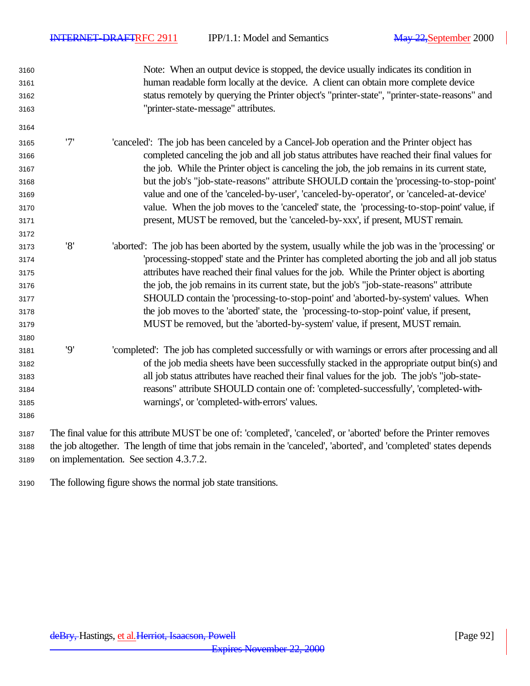Note: When an output device is stopped, the device usually indicates its condition in human readable form locally at the device. A client can obtain more complete device status remotely by querying the Printer object's "printer-state", "printer-state-reasons" and "printer-state-message" attributes. '7' 'canceled': The job has been canceled by a Cancel-Job operation and the Printer object has completed canceling the job and all job status attributes have reached their final values for the job. While the Printer object is canceling the job, the job remains in its current state, but the job's "job-state-reasons" attribute SHOULD contain the 'processing-to-stop-point' value and one of the 'canceled-by-user', 'canceled-by-operator', or 'canceled-at-device' value. When the job moves to the 'canceled' state, the 'processing-to-stop-point' value, if present, MUST be removed, but the 'canceled-by-xxx', if present, MUST remain. '8' 'aborted': The job has been aborted by the system, usually while the job was in the 'processing' or 'processing-stopped' state and the Printer has completed aborting the job and all job status attributes have reached their final values for the job. While the Printer object is aborting the job, the job remains in its current state, but the job's "job-state-reasons" attribute SHOULD contain the 'processing-to-stop-point' and 'aborted-by-system' values. When the job moves to the 'aborted' state, the 'processing-to-stop-point' value, if present, MUST be removed, but the 'aborted-by-system' value, if present, MUST remain. '9' 'completed': The job has completed successfully or with warnings or errors after processing and all of the job media sheets have been successfully stacked in the appropriate output bin(s) and all job status attributes have reached their final values for the job. The job's "job-state- reasons" attribute SHOULD contain one of: 'completed-successfully', 'completed-with- warnings', or 'completed-with-errors' values. The final value for this attribute MUST be one of: 'completed', 'canceled', or 'aborted' before the Printer removes the job altogether. The length of time that jobs remain in the 'canceled', 'aborted', and 'completed' states depends on implementation. See section 4.3.7.2.

The following figure shows the normal job state transitions.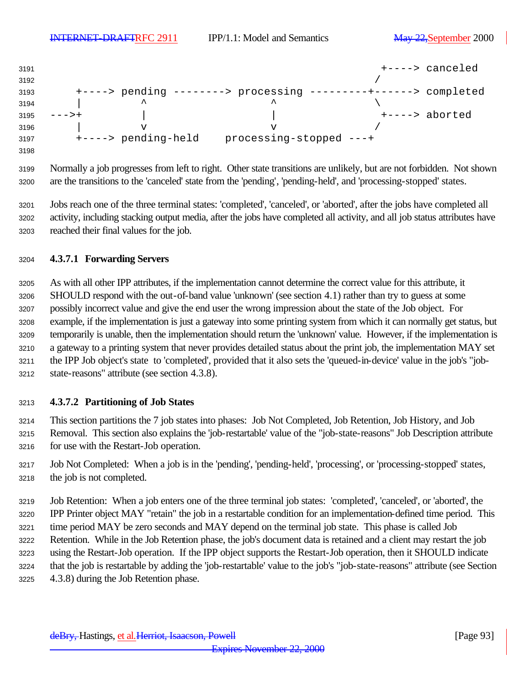| 3191 |                     |                         |  | +----> canceled |
|------|---------------------|-------------------------|--|-----------------|
| 3192 |                     |                         |  |                 |
| 3193 | $+--->$ pending     | $------>$ processing    |  | > completed     |
| 3194 | ㅅ                   | ᄉ                       |  |                 |
| 3195 |                     |                         |  | +----> aborted  |
| 3196 | v                   | ٦T                      |  |                 |
| 3197 | +----> pending-held | processing-stopped ---+ |  |                 |
| 3198 |                     |                         |  |                 |

 Normally a job progresses from left to right. Other state transitions are unlikely, but are not forbidden. Not shown are the transitions to the 'canceled' state from the 'pending', 'pending-held', and 'processing-stopped' states.

 Jobs reach one of the three terminal states: 'completed', 'canceled', or 'aborted', after the jobs have completed all activity, including stacking output media, after the jobs have completed all activity, and all job status attributes have reached their final values for the job.

# **4.3.7.1 Forwarding Servers**

 As with all other IPP attributes, if the implementation cannot determine the correct value for this attribute, it SHOULD respond with the out-of-band value 'unknown' (see section 4.1) rather than try to guess at some possibly incorrect value and give the end user the wrong impression about the state of the Job object. For example, if the implementation is just a gateway into some printing system from which it can normally get status, but temporarily is unable, then the implementation should return the 'unknown' value. However, if the implementation is a gateway to a printing system that never provides detailed status about the print job, the implementation MAY set the IPP Job object's state to 'completed', provided that it also sets the 'queued-in-device' value in the job's "job-state-reasons" attribute (see section 4.3.8).

# **4.3.7.2 Partitioning of Job States**

 This section partitions the 7 job states into phases: Job Not Completed, Job Retention, Job History, and Job Removal. This section also explains the 'job-restartable' value of the "job-state-reasons" Job Description attribute for use with the Restart-Job operation.

 Job Not Completed: When a job is in the 'pending', 'pending-held', 'processing', or 'processing-stopped' states, the job is not completed.

 Job Retention: When a job enters one of the three terminal job states: 'completed', 'canceled', or 'aborted', the IPP Printer object MAY "retain" the job in a restartable condition for an implementation-defined time period. This time period MAY be zero seconds and MAY depend on the terminal job state. This phase is called Job Retention. While in the Job Retention phase, the job's document data is retained and a client may restart the job using the Restart-Job operation. If the IPP object supports the Restart-Job operation, then it SHOULD indicate that the job is restartable by adding the 'job-restartable' value to the job's "job-state-reasons" attribute (see Section 4.3.8) during the Job Retention phase.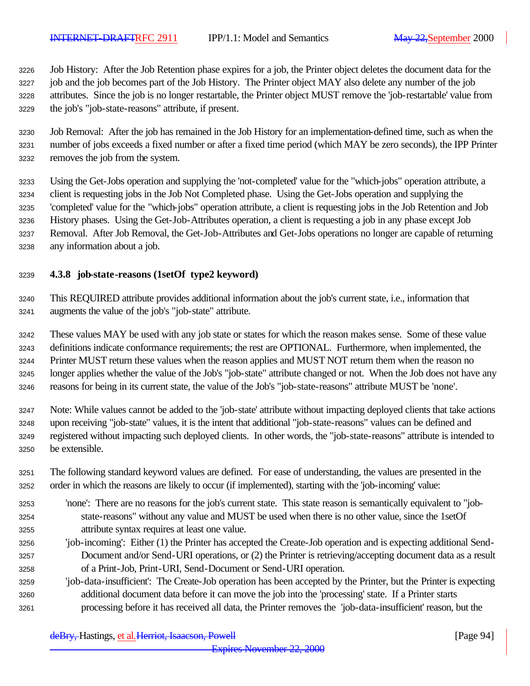Job History: After the Job Retention phase expires for a job, the Printer object deletes the document data for the job and the job becomes part of the Job History. The Printer object MAY also delete any number of the job attributes. Since the job is no longer restartable, the Printer object MUST remove the 'job-restartable' value from the job's "job-state-reasons" attribute, if present.

 Job Removal: After the job has remained in the Job History for an implementation-defined time, such as when the number of jobs exceeds a fixed number or after a fixed time period (which MAY be zero seconds), the IPP Printer removes the job from the system.

 Using the Get-Jobs operation and supplying the 'not-completed' value for the "which-jobs" operation attribute, a client is requesting jobs in the Job Not Completed phase. Using the Get-Jobs operation and supplying the 'completed' value for the "which-jobs" operation attribute, a client is requesting jobs in the Job Retention and Job History phases. Using the Get-Job-Attributes operation, a client is requesting a job in any phase except Job Removal. After Job Removal, the Get-Job-Attributes and Get-Jobs operations no longer are capable of returning any information about a job.

# **4.3.8 job-state-reasons (1setOf type2 keyword)**

 This REQUIRED attribute provides additional information about the job's current state, i.e., information that augments the value of the job's "job-state" attribute.

 These values MAY be used with any job state or states for which the reason makes sense. Some of these value definitions indicate conformance requirements; the rest are OPTIONAL. Furthermore, when implemented, the Printer MUST return these values when the reason applies and MUST NOT return them when the reason no longer applies whether the value of the Job's "job-state" attribute changed or not. When the Job does not have any reasons for being in its current state, the value of the Job's "job-state-reasons" attribute MUST be 'none'.

 Note: While values cannot be added to the 'job-state' attribute without impacting deployed clients that take actions upon receiving "job-state" values, it is the intent that additional "job-state-reasons" values can be defined and registered without impacting such deployed clients. In other words, the "job-state-reasons" attribute is intended to be extensible.

- The following standard keyword values are defined. For ease of understanding, the values are presented in the order in which the reasons are likely to occur (if implemented), starting with the 'job-incoming' value:
- 'none': There are no reasons for the job's current state. This state reason is semantically equivalent to "job- state-reasons" without any value and MUST be used when there is no other value, since the 1setOf attribute syntax requires at least one value.
- 'job-incoming': Either (1) the Printer has accepted the Create-Job operation and is expecting additional Send- Document and/or Send-URI operations, or (2) the Printer is retrieving/accepting document data as a result of a Print-Job, Print-URI, Send-Document or Send-URI operation.
- 'job-data-insufficient': The Create-Job operation has been accepted by the Printer, but the Printer is expecting additional document data before it can move the job into the 'processing' state. If a Printer starts processing before it has received all data, the Printer removes the 'job-data-insufficient' reason, but the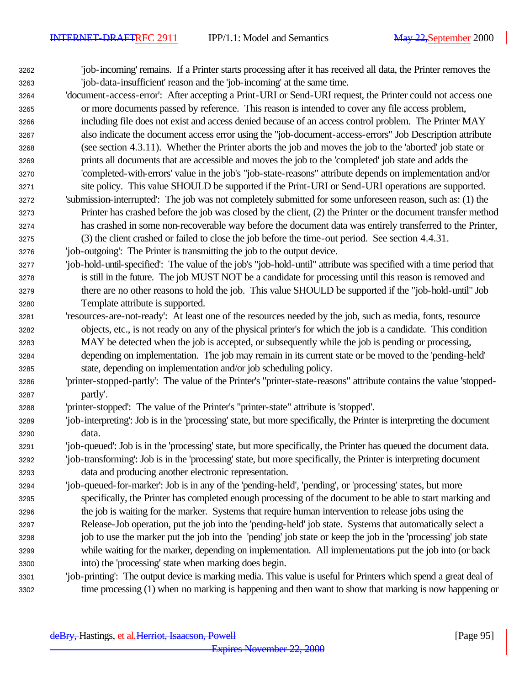- 'job-incoming' remains. If a Printer starts processing after it has received all data, the Printer removes the 'job-data-insufficient' reason and the 'job-incoming' at the same time.
- 'document-access-error': After accepting a Print-URI or Send-URI request, the Printer could not access one or more documents passed by reference. This reason is intended to cover any file access problem, including file does not exist and access denied because of an access control problem. The Printer MAY also indicate the document access error using the "job-document-access-errors" Job Description attribute (see section 4.3.11). Whether the Printer aborts the job and moves the job to the 'aborted' job state or prints all documents that are accessible and moves the job to the 'completed' job state and adds the 'completed-with-errors' value in the job's "job-state-reasons" attribute depends on implementation and/or site policy. This value SHOULD be supported if the Print-URI or Send-URI operations are supported.
- 'submission-interrupted': The job was not completely submitted for some unforeseen reason, such as: (1) the Printer has crashed before the job was closed by the client, (2) the Printer or the document transfer method has crashed in some non-recoverable way before the document data was entirely transferred to the Printer, (3) the client crashed or failed to close the job before the time-out period. See section 4.4.31.
- 'job-outgoing': The Printer is transmitting the job to the output device.
- 'job-hold-until-specified': The value of the job's "job-hold-until" attribute was specified with a time period that is still in the future. The job MUST NOT be a candidate for processing until this reason is removed and there are no other reasons to hold the job. This value SHOULD be supported if the "job-hold-until" Job Template attribute is supported.
- 'resources-are-not-ready': At least one of the resources needed by the job, such as media, fonts, resource objects, etc., is not ready on any of the physical printer's for which the job is a candidate. This condition MAY be detected when the job is accepted, or subsequently while the job is pending or processing, depending on implementation. The job may remain in its current state or be moved to the 'pending-held' state, depending on implementation and/or job scheduling policy.
- 'printer-stopped-partly': The value of the Printer's "printer-state-reasons" attribute contains the value 'stopped-partly'.
- 'printer-stopped': The value of the Printer's "printer-state" attribute is 'stopped'.
- 'job-interpreting': Job is in the 'processing' state, but more specifically, the Printer is interpreting the document data.
- 'job-queued': Job is in the 'processing' state, but more specifically, the Printer has queued the document data.
- 'job-transforming': Job is in the 'processing' state, but more specifically, the Printer is interpreting document data and producing another electronic representation.
- 'job-queued-for-marker': Job is in any of the 'pending-held', 'pending', or 'processing' states, but more specifically, the Printer has completed enough processing of the document to be able to start marking and the job is waiting for the marker. Systems that require human intervention to release jobs using the Release-Job operation, put the job into the 'pending-held' job state. Systems that automatically select a job to use the marker put the job into the 'pending' job state or keep the job in the 'processing' job state while waiting for the marker, depending on implementation. All implementations put the job into (or back into) the 'processing' state when marking does begin.
- 'job-printing': The output device is marking media. This value is useful for Printers which spend a great deal of time processing (1) when no marking is happening and then want to show that marking is now happening or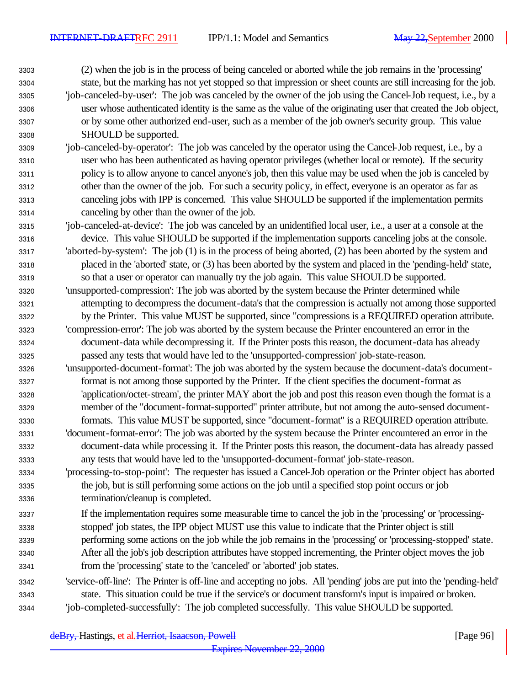(2) when the job is in the process of being canceled or aborted while the job remains in the 'processing' state, but the marking has not yet stopped so that impression or sheet counts are still increasing for the job. 'job-canceled-by-user': The job was canceled by the owner of the job using the Cancel-Job request, i.e., by a user whose authenticated identity is the same as the value of the originating user that created the Job object, or by some other authorized end-user, such as a member of the job owner's security group. This value SHOULD be supported.

- 'job-canceled-by-operator': The job was canceled by the operator using the Cancel-Job request, i.e., by a user who has been authenticated as having operator privileges (whether local or remote). If the security policy is to allow anyone to cancel anyone's job, then this value may be used when the job is canceled by other than the owner of the job. For such a security policy, in effect, everyone is an operator as far as canceling jobs with IPP is concerned. This value SHOULD be supported if the implementation permits canceling by other than the owner of the job.
- 'job-canceled-at-device': The job was canceled by an unidentified local user, i.e., a user at a console at the device. This value SHOULD be supported if the implementation supports canceling jobs at the console. 'aborted-by-system': The job (1) is in the process of being aborted, (2) has been aborted by the system and
- placed in the 'aborted' state, or (3) has been aborted by the system and placed in the 'pending-held' state, so that a user or operator can manually try the job again. This value SHOULD be supported.
- 'unsupported-compression': The job was aborted by the system because the Printer determined while attempting to decompress the document-data's that the compression is actually not among those supported by the Printer. This value MUST be supported, since "compressions is a REQUIRED operation attribute. 'compression-error': The job was aborted by the system because the Printer encountered an error in the
- document-data while decompressing it. If the Printer posts this reason, the document-data has already passed any tests that would have led to the 'unsupported-compression' job-state-reason.
- 'unsupported-document-format': The job was aborted by the system because the document-data's document- format is not among those supported by the Printer. If the client specifies the document-format as 'application/octet-stream', the printer MAY abort the job and post this reason even though the format is a member of the "document-format-supported" printer attribute, but not among the auto-sensed document-formats. This value MUST be supported, since "document-format" is a REQUIRED operation attribute.
- 'document-format-error': The job was aborted by the system because the Printer encountered an error in the document-data while processing it. If the Printer posts this reason, the document-data has already passed any tests that would have led to the 'unsupported-document-format' job-state-reason.
- 'processing-to-stop-point': The requester has issued a Cancel-Job operation or the Printer object has aborted the job, but is still performing some actions on the job until a specified stop point occurs or job termination/cleanup is completed.
- If the implementation requires some measurable time to cancel the job in the 'processing' or 'processing- stopped' job states, the IPP object MUST use this value to indicate that the Printer object is still performing some actions on the job while the job remains in the 'processing' or 'processing-stopped' state. After all the job's job description attributes have stopped incrementing, the Printer object moves the job from the 'processing' state to the 'canceled' or 'aborted' job states.
- 'service-off-line': The Printer is off-line and accepting no jobs. All 'pending' jobs are put into the 'pending-held' state. This situation could be true if the service's or document transform's input is impaired or broken. 'job-completed-successfully': The job completed successfully. This value SHOULD be supported.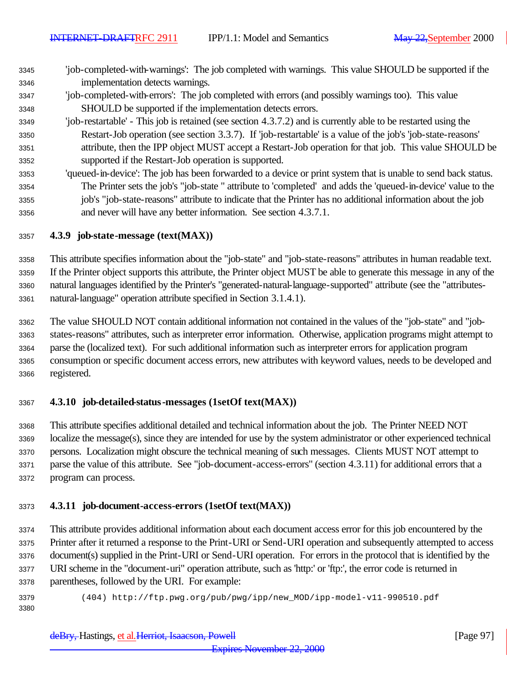- 'job-completed-with-warnings': The job completed with warnings. This value SHOULD be supported if the implementation detects warnings.
- 'job-completed-with-errors': The job completed with errors (and possibly warnings too). This value SHOULD be supported if the implementation detects errors.
- 'job-restartable' This job is retained (see section 4.3.7.2) and is currently able to be restarted using the Restart-Job operation (see section 3.3.7). If 'job-restartable' is a value of the job's 'job-state-reasons' attribute, then the IPP object MUST accept a Restart-Job operation for that job. This value SHOULD be supported if the Restart-Job operation is supported.
- 'queued-in-device': The job has been forwarded to a device or print system that is unable to send back status. The Printer sets the job's "job-state " attribute to 'completed' and adds the 'queued-in-device' value to the job's "job-state-reasons" attribute to indicate that the Printer has no additional information about the job and never will have any better information. See section 4.3.7.1.

# **4.3.9 job-state-message (text(MAX))**

 This attribute specifies information about the "job-state" and "job-state-reasons" attributes in human readable text. If the Printer object supports this attribute, the Printer object MUST be able to generate this message in any of the natural languages identified by the Printer's "generated-natural-language-supported" attribute (see the "attributes-natural-language" operation attribute specified in Section 3.1.4.1).

 The value SHOULD NOT contain additional information not contained in the values of the "job-state" and "job- states-reasons" attributes, such as interpreter error information. Otherwise, application programs might attempt to parse the (localized text). For such additional information such as interpreter errors for application program consumption or specific document access errors, new attributes with keyword values, needs to be developed and registered.

# **4.3.10 job-detailed-status-messages (1setOf text(MAX))**

 This attribute specifies additional detailed and technical information about the job. The Printer NEED NOT localize the message(s), since they are intended for use by the system administrator or other experienced technical persons. Localization might obscure the technical meaning of such messages. Clients MUST NOT attempt to parse the value of this attribute. See "job-document-access-errors" (section 4.3.11) for additional errors that a program can process.

# **4.3.11 job-document-access-errors (1setOf text(MAX))**

 This attribute provides additional information about each document access error for this job encountered by the Printer after it returned a response to the Print-URI or Send-URI operation and subsequently attempted to access document(s) supplied in the Print-URI or Send-URI operation. For errors in the protocol that is identified by the URI scheme in the "document-uri" operation attribute, such as 'http:' or 'ftp:', the error code is returned in parentheses, followed by the URI. For example:

(404) http://ftp.pwg.org/pub/pwg/ipp/new\_MOD/ipp-model-v11-990510.pdf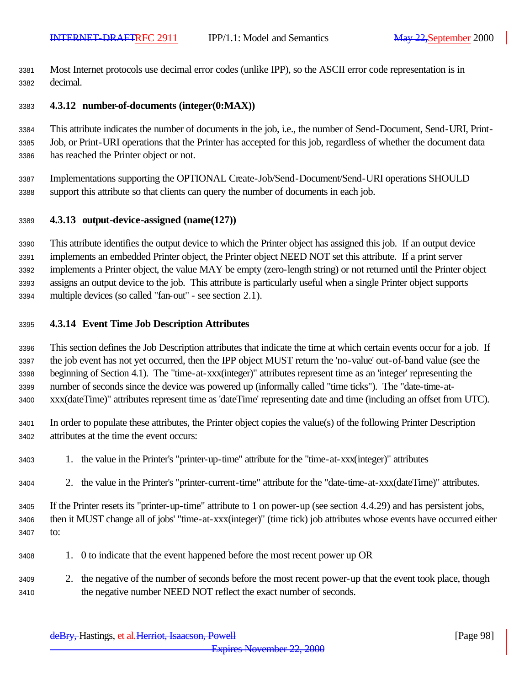Most Internet protocols use decimal error codes (unlike IPP), so the ASCII error code representation is in decimal.

### **4.3.12 number-of-documents (integer(0:MAX))**

 This attribute indicates the number of documents in the job, i.e., the number of Send-Document, Send-URI, Print- Job, or Print-URI operations that the Printer has accepted for this job, regardless of whether the document data has reached the Printer object or not.

 Implementations supporting the OPTIONAL Create-Job/Send-Document/Send-URI operations SHOULD support this attribute so that clients can query the number of documents in each job.

#### **4.3.13 output-device-assigned (name(127))**

 This attribute identifies the output device to which the Printer object has assigned this job. If an output device implements an embedded Printer object, the Printer object NEED NOT set this attribute. If a print server implements a Printer object, the value MAY be empty (zero-length string) or not returned until the Printer object assigns an output device to the job. This attribute is particularly useful when a single Printer object supports multiple devices (so called "fan-out" - see section 2.1).

#### **4.3.14 Event Time Job Description Attributes**

 This section defines the Job Description attributes that indicate the time at which certain events occur for a job. If the job event has not yet occurred, then the IPP object MUST return the 'no-value' out-of-band value (see the beginning of Section 4.1). The "time-at-xxx(integer)" attributes represent time as an 'integer' representing the number of seconds since the device was powered up (informally called "time ticks"). The "date-time-at-xxx(dateTime)" attributes represent time as 'dateTime' representing date and time (including an offset from UTC).

 In order to populate these attributes, the Printer object copies the value(s) of the following Printer Description attributes at the time the event occurs:

- 1. the value in the Printer's "printer-up-time" attribute for the "time-at-xxx(integer)" attributes
- 2. the value in the Printer's "printer-current-time" attribute for the "date-time-at-xxx(dateTime)" attributes.

 If the Printer resets its "printer-up-time" attribute to 1 on power-up (see section 4.4.29) and has persistent jobs, then it MUST change all of jobs' "time-at-xxx(integer)" (time tick) job attributes whose events have occurred either to:

- 1. 0 to indicate that the event happened before the most recent power up OR
- 2. the negative of the number of seconds before the most recent power-up that the event took place, though the negative number NEED NOT reflect the exact number of seconds.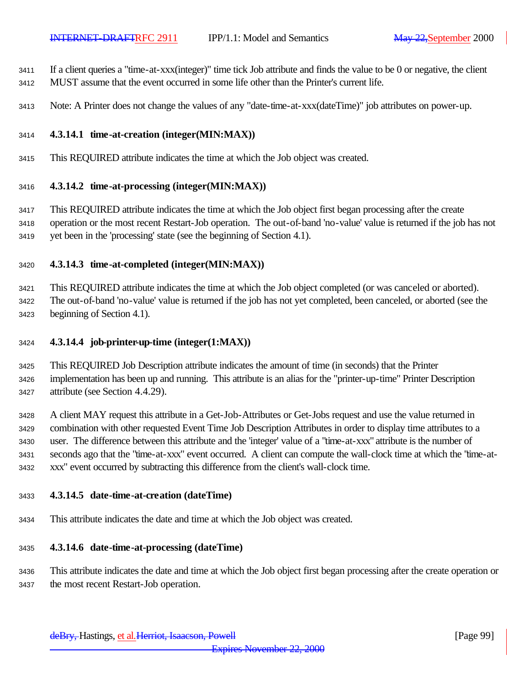If a client queries a "time-at-xxx(integer)" time tick Job attribute and finds the value to be 0 or negative, the client MUST assume that the event occurred in some life other than the Printer's current life.

Note: A Printer does not change the values of any "date-time-at-xxx(dateTime)" job attributes on power-up.

#### **4.3.14.1 time-at-creation (integer(MIN:MAX))**

This REQUIRED attribute indicates the time at which the Job object was created.

#### **4.3.14.2 time-at-processing (integer(MIN:MAX))**

 This REQUIRED attribute indicates the time at which the Job object first began processing after the create operation or the most recent Restart-Job operation. The out-of-band 'no-value' value is returned if the job has not yet been in the 'processing' state (see the beginning of Section 4.1).

# **4.3.14.3 time-at-completed (integer(MIN:MAX))**

 This REQUIRED attribute indicates the time at which the Job object completed (or was canceled or aborted). The out-of-band 'no-value' value is returned if the job has not yet completed, been canceled, or aborted (see the beginning of Section 4.1).

- **4.3.14.4 job-printer-up-time (integer(1:MAX))**
- This REQUIRED Job Description attribute indicates the amount of time (in seconds) that the Printer implementation has been up and running. This attribute is an alias for the "printer-up-time" Printer Description attribute (see Section 4.4.29).

 A client MAY request this attribute in a Get-Job-Attributes or Get-Jobs request and use the value returned in combination with other requested Event Time Job Description Attributes in order to display time attributes to a user. The difference between this attribute and the 'integer' value of a "time-at-xxx" attribute is the number of seconds ago that the "time-at-xxx" event occurred. A client can compute the wall-clock time at which the "time-at-xxx" event occurred by subtracting this difference from the client's wall-clock time.

#### **4.3.14.5 date-time-at-creation (dateTime)**

This attribute indicates the date and time at which the Job object was created.

#### **4.3.14.6 date-time-at-processing (dateTime)**

 This attribute indicates the date and time at which the Job object first began processing after the create operation or the most recent Restart-Job operation.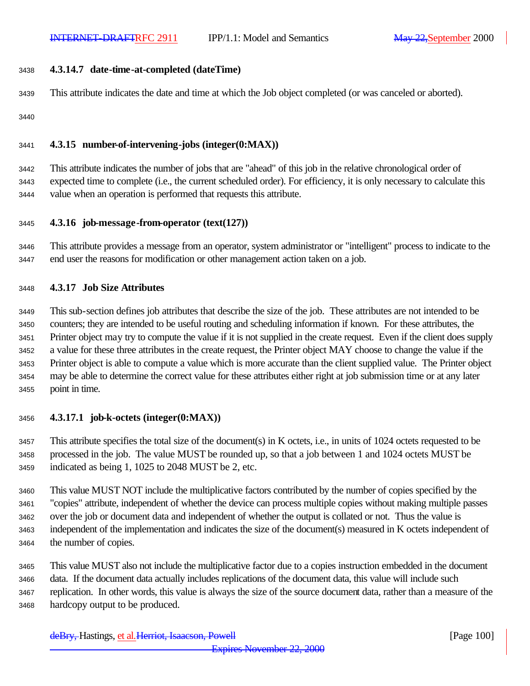### **4.3.14.7 date-time-at-completed (dateTime)**

This attribute indicates the date and time at which the Job object completed (or was canceled or aborted).

# **4.3.15 number-of-intervening-jobs (integer(0:MAX))**

 This attribute indicates the number of jobs that are "ahead" of this job in the relative chronological order of expected time to complete (i.e., the current scheduled order). For efficiency, it is only necessary to calculate this value when an operation is performed that requests this attribute.

# **4.3.16 job-message-from-operator (text(127))**

 This attribute provides a message from an operator, system administrator or "intelligent" process to indicate to the end user the reasons for modification or other management action taken on a job.

# **4.3.17 Job Size Attributes**

 This sub-section defines job attributes that describe the size of the job. These attributes are not intended to be counters; they are intended to be useful routing and scheduling information if known. For these attributes, the Printer object may try to compute the value if it is not supplied in the create request. Even if the client does supply a value for these three attributes in the create request, the Printer object MAY choose to change the value if the Printer object is able to compute a value which is more accurate than the client supplied value. The Printer object may be able to determine the correct value for these attributes either right at job submission time or at any later point in time.

# **4.3.17.1 job-k-octets (integer(0:MAX))**

 This attribute specifies the total size of the document(s) in K octets, i.e., in units of 1024 octets requested to be processed in the job. The value MUST be rounded up, so that a job between 1 and 1024 octets MUST be indicated as being 1, 1025 to 2048 MUST be 2, etc.

 This value MUST NOT include the multiplicative factors contributed by the number of copies specified by the "copies" attribute, independent of whether the device can process multiple copies without making multiple passes over the job or document data and independent of whether the output is collated or not. Thus the value is independent of the implementation and indicates the size of the document(s) measured in K octets independent of the number of copies.

 This value MUST also not include the multiplicative factor due to a copies instruction embedded in the document data. If the document data actually includes replications of the document data, this value will include such replication. In other words, this value is always the size of the source document data, rather than a measure of the hardcopy output to be produced.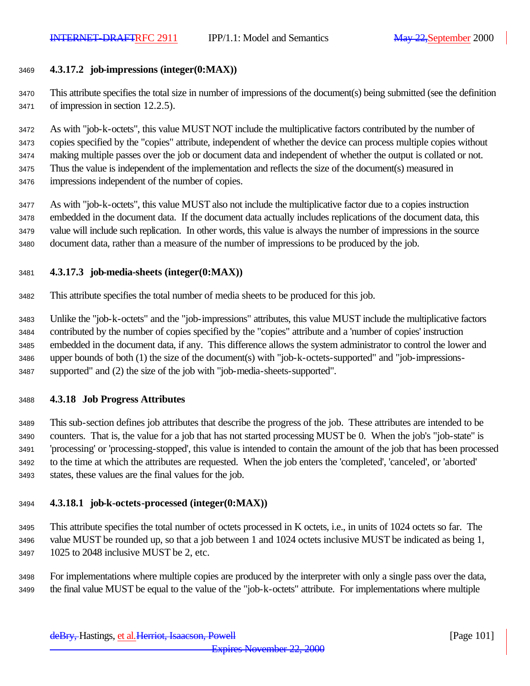# **4.3.17.2 job-impressions (integer(0:MAX))**

 This attribute specifies the total size in number of impressions of the document(s) being submitted (see the definition of impression in section 12.2.5).

 As with "job-k-octets", this value MUST NOT include the multiplicative factors contributed by the number of copies specified by the "copies" attribute, independent of whether the device can process multiple copies without making multiple passes over the job or document data and independent of whether the output is collated or not. Thus the value is independent of the implementation and reflects the size of the document(s) measured in impressions independent of the number of copies.

 As with "job-k-octets", this value MUST also not include the multiplicative factor due to a copies instruction embedded in the document data. If the document data actually includes replications of the document data, this value will include such replication. In other words, this value is always the number of impressions in the source document data, rather than a measure of the number of impressions to be produced by the job.

#### **4.3.17.3 job-media-sheets (integer(0:MAX))**

This attribute specifies the total number of media sheets to be produced for this job.

 Unlike the "job-k-octets" and the "job-impressions" attributes, this value MUST include the multiplicative factors contributed by the number of copies specified by the "copies" attribute and a 'number of copies' instruction embedded in the document data, if any. This difference allows the system administrator to control the lower and upper bounds of both (1) the size of the document(s) with "job-k-octets-supported" and "job-impressions-supported" and (2) the size of the job with "job-media-sheets-supported".

# **4.3.18 Job Progress Attributes**

 This sub-section defines job attributes that describe the progress of the job. These attributes are intended to be counters. That is, the value for a job that has not started processing MUST be 0. When the job's "job-state" is 'processing' or 'processing-stopped', this value is intended to contain the amount of the job that has been processed to the time at which the attributes are requested. When the job enters the 'completed', 'canceled', or 'aborted' states, these values are the final values for the job.

# **4.3.18.1 job-k-octets-processed (integer(0:MAX))**

 This attribute specifies the total number of octets processed in K octets, i.e., in units of 1024 octets so far. The value MUST be rounded up, so that a job between 1 and 1024 octets inclusive MUST be indicated as being 1, 1025 to 2048 inclusive MUST be 2, etc.

 For implementations where multiple copies are produced by the interpreter with only a single pass over the data, the final value MUST be equal to the value of the "job-k-octets" attribute. For implementations where multiple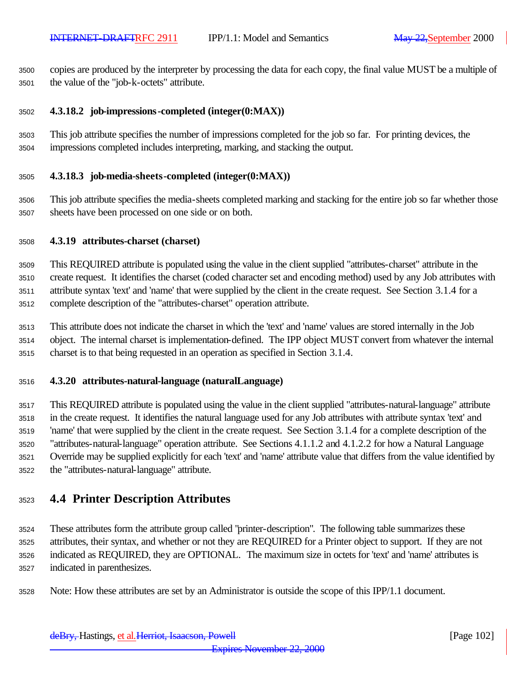copies are produced by the interpreter by processing the data for each copy, the final value MUST be a multiple of the value of the "job-k-octets" attribute.

# **4.3.18.2 job-impressions-completed (integer(0:MAX))**

 This job attribute specifies the number of impressions completed for the job so far. For printing devices, the impressions completed includes interpreting, marking, and stacking the output.

#### **4.3.18.3 job-media-sheets-completed (integer(0:MAX))**

 This job attribute specifies the media-sheets completed marking and stacking for the entire job so far whether those sheets have been processed on one side or on both.

#### **4.3.19 attributes-charset (charset)**

 This REQUIRED attribute is populated using the value in the client supplied "attributes-charset" attribute in the create request. It identifies the charset (coded character set and encoding method) used by any Job attributes with attribute syntax 'text' and 'name' that were supplied by the client in the create request. See Section 3.1.4 for a complete description of the "attributes-charset" operation attribute.

 This attribute does not indicate the charset in which the 'text' and 'name' values are stored internally in the Job object. The internal charset is implementation-defined. The IPP object MUST convert from whatever the internal charset is to that being requested in an operation as specified in Section 3.1.4.

#### **4.3.20 attributes-natural-language (naturalLanguage)**

 This REQUIRED attribute is populated using the value in the client supplied "attributes-natural-language" attribute in the create request. It identifies the natural language used for any Job attributes with attribute syntax 'text' and 'name' that were supplied by the client in the create request. See Section 3.1.4 for a complete description of the "attributes-natural-language" operation attribute. See Sections 4.1.1.2 and 4.1.2.2 for how a Natural Language Override may be supplied explicitly for each 'text' and 'name' attribute value that differs from the value identified by the "attributes-natural-language" attribute.

# **4.4 Printer Description Attributes**

 These attributes form the attribute group called "printer-description". The following table summarizes these attributes, their syntax, and whether or not they are REQUIRED for a Printer object to support. If they are not indicated as REQUIRED, they are OPTIONAL. The maximum size in octets for 'text' and 'name' attributes is indicated in parenthesizes.

Note: How these attributes are set by an Administrator is outside the scope of this IPP/1.1 document.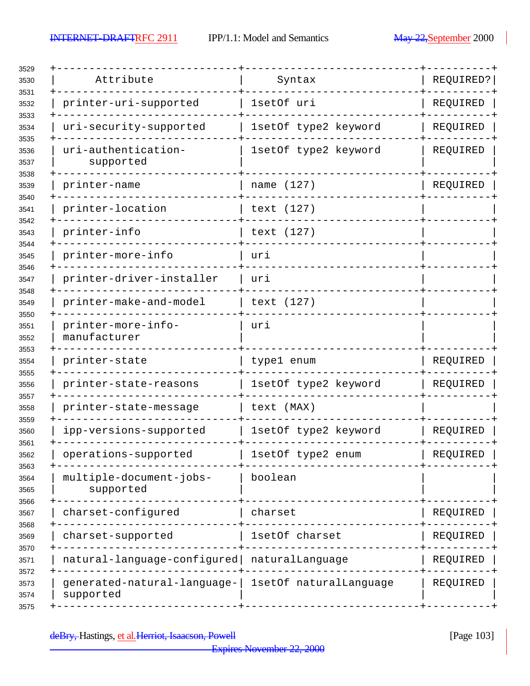$\overline{\phantom{a}}$ 

| Attribute<br>Syntax<br>printer-uri-supported<br>1setOf uri<br>1setOf type2 keyword<br>uri-security-supported<br>uri-authentication-<br>1setOf type2 keyword<br>supported<br>name (127)<br>printer-name<br>printer-location<br>text (127)<br>printer-info<br>text (127)<br>printer-more-info<br>uri<br>printer-driver-installer<br>uri<br>printer-make-and-model<br>text (127)<br>printer-more-info-<br>uri<br>manufacturer<br>printer-state<br>type1 enum<br>1setOf type2 keyword<br>printer-state-reasons<br>text (MAX)<br>printer-state-message<br>1setOf type2 keyword<br>ipp-versions-supported<br>1setOf type2 enum<br>operations-supported<br>multiple-document-jobs-<br>boolean<br>supported<br>charset-configured<br>charset<br>charset-supported<br>1setOf charset<br>natural-language-configured   naturalLanguage |                        |           |
|------------------------------------------------------------------------------------------------------------------------------------------------------------------------------------------------------------------------------------------------------------------------------------------------------------------------------------------------------------------------------------------------------------------------------------------------------------------------------------------------------------------------------------------------------------------------------------------------------------------------------------------------------------------------------------------------------------------------------------------------------------------------------------------------------------------------------|------------------------|-----------|
|                                                                                                                                                                                                                                                                                                                                                                                                                                                                                                                                                                                                                                                                                                                                                                                                                              |                        | REQUIRED? |
|                                                                                                                                                                                                                                                                                                                                                                                                                                                                                                                                                                                                                                                                                                                                                                                                                              |                        | REQUIRED  |
|                                                                                                                                                                                                                                                                                                                                                                                                                                                                                                                                                                                                                                                                                                                                                                                                                              |                        | REQUIRED  |
|                                                                                                                                                                                                                                                                                                                                                                                                                                                                                                                                                                                                                                                                                                                                                                                                                              |                        | REQUIRED  |
|                                                                                                                                                                                                                                                                                                                                                                                                                                                                                                                                                                                                                                                                                                                                                                                                                              |                        | REQUIRED  |
|                                                                                                                                                                                                                                                                                                                                                                                                                                                                                                                                                                                                                                                                                                                                                                                                                              |                        |           |
|                                                                                                                                                                                                                                                                                                                                                                                                                                                                                                                                                                                                                                                                                                                                                                                                                              |                        |           |
|                                                                                                                                                                                                                                                                                                                                                                                                                                                                                                                                                                                                                                                                                                                                                                                                                              |                        |           |
|                                                                                                                                                                                                                                                                                                                                                                                                                                                                                                                                                                                                                                                                                                                                                                                                                              |                        |           |
|                                                                                                                                                                                                                                                                                                                                                                                                                                                                                                                                                                                                                                                                                                                                                                                                                              |                        |           |
|                                                                                                                                                                                                                                                                                                                                                                                                                                                                                                                                                                                                                                                                                                                                                                                                                              |                        |           |
|                                                                                                                                                                                                                                                                                                                                                                                                                                                                                                                                                                                                                                                                                                                                                                                                                              |                        | REQUIRED  |
|                                                                                                                                                                                                                                                                                                                                                                                                                                                                                                                                                                                                                                                                                                                                                                                                                              |                        | REQUIRED  |
|                                                                                                                                                                                                                                                                                                                                                                                                                                                                                                                                                                                                                                                                                                                                                                                                                              |                        |           |
|                                                                                                                                                                                                                                                                                                                                                                                                                                                                                                                                                                                                                                                                                                                                                                                                                              |                        | REQUIRED  |
|                                                                                                                                                                                                                                                                                                                                                                                                                                                                                                                                                                                                                                                                                                                                                                                                                              |                        | KEÕNTKED  |
|                                                                                                                                                                                                                                                                                                                                                                                                                                                                                                                                                                                                                                                                                                                                                                                                                              |                        |           |
|                                                                                                                                                                                                                                                                                                                                                                                                                                                                                                                                                                                                                                                                                                                                                                                                                              |                        | REQUIRED  |
|                                                                                                                                                                                                                                                                                                                                                                                                                                                                                                                                                                                                                                                                                                                                                                                                                              |                        | REQUIRED  |
|                                                                                                                                                                                                                                                                                                                                                                                                                                                                                                                                                                                                                                                                                                                                                                                                                              |                        | REQUIRED  |
| generated-natural-language-<br>supported                                                                                                                                                                                                                                                                                                                                                                                                                                                                                                                                                                                                                                                                                                                                                                                     | 1setOf naturalLanguage | REQUIRED  |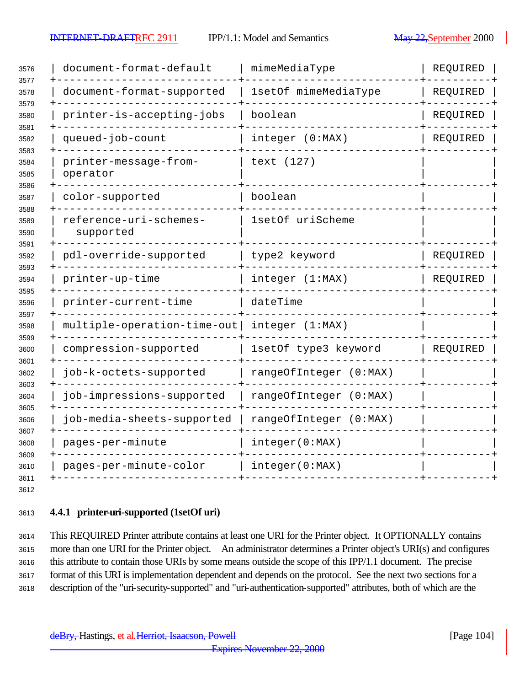| document-format-default             | mimeMediaType          | REQUIRED                      |
|-------------------------------------|------------------------|-------------------------------|
| document-format-supported           | 1setOf mimeMediaType   | REQUIRED                      |
| printer-is-accepting-jobs           | boolean                | REQUIRED                      |
| queued-job-count                    | integer (0:MAX)        | REQUIRED                      |
| printer-message-from-<br>operator   | text (127)             |                               |
| color-supported                     | boolean                |                               |
| reference-uri-schemes-<br>supported | 1setOf uriScheme       |                               |
| pdl-override-supported              | type2 keyword          | REQUIRED                      |
| printer-up-time                     | integer (1:MAX)        | REQUIRED                      |
| printer-current-time                | dateTime               |                               |
|                                     | integer (1:MAX)        |                               |
| compression-supported               | 1setOf type3 keyword   | REQUIRED                      |
| job-k-octets-supported              | rangeOfInteger (0:MAX) |                               |
| job-impressions-supported           | rangeOfInteger (0:MAX) |                               |
| job-media-sheets-supported          | rangeOfInteger (0:MAX) |                               |
| pages-per-minute                    | integer(0:MAX)         |                               |
| pages-per-minute-color              | integer(0:MAX)         |                               |
|                                     |                        | $multiple-operation-time-out$ |

# **4.4.1 printer-uri-supported (1setOf uri)**

 This REQUIRED Printer attribute contains at least one URI for the Printer object. It OPTIONALLY contains more than one URI for the Printer object. An administrator determines a Printer object's URI(s) and configures this attribute to contain those URIs by some means outside the scope of this IPP/1.1 document. The precise format of this URI is implementation dependent and depends on the protocol. See the next two sections for a description of the "uri-security-supported" and "uri-authentication-supported" attributes, both of which are the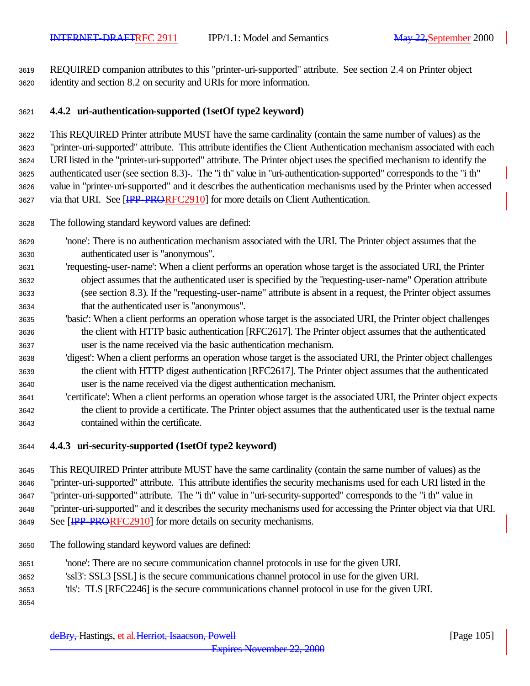REQUIRED companion attributes to this "printer-uri-supported" attribute. See section 2.4 on Printer object identity and section 8.2 on security and URIs for more information.

# **4.4.2 uri-authentication-supported (1setOf type2 keyword)**

 This REQUIRED Printer attribute MUST have the same cardinality (contain the same number of values) as the "printer-uri-supported" attribute. This attribute identifies the Client Authentication mechanism associated with each URI listed in the "printer-uri-supported" attribute. The Printer object uses the specified mechanism to identify the authenticated user (see section 8.3) . The "i th" value in "uri-authentication-supported" corresponds to the "i th" value in "printer-uri-supported" and it describes the authentication mechanisms used by the Printer when accessed 3627 via that URI. See [IPP-PRORFC2910] for more details on Client Authentication.

- The following standard keyword values are defined:
- 'none': There is no authentication mechanism associated with the URI. The Printer object assumes that the authenticated user is "anonymous".
- 'requesting-user-name': When a client performs an operation whose target is the associated URI, the Printer object assumes that the authenticated user is specified by the "requesting-user-name" Operation attribute (see section 8.3). If the "requesting-user-name" attribute is absent in a request, the Printer object assumes that the authenticated user is "anonymous".
- 'basic': When a client performs an operation whose target is the associated URI, the Printer object challenges the client with HTTP basic authentication [RFC2617]. The Printer object assumes that the authenticated user is the name received via the basic authentication mechanism.
- 'digest': When a client performs an operation whose target is the associated URI, the Printer object challenges the client with HTTP digest authentication [RFC2617]. The Printer object assumes that the authenticated user is the name received via the digest authentication mechanism.
- 'certificate': When a client performs an operation whose target is the associated URI, the Printer object expects the client to provide a certificate. The Printer object assumes that the authenticated user is the textual name contained within the certificate.

# **4.4.3 uri-security-supported (1setOf type2 keyword)**

 This REQUIRED Printer attribute MUST have the same cardinality (contain the same number of values) as the "printer-uri-supported" attribute. This attribute identifies the security mechanisms used for each URI listed in the "printer-uri-supported" attribute. The "i th" value in "uri-security-supported" corresponds to the "i th" value in "printer-uri-supported" and it describes the security mechanisms used for accessing the Printer object via that URI. 3649 See [IPP-PRORFC2910] for more details on security mechanisms.

- The following standard keyword values are defined:
- 'none': There are no secure communication channel protocols in use for the given URI.
- 'ssl3': SSL3 [SSL] is the secure communications channel protocol in use for the given URI.
- 'tls': TLS [RFC2246] is the secure communications channel protocol in use for the given URI.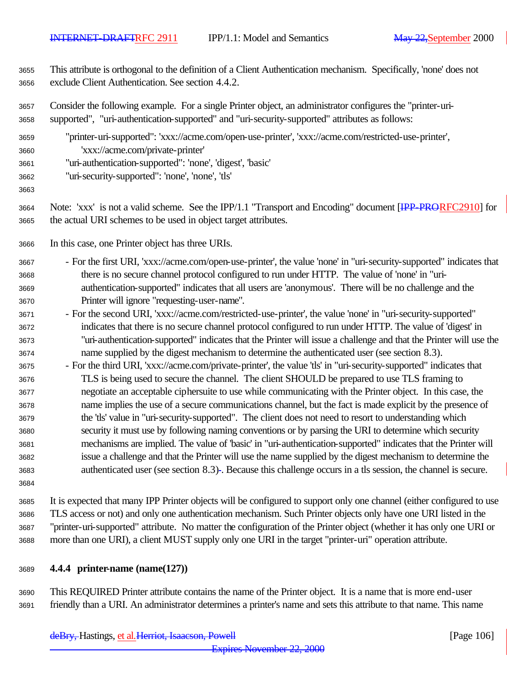This attribute is orthogonal to the definition of a Client Authentication mechanism. Specifically, 'none' does not exclude Client Authentication. See section 4.4.2.

 Consider the following example. For a single Printer object, an administrator configures the "printer-uri-supported", "uri-authentication-supported" and "uri-security-supported" attributes as follows:

- "printer-uri-supported": 'xxx://acme.com/open-use-printer', 'xxx://acme.com/restricted-use-printer', 'xxx://acme.com/private-printer'
- "uri-authentication-supported": 'none', 'digest', 'basic'
- "uri-security-supported": 'none', 'none', 'tls'

- 3664 Note: 'xxx' is not a valid scheme. See the IPP/1.1 "Transport and Encoding" document [IPP-PRORFC2910] for the actual URI schemes to be used in object target attributes.
- In this case, one Printer object has three URIs.
- For the first URI, 'xxx://acme.com/open-use-printer', the value 'none' in "uri-security-supported" indicates that there is no secure channel protocol configured to run under HTTP. The value of 'none' in "uri- authentication-supported" indicates that all users are 'anonymous'. There will be no challenge and the Printer will ignore "requesting-user-name".
- For the second URI, 'xxx://acme.com/restricted-use-printer', the value 'none' in "uri-security-supported" indicates that there is no secure channel protocol configured to run under HTTP. The value of 'digest' in "uri-authentication-supported" indicates that the Printer will issue a challenge and that the Printer will use the name supplied by the digest mechanism to determine the authenticated user (see section 8.3).
- For the third URI, 'xxx://acme.com/private-printer', the value 'tls' in "uri-security-supported" indicates that TLS is being used to secure the channel. The client SHOULD be prepared to use TLS framing to negotiate an acceptable ciphersuite to use while communicating with the Printer object. In this case, the name implies the use of a secure communications channel, but the fact is made explicit by the presence of the 'tls' value in "uri-security-supported". The client does not need to resort to understanding which security it must use by following naming conventions or by parsing the URI to determine which security mechanisms are implied. The value of 'basic' in "uri-authentication-supported" indicates that the Printer will issue a challenge and that the Printer will use the name supplied by the digest mechanism to determine the authenticated user (see section 8.3) . Because this challenge occurs in a tls session, the channel is secure.
- It is expected that many IPP Printer objects will be configured to support only one channel (either configured to use TLS access or not) and only one authentication mechanism. Such Printer objects only have one URI listed in the "printer-uri-supported" attribute. No matter the configuration of the Printer object (whether it has only one URI or more than one URI), a client MUST supply only one URI in the target "printer-uri" operation attribute.
- **4.4.4 printer-name (name(127))**

 This REQUIRED Printer attribute contains the name of the Printer object. It is a name that is more end-user friendly than a URI. An administrator determines a printer's name and sets this attribute to that name. This name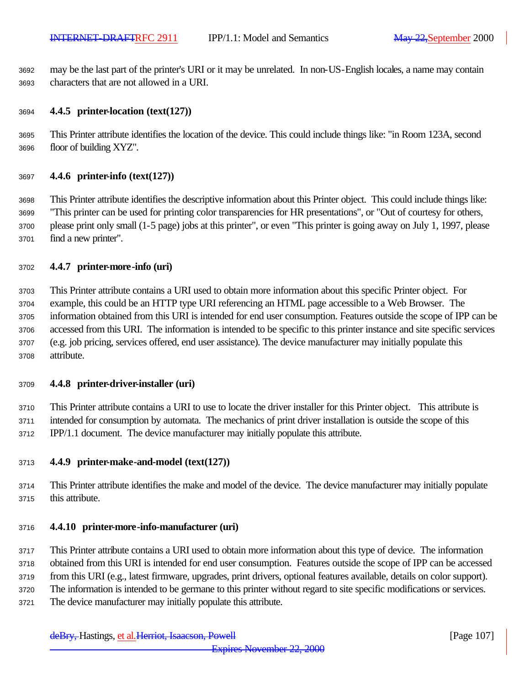may be the last part of the printer's URI or it may be unrelated. In non-US-English locales, a name may contain characters that are not allowed in a URI.

#### **4.4.5 printer-location (text(127))**

 This Printer attribute identifies the location of the device. This could include things like: "in Room 123A, second floor of building XYZ".

#### **4.4.6 printer-info (text(127))**

 This Printer attribute identifies the descriptive information about this Printer object. This could include things like: "This printer can be used for printing color transparencies for HR presentations", or "Out of courtesy for others, please print only small (1-5 page) jobs at this printer", or even "This printer is going away on July 1, 1997, please find a new printer".

#### **4.4.7 printer-more-info (uri)**

 This Printer attribute contains a URI used to obtain more information about this specific Printer object. For example, this could be an HTTP type URI referencing an HTML page accessible to a Web Browser. The information obtained from this URI is intended for end user consumption. Features outside the scope of IPP can be accessed from this URI. The information is intended to be specific to this printer instance and site specific services (e.g. job pricing, services offered, end user assistance). The device manufacturer may initially populate this attribute.

#### **4.4.8 printer-driver-installer (uri)**

 This Printer attribute contains a URI to use to locate the driver installer for this Printer object. This attribute is intended for consumption by automata. The mechanics of print driver installation is outside the scope of this IPP/1.1 document. The device manufacturer may initially populate this attribute.

#### **4.4.9 printer-make-and-model (text(127))**

 This Printer attribute identifies the make and model of the device. The device manufacturer may initially populate this attribute.

#### **4.4.10 printer-more-info-manufacturer (uri)**

This Printer attribute contains a URI used to obtain more information about this type of device. The information

obtained from this URI is intended for end user consumption. Features outside the scope of IPP can be accessed

from this URI (e.g., latest firmware, upgrades, print drivers, optional features available, details on color support).

The information is intended to be germane to this printer without regard to site specific modifications or services.

The device manufacturer may initially populate this attribute.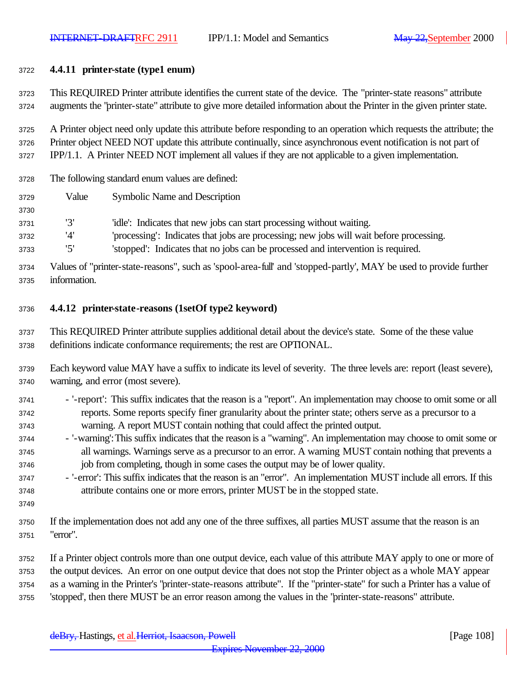### **4.4.11 printer-state (type1 enum)**

 This REQUIRED Printer attribute identifies the current state of the device. The "printer-state reasons" attribute augments the "printer-state" attribute to give more detailed information about the Printer in the given printer state.

 A Printer object need only update this attribute before responding to an operation which requests the attribute; the Printer object NEED NOT update this attribute continually, since asynchronous event notification is not part of IPP/1.1. A Printer NEED NOT implement all values if they are not applicable to a given implementation.

The following standard enum values are defined:

Value Symbolic Name and Description

'3' 'idle': Indicates that new jobs can start processing without waiting.

'4' 'processing': Indicates that jobs are processing; new jobs will wait before processing.

'5' 'stopped': Indicates that no jobs can be processed and intervention is required.

 Values of "printer-state-reasons", such as 'spool-area-full' and 'stopped-partly', MAY be used to provide further information.

# **4.4.12 printer-state-reasons (1setOf type2 keyword)**

 This REQUIRED Printer attribute supplies additional detail about the device's state. Some of the these value definitions indicate conformance requirements; the rest are OPTIONAL.

 Each keyword value MAY have a suffix to indicate its level of severity. The three levels are: report (least severe), warning, and error (most severe).

- '-report': This suffix indicates that the reason is a "report". An implementation may choose to omit some or all reports. Some reports specify finer granularity about the printer state; others serve as a precursor to a warning. A report MUST contain nothing that could affect the printed output.
- '-warning': This suffix indicates that the reason is a "warning". An implementation may choose to omit some or all warnings. Warnings serve as a precursor to an error. A warning MUST contain nothing that prevents a job from completing, though in some cases the output may be of lower quality.
- '-error': This suffix indicates that the reason is an "error". An implementation MUST include all errors. If this attribute contains one or more errors, printer MUST be in the stopped state.
- 

 If the implementation does not add any one of the three suffixes, all parties MUST assume that the reason is an "error".

 If a Printer object controls more than one output device, each value of this attribute MAY apply to one or more of the output devices. An error on one output device that does not stop the Printer object as a whole MAY appear as a warning in the Printer's "printer-state-reasons attribute". If the "printer-state" for such a Printer has a value of 'stopped', then there MUST be an error reason among the values in the "printer-state-reasons" attribute.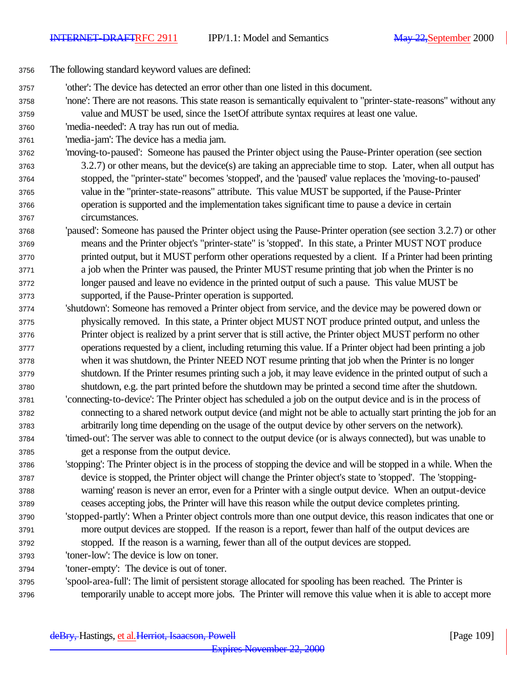- The following standard keyword values are defined:
- 'other': The device has detected an error other than one listed in this document.
- 'none': There are not reasons. This state reason is semantically equivalent to "printer-state-reasons" without any value and MUST be used, since the 1setOf attribute syntax requires at least one value.
- 'media-needed': A tray has run out of media.
- 'media-jam': The device has a media jam.
- 'moving-to-paused': Someone has paused the Printer object using the Pause-Printer operation (see section 3.2.7) or other means, but the device(s) are taking an appreciable time to stop. Later, when all output has stopped, the "printer-state" becomes 'stopped', and the 'paused' value replaces the 'moving-to-paused' value in the "printer-state-reasons" attribute. This value MUST be supported, if the Pause-Printer operation is supported and the implementation takes significant time to pause a device in certain circumstances.
- 'paused': Someone has paused the Printer object using the Pause-Printer operation (see section 3.2.7) or other means and the Printer object's "printer-state" is 'stopped'. In this state, a Printer MUST NOT produce printed output, but it MUST perform other operations requested by a client. If a Printer had been printing a job when the Printer was paused, the Printer MUST resume printing that job when the Printer is no longer paused and leave no evidence in the printed output of such a pause. This value MUST be supported, if the Pause-Printer operation is supported.
- 'shutdown': Someone has removed a Printer object from service, and the device may be powered down or physically removed. In this state, a Printer object MUST NOT produce printed output, and unless the Printer object is realized by a print server that is still active, the Printer object MUST perform no other operations requested by a client, including returning this value. If a Printer object had been printing a job when it was shutdown, the Printer NEED NOT resume printing that job when the Printer is no longer shutdown. If the Printer resumes printing such a job, it may leave evidence in the printed output of such a shutdown, e.g. the part printed before the shutdown may be printed a second time after the shutdown.
- 'connecting-to-device': The Printer object has scheduled a job on the output device and is in the process of connecting to a shared network output device (and might not be able to actually start printing the job for an arbitrarily long time depending on the usage of the output device by other servers on the network).
- 'timed-out': The server was able to connect to the output device (or is always connected), but was unable to get a response from the output device.
- 'stopping': The Printer object is in the process of stopping the device and will be stopped in a while. When the device is stopped, the Printer object will change the Printer object's state to 'stopped'. The 'stopping- warning' reason is never an error, even for a Printer with a single output device. When an output-device ceases accepting jobs, the Printer will have this reason while the output device completes printing.
- 'stopped-partly': When a Printer object controls more than one output device, this reason indicates that one or more output devices are stopped. If the reason is a report, fewer than half of the output devices are stopped. If the reason is a warning, fewer than all of the output devices are stopped.
- 'toner-low': The device is low on toner.

'toner-empty': The device is out of toner.

 'spool-area-full': The limit of persistent storage allocated for spooling has been reached. The Printer is temporarily unable to accept more jobs. The Printer will remove this value when it is able to accept more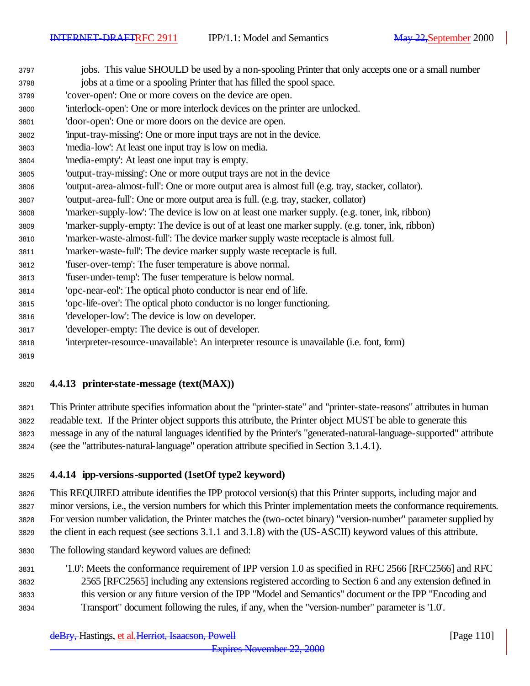| 3798 | jobs at a time or a spooling Printer that has filled the spool space.                             |
|------|---------------------------------------------------------------------------------------------------|
| 3799 | 'cover-open': One or more covers on the device are open.                                          |
| 3800 | 'interlock-open': One or more interlock devices on the printer are unlocked.                      |
| 3801 | 'door-open': One or more doors on the device are open.                                            |
| 3802 | 'input-tray-missing': One or more input trays are not in the device.                              |
| 3803 | 'media-low': At least one input tray is low on media.                                             |
| 3804 | 'media-empty': At least one input tray is empty.                                                  |
| 3805 | 'output-tray-missing': One or more output trays are not in the device                             |
| 3806 | 'output-area-almost-full': One or more output area is almost full (e.g. tray, stacker, collator). |
| 3807 | 'output-area-full': One or more output area is full. (e.g. tray, stacker, collator)               |
| 3808 | 'marker-supply-low': The device is low on at least one marker supply. (e.g. toner, ink, ribbon)   |
| 3809 | 'marker-supply-empty: The device is out of at least one marker supply. (e.g. toner, ink, ribbon)  |
| 3810 | 'marker-waste-almost-full': The device marker supply waste receptacle is almost full.             |
| 3811 | 'marker-waste-full': The device marker supply waste receptacle is full.                           |
| 3812 | 'fuser-over-temp': The fuser temperature is above normal.                                         |
| 3813 | 'fuser-under-temp': The fuser temperature is below normal.                                        |
| 3814 | 'opc-near-eol': The optical photo conductor is near end of life.                                  |
| 3815 | 'opc-life-over': The optical photo conductor is no longer functioning.                            |
| 3816 | 'developer-low': The device is low on developer.                                                  |
| 3817 | 'developer-empty: The device is out of developer.                                                 |
| 3818 | 'interpreter-resource-unavailable': An interpreter resource is unavailable (i.e. font, form)      |

### **4.4.13 printer-state-message (text(MAX))**

 This Printer attribute specifies information about the "printer-state" and "printer-state-reasons" attributes in human readable text. If the Printer object supports this attribute, the Printer object MUST be able to generate this message in any of the natural languages identified by the Printer's "generated-natural-language-supported" attribute (see the "attributes-natural-language" operation attribute specified in Section 3.1.4.1).

### **4.4.14 ipp-versions-supported (1setOf type2 keyword)**

 This REQUIRED attribute identifies the IPP protocol version(s) that this Printer supports, including major and minor versions, i.e., the version numbers for which this Printer implementation meets the conformance requirements. For version number validation, the Printer matches the (two-octet binary) "version-number" parameter supplied by the client in each request (see sections 3.1.1 and 3.1.8) with the (US-ASCII) keyword values of this attribute.

The following standard keyword values are defined:

 '1.0': Meets the conformance requirement of IPP version 1.0 as specified in RFC 2566 [RFC2566] and RFC 2565 [RFC2565] including any extensions registered according to Section 6 and any extension defined in this version or any future version of the IPP "Model and Semantics" document or the IPP "Encoding and Transport" document following the rules, if any, when the "version-number" parameter is '1.0'.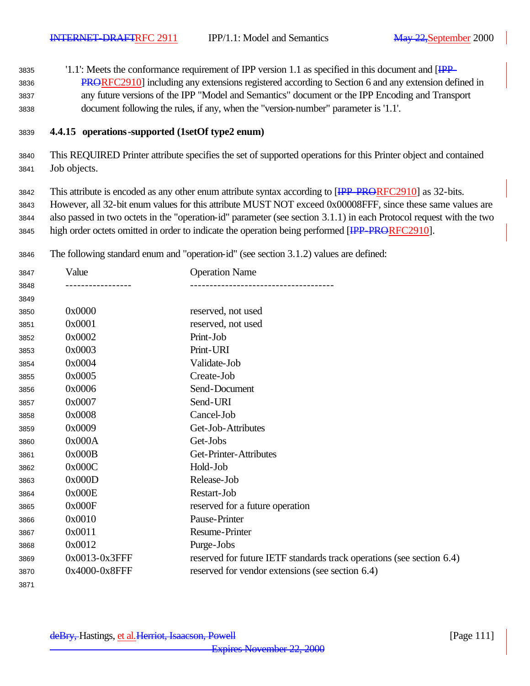3835 '1.1': Meets the conformance requirement of IPP version 1.1 as specified in this document and [IPP- PRORFC2910] including any extensions registered according to Section 6 and any extension defined in any future versions of the IPP "Model and Semantics" document or the IPP Encoding and Transport document following the rules, if any, when the "version-number" parameter is '1.1'.

### **4.4.15 operations-supported (1setOf type2 enum)**

 This REQUIRED Printer attribute specifies the set of supported operations for this Printer object and contained Job objects.

3842 This attribute is encoded as any other enum attribute syntax according to [IPP-PRORFC2910] as 32-bits. However, all 32-bit enum values for this attribute MUST NOT exceed 0x00008FFF, since these same values are also passed in two octets in the "operation-id" parameter (see section 3.1.1) in each Protocol request with the two 3845 high order octets omitted in order to indicate the operation being performed [IPP-PRORFC2910].

The following standard enum and "operation-id" (see section 3.1.2) values are defined:

| 3847 | Value         | <b>Operation Name</b>                                                 |
|------|---------------|-----------------------------------------------------------------------|
| 3848 |               |                                                                       |
| 3849 |               |                                                                       |
| 3850 | 0x0000        | reserved, not used                                                    |
| 3851 | 0x0001        | reserved, not used                                                    |
| 3852 | 0x0002        | Print-Job                                                             |
| 3853 | 0x0003        | Print-URI                                                             |
| 3854 | 0x0004        | Validate-Job                                                          |
| 3855 | 0x0005        | Create-Job                                                            |
| 3856 | 0x0006        | Send-Document                                                         |
| 3857 | 0x0007        | Send-URI                                                              |
| 3858 | 0x0008        | Cancel-Job                                                            |
| 3859 | 0x0009        | Get-Job-Attributes                                                    |
| 3860 | 0x000A        | Get-Jobs                                                              |
| 3861 | 0x000B        | Get-Printer-Attributes                                                |
| 3862 | 0x000C        | Hold-Job                                                              |
| 3863 | 0x000D        | Release-Job                                                           |
| 3864 | 0x000E        | Restart-Job                                                           |
| 3865 | 0x000F        | reserved for a future operation                                       |
| 3866 | 0x0010        | Pause-Printer                                                         |
| 3867 | 0x0011        | <b>Resume-Printer</b>                                                 |
| 3868 | 0x0012        | Purge-Jobs                                                            |
| 3869 | 0x0013-0x3FFF | reserved for future IETF standards track operations (see section 6.4) |
| 3870 | 0x4000-0x8FFF | reserved for vendor extensions (see section 6.4)                      |
| 3871 |               |                                                                       |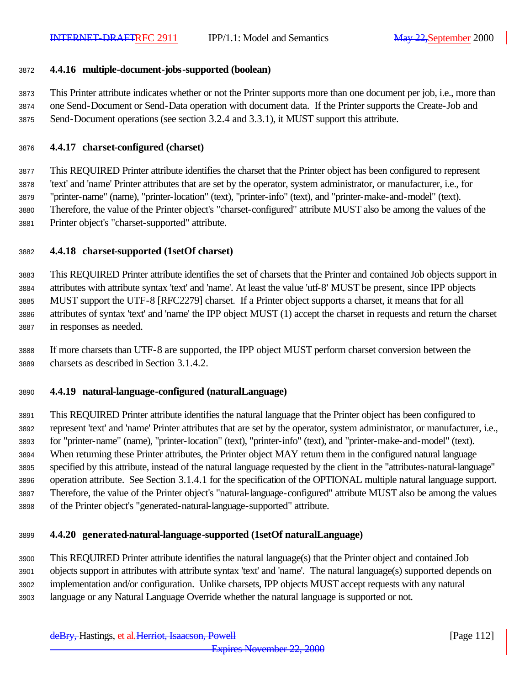### **4.4.16 multiple-document-jobs-supported (boolean)**

 This Printer attribute indicates whether or not the Printer supports more than one document per job, i.e., more than one Send-Document or Send-Data operation with document data. If the Printer supports the Create-Job and Send-Document operations (see section 3.2.4 and 3.3.1), it MUST support this attribute.

#### **4.4.17 charset-configured (charset)**

 This REQUIRED Printer attribute identifies the charset that the Printer object has been configured to represent 'text' and 'name' Printer attributes that are set by the operator, system administrator, or manufacturer, i.e., for "printer-name" (name), "printer-location" (text), "printer-info" (text), and "printer-make-and-model" (text). Therefore, the value of the Printer object's "charset-configured" attribute MUST also be among the values of the Printer object's "charset-supported" attribute.

### **4.4.18 charset-supported (1setOf charset)**

 This REQUIRED Printer attribute identifies the set of charsets that the Printer and contained Job objects support in attributes with attribute syntax 'text' and 'name'. At least the value 'utf-8' MUST be present, since IPP objects MUST support the UTF-8 [RFC2279] charset. If a Printer object supports a charset, it means that for all attributes of syntax 'text' and 'name' the IPP object MUST (1) accept the charset in requests and return the charset in responses as needed.

 If more charsets than UTF-8 are supported, the IPP object MUST perform charset conversion between the charsets as described in Section 3.1.4.2.

#### **4.4.19 natural-language-configured (naturalLanguage)**

 This REQUIRED Printer attribute identifies the natural language that the Printer object has been configured to represent 'text' and 'name' Printer attributes that are set by the operator, system administrator, or manufacturer, i.e., for "printer-name" (name), "printer-location" (text), "printer-info" (text), and "printer-make-and-model" (text). When returning these Printer attributes, the Printer object MAY return them in the configured natural language specified by this attribute, instead of the natural language requested by the client in the "attributes-natural-language" operation attribute. See Section 3.1.4.1 for the specification of the OPTIONAL multiple natural language support. Therefore, the value of the Printer object's "natural-language-configured" attribute MUST also be among the values of the Printer object's "generated-natural-language-supported" attribute.

### **4.4.20 generated-natural-language-supported (1setOf naturalLanguage)**

 This REQUIRED Printer attribute identifies the natural language(s) that the Printer object and contained Job objects support in attributes with attribute syntax 'text' and 'name'. The natural language(s) supported depends on implementation and/or configuration. Unlike charsets, IPP objects MUST accept requests with any natural language or any Natural Language Override whether the natural language is supported or not.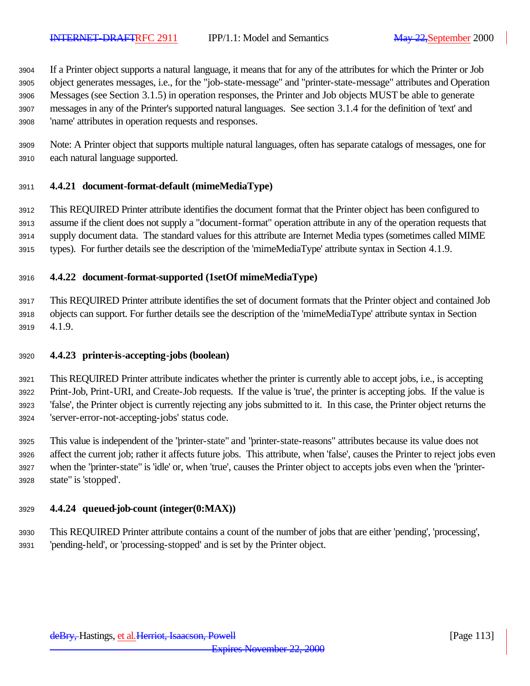If a Printer object supports a natural language, it means that for any of the attributes for which the Printer or Job object generates messages, i.e., for the "job-state-message" and "printer-state-message" attributes and Operation Messages (see Section 3.1.5) in operation responses, the Printer and Job objects MUST be able to generate messages in any of the Printer's supported natural languages. See section 3.1.4 for the definition of 'text' and 'name' attributes in operation requests and responses.

 Note: A Printer object that supports multiple natural languages, often has separate catalogs of messages, one for each natural language supported.

### **4.4.21 document-format-default (mimeMediaType)**

 This REQUIRED Printer attribute identifies the document format that the Printer object has been configured to assume if the client does not supply a "document-format" operation attribute in any of the operation requests that supply document data. The standard values for this attribute are Internet Media types (sometimes called MIME types). For further details see the description of the 'mimeMediaType' attribute syntax in Section 4.1.9.

### **4.4.22 document-format-supported (1setOf mimeMediaType)**

 This REQUIRED Printer attribute identifies the set of document formats that the Printer object and contained Job objects can support. For further details see the description of the 'mimeMediaType' attribute syntax in Section 4.1.9.

### **4.4.23 printer-is-accepting-jobs (boolean)**

 This REQUIRED Printer attribute indicates whether the printer is currently able to accept jobs, i.e., is accepting Print-Job, Print-URI, and Create-Job requests. If the value is 'true', the printer is accepting jobs. If the value is 'false', the Printer object is currently rejecting any jobs submitted to it. In this case, the Printer object returns the 'server-error-not-accepting-jobs' status code.

 This value is independent of the "printer-state" and "printer-state-reasons" attributes because its value does not affect the current job; rather it affects future jobs. This attribute, when 'false', causes the Printer to reject jobs even when the "printer-state" is 'idle' or, when 'true', causes the Printer object to accepts jobs even when the "printer-state" is 'stopped'.

### **4.4.24 queued-job-count (integer(0:MAX))**

 This REQUIRED Printer attribute contains a count of the number of jobs that are either 'pending', 'processing', 'pending-held', or 'processing-stopped' and is set by the Printer object.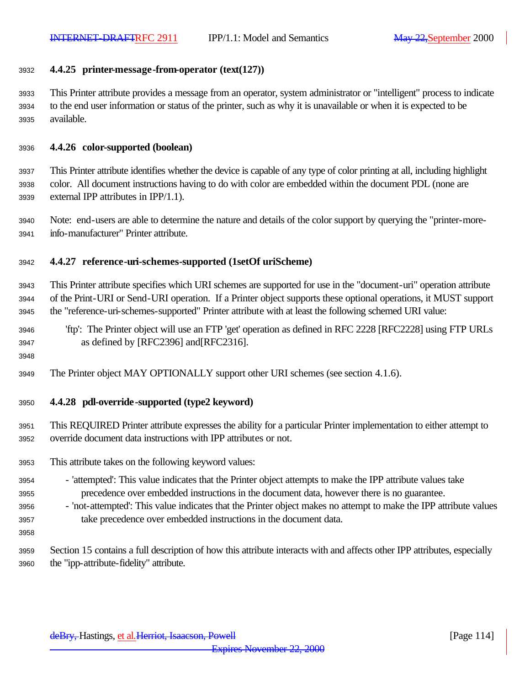#### **4.4.25 printer-message-from-operator (text(127))**

 This Printer attribute provides a message from an operator, system administrator or "intelligent" process to indicate to the end user information or status of the printer, such as why it is unavailable or when it is expected to be available.

#### **4.4.26 color-supported (boolean)**

 This Printer attribute identifies whether the device is capable of any type of color printing at all, including highlight color. All document instructions having to do with color are embedded within the document PDL (none are external IPP attributes in IPP/1.1).

 Note: end-users are able to determine the nature and details of the color support by querying the "printer-more-info-manufacturer" Printer attribute.

### **4.4.27 reference-uri-schemes-supported (1setOf uriScheme)**

 This Printer attribute specifies which URI schemes are supported for use in the "document-uri" operation attribute of the Print-URI or Send-URI operation. If a Printer object supports these optional operations, it MUST support the "reference-uri-schemes-supported" Printer attribute with at least the following schemed URI value:

 'ftp': The Printer object will use an FTP 'get' operation as defined in RFC 2228 [RFC2228] using FTP URLs as defined by [RFC2396] and[RFC2316].

- The Printer object MAY OPTIONALLY support other URI schemes (see section 4.1.6).
- **4.4.28 pdl-override-supported (type2 keyword)**
- This REQUIRED Printer attribute expresses the ability for a particular Printer implementation to either attempt to override document data instructions with IPP attributes or not.
- This attribute takes on the following keyword values:
- 'attempted': This value indicates that the Printer object attempts to make the IPP attribute values take precedence over embedded instructions in the document data, however there is no guarantee.
- 'not-attempted': This value indicates that the Printer object makes no attempt to make the IPP attribute values take precedence over embedded instructions in the document data.
- 

 Section 15 contains a full description of how this attribute interacts with and affects other IPP attributes, especially the "ipp-attribute-fidelity" attribute.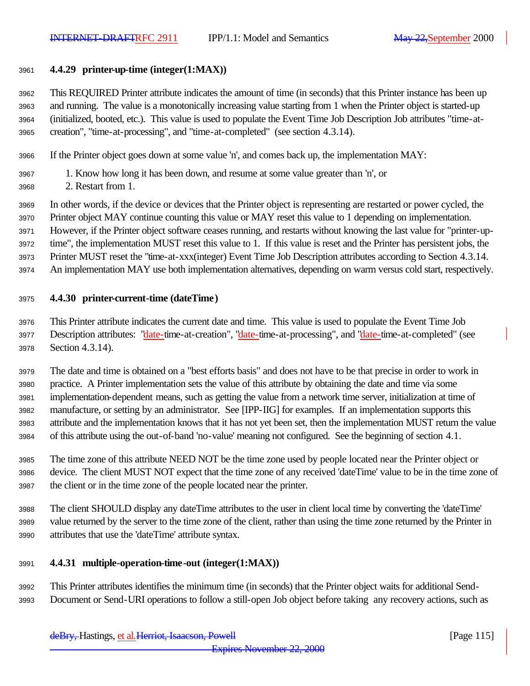### **4.4.29 printer-up-time (integer(1:MAX))**

 This REQUIRED Printer attribute indicates the amount of time (in seconds) that this Printer instance has been up and running. The value is a monotonically increasing value starting from 1 when the Printer object is started-up (initialized, booted, etc.). This value is used to populate the Event Time Job Description Job attributes "time-at-creation", "time-at-processing", and "time-at-completed" (see section 4.3.14).

If the Printer object goes down at some value 'n', and comes back up, the implementation MAY:

1. Know how long it has been down, and resume at some value greater than 'n', or

2. Restart from 1.

In other words, if the device or devices that the Printer object is representing are restarted or power cycled, the

Printer object MAY continue counting this value or MAY reset this value to 1 depending on implementation.

However, if the Printer object software ceases running, and restarts without knowing the last value for "printer-up-

time", the implementation MUST reset this value to 1. If this value is reset and the Printer has persistent jobs, the

- Printer MUST reset the "time-at-xxx(integer) Event Time Job Description attributes according to Section 4.3.14.
- An implementation MAY use both implementation alternatives, depending on warm versus cold start, respectively.

### **4.4.30 printer-current-time (dateTime)**

 This Printer attribute indicates the current date and time. This value is used to populate the Event Time Job 3977 Description attributes: "date-time-at-creation", "date-time-at-processing", and "date-time-at-completed" (see Section 4.3.14).

 The date and time is obtained on a "best efforts basis" and does not have to be that precise in order to work in practice. A Printer implementation sets the value of this attribute by obtaining the date and time via some implementation-dependent means, such as getting the value from a network time server, initialization at time of manufacture, or setting by an administrator. See [IPP-IIG] for examples. If an implementation supports this attribute and the implementation knows that it has not yet been set, then the implementation MUST return the value of this attribute using the out-of-band 'no-value' meaning not configured. See the beginning of section 4.1.

 The time zone of this attribute NEED NOT be the time zone used by people located near the Printer object or device. The client MUST NOT expect that the time zone of any received 'dateTime' value to be in the time zone of the client or in the time zone of the people located near the printer.

 The client SHOULD display any dateTime attributes to the user in client local time by converting the 'dateTime' value returned by the server to the time zone of the client, rather than using the time zone returned by the Printer in attributes that use the 'dateTime' attribute syntax.

### **4.4.31 multiple-operation-time-out (integer(1:MAX))**

 This Printer attributes identifies the minimum time (in seconds) that the Printer object waits for additional Send-Document or Send-URI operations to follow a still-open Job object before taking any recovery actions, such as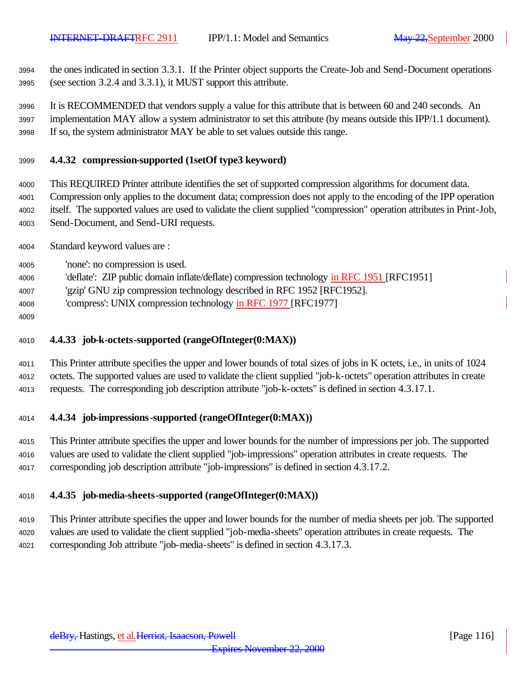the ones indicated in section 3.3.1. If the Printer object supports the Create-Job and Send-Document operations (see section 3.2.4 and 3.3.1), it MUST support this attribute.

 It is RECOMMENDED that vendors supply a value for this attribute that is between 60 and 240 seconds. An implementation MAY allow a system administrator to set this attribute (by means outside this IPP/1.1 document). If so, the system administrator MAY be able to set values outside this range.

### **4.4.32 compression-supported (1setOf type3 keyword)**

 This REQUIRED Printer attribute identifies the set of supported compression algorithms for document data. Compression only applies to the document data; compression does not apply to the encoding of the IPP operation itself. The supported values are used to validate the client supplied "compression" operation attributes in Print-Job,

Send-Document, and Send-URI requests.

Standard keyword values are :

'none': no compression is used.

'deflate': ZIP public domain inflate/deflate) compression technology in RFC 1951 [RFC1951]

'gzip' GNU zip compression technology described in RFC 1952 [RFC1952].

'compress': UNIX compression technology in RFC 1977 [RFC1977]

### **4.4.33 job-k-octets-supported (rangeOfInteger(0:MAX))**

 This Printer attribute specifies the upper and lower bounds of total sizes of jobs in K octets, i.e., in units of 1024 octets. The supported values are used to validate the client supplied "job-k-octets" operation attributes in create requests. The corresponding job description attribute "job-k-octets" is defined in section 4.3.17.1.

### **4.4.34 job-impressions-supported (rangeOfInteger(0:MAX))**

 This Printer attribute specifies the upper and lower bounds for the number of impressions per job. The supported values are used to validate the client supplied "job-impressions" operation attributes in create requests. The corresponding job description attribute "job-impressions" is defined in section 4.3.17.2.

### **4.4.35 job-media-sheets-supported (rangeOfInteger(0:MAX))**

 This Printer attribute specifies the upper and lower bounds for the number of media sheets per job. The supported values are used to validate the client supplied "job-media-sheets" operation attributes in create requests. The corresponding Job attribute "job-media-sheets" is defined in section 4.3.17.3.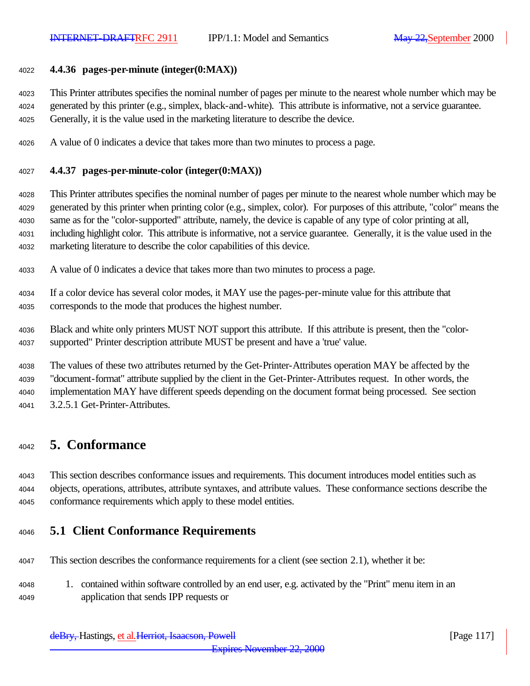#### **4.4.36 pages-per-minute (integer(0:MAX))**

 This Printer attributes specifies the nominal number of pages per minute to the nearest whole number which may be generated by this printer (e.g., simplex, black-and-white). This attribute is informative, not a service guarantee. Generally, it is the value used in the marketing literature to describe the device.

A value of 0 indicates a device that takes more than two minutes to process a page.

#### **4.4.37 pages-per-minute-color (integer(0:MAX))**

 This Printer attributes specifies the nominal number of pages per minute to the nearest whole number which may be generated by this printer when printing color (e.g., simplex, color). For purposes of this attribute, "color" means the same as for the "color-supported" attribute, namely, the device is capable of any type of color printing at all, including highlight color. This attribute is informative, not a service guarantee. Generally, it is the value used in the marketing literature to describe the color capabilities of this device.

- A value of 0 indicates a device that takes more than two minutes to process a page.
- If a color device has several color modes, it MAY use the pages-per-minute value for this attribute that corresponds to the mode that produces the highest number.
- Black and white only printers MUST NOT support this attribute. If this attribute is present, then the "color-supported" Printer description attribute MUST be present and have a 'true' value.

 The values of these two attributes returned by the Get-Printer-Attributes operation MAY be affected by the "document-format" attribute supplied by the client in the Get-Printer-Attributes request. In other words, the implementation MAY have different speeds depending on the document format being processed. See section 3.2.5.1 Get-Printer-Attributes.

# **5. Conformance**

 This section describes conformance issues and requirements. This document introduces model entities such as objects, operations, attributes, attribute syntaxes, and attribute values. These conformance sections describe the conformance requirements which apply to these model entities.

### **5.1 Client Conformance Requirements**

- This section describes the conformance requirements for a client (see section 2.1), whether it be:
- 1. contained within software controlled by an end user, e.g. activated by the "Print" menu item in an application that sends IPP requests or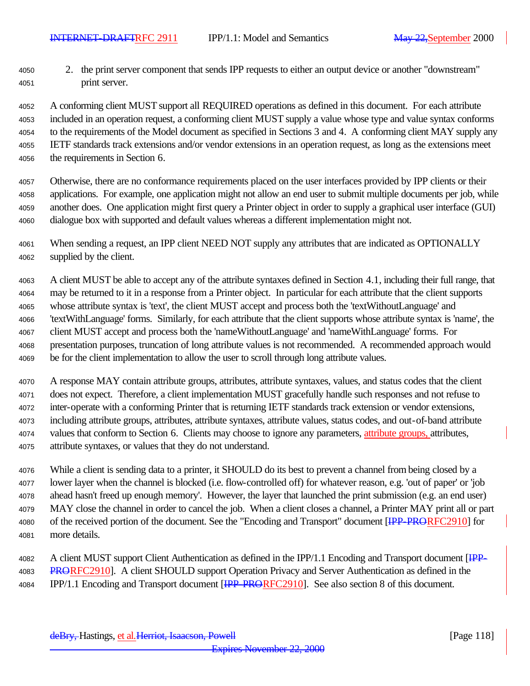2. the print server component that sends IPP requests to either an output device or another "downstream" print server.

 A conforming client MUST support all REQUIRED operations as defined in this document. For each attribute included in an operation request, a conforming client MUST supply a value whose type and value syntax conforms to the requirements of the Model document as specified in Sections 3 and 4. A conforming client MAY supply any IETF standards track extensions and/or vendor extensions in an operation request, as long as the extensions meet the requirements in Section 6.

 Otherwise, there are no conformance requirements placed on the user interfaces provided by IPP clients or their applications. For example, one application might not allow an end user to submit multiple documents per job, while another does. One application might first query a Printer object in order to supply a graphical user interface (GUI) dialogue box with supported and default values whereas a different implementation might not.

 When sending a request, an IPP client NEED NOT supply any attributes that are indicated as OPTIONALLY supplied by the client.

 A client MUST be able to accept any of the attribute syntaxes defined in Section 4.1, including their full range, that may be returned to it in a response from a Printer object. In particular for each attribute that the client supports whose attribute syntax is 'text', the client MUST accept and process both the 'textWithoutLanguage' and 'textWithLanguage' forms. Similarly, for each attribute that the client supports whose attribute syntax is 'name', the client MUST accept and process both the 'nameWithoutLanguage' and 'nameWithLanguage' forms. For presentation purposes, truncation of long attribute values is not recommended. A recommended approach would be for the client implementation to allow the user to scroll through long attribute values.

 A response MAY contain attribute groups, attributes, attribute syntaxes, values, and status codes that the client does not expect. Therefore, a client implementation MUST gracefully handle such responses and not refuse to inter-operate with a conforming Printer that is returning IETF standards track extension or vendor extensions, including attribute groups, attributes, attribute syntaxes, attribute values, status codes, and out-of-band attribute 4074 values that conform to Section 6. Clients may choose to ignore any parameters, attribute groups, attributes, attribute syntaxes, or values that they do not understand.

 While a client is sending data to a printer, it SHOULD do its best to prevent a channel from being closed by a lower layer when the channel is blocked (i.e. flow-controlled off) for whatever reason, e.g. 'out of paper' or 'job ahead hasn't freed up enough memory'. However, the layer that launched the print submission (e.g. an end user) MAY close the channel in order to cancel the job. When a client closes a channel, a Printer MAY print all or part 4080 of the received portion of the document. See the "Encoding and Transport" document [IPP-PRORFC2910] for more details.

<sup>4082</sup> A client MUST support Client Authentication as defined in the IPP/1.1 Encoding and Transport document [IPP-4083 PRORFC2910]. A client SHOULD support Operation Privacy and Server Authentication as defined in the 4084 IPP/1.1 Encoding and Transport document [IPP-PRORFC2910]. See also section 8 of this document.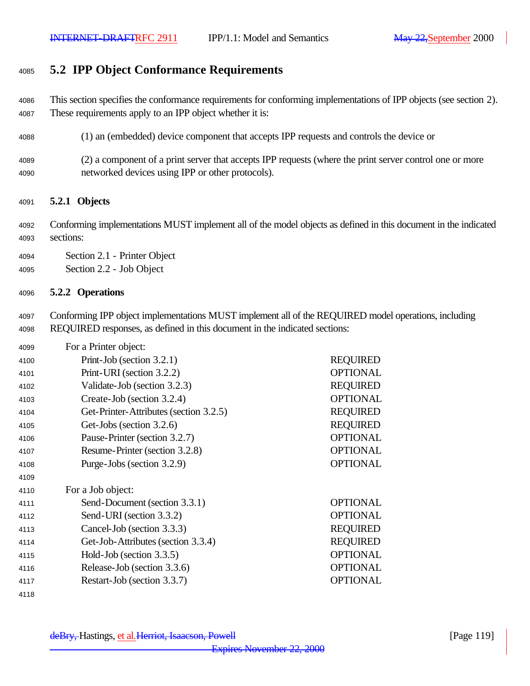# **5.2 IPP Object Conformance Requirements**

 This section specifies the conformance requirements for conforming implementations of IPP objects (see section 2). These requirements apply to an IPP object whether it is:

- (1) an (embedded) device component that accepts IPP requests and controls the device or
- (2) a component of a print server that accepts IPP requests (where the print server control one or more networked devices using IPP or other protocols).

### **5.2.1 Objects**

 Conforming implementations MUST implement all of the model objects as defined in this document in the indicated sections:

Section 2.1 - Printer Object

Section 2.2 - Job Object

### **5.2.2 Operations**

 Conforming IPP object implementations MUST implement all of the REQUIRED model operations, including REQUIRED responses, as defined in this document in the indicated sections:

| 4099 | For a Printer object:                  |                 |
|------|----------------------------------------|-----------------|
| 4100 | Print-Job (section $3.2.1$ )           | <b>REQUIRED</b> |
| 4101 | Print-URI (section 3.2.2)              | <b>OPTIONAL</b> |
| 4102 | Validate-Job (section 3.2.3)           | <b>REQUIRED</b> |
| 4103 | Create-Job (section 3.2.4)             | <b>OPTIONAL</b> |
| 4104 | Get-Printer-Attributes (section 3.2.5) | <b>REQUIRED</b> |
| 4105 | Get-Jobs (section 3.2.6)               | <b>REQUIRED</b> |
| 4106 | Pause-Printer (section 3.2.7)          | <b>OPTIONAL</b> |
| 4107 | Resume-Printer (section 3.2.8)         | <b>OPTIONAL</b> |
| 4108 | Purge-Jobs (section 3.2.9)             | <b>OPTIONAL</b> |
| 4109 |                                        |                 |
| 4110 | For a Job object:                      |                 |
| 4111 | Send-Document (section 3.3.1)          | <b>OPTIONAL</b> |
| 4112 | Send-URI (section 3.3.2)               | <b>OPTIONAL</b> |
| 4113 | Cancel-Job (section 3.3.3)             | <b>REQUIRED</b> |
| 4114 | Get-Job-Attributes (section 3.3.4)     | <b>REQUIRED</b> |
| 4115 | Hold-Job (section $3.3.5$ )            | <b>OPTIONAL</b> |
| 4116 | Release-Job (section 3.3.6)            | <b>OPTIONAL</b> |
| 4117 | Restart-Job (section 3.3.7)            | <b>OPTIONAL</b> |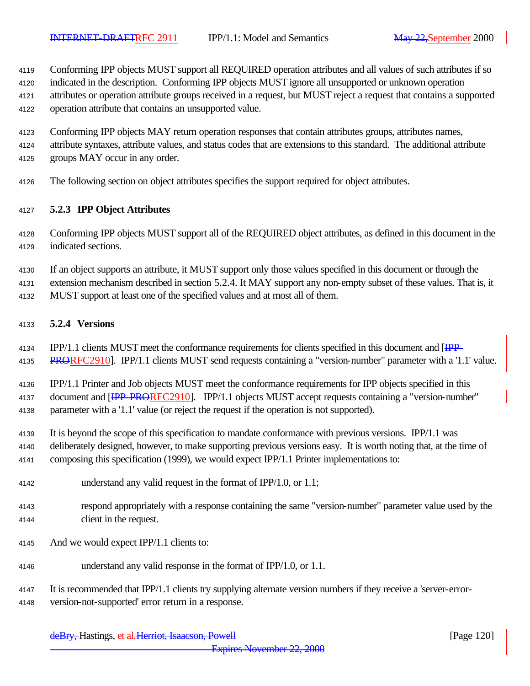Conforming IPP objects MUST support all REQUIRED operation attributes and all values of such attributes if so

 indicated in the description. Conforming IPP objects MUST ignore all unsupported or unknown operation attributes or operation attribute groups received in a request, but MUST reject a request that contains a supported

operation attribute that contains an unsupported value.

- Conforming IPP objects MAY return operation responses that contain attributes groups, attributes names,
- attribute syntaxes, attribute values, and status codes that are extensions to this standard. The additional attribute

groups MAY occur in any order.

The following section on object attributes specifies the support required for object attributes.

### **5.2.3 IPP Object Attributes**

 Conforming IPP objects MUST support all of the REQUIRED object attributes, as defined in this document in the indicated sections.

If an object supports an attribute, it MUST support only those values specified in this document or through the

extension mechanism described in section 5.2.4. It MAY support any non-empty subset of these values. That is, it

MUST support at least one of the specified values and at most all of them.

### **5.2.4 Versions**

 IPP/1.1 clients MUST meet the conformance requirements for clients specified in this document and [IPP-4135 PRORFC2910]. IPP/1.1 clients MUST send requests containing a "version-number" parameter with a '1.1' value.

 IPP/1.1 Printer and Job objects MUST meet the conformance requirements for IPP objects specified in this 4137 document and [IPP-PRORFC2910]. IPP/1.1 objects MUST accept requests containing a "version-number"

parameter with a '1.1' value (or reject the request if the operation is not supported).

It is beyond the scope of this specification to mandate conformance with previous versions. IPP/1.1 was

 deliberately designed, however, to make supporting previous versions easy. It is worth noting that, at the time of composing this specification (1999), we would expect IPP/1.1 Printer implementations to:

- understand any valid request in the format of IPP/1.0, or 1.1;
- respond appropriately with a response containing the same "version-number" parameter value used by the client in the request.
- And we would expect IPP/1.1 clients to:
- understand any valid response in the format of IPP/1.0, or 1.1.
- It is recommended that IPP/1.1 clients try supplying alternate version numbers if they receive a 'server-error-version-not-supported' error return in a response.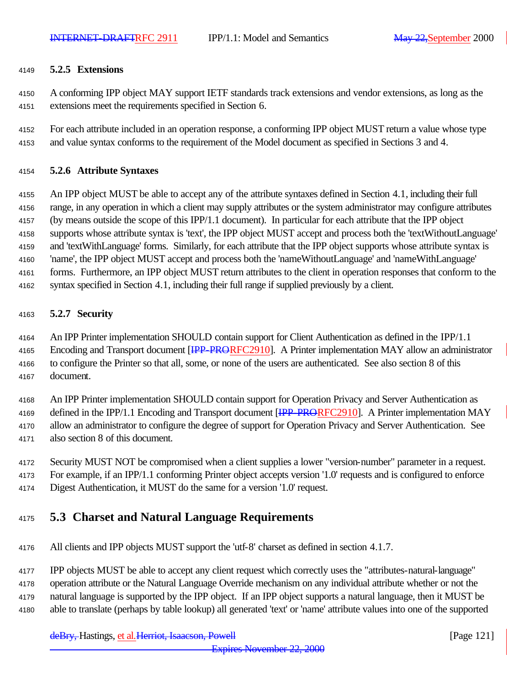### **5.2.5 Extensions**

 A conforming IPP object MAY support IETF standards track extensions and vendor extensions, as long as the extensions meet the requirements specified in Section 6.

 For each attribute included in an operation response, a conforming IPP object MUST return a value whose type and value syntax conforms to the requirement of the Model document as specified in Sections 3 and 4.

### **5.2.6 Attribute Syntaxes**

 An IPP object MUST be able to accept any of the attribute syntaxes defined in Section 4.1, including their full range, in any operation in which a client may supply attributes or the system administrator may configure attributes (by means outside the scope of this IPP/1.1 document). In particular for each attribute that the IPP object supports whose attribute syntax is 'text', the IPP object MUST accept and process both the 'textWithoutLanguage' and 'textWithLanguage' forms. Similarly, for each attribute that the IPP object supports whose attribute syntax is 'name', the IPP object MUST accept and process both the 'nameWithoutLanguage' and 'nameWithLanguage' forms. Furthermore, an IPP object MUST return attributes to the client in operation responses that conform to the syntax specified in Section 4.1, including their full range if supplied previously by a client.

### **5.2.7 Security**

 An IPP Printer implementation SHOULD contain support for Client Authentication as defined in the IPP/1.1 4165 Encoding and Transport document [HPP-PRORFC2910]. A Printer implementation MAY allow an administrator to configure the Printer so that all, some, or none of the users are authenticated. See also section 8 of this document.

An IPP Printer implementation SHOULD contain support for Operation Privacy and Server Authentication as

4169 defined in the IPP/1.1 Encoding and Transport document [IPP-PRORFC2910]. A Printer implementation MAY

 allow an administrator to configure the degree of support for Operation Privacy and Server Authentication. See also section 8 of this document.

- Security MUST NOT be compromised when a client supplies a lower "version-number" parameter in a request.
- For example, if an IPP/1.1 conforming Printer object accepts version '1.0' requests and is configured to enforce
- Digest Authentication, it MUST do the same for a version '1.0' request.

# **5.3 Charset and Natural Language Requirements**

All clients and IPP objects MUST support the 'utf-8' charset as defined in section 4.1.7.

IPP objects MUST be able to accept any client request which correctly uses the "attributes-natural-language"

operation attribute or the Natural Language Override mechanism on any individual attribute whether or not the

natural language is supported by the IPP object. If an IPP object supports a natural language, then it MUST be

able to translate (perhaps by table lookup) all generated 'text' or 'name' attribute values into one of the supported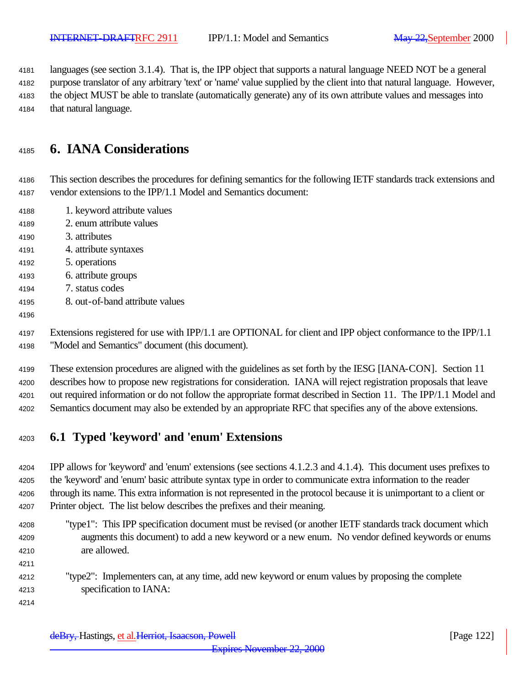languages (see section 3.1.4). That is, the IPP object that supports a natural language NEED NOT be a general

purpose translator of any arbitrary 'text' or 'name' value supplied by the client into that natural language. However,

 the object MUST be able to translate (automatically generate) any of its own attribute values and messages into that natural language.

# **6. IANA Considerations**

 This section describes the procedures for defining semantics for the following IETF standards track extensions and vendor extensions to the IPP/1.1 Model and Semantics document:

- 1. keyword attribute values
- 2. enum attribute values
- 3. attributes
- 4. attribute syntaxes
- 5. operations
- 6. attribute groups
- 7. status codes
- 8. out-of-band attribute values
- 

 Extensions registered for use with IPP/1.1 are OPTIONAL for client and IPP object conformance to the IPP/1.1 "Model and Semantics" document (this document).

 These extension procedures are aligned with the guidelines as set forth by the IESG [IANA-CON]. Section 11 describes how to propose new registrations for consideration. IANA will reject registration proposals that leave out required information or do not follow the appropriate format described in Section 11. The IPP/1.1 Model and Semantics document may also be extended by an appropriate RFC that specifies any of the above extensions.

# **6.1 Typed 'keyword' and 'enum' Extensions**

 IPP allows for 'keyword' and 'enum' extensions (see sections 4.1.2.3 and 4.1.4). This document uses prefixes to the 'keyword' and 'enum' basic attribute syntax type in order to communicate extra information to the reader through its name. This extra information is not represented in the protocol because it is unimportant to a client or Printer object. The list below describes the prefixes and their meaning.

- "type1": This IPP specification document must be revised (or another IETF standards track document which augments this document) to add a new keyword or a new enum. No vendor defined keywords or enums are allowed.
- 

 "type2": Implementers can, at any time, add new keyword or enum values by proposing the complete specification to IANA: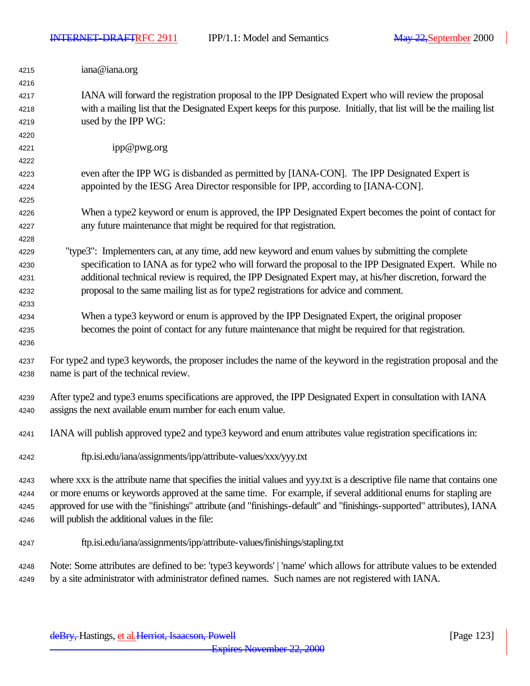$\overline{\phantom{a}}$ 

| 4215 | iana@iana.org                                                                                                              |
|------|----------------------------------------------------------------------------------------------------------------------------|
| 4216 |                                                                                                                            |
| 4217 | IANA will forward the registration proposal to the IPP Designated Expert who will review the proposal                      |
| 4218 | with a mailing list that the Designated Expert keeps for this purpose. Initially, that list will be the mailing list       |
| 4219 | used by the IPP WG:                                                                                                        |
| 4220 |                                                                                                                            |
| 4221 | ipp@pwg.org                                                                                                                |
| 4222 |                                                                                                                            |
| 4223 | even after the IPP WG is disbanded as permitted by [IANA-CON]. The IPP Designated Expert is                                |
| 4224 | appointed by the IESG Area Director responsible for IPP, according to [IANA-CON].                                          |
| 4225 |                                                                                                                            |
| 4226 | When a type2 keyword or enum is approved, the IPP Designated Expert becomes the point of contact for                       |
| 4227 | any future maintenance that might be required for that registration.                                                       |
| 4228 |                                                                                                                            |
| 4229 | "type3": Implementers can, at any time, add new keyword and enum values by submitting the complete                         |
| 4230 | specification to IANA as for type2 who will forward the proposal to the IPP Designated Expert. While no                    |
| 4231 | additional technical review is required, the IPP Designated Expert may, at his/her discretion, forward the                 |
| 4232 | proposal to the same mailing list as for type2 registrations for advice and comment.                                       |
| 4233 |                                                                                                                            |
| 4234 | When a type3 keyword or enum is approved by the IPP Designated Expert, the original proposer                               |
| 4235 | becomes the point of contact for any future maintenance that might be required for that registration.                      |
| 4236 |                                                                                                                            |
| 4237 | For type2 and type3 keywords, the proposer includes the name of the keyword in the registration proposal and the           |
| 4238 | name is part of the technical review.                                                                                      |
|      |                                                                                                                            |
| 4239 | After type2 and type3 enums specifications are approved, the IPP Designated Expert in consultation with IANA               |
| 4240 | assigns the next available enum number for each enum value.                                                                |
|      |                                                                                                                            |
| 4241 | IANA will publish approved type2 and type3 keyword and enum attributes value registration specifications in:               |
| 4242 | ftp.isi.edu/iana/assignments/ipp/attribute-values/xxx/yyy.txt                                                              |
| 4243 | where xxx is the attribute name that specifies the initial values and yyy.txt is a descriptive file name that contains one |
| 4244 | or more enums or keywords approved at the same time. For example, if several additional enums for stapling are             |
| 4245 | approved for use with the "finishings" attribute (and "finishings-default" and "finishings-supported" attributes), IANA    |
| 4246 | will publish the additional values in the file:                                                                            |
| 4247 | ftp.isi.edu/iana/assignments/ipp/attribute-values/finishings/stapling.txt                                                  |
| 4248 | Note: Some attributes are defined to be: 'type3 keywords'   'name' which allows for attribute values to be extended        |
| 4249 | by a site administrator with administrator defined names. Such names are not registered with IANA.                         |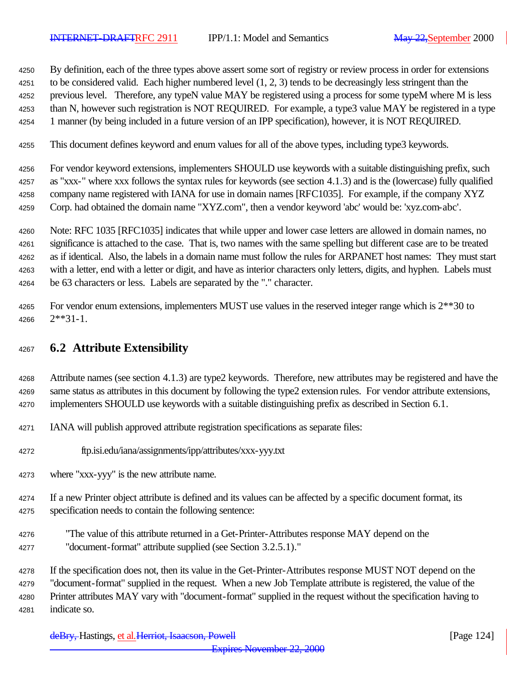By definition, each of the three types above assert some sort of registry or review process in order for extensions to be considered valid. Each higher numbered level (1, 2, 3) tends to be decreasingly less stringent than the previous level. Therefore, any typeN value MAY be registered using a process for some typeM where M is less than N, however such registration is NOT REQUIRED. For example, a type3 value MAY be registered in a type 1 manner (by being included in a future version of an IPP specification), however, it is NOT REQUIRED.

This document defines keyword and enum values for all of the above types, including type3 keywords.

 For vendor keyword extensions, implementers SHOULD use keywords with a suitable distinguishing prefix, such as "xxx-" where xxx follows the syntax rules for keywords (see section 4.1.3) and is the (lowercase) fully qualified company name registered with IANA for use in domain names [RFC1035]. For example, if the company XYZ Corp. had obtained the domain name "XYZ.com", then a vendor keyword 'abc' would be: 'xyz.com-abc'.

 Note: RFC 1035 [RFC1035] indicates that while upper and lower case letters are allowed in domain names, no significance is attached to the case. That is, two names with the same spelling but different case are to be treated as if identical. Also, the labels in a domain name must follow the rules for ARPANET host names: They must start with a letter, end with a letter or digit, and have as interior characters only letters, digits, and hyphen. Labels must be 63 characters or less. Labels are separated by the "." character.

4265 For vendor enum extensions, implementers MUST use values in the reserved integer range which is  $2^{**}30$  to 2\*\*31-1.

# **6.2 Attribute Extensibility**

 Attribute names (see section 4.1.3) are type2 keywords. Therefore, new attributes may be registered and have the same status as attributes in this document by following the type2 extension rules. For vendor attribute extensions, implementers SHOULD use keywords with a suitable distinguishing prefix as described in Section 6.1.

- IANA will publish approved attribute registration specifications as separate files:
- ftp.isi.edu/iana/assignments/ipp/attributes/xxx-yyy.txt
- where "xxx-yyy" is the new attribute name.

 If a new Printer object attribute is defined and its values can be affected by a specific document format, its specification needs to contain the following sentence:

 "The value of this attribute returned in a Get-Printer-Attributes response MAY depend on the "document-format" attribute supplied (see Section 3.2.5.1)."

If the specification does not, then its value in the Get-Printer-Attributes response MUST NOT depend on the

"document-format" supplied in the request. When a new Job Template attribute is registered, the value of the

 Printer attributes MAY vary with "document-format" supplied in the request without the specification having to indicate so.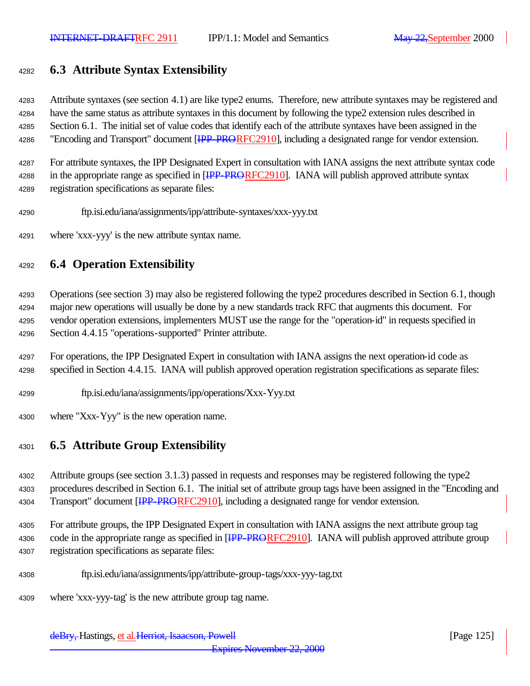# **6.3 Attribute Syntax Extensibility**

 Attribute syntaxes (see section 4.1) are like type2 enums. Therefore, new attribute syntaxes may be registered and have the same status as attribute syntaxes in this document by following the type2 extension rules described in Section 6.1. The initial set of value codes that identify each of the attribute syntaxes have been assigned in the 4286 "Encoding and Transport" document [IPP-PRORFC2910], including a designated range for vendor extension.

 For attribute syntaxes, the IPP Designated Expert in consultation with IANA assigns the next attribute syntax code 4288 in the appropriate range as specified in [IPP-PRORFC2910]. IANA will publish approved attribute syntax registration specifications as separate files:

- ftp.isi.edu/iana/assignments/ipp/attribute-syntaxes/xxx-yyy.txt
- where 'xxx-yyy' is the new attribute syntax name.

### **6.4 Operation Extensibility**

 Operations (see section 3) may also be registered following the type2 procedures described in Section 6.1, though major new operations will usually be done by a new standards track RFC that augments this document. For vendor operation extensions, implementers MUST use the range for the "operation-id" in requests specified in Section 4.4.15 "operations-supported" Printer attribute.

- For operations, the IPP Designated Expert in consultation with IANA assigns the next operation-id code as specified in Section 4.4.15. IANA will publish approved operation registration specifications as separate files:
- ftp.isi.edu/iana/assignments/ipp/operations/Xxx-Yyy.txt
- where "Xxx-Yyy" is the new operation name.

### **6.5 Attribute Group Extensibility**

 Attribute groups (see section 3.1.3) passed in requests and responses may be registered following the type2 procedures described in Section 6.1. The initial set of attribute group tags have been assigned in the "Encoding and 4304 Transport" document [HPP-PRORFC2910], including a designated range for vendor extension.

 For attribute groups, the IPP Designated Expert in consultation with IANA assigns the next attribute group tag 4306 code in the appropriate range as specified in [**IPP-PRORFC2910**]. IANA will publish approved attribute group registration specifications as separate files:

- ftp.isi.edu/iana/assignments/ipp/attribute-group-tags/xxx-yyy-tag.txt
- where 'xxx-yyy-tag' is the new attribute group tag name.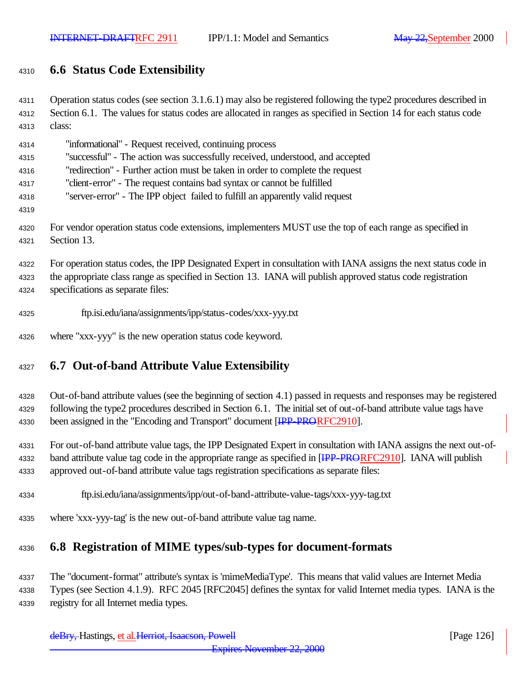# **6.6 Status Code Extensibility**

| 4311 | Operation status codes (see section $3.1.6.1$ ) may also be registered following the type2 procedures described in |
|------|--------------------------------------------------------------------------------------------------------------------|
| 4312 | Section 6.1. The values for status codes are allocated in ranges as specified in Section 14 for each status code   |
| 4313 | class:                                                                                                             |
| 4314 | "informational" - Request received, continuing process                                                             |
| 4315 | "successful" - The action was successfully received, understood, and accepted                                      |
| 4316 | "redirection" - Further action must be taken in order to complete the request                                      |
| 4317 | "client-error" - The request contains bad syntax or cannot be fulfilled                                            |
| 4318 | "server-error" - The IPP object failed to fulfill an apparently valid request                                      |
| 4319 |                                                                                                                    |
| 4320 | For vendor operation status code extensions, implementers MUST use the top of each range as specified in           |
| 4321 | Section 13.                                                                                                        |
| 4322 | For operation status codes, the IPP Designated Expert in consultation with IANA assigns the next status code in    |
| 4323 | the appropriate class range as specified in Section 13. IANA will publish approved status code registration        |
| 4324 | specifications as separate files:                                                                                  |
| 4325 | ftp.isi.edu/iana/assignments/ipp/status-codes/xxx-yyy.txt                                                          |
| 4326 | where "xxx-yyy" is the new operation status code keyword.                                                          |
| 4327 | <b>6.7 Out-of-band Attribute Value Extensibility</b>                                                               |

# Out-of-band attribute values (see the beginning of section 4.1) passed in requests and responses may be registered following the type2 procedures described in Section 6.1. The initial set of out-of-band attribute value tags have

4330 been assigned in the "Encoding and Transport" document **[IPP-PRORFC2910]**.

 For out-of-band attribute value tags, the IPP Designated Expert in consultation with IANA assigns the next out-of-4332 band attribute value tag code in the appropriate range as specified in [<del>IPP-PRORF</del>C2910]. IANA will publish approved out-of-band attribute value tags registration specifications as separate files:

- ftp.isi.edu/iana/assignments/ipp/out-of-band-attribute-value-tags/xxx-yyy-tag.txt
- where 'xxx-yyy-tag' is the new out-of-band attribute value tag name.

# **6.8 Registration of MIME types/sub-types for document-formats**

 The "document-format" attribute's syntax is 'mimeMediaType'. This means that valid values are Internet Media Types (see Section 4.1.9). RFC 2045 [RFC2045] defines the syntax for valid Internet media types. IANA is the registry for all Internet media types.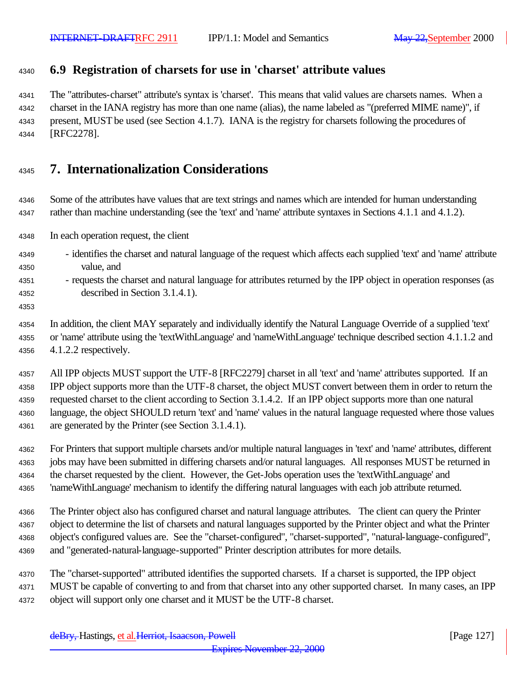# **6.9 Registration of charsets for use in 'charset' attribute values**

 The "attributes-charset" attribute's syntax is 'charset'. This means that valid values are charsets names. When a charset in the IANA registry has more than one name (alias), the name labeled as "(preferred MIME name)", if present, MUST be used (see Section 4.1.7). IANA is the registry for charsets following the procedures of [RFC2278].

# **7. Internationalization Considerations**

 Some of the attributes have values that are text strings and names which are intended for human understanding rather than machine understanding (see the 'text' and 'name' attribute syntaxes in Sections 4.1.1 and 4.1.2).

In each operation request, the client

- identifies the charset and natural language of the request which affects each supplied 'text' and 'name' attribute value, and
- requests the charset and natural language for attributes returned by the IPP object in operation responses (as described in Section 3.1.4.1).
- 

 In addition, the client MAY separately and individually identify the Natural Language Override of a supplied 'text' or 'name' attribute using the 'textWithLanguage' and 'nameWithLanguage' technique described section 4.1.1.2 and 4.1.2.2 respectively.

 All IPP objects MUST support the UTF-8 [RFC2279] charset in all 'text' and 'name' attributes supported. If an IPP object supports more than the UTF-8 charset, the object MUST convert between them in order to return the requested charset to the client according to Section 3.1.4.2. If an IPP object supports more than one natural language, the object SHOULD return 'text' and 'name' values in the natural language requested where those values are generated by the Printer (see Section 3.1.4.1).

 For Printers that support multiple charsets and/or multiple natural languages in 'text' and 'name' attributes, different jobs may have been submitted in differing charsets and/or natural languages. All responses MUST be returned in the charset requested by the client. However, the Get-Jobs operation uses the 'textWithLanguage' and 'nameWithLanguage' mechanism to identify the differing natural languages with each job attribute returned.

 The Printer object also has configured charset and natural language attributes. The client can query the Printer object to determine the list of charsets and natural languages supported by the Printer object and what the Printer object's configured values are. See the "charset-configured", "charset-supported", "natural-language-configured", and "generated-natural-language-supported" Printer description attributes for more details.

- The "charset-supported" attributed identifies the supported charsets. If a charset is supported, the IPP object
- MUST be capable of converting to and from that charset into any other supported charset. In many cases, an IPP
- object will support only one charset and it MUST be the UTF-8 charset.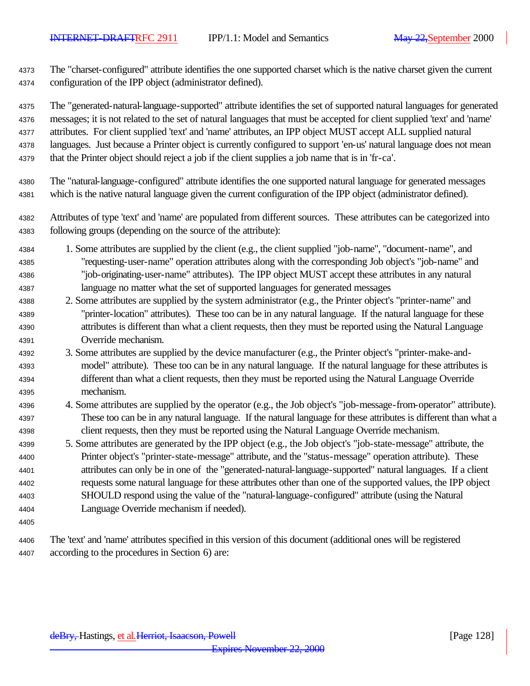The "charset-configured" attribute identifies the one supported charset which is the native charset given the current configuration of the IPP object (administrator defined).

The "generated-natural-language-supported" attribute identifies the set of supported natural languages for generated

messages; it is not related to the set of natural languages that must be accepted for client supplied 'text' and 'name'

attributes. For client supplied 'text' and 'name' attributes, an IPP object MUST accept ALL supplied natural

languages. Just because a Printer object is currently configured to support 'en-us' natural language does not mean

- that the Printer object should reject a job if the client supplies a job name that is in 'fr-ca'.
- The "natural-language-configured" attribute identifies the one supported natural language for generated messages which is the native natural language given the current configuration of the IPP object (administrator defined).
- Attributes of type 'text' and 'name' are populated from different sources. These attributes can be categorized into following groups (depending on the source of the attribute):
- 1. Some attributes are supplied by the client (e.g., the client supplied "job-name", "document-name", and "requesting-user-name" operation attributes along with the corresponding Job object's "job-name" and "job-originating-user-name" attributes). The IPP object MUST accept these attributes in any natural language no matter what the set of supported languages for generated messages
- 2. Some attributes are supplied by the system administrator (e.g., the Printer object's "printer-name" and "printer-location" attributes). These too can be in any natural language. If the natural language for these attributes is different than what a client requests, then they must be reported using the Natural Language Override mechanism.
- 3. Some attributes are supplied by the device manufacturer (e.g., the Printer object's "printer-make-and- model" attribute). These too can be in any natural language. If the natural language for these attributes is different than what a client requests, then they must be reported using the Natural Language Override mechanism.
- 4. Some attributes are supplied by the operator (e.g., the Job object's "job-message-from-operator" attribute). These too can be in any natural language. If the natural language for these attributes is different than what a client requests, then they must be reported using the Natural Language Override mechanism.
- 5. Some attributes are generated by the IPP object (e.g., the Job object's "job-state-message" attribute, the Printer object's "printer-state-message" attribute, and the "status-message" operation attribute). These attributes can only be in one of the "generated-natural-language-supported" natural languages. If a client requests some natural language for these attributes other than one of the supported values, the IPP object SHOULD respond using the value of the "natural-language-configured" attribute (using the Natural Language Override mechanism if needed).
- 

 The 'text' and 'name' attributes specified in this version of this document (additional ones will be registered according to the procedures in Section 6) are: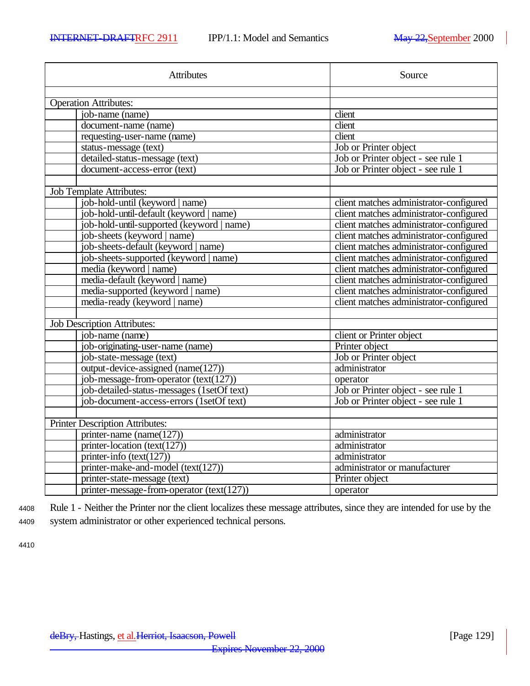| <b>Attributes</b>                           | Source                                  |
|---------------------------------------------|-----------------------------------------|
|                                             |                                         |
| <b>Operation Attributes:</b>                |                                         |
| job-name (name)                             | client                                  |
| document-name (name)                        | $\overline{client}$                     |
| requesting-user-name (name)                 | client                                  |
| status-message (text)                       | Job or Printer object                   |
| detailed-status-message (text)              | Job or Printer object - see rule 1      |
| document-access-error (text)                | Job or Printer object - see rule 1      |
|                                             |                                         |
| <b>Job Template Attributes:</b>             |                                         |
| job-hold-until (keyword   name)             | client matches administrator-configured |
| job-hold-until-default (keyword   name)     | client matches administrator-configured |
| job-hold-until-supported (keyword   name)   | client matches administrator-configured |
| job-sheets (keyword   name)                 | client matches administrator-configured |
| job-sheets-default (keyword   name)         | client matches administrator-configured |
| job-sheets-supported (keyword   name)       | client matches administrator-configured |
| media (keyword   name)                      | client matches administrator-configured |
| media-default (keyword   name)              | client matches administrator-configured |
| media-supported (keyword   name)            | client matches administrator-configured |
| media-ready (keyword   name)                | client matches administrator-configured |
| <b>Job Description Attributes:</b>          |                                         |
| job-name (name)                             | client or Printer object                |
| job-originating-user-name (name)            | Printer object                          |
| job-state-message (text)                    | Job or Printer object                   |
| output-device-assigned ( $name(127)$ )      | administrator                           |
| job-message-from-operator $(text(127))$     | operator                                |
| job-detailed-status-messages (1setOf text)  | Job or Printer object - see rule 1      |
| job-document-access-errors (1setOf text)    | Job or Printer object - see rule 1      |
|                                             |                                         |
| <b>Printer Description Attributes:</b>      |                                         |
| printer-name (name $(127)$ )                | administrator                           |
| printer-location (text(127))                | administrator                           |
| printer-info $(text(127))$                  | administrator                           |
| printer-make-and-model (text(127))          | administrator or manufacturer           |
| printer-state-message (text)                | Printer object                          |
| printer-message-from-operator $(text(127))$ | operator                                |

<sup>4408</sup> Rule 1 - Neither the Printer nor the client localizes these message attributes, since they are intended for use by the <sup>4409</sup> system administrator or other experienced technical persons.

4410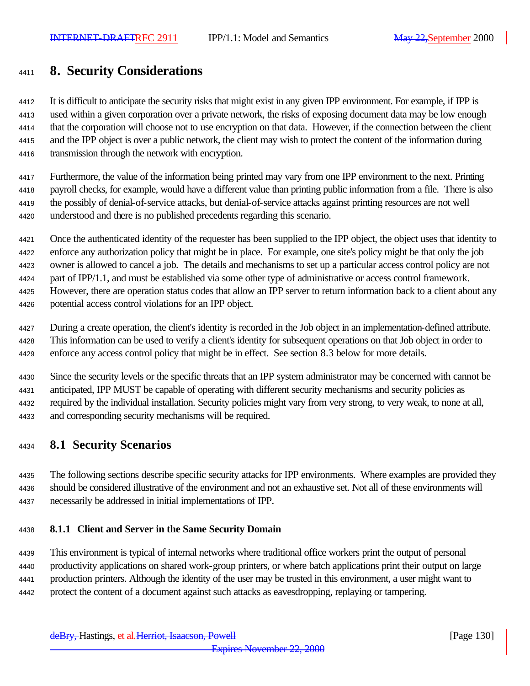# **8. Security Considerations**

 It is difficult to anticipate the security risks that might exist in any given IPP environment. For example, if IPP is used within a given corporation over a private network, the risks of exposing document data may be low enough that the corporation will choose not to use encryption on that data. However, if the connection between the client and the IPP object is over a public network, the client may wish to protect the content of the information during transmission through the network with encryption.

 Furthermore, the value of the information being printed may vary from one IPP environment to the next. Printing payroll checks, for example, would have a different value than printing public information from a file. There is also the possibly of denial-of-service attacks, but denial-of-service attacks against printing resources are not well understood and there is no published precedents regarding this scenario.

 Once the authenticated identity of the requester has been supplied to the IPP object, the object uses that identity to enforce any authorization policy that might be in place. For example, one site's policy might be that only the job owner is allowed to cancel a job. The details and mechanisms to set up a particular access control policy are not part of IPP/1.1, and must be established via some other type of administrative or access control framework. However, there are operation status codes that allow an IPP server to return information back to a client about any

potential access control violations for an IPP object.

 During a create operation, the client's identity is recorded in the Job object in an implementation-defined attribute. This information can be used to verify a client's identity for subsequent operations on that Job object in order to enforce any access control policy that might be in effect. See section 8.3 below for more details.

 Since the security levels or the specific threats that an IPP system administrator may be concerned with cannot be anticipated, IPP MUST be capable of operating with different security mechanisms and security policies as required by the individual installation. Security policies might vary from very strong, to very weak, to none at all, and corresponding security mechanisms will be required.

### **8.1 Security Scenarios**

 The following sections describe specific security attacks for IPP environments. Where examples are provided they should be considered illustrative of the environment and not an exhaustive set. Not all of these environments will necessarily be addressed in initial implementations of IPP.

### **8.1.1 Client and Server in the Same Security Domain**

 This environment is typical of internal networks where traditional office workers print the output of personal productivity applications on shared work-group printers, or where batch applications print their output on large production printers. Although the identity of the user may be trusted in this environment, a user might want to protect the content of a document against such attacks as eavesdropping, replaying or tampering.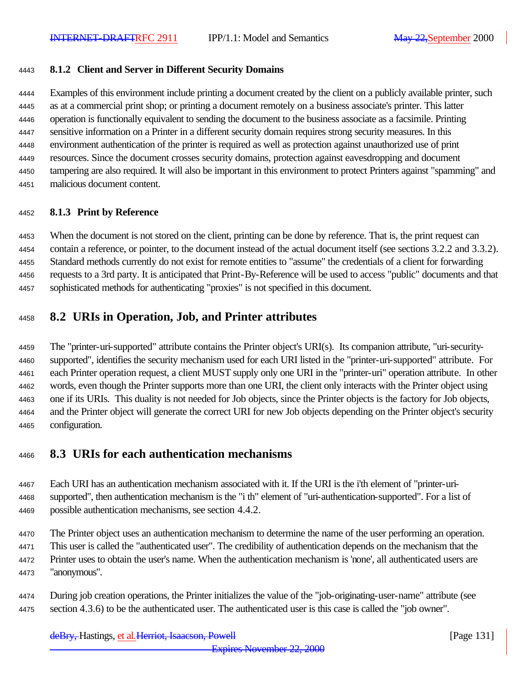#### **8.1.2 Client and Server in Different Security Domains**

 Examples of this environment include printing a document created by the client on a publicly available printer, such as at a commercial print shop; or printing a document remotely on a business associate's printer. This latter operation is functionally equivalent to sending the document to the business associate as a facsimile. Printing sensitive information on a Printer in a different security domain requires strong security measures. In this environment authentication of the printer is required as well as protection against unauthorized use of print resources. Since the document crosses security domains, protection against eavesdropping and document tampering are also required. It will also be important in this environment to protect Printers against "spamming" and malicious document content.

#### **8.1.3 Print by Reference**

 When the document is not stored on the client, printing can be done by reference. That is, the print request can contain a reference, or pointer, to the document instead of the actual document itself (see sections 3.2.2 and 3.3.2). Standard methods currently do not exist for remote entities to "assume" the credentials of a client for forwarding requests to a 3rd party. It is anticipated that Print-By-Reference will be used to access "public" documents and that sophisticated methods for authenticating "proxies" is not specified in this document.

### **8.2 URIs in Operation, Job, and Printer attributes**

 The "printer-uri-supported" attribute contains the Printer object's URI(s). Its companion attribute, "uri-security- supported", identifies the security mechanism used for each URI listed in the "printer-uri-supported" attribute. For each Printer operation request, a client MUST supply only one URI in the "printer-uri" operation attribute. In other words, even though the Printer supports more than one URI, the client only interacts with the Printer object using one if its URIs. This duality is not needed for Job objects, since the Printer objects is the factory for Job objects, and the Printer object will generate the correct URI for new Job objects depending on the Printer object's security configuration.

### **8.3 URIs for each authentication mechanisms**

 Each URI has an authentication mechanism associated with it. If the URI is the i'th element of "printer-uri- supported", then authentication mechanism is the "i th" element of "uri-authentication-supported". For a list of possible authentication mechanisms, see section 4.4.2.

 The Printer object uses an authentication mechanism to determine the name of the user performing an operation. This user is called the "authenticated user". The credibility of authentication depends on the mechanism that the Printer uses to obtain the user's name. When the authentication mechanism is 'none', all authenticated users are "anonymous".

 During job creation operations, the Printer initializes the value of the "job-originating-user-name" attribute (see section 4.3.6) to be the authenticated user. The authenticated user is this case is called the "job owner".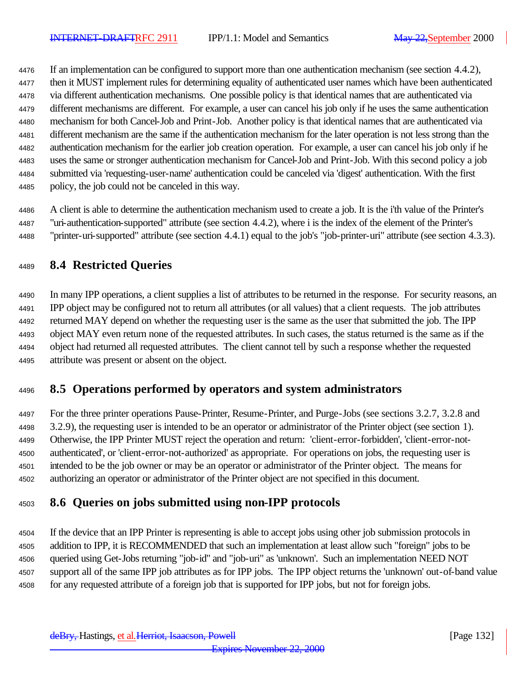If an implementation can be configured to support more than one authentication mechanism (see section 4.4.2), then it MUST implement rules for determining equality of authenticated user names which have been authenticated via different authentication mechanisms. One possible policy is that identical names that are authenticated via different mechanisms are different. For example, a user can cancel his job only if he uses the same authentication mechanism for both Cancel-Job and Print-Job. Another policy is that identical names that are authenticated via different mechanism are the same if the authentication mechanism for the later operation is not less strong than the authentication mechanism for the earlier job creation operation. For example, a user can cancel his job only if he uses the same or stronger authentication mechanism for Cancel-Job and Print-Job. With this second policy a job submitted via 'requesting-user-name' authentication could be canceled via 'digest' authentication. With the first policy, the job could not be canceled in this way.

 A client is able to determine the authentication mechanism used to create a job. It is the i'th value of the Printer's "uri-authentication-supported" attribute (see section 4.4.2), where i is the index of the element of the Printer's "printer-uri-supported" attribute (see section 4.4.1) equal to the job's "job-printer-uri" attribute (see section 4.3.3).

# **8.4 Restricted Queries**

 In many IPP operations, a client supplies a list of attributes to be returned in the response. For security reasons, an IPP object may be configured not to return all attributes (or all values) that a client requests. The job attributes returned MAY depend on whether the requesting user is the same as the user that submitted the job. The IPP object MAY even return none of the requested attributes. In such cases, the status returned is the same as if the object had returned all requested attributes. The client cannot tell by such a response whether the requested attribute was present or absent on the object.

# **8.5 Operations performed by operators and system administrators**

 For the three printer operations Pause-Printer, Resume-Printer, and Purge-Jobs (see sections 3.2.7, 3.2.8 and 3.2.9), the requesting user is intended to be an operator or administrator of the Printer object (see section 1). Otherwise, the IPP Printer MUST reject the operation and return: 'client-error-forbidden', 'client-error-not- authenticated', or 'client-error-not-authorized' as appropriate. For operations on jobs, the requesting user is intended to be the job owner or may be an operator or administrator of the Printer object. The means for authorizing an operator or administrator of the Printer object are not specified in this document.

# **8.6 Queries on jobs submitted using non-IPP protocols**

 If the device that an IPP Printer is representing is able to accept jobs using other job submission protocols in addition to IPP, it is RECOMMENDED that such an implementation at least allow such "foreign" jobs to be queried using Get-Jobs returning "job-id" and "job-uri" as 'unknown'. Such an implementation NEED NOT support all of the same IPP job attributes as for IPP jobs. The IPP object returns the 'unknown' out-of-band value for any requested attribute of a foreign job that is supported for IPP jobs, but not for foreign jobs.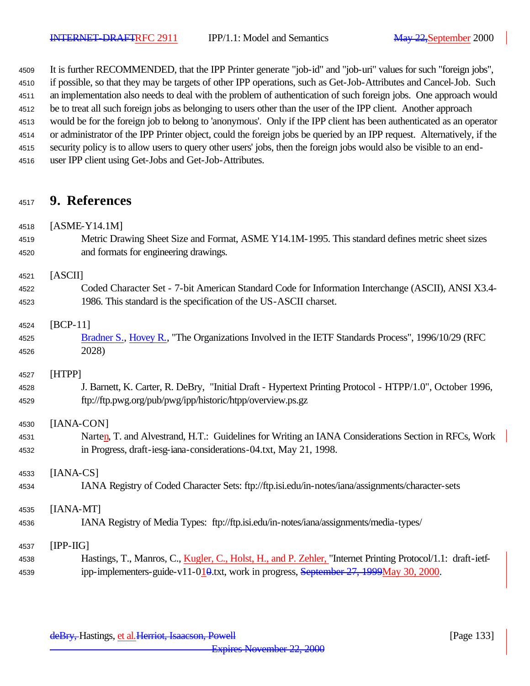It is further RECOMMENDED, that the IPP Printer generate "job-id" and "job-uri" values for such "foreign jobs", if possible, so that they may be targets of other IPP operations, such as Get-Job-Attributes and Cancel-Job. Such an implementation also needs to deal with the problem of authentication of such foreign jobs. One approach would be to treat all such foreign jobs as belonging to users other than the user of the IPP client. Another approach would be for the foreign job to belong to 'anonymous'. Only if the IPP client has been authenticated as an operator or administrator of the IPP Printer object, could the foreign jobs be queried by an IPP request. Alternatively, if the security policy is to allow users to query other users' jobs, then the foreign jobs would also be visible to an end-user IPP client using Get-Jobs and Get-Job-Attributes.

# **9. References**

- [ASME-Y14.1M]
- Metric Drawing Sheet Size and Format, ASME Y14.1M-1995. This standard defines metric sheet sizes and formats for engineering drawings.

#### [ASCII]

 Coded Character Set - 7-bit American Standard Code for Information Interchange (ASCII), ANSI X3.4- 1986. This standard is the specification of the US-ASCII charset.

### [BCP-11]

 Bradner S., Hovey R., "The Organizations Involved in the IETF Standards Process", 1996/10/29 (RFC 2028)

### [HTPP]

 J. Barnett, K. Carter, R. DeBry, "Initial Draft - Hypertext Printing Protocol - HTPP/1.0", October 1996, ftp://ftp.pwg.org/pub/pwg/ipp/historic/htpp/overview.ps.gz

### [IANA-CON]

4531 Narten, T. and Alvestrand, H.T.: Guidelines for Writing an IANA Considerations Section in RFCs, Work in Progress, draft-iesg-iana-considerations-04.txt, May 21, 1998.

# [IANA-CS]

IANA Registry of Coded Character Sets: ftp://ftp.isi.edu/in-notes/iana/assignments/character-sets

### [IANA-MT]

IANA Registry of Media Types: ftp://ftp.isi.edu/in-notes/iana/assignments/media-types/

### [IPP-IIG]

 Hastings, T., Manros, C., Kugler, C., Holst, H., and P. Zehler, "Internet Printing Protocol/1.1: draft-ietf-4539 ipp-implementers-guide-v11-010.txt, work in progress, September 27, 1999May 30, 2000.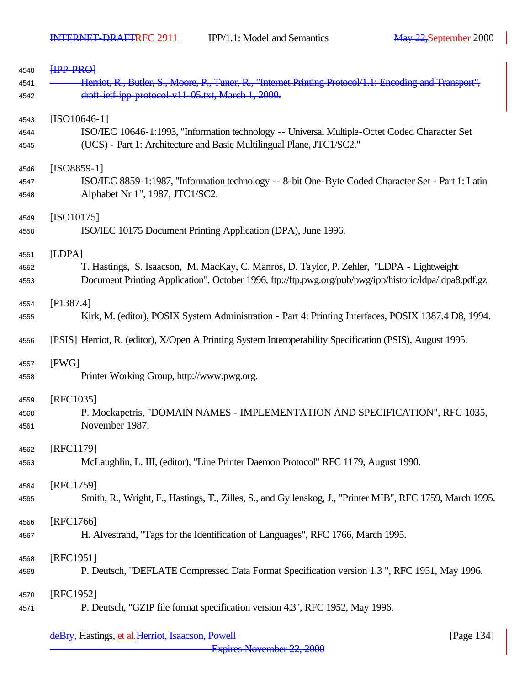| 4540 | HPP PRO                                                                                                   |
|------|-----------------------------------------------------------------------------------------------------------|
| 4541 | Herriot, R., Butler, S., Moore, P., Tuner, R., "Internet Printing Protocol/1.1: Encoding and Transport",  |
| 4542 | draft ietf ipp protocol v11 05.txt, March 1, 2000.                                                        |
| 4543 | $[ISO10646-1]$                                                                                            |
| 4544 | ISO/IEC 10646-1:1993, "Information technology -- Universal Multiple-Octet Coded Character Set             |
| 4545 | (UCS) - Part 1: Architecture and Basic Multilingual Plane, JTC1/SC2."                                     |
| 4546 | $[ISO8859-1]$                                                                                             |
| 4547 | ISO/IEC 8859-1:1987, "Information technology -- 8-bit One-Byte Coded Character Set - Part 1: Latin        |
| 4548 | Alphabet Nr 1", 1987, JTC1/SC2.                                                                           |
| 4549 | $[ISO10175]$                                                                                              |
| 4550 | ISO/IEC 10175 Document Printing Application (DPA), June 1996.                                             |
| 4551 | [LDPA]                                                                                                    |
| 4552 | T. Hastings, S. Isaacson, M. MacKay, C. Manros, D. Taylor, P. Zehler, "LDPA - Lightweight                 |
| 4553 | Document Printing Application", October 1996, ftp://ftp.pwg.org/pub/pwg/ipp/historic/ldpa/ldpa8.pdf.gz    |
| 4554 | [P1387.4]                                                                                                 |
| 4555 | Kirk, M. (editor), POSIX System Administration - Part 4: Printing Interfaces, POSIX 1387.4 D8, 1994.      |
| 4556 | [PSIS] Herriot, R. (editor), X/Open A Printing System Interoperability Specification (PSIS), August 1995. |
| 4557 | [PWG]                                                                                                     |
| 4558 | Printer Working Group, http://www.pwg.org.                                                                |
| 4559 | [RFC1035]                                                                                                 |
| 4560 | P. Mockapetris, "DOMAIN NAMES - IMPLEMENTATION AND SPECIFICATION", RFC 1035,                              |
| 4561 | November 1987.                                                                                            |
| 4562 | [RFC1179]                                                                                                 |
| 4563 | McLaughlin, L. III, (editor), "Line Printer Daemon Protocol" RFC 1179, August 1990.                       |
| 4564 | [RFC1759]                                                                                                 |
| 4565 | Smith, R., Wright, F., Hastings, T., Zilles, S., and Gyllenskog, J., "Printer MIB", RFC 1759, March 1995. |
| 4566 | [RFC1766]                                                                                                 |
| 4567 | H. Alvestrand, "Tags for the Identification of Languages", RFC 1766, March 1995.                          |
| 4568 | [RFC1951]                                                                                                 |
| 4569 | P. Deutsch, "DEFLATE Compressed Data Format Specification version 1.3", RFC 1951, May 1996.               |
| 4570 | [RFC1952]                                                                                                 |
| 4571 | P. Deutsch, "GZIP file format specification version 4.3", RFC 1952, May 1996.                             |
|      |                                                                                                           |

deBry, Hastings, et al. Herriot, Isaacson, Powell [Page 134]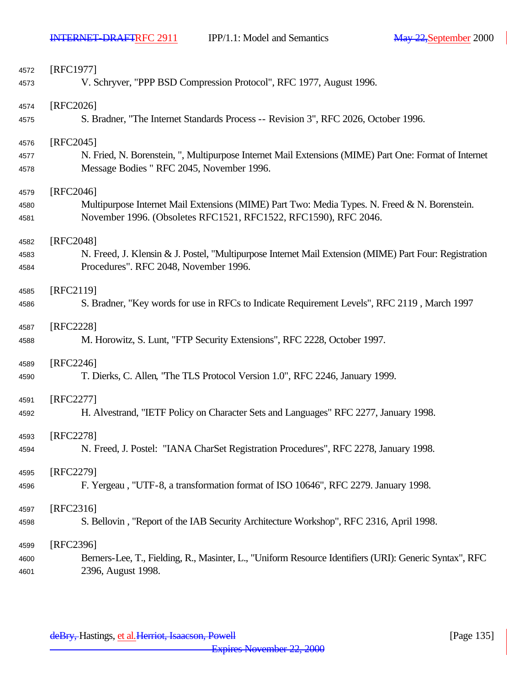$\overline{\phantom{a}}$ 

| 4572         | [RFC1977]                                                                                                                                                        |
|--------------|------------------------------------------------------------------------------------------------------------------------------------------------------------------|
| 4573         | V. Schryver, "PPP BSD Compression Protocol", RFC 1977, August 1996.                                                                                              |
| 4574         | [RFC2026]                                                                                                                                                        |
| 4575         | S. Bradner, "The Internet Standards Process -- Revision 3", RFC 2026, October 1996.                                                                              |
| 4576         | [RFC2045]                                                                                                                                                        |
| 4577         | N. Fried, N. Borenstein, ", Multipurpose Internet Mail Extensions (MIME) Part One: Format of Internet                                                            |
| 4578         | Message Bodies " RFC 2045, November 1996.                                                                                                                        |
| 4579         | [RFC2046]                                                                                                                                                        |
| 4580<br>4581 | Multipurpose Internet Mail Extensions (MIME) Part Two: Media Types. N. Freed & N. Borenstein.<br>November 1996. (Obsoletes RFC1521, RFC1522, RFC1590), RFC 2046. |
| 4582         | [RFC2048]                                                                                                                                                        |
| 4583         | N. Freed, J. Klensin & J. Postel, "Multipurpose Internet Mail Extension (MIME) Part Four: Registration                                                           |
| 4584         | Procedures". RFC 2048, November 1996.                                                                                                                            |
| 4585         | [RFC2119]                                                                                                                                                        |
| 4586         | S. Bradner, "Key words for use in RFCs to Indicate Requirement Levels", RFC 2119, March 1997                                                                     |
| 4587         | [RFC2228]                                                                                                                                                        |
| 4588         | M. Horowitz, S. Lunt, "FTP Security Extensions", RFC 2228, October 1997.                                                                                         |
| 4589         | [RFC2246]                                                                                                                                                        |
| 4590         | T. Dierks, C. Allen, 'The TLS Protocol Version 1.0", RFC 2246, January 1999.                                                                                     |
| 4591         | [RFC2277]                                                                                                                                                        |
| 4592         | H. Alvestrand, "IETF Policy on Character Sets and Languages" RFC 2277, January 1998.                                                                             |
| 4593         | [RFC2278]                                                                                                                                                        |
| 4594         | N. Freed, J. Postel: "IANA CharSet Registration Procedures", RFC 2278, January 1998.                                                                             |
| 4595         | [RFC2279]                                                                                                                                                        |
| 4596         | F. Yergeau, "UTF-8, a transformation format of ISO 10646", RFC 2279. January 1998.                                                                               |
| 4597         | [RFC2316]                                                                                                                                                        |
| 4598         | S. Bellovin, "Report of the IAB Security Architecture Workshop", RFC 2316, April 1998.                                                                           |
| 4599         | [RFC2396]                                                                                                                                                        |
| 4600         | Berners-Lee, T., Fielding, R., Masinter, L., "Uniform Resource Identifiers (URI): Generic Syntax", RFC                                                           |
| 4601         | 2396, August 1998.                                                                                                                                               |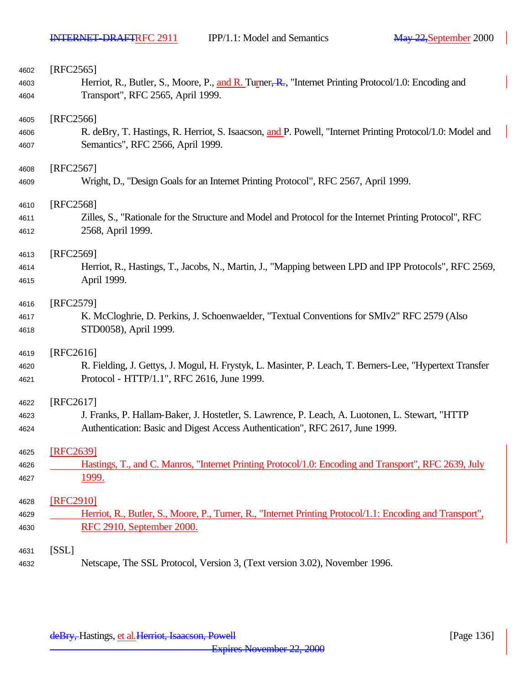| 4602 | [RFC2565]                                                                                                 |
|------|-----------------------------------------------------------------------------------------------------------|
| 4603 | Herriot, R., Butler, S., Moore, P., and R. Turner, R., "Internet Printing Protocol/1.0: Encoding and      |
| 4604 | Transport", RFC 2565, April 1999.                                                                         |
| 4605 | [RFC2566]                                                                                                 |
| 4606 | R. deBry, T. Hastings, R. Herriot, S. Isaacson, and P. Powell, "Internet Printing Protocol/1.0: Model and |
| 4607 | Semantics", RFC 2566, April 1999.                                                                         |
| 4608 | [RFC2567]                                                                                                 |
| 4609 | Wright, D., "Design Goals for an Internet Printing Protocol", RFC 2567, April 1999.                       |
| 4610 | [RFC2568]                                                                                                 |
| 4611 | Zilles, S., "Rationale for the Structure and Model and Protocol for the Internet Printing Protocol", RFC  |
| 4612 | 2568, April 1999.                                                                                         |
| 4613 | [RFC2569]                                                                                                 |
| 4614 | Herriot, R., Hastings, T., Jacobs, N., Martin, J., "Mapping between LPD and IPP Protocols", RFC 2569,     |
| 4615 | April 1999.                                                                                               |
| 4616 | [RFC2579]                                                                                                 |
| 4617 | K. McCloghrie, D. Perkins, J. Schoenwaelder, "Textual Conventions for SMIv2" RFC 2579 (Also               |
| 4618 | STD0058), April 1999.                                                                                     |
| 4619 | [RFC2616]                                                                                                 |
| 4620 | R. Fielding, J. Gettys, J. Mogul, H. Frystyk, L. Masinter, P. Leach, T. Berners-Lee, "Hypertext Transfer  |
| 4621 | Protocol - HTTP/1.1", RFC 2616, June 1999.                                                                |
| 4622 | [RFC2617]                                                                                                 |
| 4623 | J. Franks, P. Hallam-Baker, J. Hostetler, S. Lawrence, P. Leach, A. Luotonen, L. Stewart, "HTTP           |
| 4624 | Authentication: Basic and Digest Access Authentication", RFC 2617, June 1999.                             |
| 4625 | [RFC2639]                                                                                                 |
| 4626 | Hastings, T., and C. Manros, "Internet Printing Protocol/1.0: Encoding and Transport", RFC 2639, July     |
| 4627 | 1999.                                                                                                     |
| 4628 | [RFC2910]                                                                                                 |
| 4629 | Herriot, R., Butler, S., Moore, P., Turner, R., "Internet Printing Protocol/1.1: Encoding and Transport", |
| 4630 | RFC 2910, September 2000.                                                                                 |
| 4631 | [SSL]                                                                                                     |
| 4632 | Netscape, The SSL Protocol, Version 3, (Text version 3.02), November 1996.                                |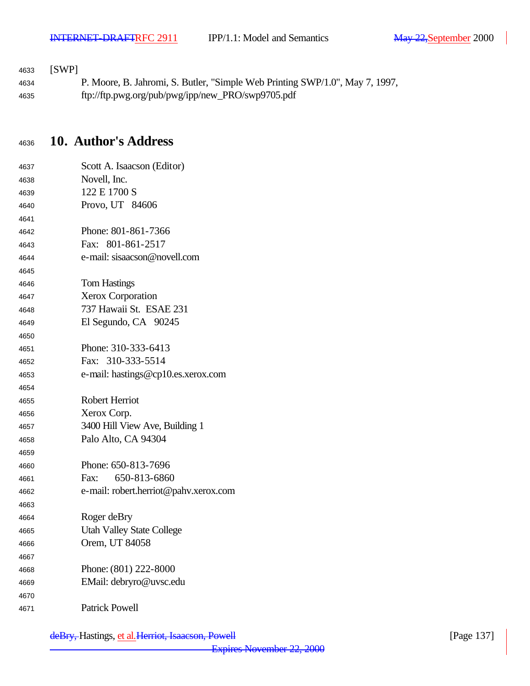### [SWP]

 P. Moore, B. Jahromi, S. Butler, "Simple Web Printing SWP/1.0", May 7, 1997, ftp://ftp.pwg.org/pub/pwg/ipp/new\_PRO/swp9705.pdf

# **10. Author's Address**

| 4637 | Scott A. Isaacson (Editor)            |
|------|---------------------------------------|
| 4638 | Novell, Inc.                          |
| 4639 | 122 E 1700 S                          |
| 4640 | Provo, UT 84606                       |
| 4641 |                                       |
| 4642 | Phone: 801-861-7366                   |
| 4643 | Fax: 801-861-2517                     |
| 4644 | e-mail: sisaacson@novell.com          |
| 4645 |                                       |
| 4646 | <b>Tom Hastings</b>                   |
| 4647 | <b>Xerox Corporation</b>              |
| 4648 | 737 Hawaii St. ESAE 231               |
| 4649 | El Segundo, CA 90245                  |
| 4650 |                                       |
| 4651 | Phone: 310-333-6413                   |
| 4652 | Fax: 310-333-5514                     |
| 4653 | e-mail: hastings@cp10.es.xerox.com    |
| 4654 |                                       |
|      |                                       |
| 4655 | <b>Robert Herriot</b>                 |
| 4656 | Xerox Corp.                           |
| 4657 | 3400 Hill View Ave, Building 1        |
| 4658 | Palo Alto, CA 94304                   |
| 4659 |                                       |
| 4660 | Phone: 650-813-7696                   |
| 4661 | 650-813-6860<br>Fax:                  |
| 4662 | e-mail: robert.herriot@pahv.xerox.com |
| 4663 |                                       |
| 4664 | Roger deBry                           |
| 4665 | <b>Utah Valley State College</b>      |
| 4666 | Orem, UT 84058                        |
| 4667 |                                       |
| 4668 | Phone: (801) 222-8000                 |
| 4669 | EMail: debryro@uvsc.edu               |
| 4670 |                                       |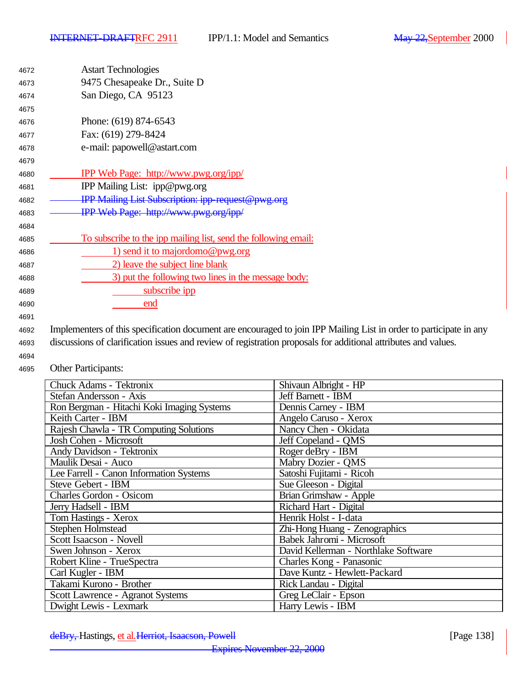| 4672 | <b>Astart Technologies</b>                                      |
|------|-----------------------------------------------------------------|
| 4673 | 9475 Chesapeake Dr., Suite D                                    |
| 4674 | San Diego, CA 95123                                             |
| 4675 |                                                                 |
| 4676 | Phone: (619) 874-6543                                           |
| 4677 | Fax: (619) 279-8424                                             |
| 4678 | e-mail: papowell@astart.com                                     |
| 4679 |                                                                 |
| 4680 | <b>IPP Web Page: http://www.pwg.org/ipp/</b>                    |
| 4681 | IPP Mailing List: ipp@pwg.org                                   |
| 4682 | <b>IPP Mailing List Subscription: ipp-request@pwg.org</b>       |
| 4683 | IPP Web Page: http://www.pwg.org/ipp/                           |
| 4684 |                                                                 |
| 4685 | To subscribe to the ipp mailing list, send the following email: |
| 4686 | 1) send it to majordomo@pwg.org                                 |
| 4687 | 2) leave the subject line blank                                 |
| 4688 | 3) put the following two lines in the message body:             |
| 4689 | subscribe ipp                                                   |
| 4690 | end                                                             |
| 4691 |                                                                 |

<sup>4692</sup> Implementers of this specification document are encouraged to join IPP Mailing List in order to participate in any <sup>4693</sup> discussions of clarification issues and review of registration proposals for additional attributes and values.

4694

<sup>4695</sup> Other Participants:

| <b>Chuck Adams - Tektronix</b>             | Shivaun Albright - HP                |
|--------------------------------------------|--------------------------------------|
| Stefan Andersson - Axis                    | Jeff Barnett - IBM                   |
| Ron Bergman - Hitachi Koki Imaging Systems | Dennis Carney - IBM                  |
| Keith Carter - IBM                         | Angelo Caruso - Xerox                |
| Rajesh Chawla - TR Computing Solutions     | Nancy Chen - Okidata                 |
| Josh Cohen - Microsoft                     | Jeff Copeland - OMS                  |
| Andy Davidson - Tektronix                  | Roger deBry - IBM                    |
| Maulik Desai - Auco                        | Mabry Dozier - QMS                   |
| Lee Farrell - Canon Information Systems    | Satoshi Fujitami - Ricoh             |
| Steve Gebert - IBM                         | Sue Gleeson - Digital                |
| <b>Charles Gordon - Osicom</b>             | Brian Grimshaw - Apple               |
| Jerry Hadsell - IBM                        | Richard Hart - Digital               |
| Tom Hastings - Xerox                       | Henrik Holst - I-data                |
| Stephen Holmstead                          | Zhi-Hong Huang - Zenographics        |
| Scott Isaacson - Novell                    | Babek Jahromi - Microsoft            |
| Swen Johnson - Xerox                       | David Kellerman - Northlake Software |
| Robert Kline - TrueSpectra                 | Charles Kong - Panasonic             |
| Carl Kugler - IBM                          | Dave Kuntz - Hewlett-Packard         |
| Takami Kurono - Brother                    | Rick Landau - Digital                |
| Scott Lawrence - Agranot Systems           | Greg LeClair - Epson                 |
| Dwight Lewis - Lexmark                     | Harry Lewis - IBM                    |

deBry, Hastings, et al. Herriot, Isaacson, Powell [Page 138]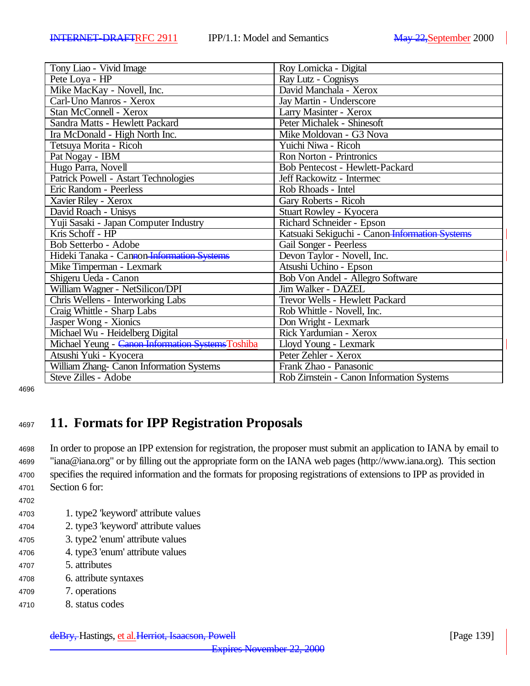| Tony Liao - Vivid Image                           | Roy Lomicka - Digital                          |
|---------------------------------------------------|------------------------------------------------|
| Pete Loya - HP                                    | Ray Lutz - Cognisys                            |
| Mike MacKay - Novell, Inc.                        | David Manchala - Xerox                         |
| Carl-Uno Manros - Xerox                           | Jay Martin - Underscore                        |
| Stan McConnell - Xerox                            | Larry Masinter - Xerox                         |
| Sandra Matts - Hewlett Packard                    | Peter Michalek - Shinesoft                     |
| Ira McDonald - High North Inc.                    | Mike Moldovan - G3 Nova                        |
| Tetsuya Morita - Ricoh                            | Yuichi Niwa - Ricoh                            |
| Pat Nogay - IBM                                   | <b>Ron Norton - Printronics</b>                |
| Hugo Parra, Novell                                | <b>Bob Pentecost - Hewlett-Packard</b>         |
| Patrick Powell - Astart Technologies              | Jeff Rackowitz - Intermec                      |
| Eric Random - Peerless                            | Rob Rhoads - Intel                             |
| Xavier Riley - Xerox                              | Gary Roberts - Ricoh                           |
| David Roach - Unisys                              | Stuart Rowley - Kyocera                        |
| Yuji Sasaki - Japan Computer Industry             | Richard Schneider - Epson                      |
| Kris Schoff - HP                                  | Katsuaki Sekiguchi - Canon Information Systems |
| Bob Setterbo - Adobe                              | Gail Songer - Peerless                         |
| Hideki Tanaka - Cannon Information Systems        | Devon Taylor - Novell, Inc.                    |
| Mike Timperman - Lexmark                          | Atsushi Uchino - Epson                         |
| Shigeru Ueda - Canon                              | Bob Von Andel - Allegro Software               |
| William Wagner - NetSilicon/DPI                   | Jim Walker - DAZEL                             |
| Chris Wellens - Interworking Labs                 | Trevor Wells - Hewlett Packard                 |
| Craig Whittle - Sharp Labs                        | Rob Whittle - Novell, Inc.                     |
| Jasper Wong - Xionics                             | Don Wright - Lexmark                           |
| Michael Wu - Heidelberg Digital                   | Rick Yardumian - Xerox                         |
| Michael Yeung - Canon Information Systems Toshiba | Lloyd Young - Lexmark                          |
| Atsushi Yuki - Kyocera                            | Peter Zehler - Xerox                           |
| William Zhang- Canon Information Systems          | Frank Zhao - Panasonic                         |
| Steve Zilles - Adobe                              | Rob Zirnstein - Canon Information Systems      |

4696

# <sup>4697</sup> **11. Formats for IPP Registration Proposals**

 In order to propose an IPP extension for registration, the proposer must submit an application to IANA by email to "iana@iana.org" or by filling out the appropriate form on the IANA web pages (http://www.iana.org). This section specifies the required information and the formats for proposing registrations of extensions to IPP as provided in Section 6 for:

- 4702
- <sup>4703</sup> 1. type2 'keyword' attribute values
- <sup>4704</sup> 2. type3 'keyword' attribute values
- <sup>4705</sup> 3. type2 'enum' attribute values
- <sup>4706</sup> 4. type3 'enum' attribute values
- <sup>4707</sup> 5. attributes
- <sup>4708</sup> 6. attribute syntaxes
- <sup>4709</sup> 7. operations
- <sup>4710</sup> 8. status codes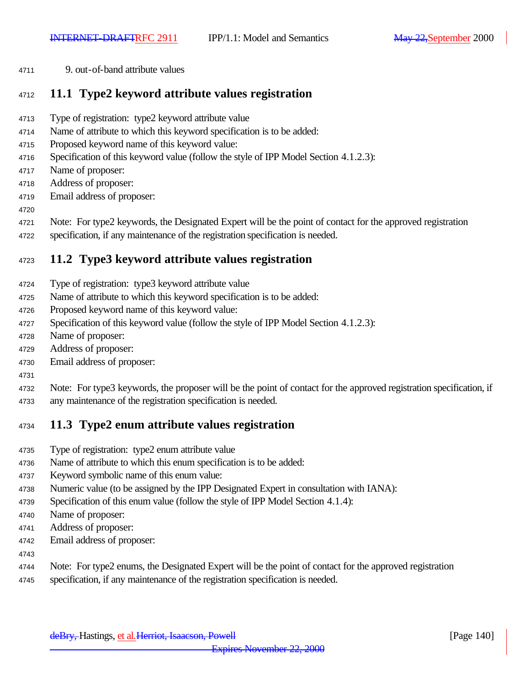9. out-of-band attribute values

### **11.1 Type2 keyword attribute values registration**

- Type of registration: type2 keyword attribute value
- Name of attribute to which this keyword specification is to be added:
- Proposed keyword name of this keyword value:
- Specification of this keyword value (follow the style of IPP Model Section 4.1.2.3):
- Name of proposer:
- Address of proposer:
- Email address of proposer:
- 

Note: For type2 keywords, the Designated Expert will be the point of contact for the approved registration

specification, if any maintenance of the registration specification is needed.

# **11.2 Type3 keyword attribute values registration**

- Type of registration: type3 keyword attribute value
- Name of attribute to which this keyword specification is to be added:
- Proposed keyword name of this keyword value:
- Specification of this keyword value (follow the style of IPP Model Section 4.1.2.3):
- Name of proposer:
- Address of proposer:
- Email address of proposer:
- 
- Note: For type3 keywords, the proposer will be the point of contact for the approved registration specification, if any maintenance of the registration specification is needed.

# **11.3 Type2 enum attribute values registration**

- Type of registration: type2 enum attribute value
- Name of attribute to which this enum specification is to be added:
- Keyword symbolic name of this enum value:
- Numeric value (to be assigned by the IPP Designated Expert in consultation with IANA):
- Specification of this enum value (follow the style of IPP Model Section 4.1.4):
- Name of proposer:
- Address of proposer:
- Email address of proposer:
- 
- Note: For type2 enums, the Designated Expert will be the point of contact for the approved registration
- specification, if any maintenance of the registration specification is needed.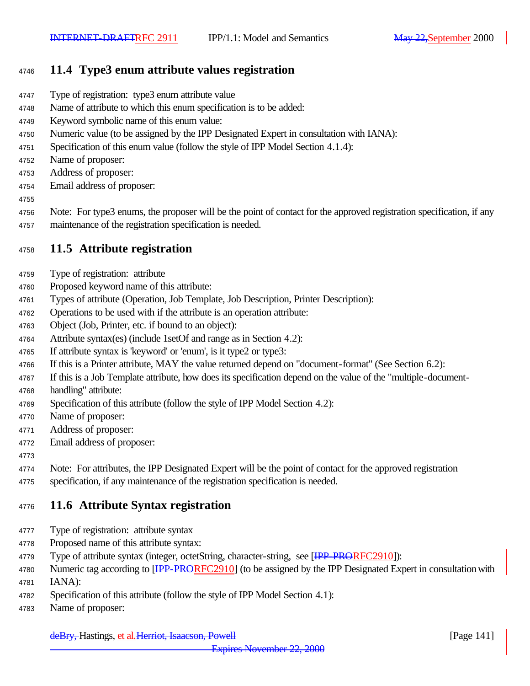# **11.4 Type3 enum attribute values registration**

- Type of registration: type3 enum attribute value
- Name of attribute to which this enum specification is to be added:
- Keyword symbolic name of this enum value:
- Numeric value (to be assigned by the IPP Designated Expert in consultation with IANA):
- Specification of this enum value (follow the style of IPP Model Section 4.1.4):
- Name of proposer:
- Address of proposer:
- Email address of proposer:
- 
- Note: For type3 enums, the proposer will be the point of contact for the approved registration specification, if any maintenance of the registration specification is needed.

# **11.5 Attribute registration**

- Type of registration: attribute
- Proposed keyword name of this attribute:
- Types of attribute (Operation, Job Template, Job Description, Printer Description):
- Operations to be used with if the attribute is an operation attribute:
- Object (Job, Printer, etc. if bound to an object):
- Attribute syntax(es) (include 1setOf and range as in Section 4.2):
- If attribute syntax is 'keyword' or 'enum', is it type2 or type3:
- If this is a Printer attribute, MAY the value returned depend on "document-format" (See Section 6.2):
- If this is a Job Template attribute, how does its specification depend on the value of the "multiple-document-
- handling" attribute:
- Specification of this attribute (follow the style of IPP Model Section 4.2):
- Name of proposer:
- Address of proposer:
- Email address of proposer:
- 

Note: For attributes, the IPP Designated Expert will be the point of contact for the approved registration

specification, if any maintenance of the registration specification is needed.

# **11.6 Attribute Syntax registration**

- Type of registration: attribute syntax
- Proposed name of this attribute syntax:
- 4779 Type of attribute syntax (integer, octetString, character-string, see [IPP-PRORFC2910]):
- 4780 Numeric tag according to [<del>IPP-PRORF</del>C2910] (to be assigned by the IPP Designated Expert in consultation with IANA):
- Specification of this attribute (follow the style of IPP Model Section 4.1):
- Name of proposer: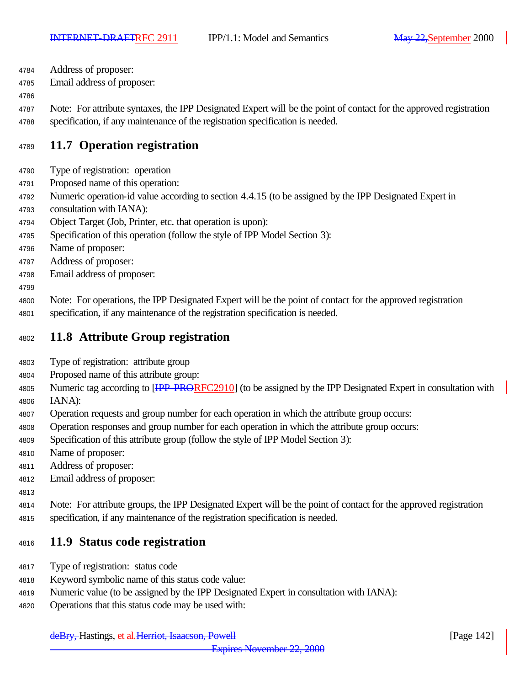Address of proposer:

Email address of proposer:

 Note: For attribute syntaxes, the IPP Designated Expert will be the point of contact for the approved registration specification, if any maintenance of the registration specification is needed.

# **11.7 Operation registration**

- Type of registration: operation
- Proposed name of this operation:
- Numeric operation-id value according to section 4.4.15 (to be assigned by the IPP Designated Expert in
- consultation with IANA):
- Object Target (Job, Printer, etc. that operation is upon):
- Specification of this operation (follow the style of IPP Model Section 3):
- Name of proposer:
- Address of proposer:
- Email address of proposer:
- 
- Note: For operations, the IPP Designated Expert will be the point of contact for the approved registration
- specification, if any maintenance of the registration specification is needed.

### **11.8 Attribute Group registration**

- Type of registration: attribute group
- Proposed name of this attribute group:
- 4805 Numeric tag according to [HPP-PRORFC2910] (to be assigned by the IPP Designated Expert in consultation with IANA):
- Operation requests and group number for each operation in which the attribute group occurs:
- Operation responses and group number for each operation in which the attribute group occurs:
- Specification of this attribute group (follow the style of IPP Model Section 3):
- Name of proposer:
- Address of proposer:
- Email address of proposer:
- 

 Note: For attribute groups, the IPP Designated Expert will be the point of contact for the approved registration specification, if any maintenance of the registration specification is needed.

### **11.9 Status code registration**

- Type of registration: status code
- Keyword symbolic name of this status code value:
- Numeric value (to be assigned by the IPP Designated Expert in consultation with IANA):
- Operations that this status code may be used with: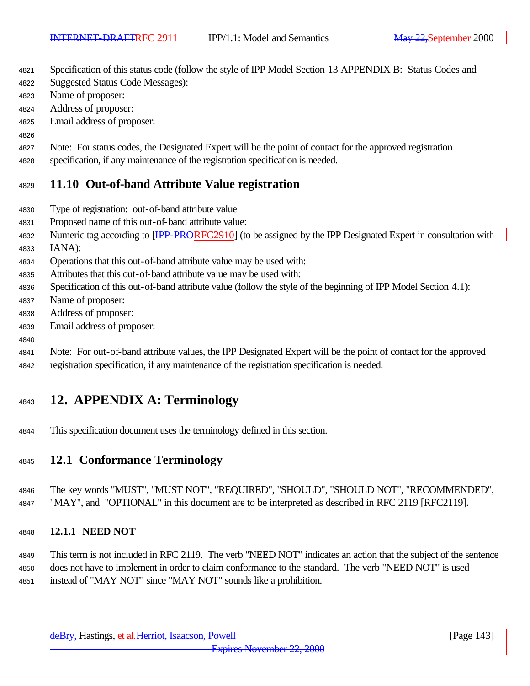- Specification of this status code (follow the style of IPP Model Section 13 APPENDIX B: Status Codes and
- Suggested Status Code Messages):
- Name of proposer:
- Address of proposer:
- Email address of proposer:
- 
- Note: For status codes, the Designated Expert will be the point of contact for the approved registration
- specification, if any maintenance of the registration specification is needed.

# **11.10 Out-of-band Attribute Value registration**

- Type of registration: out-of-band attribute value
- Proposed name of this out-of-band attribute value:
- 4832 Numeric tag according to [<del>IPP-PROR</del>FC2910] (to be assigned by the IPP Designated Expert in consultation with
- IANA):

- Operations that this out-of-band attribute value may be used with:
- Attributes that this out-of-band attribute value may be used with:
- Specification of this out-of-band attribute value (follow the style of the beginning of IPP Model Section 4.1):
- Name of proposer:
- Address of proposer:
- Email address of proposer:
- Note: For out-of-band attribute values, the IPP Designated Expert will be the point of contact for the approved
- registration specification, if any maintenance of the registration specification is needed.

# **12. APPENDIX A: Terminology**

This specification document uses the terminology defined in this section.

# **12.1 Conformance Terminology**

 The key words "MUST", "MUST NOT", "REQUIRED", "SHOULD", "SHOULD NOT", "RECOMMENDED", "MAY", and "OPTIONAL" in this document are to be interpreted as described in RFC 2119 [RFC2119].

### **12.1.1 NEED NOT**

 This term is not included in RFC 2119. The verb "NEED NOT" indicates an action that the subject of the sentence does not have to implement in order to claim conformance to the standard. The verb "NEED NOT" is used

instead of "MAY NOT" since "MAY NOT" sounds like a prohibition.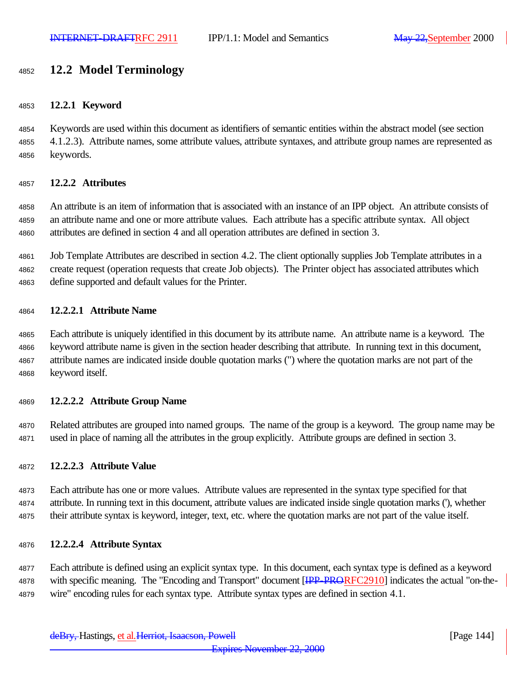# **12.2 Model Terminology**

### **12.2.1 Keyword**

 Keywords are used within this document as identifiers of semantic entities within the abstract model (see section 4.1.2.3). Attribute names, some attribute values, attribute syntaxes, and attribute group names are represented as keywords.

### **12.2.2 Attributes**

 An attribute is an item of information that is associated with an instance of an IPP object. An attribute consists of an attribute name and one or more attribute values. Each attribute has a specific attribute syntax. All object attributes are defined in section 4 and all operation attributes are defined in section 3.

 Job Template Attributes are described in section 4.2. The client optionally supplies Job Template attributes in a create request (operation requests that create Job objects). The Printer object has associated attributes which define supported and default values for the Printer.

#### **12.2.2.1 Attribute Name**

 Each attribute is uniquely identified in this document by its attribute name. An attribute name is a keyword. The keyword attribute name is given in the section header describing that attribute. In running text in this document, attribute names are indicated inside double quotation marks (") where the quotation marks are not part of the keyword itself.

#### **12.2.2.2 Attribute Group Name**

 Related attributes are grouped into named groups. The name of the group is a keyword. The group name may be used in place of naming all the attributes in the group explicitly. Attribute groups are defined in section 3.

### **12.2.2.3 Attribute Value**

 Each attribute has one or more values. Attribute values are represented in the syntax type specified for that attribute. In running text in this document, attribute values are indicated inside single quotation marks ('), whether their attribute syntax is keyword, integer, text, etc. where the quotation marks are not part of the value itself.

### **12.2.2.4 Attribute Syntax**

 Each attribute is defined using an explicit syntax type. In this document, each syntax type is defined as a keyword 4878 with specific meaning. The "Encoding and Transport" document [IPP-PRORFC2910] indicates the actual "on-the-wire" encoding rules for each syntax type. Attribute syntax types are defined in section 4.1.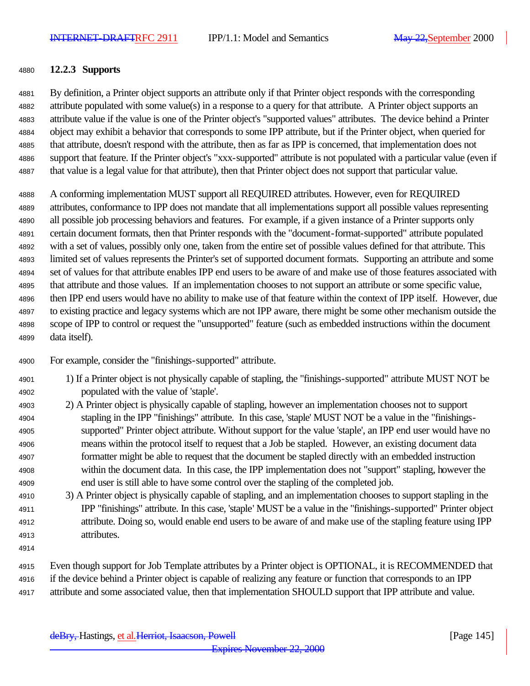#### **12.2.3 Supports**

 By definition, a Printer object supports an attribute only if that Printer object responds with the corresponding attribute populated with some value(s) in a response to a query for that attribute. A Printer object supports an attribute value if the value is one of the Printer object's "supported values" attributes. The device behind a Printer object may exhibit a behavior that corresponds to some IPP attribute, but if the Printer object, when queried for that attribute, doesn't respond with the attribute, then as far as IPP is concerned, that implementation does not support that feature. If the Printer object's "xxx-supported" attribute is not populated with a particular value (even if that value is a legal value for that attribute), then that Printer object does not support that particular value.

 A conforming implementation MUST support all REQUIRED attributes. However, even for REQUIRED attributes, conformance to IPP does not mandate that all implementations support all possible values representing all possible job processing behaviors and features. For example, if a given instance of a Printer supports only certain document formats, then that Printer responds with the "document-format-supported" attribute populated with a set of values, possibly only one, taken from the entire set of possible values defined for that attribute. This limited set of values represents the Printer's set of supported document formats. Supporting an attribute and some set of values for that attribute enables IPP end users to be aware of and make use of those features associated with that attribute and those values. If an implementation chooses to not support an attribute or some specific value, then IPP end users would have no ability to make use of that feature within the context of IPP itself. However, due to existing practice and legacy systems which are not IPP aware, there might be some other mechanism outside the scope of IPP to control or request the "unsupported" feature (such as embedded instructions within the document data itself).

For example, consider the "finishings-supported" attribute.

- 1) If a Printer object is not physically capable of stapling, the "finishings-supported" attribute MUST NOT be populated with the value of 'staple'.
- 2) A Printer object is physically capable of stapling, however an implementation chooses not to support stapling in the IPP "finishings" attribute. In this case, 'staple' MUST NOT be a value in the "finishings- supported" Printer object attribute. Without support for the value 'staple', an IPP end user would have no means within the protocol itself to request that a Job be stapled. However, an existing document data formatter might be able to request that the document be stapled directly with an embedded instruction within the document data. In this case, the IPP implementation does not "support" stapling, however the end user is still able to have some control over the stapling of the completed job.
- 3) A Printer object is physically capable of stapling, and an implementation chooses to support stapling in the IPP "finishings" attribute. In this case, 'staple' MUST be a value in the "finishings-supported" Printer object attribute. Doing so, would enable end users to be aware of and make use of the stapling feature using IPP attributes.
- 

 Even though support for Job Template attributes by a Printer object is OPTIONAL, it is RECOMMENDED that if the device behind a Printer object is capable of realizing any feature or function that corresponds to an IPP attribute and some associated value, then that implementation SHOULD support that IPP attribute and value.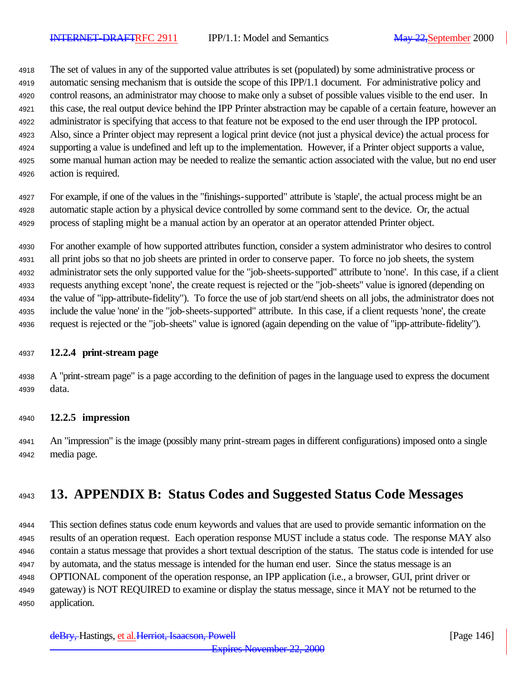The set of values in any of the supported value attributes is set (populated) by some administrative process or automatic sensing mechanism that is outside the scope of this IPP/1.1 document. For administrative policy and control reasons, an administrator may choose to make only a subset of possible values visible to the end user. In this case, the real output device behind the IPP Printer abstraction may be capable of a certain feature, however an administrator is specifying that access to that feature not be exposed to the end user through the IPP protocol. Also, since a Printer object may represent a logical print device (not just a physical device) the actual process for supporting a value is undefined and left up to the implementation. However, if a Printer object supports a value, some manual human action may be needed to realize the semantic action associated with the value, but no end user action is required.

 For example, if one of the values in the "finishings-supported" attribute is 'staple', the actual process might be an automatic staple action by a physical device controlled by some command sent to the device. Or, the actual process of stapling might be a manual action by an operator at an operator attended Printer object.

 For another example of how supported attributes function, consider a system administrator who desires to control all print jobs so that no job sheets are printed in order to conserve paper. To force no job sheets, the system administrator sets the only supported value for the "job-sheets-supported" attribute to 'none'. In this case, if a client requests anything except 'none', the create request is rejected or the "job-sheets" value is ignored (depending on the value of "ipp-attribute-fidelity"). To force the use of job start/end sheets on all jobs, the administrator does not include the value 'none' in the "job-sheets-supported" attribute. In this case, if a client requests 'none', the create request is rejected or the "job-sheets" value is ignored (again depending on the value of "ipp-attribute-fidelity").

#### **12.2.4 print-stream page**

 A "print-stream page" is a page according to the definition of pages in the language used to express the document data.

#### **12.2.5 impression**

 An "impression" is the image (possibly many print-stream pages in different configurations) imposed onto a single media page.

# **13. APPENDIX B: Status Codes and Suggested Status Code Messages**

 This section defines status code enum keywords and values that are used to provide semantic information on the results of an operation request. Each operation response MUST include a status code. The response MAY also contain a status message that provides a short textual description of the status. The status code is intended for use by automata, and the status message is intended for the human end user. Since the status message is an OPTIONAL component of the operation response, an IPP application (i.e., a browser, GUI, print driver or gateway) is NOT REQUIRED to examine or display the status message, since it MAY not be returned to the application.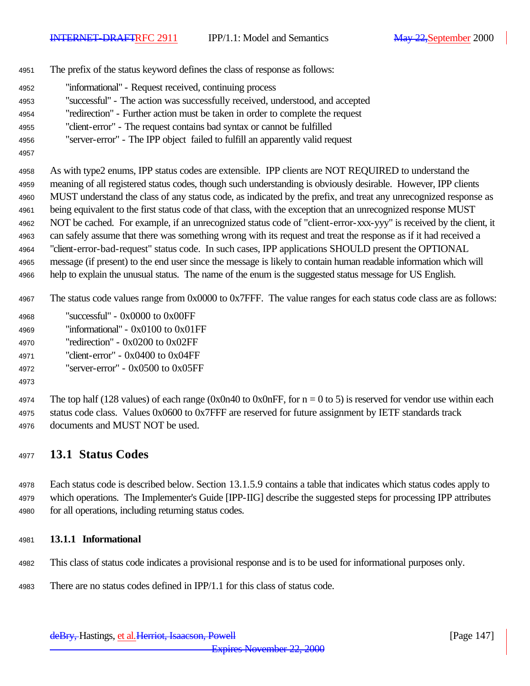- The prefix of the status keyword defines the class of response as follows:
- "informational" Request received, continuing process
- "successful" The action was successfully received, understood, and accepted
- "redirection" Further action must be taken in order to complete the request
- "client-error" The request contains bad syntax or cannot be fulfilled
- "server-error" The IPP object failed to fulfill an apparently valid request
- 

 As with type2 enums, IPP status codes are extensible. IPP clients are NOT REQUIRED to understand the meaning of all registered status codes, though such understanding is obviously desirable. However, IPP clients MUST understand the class of any status code, as indicated by the prefix, and treat any unrecognized response as being equivalent to the first status code of that class, with the exception that an unrecognized response MUST NOT be cached. For example, if an unrecognized status code of "client-error-xxx-yyy" is received by the client, it can safely assume that there was something wrong with its request and treat the response as if it had received a "client-error-bad-request" status code. In such cases, IPP applications SHOULD present the OPTIONAL message (if present) to the end user since the message is likely to contain human readable information which will help to explain the unusual status. The name of the enum is the suggested status message for US English.

- The status code values range from 0x0000 to 0x7FFF. The value ranges for each status code class are as follows:
- "successful" 0x0000 to 0x00FF
- "informational" 0x0100 to 0x01FF
- "redirection" 0x0200 to 0x02FF
- "client-error" 0x0400 to 0x04FF
- "server-error" 0x0500 to 0x05FF
- 

4974 The top half (128 values) of each range (0x0n40 to 0x0nFF, for  $n = 0$  to 5) is reserved for vendor use within each status code class. Values 0x0600 to 0x7FFF are reserved for future assignment by IETF standards track documents and MUST NOT be used.

## **13.1 Status Codes**

 Each status code is described below. Section 13.1.5.9 contains a table that indicates which status codes apply to which operations. The Implementer's Guide [IPP-IIG] describe the suggested steps for processing IPP attributes for all operations, including returning status codes.

### **13.1.1 Informational**

- This class of status code indicates a provisional response and is to be used for informational purposes only.
- There are no status codes defined in IPP/1.1 for this class of status code.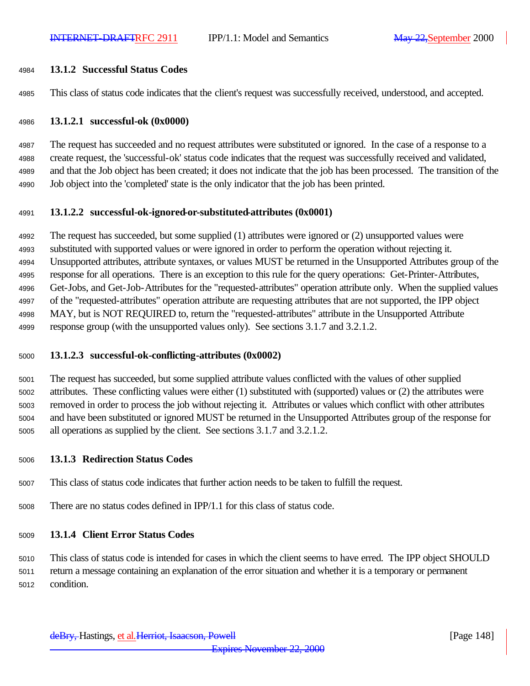#### **13.1.2 Successful Status Codes**

This class of status code indicates that the client's request was successfully received, understood, and accepted.

#### **13.1.2.1 successful-ok (0x0000)**

 The request has succeeded and no request attributes were substituted or ignored. In the case of a response to a create request, the 'successful-ok' status code indicates that the request was successfully received and validated, and that the Job object has been created; it does not indicate that the job has been processed. The transition of the Job object into the 'completed' state is the only indicator that the job has been printed.

#### **13.1.2.2 successful-ok-ignored-or-substituted-attributes (0x0001)**

 The request has succeeded, but some supplied (1) attributes were ignored or (2) unsupported values were substituted with supported values or were ignored in order to perform the operation without rejecting it. Unsupported attributes, attribute syntaxes, or values MUST be returned in the Unsupported Attributes group of the response for all operations. There is an exception to this rule for the query operations: Get-Printer-Attributes, Get-Jobs, and Get-Job-Attributes for the "requested-attributes" operation attribute only. When the supplied values of the "requested-attributes" operation attribute are requesting attributes that are not supported, the IPP object MAY, but is NOT REQUIRED to, return the "requested-attributes" attribute in the Unsupported Attribute response group (with the unsupported values only). See sections 3.1.7 and 3.2.1.2.

#### **13.1.2.3 successful-ok-conflicting-attributes (0x0002)**

 The request has succeeded, but some supplied attribute values conflicted with the values of other supplied attributes. These conflicting values were either (1) substituted with (supported) values or (2) the attributes were removed in order to process the job without rejecting it. Attributes or values which conflict with other attributes and have been substituted or ignored MUST be returned in the Unsupported Attributes group of the response for all operations as supplied by the client. See sections 3.1.7 and 3.2.1.2.

#### **13.1.3 Redirection Status Codes**

This class of status code indicates that further action needs to be taken to fulfill the request.

There are no status codes defined in IPP/1.1 for this class of status code.

#### **13.1.4 Client Error Status Codes**

This class of status code is intended for cases in which the client seems to have erred. The IPP object SHOULD

return a message containing an explanation of the error situation and whether it is a temporary or permanent

condition.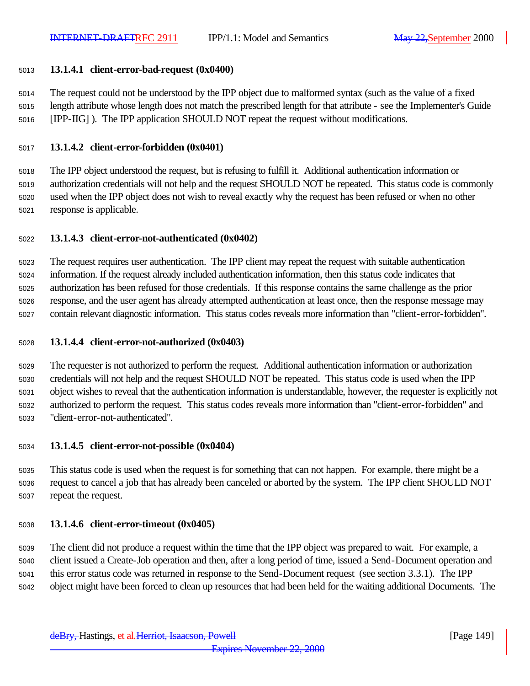#### **13.1.4.1 client-error-bad-request (0x0400)**

 The request could not be understood by the IPP object due to malformed syntax (such as the value of a fixed length attribute whose length does not match the prescribed length for that attribute - see the Implementer's Guide [IPP-IIG] ). The IPP application SHOULD NOT repeat the request without modifications.

#### **13.1.4.2 client-error-forbidden (0x0401)**

 The IPP object understood the request, but is refusing to fulfill it. Additional authentication information or authorization credentials will not help and the request SHOULD NOT be repeated. This status code is commonly used when the IPP object does not wish to reveal exactly why the request has been refused or when no other response is applicable.

#### **13.1.4.3 client-error-not-authenticated (0x0402)**

 The request requires user authentication. The IPP client may repeat the request with suitable authentication information. If the request already included authentication information, then this status code indicates that authorization has been refused for those credentials. If this response contains the same challenge as the prior response, and the user agent has already attempted authentication at least once, then the response message may contain relevant diagnostic information. This status codes reveals more information than "client-error-forbidden".

#### **13.1.4.4 client-error-not-authorized (0x0403)**

 The requester is not authorized to perform the request. Additional authentication information or authorization credentials will not help and the request SHOULD NOT be repeated. This status code is used when the IPP object wishes to reveal that the authentication information is understandable, however, the requester is explicitly not authorized to perform the request. This status codes reveals more information than "client-error-forbidden" and "client-error-not-authenticated".

#### **13.1.4.5 client-error-not-possible (0x0404)**

 This status code is used when the request is for something that can not happen. For example, there might be a request to cancel a job that has already been canceled or aborted by the system. The IPP client SHOULD NOT repeat the request.

#### **13.1.4.6 client-error-timeout (0x0405)**

 The client did not produce a request within the time that the IPP object was prepared to wait. For example, a client issued a Create-Job operation and then, after a long period of time, issued a Send-Document operation and this error status code was returned in response to the Send-Document request (see section 3.3.1). The IPP object might have been forced to clean up resources that had been held for the waiting additional Documents. The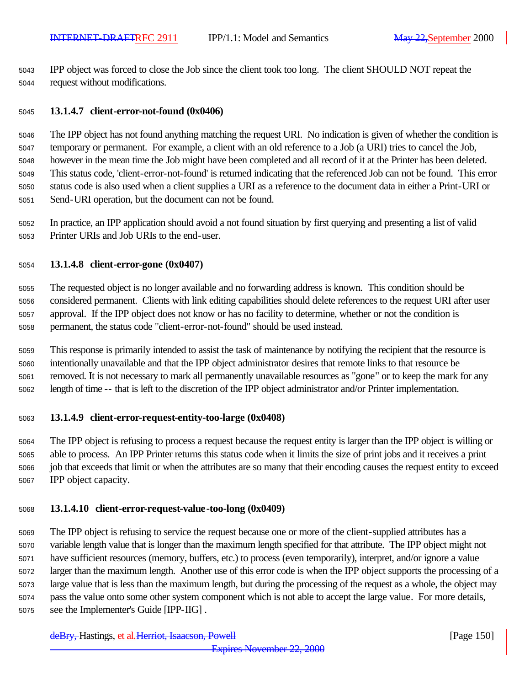IPP object was forced to close the Job since the client took too long. The client SHOULD NOT repeat the request without modifications.

#### **13.1.4.7 client-error-not-found (0x0406)**

 The IPP object has not found anything matching the request URI. No indication is given of whether the condition is temporary or permanent. For example, a client with an old reference to a Job (a URI) tries to cancel the Job, however in the mean time the Job might have been completed and all record of it at the Printer has been deleted. This status code, 'client-error-not-found' is returned indicating that the referenced Job can not be found. This error status code is also used when a client supplies a URI as a reference to the document data in either a Print-URI or Send-URI operation, but the document can not be found.

 In practice, an IPP application should avoid a not found situation by first querying and presenting a list of valid Printer URIs and Job URIs to the end-user.

#### **13.1.4.8 client-error-gone (0x0407)**

 The requested object is no longer available and no forwarding address is known. This condition should be considered permanent. Clients with link editing capabilities should delete references to the request URI after user approval. If the IPP object does not know or has no facility to determine, whether or not the condition is permanent, the status code "client-error-not-found" should be used instead.

 This response is primarily intended to assist the task of maintenance by notifying the recipient that the resource is intentionally unavailable and that the IPP object administrator desires that remote links to that resource be removed. It is not necessary to mark all permanently unavailable resources as "gone" or to keep the mark for any length of time -- that is left to the discretion of the IPP object administrator and/or Printer implementation.

#### **13.1.4.9 client-error-request-entity-too-large (0x0408)**

 The IPP object is refusing to process a request because the request entity is larger than the IPP object is willing or able to process. An IPP Printer returns this status code when it limits the size of print jobs and it receives a print job that exceeds that limit or when the attributes are so many that their encoding causes the request entity to exceed IPP object capacity.

#### **13.1.4.10 client-error-request-value-too-long (0x0409)**

 The IPP object is refusing to service the request because one or more of the client-supplied attributes has a variable length value that is longer than the maximum length specified for that attribute. The IPP object might not have sufficient resources (memory, buffers, etc.) to process (even temporarily), interpret, and/or ignore a value larger than the maximum length. Another use of this error code is when the IPP object supports the processing of a large value that is less than the maximum length, but during the processing of the request as a whole, the object may pass the value onto some other system component which is not able to accept the large value. For more details, see the Implementer's Guide [IPP-IIG] .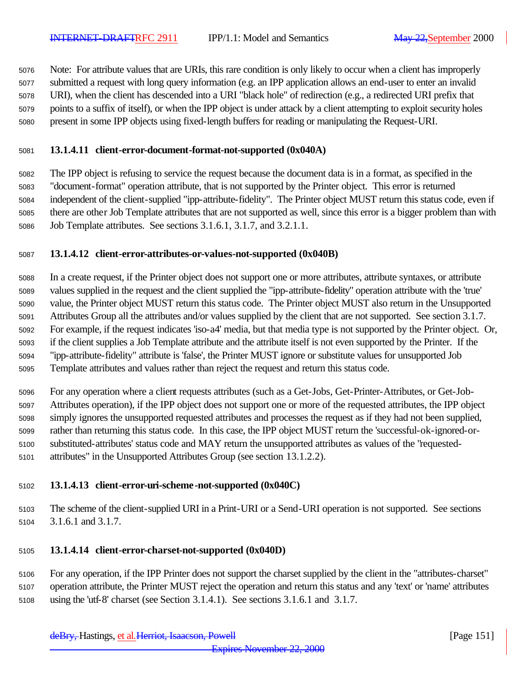Note: For attribute values that are URIs, this rare condition is only likely to occur when a client has improperly submitted a request with long query information (e.g. an IPP application allows an end-user to enter an invalid URI), when the client has descended into a URI "black hole" of redirection (e.g., a redirected URI prefix that points to a suffix of itself), or when the IPP object is under attack by a client attempting to exploit security holes present in some IPP objects using fixed-length buffers for reading or manipulating the Request-URI.

#### **13.1.4.11 client-error-document-format-not-supported (0x040A)**

 The IPP object is refusing to service the request because the document data is in a format, as specified in the "document-format" operation attribute, that is not supported by the Printer object. This error is returned independent of the client-supplied "ipp-attribute-fidelity". The Printer object MUST return this status code, even if there are other Job Template attributes that are not supported as well, since this error is a bigger problem than with Job Template attributes. See sections 3.1.6.1, 3.1.7, and 3.2.1.1.

#### **13.1.4.12 client-error-attributes-or-values-not-supported (0x040B)**

 In a create request, if the Printer object does not support one or more attributes, attribute syntaxes, or attribute values supplied in the request and the client supplied the "ipp-attribute-fidelity" operation attribute with the 'true' value, the Printer object MUST return this status code. The Printer object MUST also return in the Unsupported Attributes Group all the attributes and/or values supplied by the client that are not supported. See section 3.1.7. For example, if the request indicates 'iso-a4' media, but that media type is not supported by the Printer object. Or, if the client supplies a Job Template attribute and the attribute itself is not even supported by the Printer. If the "ipp-attribute-fidelity" attribute is 'false', the Printer MUST ignore or substitute values for unsupported Job Template attributes and values rather than reject the request and return this status code.

 For any operation where a client requests attributes (such as a Get-Jobs, Get-Printer-Attributes, or Get-Job- Attributes operation), if the IPP object does not support one or more of the requested attributes, the IPP object simply ignores the unsupported requested attributes and processes the request as if they had not been supplied, rather than returning this status code. In this case, the IPP object MUST return the 'successful-ok-ignored-or- substituted-attributes' status code and MAY return the unsupported attributes as values of the "requested-attributes" in the Unsupported Attributes Group (see section 13.1.2.2).

#### **13.1.4.13 client-error-uri-scheme-not-supported (0x040C)**

 The scheme of the client-supplied URI in a Print-URI or a Send-URI operation is not supported. See sections 3.1.6.1 and 3.1.7.

#### **13.1.4.14 client-error-charset-not-supported (0x040D)**

 For any operation, if the IPP Printer does not support the charset supplied by the client in the "attributes-charset" operation attribute, the Printer MUST reject the operation and return this status and any 'text' or 'name' attributes using the 'utf-8' charset (see Section 3.1.4.1). See sections 3.1.6.1 and 3.1.7.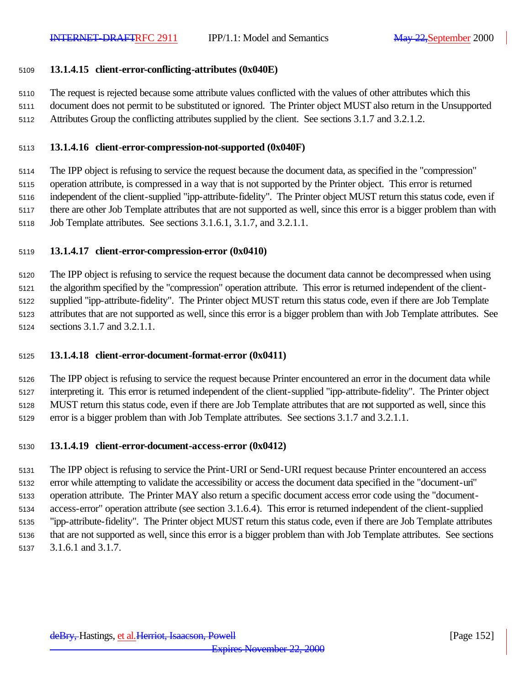#### **13.1.4.15 client-error-conflicting-attributes (0x040E)**

The request is rejected because some attribute values conflicted with the values of other attributes which this

 document does not permit to be substituted or ignored. The Printer object MUST also return in the Unsupported Attributes Group the conflicting attributes supplied by the client. See sections 3.1.7 and 3.2.1.2.

#### **13.1.4.16 client-error-compression-not-supported (0x040F)**

 The IPP object is refusing to service the request because the document data, as specified in the "compression" operation attribute, is compressed in a way that is not supported by the Printer object. This error is returned independent of the client-supplied "ipp-attribute-fidelity". The Printer object MUST return this status code, even if there are other Job Template attributes that are not supported as well, since this error is a bigger problem than with Job Template attributes. See sections 3.1.6.1, 3.1.7, and 3.2.1.1.

#### **13.1.4.17 client-error-compression-error (0x0410)**

 The IPP object is refusing to service the request because the document data cannot be decompressed when using the algorithm specified by the "compression" operation attribute. This error is returned independent of the client- supplied "ipp-attribute-fidelity". The Printer object MUST return this status code, even if there are Job Template attributes that are not supported as well, since this error is a bigger problem than with Job Template attributes. See sections 3.1.7 and 3.2.1.1.

#### **13.1.4.18 client-error-document-format-error (0x0411)**

 The IPP object is refusing to service the request because Printer encountered an error in the document data while interpreting it. This error is returned independent of the client-supplied "ipp-attribute-fidelity". The Printer object MUST return this status code, even if there are Job Template attributes that are not supported as well, since this error is a bigger problem than with Job Template attributes. See sections 3.1.7 and 3.2.1.1.

#### **13.1.4.19 client-error-document-access-error (0x0412)**

 The IPP object is refusing to service the Print-URI or Send-URI request because Printer encountered an access error while attempting to validate the accessibility or access the document data specified in the "document-uri" operation attribute. The Printer MAY also return a specific document access error code using the "document- access-error" operation attribute (see section 3.1.6.4). This error is returned independent of the client-supplied "ipp-attribute-fidelity". The Printer object MUST return this status code, even if there are Job Template attributes that are not supported as well, since this error is a bigger problem than with Job Template attributes. See sections 3.1.6.1 and 3.1.7.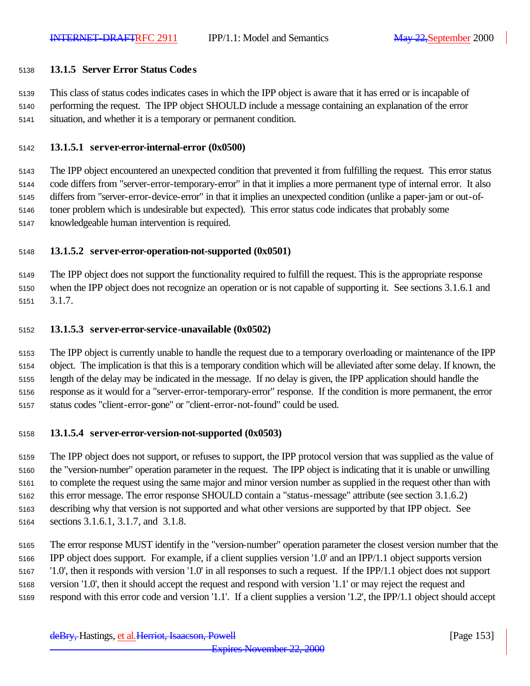#### **13.1.5 Server Error Status Codes**

 This class of status codes indicates cases in which the IPP object is aware that it has erred or is incapable of performing the request. The IPP object SHOULD include a message containing an explanation of the error situation, and whether it is a temporary or permanent condition.

#### **13.1.5.1 server-error-internal-error (0x0500)**

 The IPP object encountered an unexpected condition that prevented it from fulfilling the request. This error status code differs from "server-error-temporary-error" in that it implies a more permanent type of internal error. It also differs from "server-error-device-error" in that it implies an unexpected condition (unlike a paper-jam or out-of- toner problem which is undesirable but expected). This error status code indicates that probably some knowledgeable human intervention is required.

#### **13.1.5.2 server-error-operation-not-supported (0x0501)**

 The IPP object does not support the functionality required to fulfill the request. This is the appropriate response when the IPP object does not recognize an operation or is not capable of supporting it. See sections 3.1.6.1 and 3.1.7.

#### **13.1.5.3 server-error-service-unavailable (0x0502)**

 The IPP object is currently unable to handle the request due to a temporary overloading or maintenance of the IPP object. The implication is that this is a temporary condition which will be alleviated after some delay. If known, the length of the delay may be indicated in the message. If no delay is given, the IPP application should handle the response as it would for a "server-error-temporary-error" response. If the condition is more permanent, the error status codes "client-error-gone" or "client-error-not-found" could be used.

#### **13.1.5.4 server-error-version-not-supported (0x0503)**

 The IPP object does not support, or refuses to support, the IPP protocol version that was supplied as the value of the "version-number" operation parameter in the request. The IPP object is indicating that it is unable or unwilling to complete the request using the same major and minor version number as supplied in the request other than with this error message. The error response SHOULD contain a "status-message" attribute (see section 3.1.6.2) describing why that version is not supported and what other versions are supported by that IPP object. See sections 3.1.6.1, 3.1.7, and 3.1.8.

 The error response MUST identify in the "version-number" operation parameter the closest version number that the IPP object does support. For example, if a client supplies version '1.0' and an IPP/1.1 object supports version '1.0', then it responds with version '1.0' in all responses to such a request. If the IPP/1.1 object does not support version '1.0', then it should accept the request and respond with version '1.1' or may reject the request and respond with this error code and version '1.1'. If a client supplies a version '1.2', the IPP/1.1 object should accept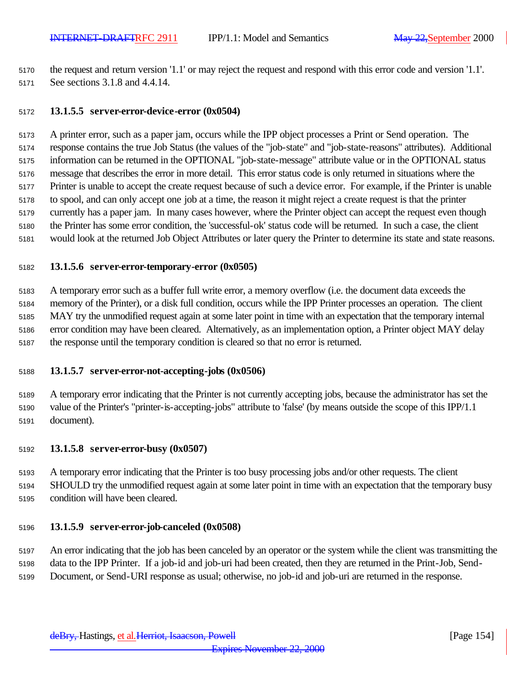the request and return version '1.1' or may reject the request and respond with this error code and version '1.1'. See sections 3.1.8 and 4.4.14.

#### **13.1.5.5 server-error-device-error (0x0504)**

 A printer error, such as a paper jam, occurs while the IPP object processes a Print or Send operation. The response contains the true Job Status (the values of the "job-state" and "job-state-reasons" attributes). Additional information can be returned in the OPTIONAL "job-state-message" attribute value or in the OPTIONAL status message that describes the error in more detail. This error status code is only returned in situations where the Printer is unable to accept the create request because of such a device error. For example, if the Printer is unable to spool, and can only accept one job at a time, the reason it might reject a create request is that the printer currently has a paper jam. In many cases however, where the Printer object can accept the request even though the Printer has some error condition, the 'successful-ok' status code will be returned. In such a case, the client would look at the returned Job Object Attributes or later query the Printer to determine its state and state reasons.

#### **13.1.5.6 server-error-temporary-error (0x0505)**

 A temporary error such as a buffer full write error, a memory overflow (i.e. the document data exceeds the memory of the Printer), or a disk full condition, occurs while the IPP Printer processes an operation. The client MAY try the unmodified request again at some later point in time with an expectation that the temporary internal error condition may have been cleared. Alternatively, as an implementation option, a Printer object MAY delay the response until the temporary condition is cleared so that no error is returned.

#### **13.1.5.7 server-error-not-accepting-jobs (0x0506)**

 A temporary error indicating that the Printer is not currently accepting jobs, because the administrator has set the value of the Printer's "printer-is-accepting-jobs" attribute to 'false' (by means outside the scope of this IPP/1.1 document).

#### **13.1.5.8 server-error-busy (0x0507)**

 A temporary error indicating that the Printer is too busy processing jobs and/or other requests. The client SHOULD try the unmodified request again at some later point in time with an expectation that the temporary busy condition will have been cleared.

#### **13.1.5.9 server-error-job-canceled (0x0508)**

 An error indicating that the job has been canceled by an operator or the system while the client was transmitting the data to the IPP Printer. If a job-id and job-uri had been created, then they are returned in the Print-Job, Send-Document, or Send-URI response as usual; otherwise, no job-id and job-uri are returned in the response.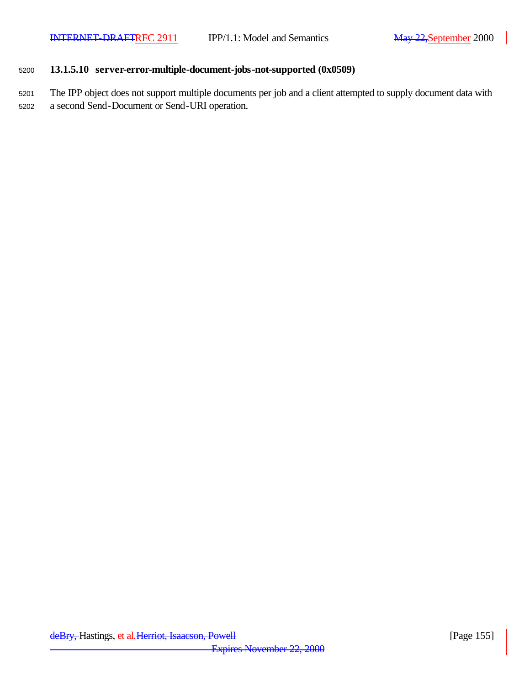### <sup>5200</sup> **13.1.5.10 server-error-multiple-document-jobs-not-supported (0x0509)**

<sup>5201</sup> The IPP object does not support multiple documents per job and a client attempted to supply document data with <sup>5202</sup> a second Send-Document or Send-URI operation.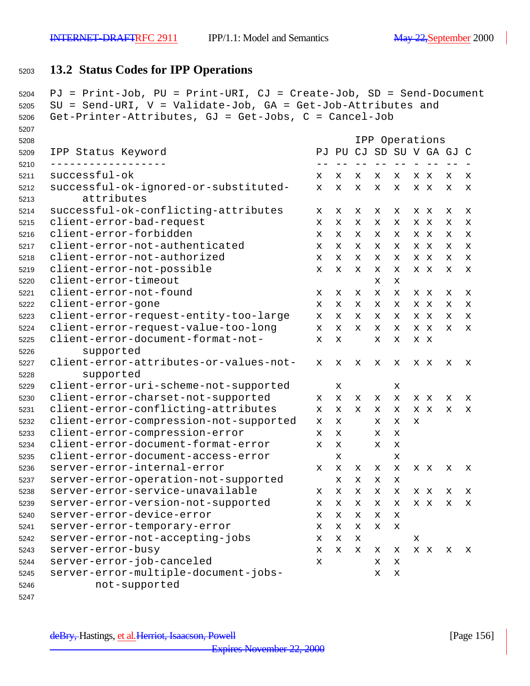## **13.2 Status Codes for IPP Operations**

```
5204 PJ = Print-Job, PU = Print-URI, CJ = Create-Job, SD = Send-Document
5205 SU = Send-URI, V = Validate-Job, GA = Get-Job-Attributes and
5206 Get-Printer-Attributes, GJ = Get-Jobs, C = Cancel-Job
5207
5208 IPP Operations
5209 IPP Status Keyword PJ PU CJ SD SU V GA GJ C
5210 ------------------ -- -- -- -- -- - -- -- -
5211 successful-ok x x x x x x x x x
5212 successful-ok-ignored-or-substituted- x x x x x x x x x
5213 attributes
5214 successful-ok-conflicting-attributes x x x x x x x x x
5215 client-error-bad-request x x x x x x x x x
5216 client-error-forbidden x x x x x x x x x
5217 client-error-not-authenticated x x x x x x x x x
5218 client-error-not-authorized x x x x x x x x x
5219 client-error-not-possible x x x x x x x x x
5220 client-error-timeout x x 
5221 client-error-not-found x x x x x x x x x
5222 client-error-gone x x x x x x x x x
5223 client-error-request-entity-too-large x x x x x x x x x
5224 client-error-request-value-too-long x x x x x x x x x
5225 client-error-document-format-not- x x x x x x
5226 supported
5227 client-error-attributes-or-values-not- x x x x x x x x x
5228 supported
5229 client-error-uri-scheme-not-supported x x
5230 client-error-charset-not-supported x x x x x x x x x
5231 client-error-conflicting-attributes x x x x x x x x x
5232 client-error-compression-not-supported x x x x x 
5233 client-error-compression-error x x x x 
5234 client-error-document-format-error x x x x 
5235 client-error-document-access-error x x
5236 server-error-internal-error x x x x x x x x x
5237 server-error-operation-not-supported x x x x
5238 server-error-service-unavailable x x x x x x x x x
5239 server-error-version-not-supported x x x x x x x x x
5240 server-error-device-error x x x x x
5241 server-error-temporary-error x x x x x
5242 server-error-not-accepting-jobs x x x x
5243 server-error-busy x x x x x x x x x
5244 server-error-job-canceled x x x
5245 server-error-multiple-document-jobs- x x
5246 not-supported
```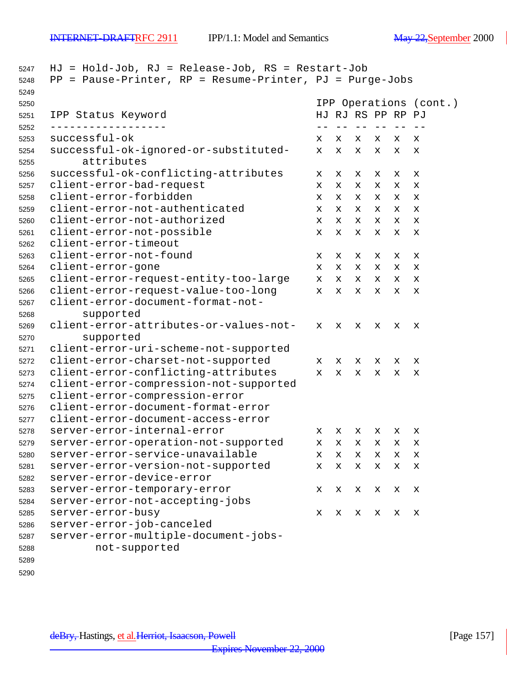| 5247 | HJ = Hold-Job, RJ = Release-Job, RS = Restart-Job        |             |      |                   |       |   |                        |
|------|----------------------------------------------------------|-------------|------|-------------------|-------|---|------------------------|
| 5248 | PP = Pause-Printer, RP = Resume-Printer, PJ = Purge-Jobs |             |      |                   |       |   |                        |
| 5249 |                                                          |             |      |                   |       |   |                        |
| 5250 |                                                          |             |      |                   |       |   | IPP Operations (cont.) |
| 5251 | IPP Status Keyword                                       |             |      | HJ RJ RS PP RP PJ |       |   |                        |
| 5252 | _____________                                            |             | $ -$ | $- -$             | $- -$ |   |                        |
| 5253 | successful-ok                                            | x           | X    | x                 | x     | x | х                      |
| 5254 | successful-ok-ignored-or-substituted-                    | x           | X    | X                 | x     | х | x                      |
| 5255 | attributes                                               |             |      |                   |       |   |                        |
| 5256 | successful-ok-conflicting-attributes                     | x           | X    | x                 | x     | х | х                      |
| 5257 | client-error-bad-request                                 | x           | X    | x                 | x     | х | х                      |
| 5258 | client-error-forbidden                                   | х           | X    | x                 | x     | x | X                      |
| 5259 | client-error-not-authenticated                           | х           | X    | x                 | х     | x | X                      |
| 5260 | client-error-not-authorized                              | х           | X    | х                 | х     | X | x                      |
| 5261 | client-error-not-possible                                | x           | X    | X                 | х     | х | x                      |
| 5262 | client-error-timeout                                     |             |      |                   |       |   |                        |
| 5263 | client-error-not-found                                   | x           | х    | x                 | x     | х | X                      |
| 5264 | client-error-gone                                        | x           | X    | х                 | x     | х | х                      |
| 5265 | client-error-request-entity-too-large                    | X.          | X    | x                 | x     | x | X                      |
| 5266 | client-error-request-value-too-long                      | X.          | X    | X                 | х     | х | X                      |
| 5267 | client-error-document-format-not-                        |             |      |                   |       |   |                        |
| 5268 | supported                                                |             |      |                   |       |   |                        |
| 5269 | client-error-attributes-or-values-not-                   | X           | X    | x                 | х     | х | х                      |
| 5270 | supported                                                |             |      |                   |       |   |                        |
| 5271 | client-error-uri-scheme-not-supported                    |             |      |                   |       |   |                        |
| 5272 | client-error-charset-not-supported                       | X           | x    | x                 | x     | x | х                      |
| 5273 | client-error-conflicting-attributes                      | $\mathbf x$ | X    | X                 | x     | х | X                      |
| 5274 | client-error-compression-not-supported                   |             |      |                   |       |   |                        |
| 5275 | client-error-compression-error                           |             |      |                   |       |   |                        |
| 5276 | client-error-document-format-error                       |             |      |                   |       |   |                        |
| 5277 | client-error-document-access-error                       |             |      |                   |       |   |                        |
| 5278 | server-error-internal-error                              | x           | х    | x                 | x     | х | х                      |
| 5279 | server-error-operation-not-supported                     | x           | X    | х                 | х     | х | X                      |
| 5280 | server-error-service-unavailable                         | x           | x    | х                 | x     | x | x                      |
| 5281 | server-error-version-not-supported                       | х           | х    | х                 | х     | x | х                      |
| 5282 | server-error-device-error                                |             |      |                   |       |   |                        |
| 5283 | server-error-temporary-error                             | х           | X    | х                 | х     | х | X                      |
| 5284 | server-error-not-accepting-jobs                          |             |      |                   |       |   |                        |
| 5285 | server-error-busy                                        | х           | X    | х                 | x     | х | $\mathbf x$            |
| 5286 | server-error-job-canceled                                |             |      |                   |       |   |                        |
| 5287 | server-error-multiple-document-jobs-                     |             |      |                   |       |   |                        |
| 5288 | not-supported                                            |             |      |                   |       |   |                        |
| 5289 |                                                          |             |      |                   |       |   |                        |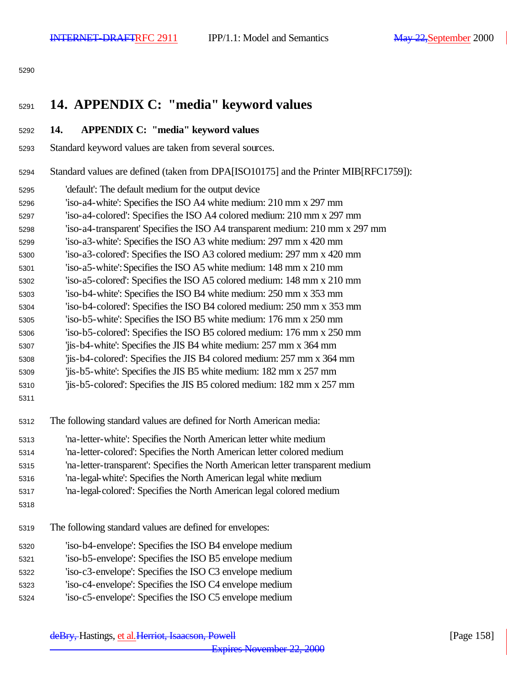#### 

# **14. APPENDIX C: "media" keyword values**

#### **14. APPENDIX C: "media" keyword values**

- Standard keyword values are taken from several sources.
- Standard values are defined (taken from DPA[ISO10175] and the Printer MIB[RFC1759]):
- 'default': The default medium for the output device
- 'iso-a4-white': Specifies the ISO A4 white medium: 210 mm x 297 mm
- 'iso-a4-colored': Specifies the ISO A4 colored medium: 210 mm x 297 mm
- 'iso-a4-transparent' Specifies the ISO A4 transparent medium: 210 mm x 297 mm
- 'iso-a3-white': Specifies the ISO A3 white medium: 297 mm x 420 mm
- 'iso-a3-colored': Specifies the ISO A3 colored medium: 297 mm x 420 mm
- 'iso-a5-white': Specifies the ISO A5 white medium: 148 mm x 210 mm
- 'iso-a5-colored': Specifies the ISO A5 colored medium: 148 mm x 210 mm
- 'iso-b4-white': Specifies the ISO B4 white medium: 250 mm x 353 mm
- 'iso-b4-colored': Specifies the ISO B4 colored medium: 250 mm x 353 mm
- 'iso-b5-white': Specifies the ISO B5 white medium: 176 mm x 250 mm
- 'iso-b5-colored': Specifies the ISO B5 colored medium: 176 mm x 250 mm
- 'jis-b4-white': Specifies the JIS B4 white medium: 257 mm x 364 mm
- 'jis-b4-colored': Specifies the JIS B4 colored medium: 257 mm x 364 mm
- 'jis-b5-white': Specifies the JIS B5 white medium: 182 mm x 257 mm
- 'jis-b5-colored': Specifies the JIS B5 colored medium: 182 mm x 257 mm
- 

The following standard values are defined for North American media:

- 'na-letter-white': Specifies the North American letter white medium
- 'na-letter-colored': Specifies the North American letter colored medium
- 'na-letter-transparent': Specifies the North American letter transparent medium
- 'na-legal-white': Specifies the North American legal white medium
- 'na-legal-colored': Specifies the North American legal colored medium
- 
- The following standard values are defined for envelopes:
- 'iso-b4-envelope': Specifies the ISO B4 envelope medium
- 'iso-b5-envelope': Specifies the ISO B5 envelope medium
- 'iso-c3-envelope': Specifies the ISO C3 envelope medium
- 'iso-c4-envelope': Specifies the ISO C4 envelope medium
- 'iso-c5-envelope': Specifies the ISO C5 envelope medium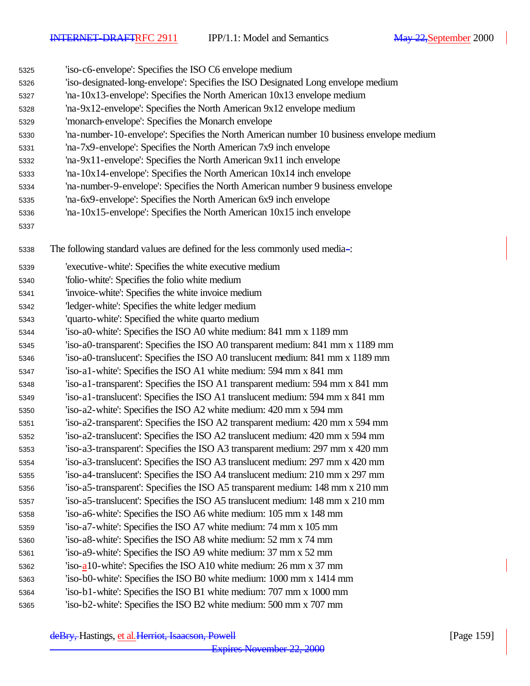| 5325 | 'iso-c6-envelope': Specifies the ISO C6 envelope medium                                  |
|------|------------------------------------------------------------------------------------------|
| 5326 | 'iso-designated-long-envelope': Specifies the ISO Designated Long envelope medium        |
| 5327 | 'na-10x13-envelope': Specifies the North American 10x13 envelope medium                  |
| 5328 | 'na-9x12-envelope': Specifies the North American 9x12 envelope medium                    |
| 5329 | 'monarch-envelope': Specifies the Monarch envelope                                       |
| 5330 | 'na-number-10-envelope': Specifies the North American number 10 business envelope medium |
| 5331 | 'na-7x9-envelope': Specifies the North American 7x9 inch envelope                        |
| 5332 | 'na-9x11-envelope': Specifies the North American 9x11 inch envelope                      |
| 5333 | 'na-10x14-envelope': Specifies the North American 10x14 inch envelope                    |
| 5334 | 'na-number-9-envelope': Specifies the North American number 9 business envelope          |
| 5335 | 'na-6x9-envelope': Specifies the North American 6x9 inch envelope                        |
| 5336 | 'na-10x15-envelope': Specifies the North American 10x15 inch envelope                    |
| 5337 |                                                                                          |
| 5338 | The following standard values are defined for the less commonly used media-:             |
| 5339 | 'executive-white': Specifies the white executive medium                                  |
| 5340 | 'folio-white': Specifies the folio white medium                                          |
| 5341 | 'invoice-white': Specifies the white invoice medium                                      |
| 5342 | 'ledger-white': Specifies the white ledger medium                                        |
| 5343 | 'quarto-white': Specified the white quarto medium                                        |
| 5344 | 'iso-a0-white': Specifies the ISO A0 white medium: 841 mm x 1189 mm                      |
| 5345 | 'iso-a0-transparent': Specifies the ISO A0 transparent medium: 841 mm x 1189 mm          |
| 5346 | 'iso-a0-translucent': Specifies the ISO A0 translucent medium: 841 mm x 1189 mm          |
| 5347 | 'iso-a1-white': Specifies the ISO A1 white medium: 594 mm x 841 mm                       |
| 5348 | 'iso-a1-transparent': Specifies the ISO A1 transparent medium: 594 mm x 841 mm           |
| 5349 | 'iso-a1-translucent': Specifies the ISO A1 translucent medium: 594 mm x 841 mm           |
| 5350 | 'iso-a2-white': Specifies the ISO A2 white medium: 420 mm x 594 mm                       |
| 5351 | 'iso-a2-transparent': Specifies the ISO A2 transparent medium: 420 mm x 594 mm           |
| 5352 | 'iso-a2-translucent': Specifies the ISO A2 translucent medium: 420 mm x 594 mm           |
| 5353 | 'iso-a3-transparent': Specifies the ISO A3 transparent medium: 297 mm x 420 mm           |
| 5354 | 'iso-a3-translucent': Specifies the ISO A3 translucent medium: 297 mm x 420 mm           |
| 5355 | 'iso-a4-translucent': Specifies the ISO A4 translucent medium: 210 mm x 297 mm           |
| 5356 | 'iso-a5-transparent': Specifies the ISO A5 transparent medium: 148 mm x 210 mm           |
| 5357 | 'iso-a5-translucent': Specifies the ISO A5 translucent medium: 148 mm x 210 mm           |
| 5358 | 'iso-a6-white': Specifies the ISO A6 white medium: 105 mm x 148 mm                       |
| 5359 | 'iso-a7-white': Specifies the ISO A7 white medium: 74 mm x 105 mm                        |
| 5360 | 'iso-a8-white': Specifies the ISO A8 white medium: 52 mm x 74 mm                         |
| 5361 | 'iso-a9-white': Specifies the ISO A9 white medium: 37 mm x 52 mm                         |
| 5362 | 'iso- $a10$ -white': Specifies the ISO A10 white medium: 26 mm x 37 mm                   |
| 5363 | 'iso-b0-white': Specifies the ISO B0 white medium: 1000 mm x 1414 mm                     |
| 5364 | 'iso-b1-white': Specifies the ISO B1 white medium: 707 mm x 1000 mm                      |
| 5365 | 'iso-b2-white': Specifies the ISO B2 white medium: 500 mm x 707 mm                       |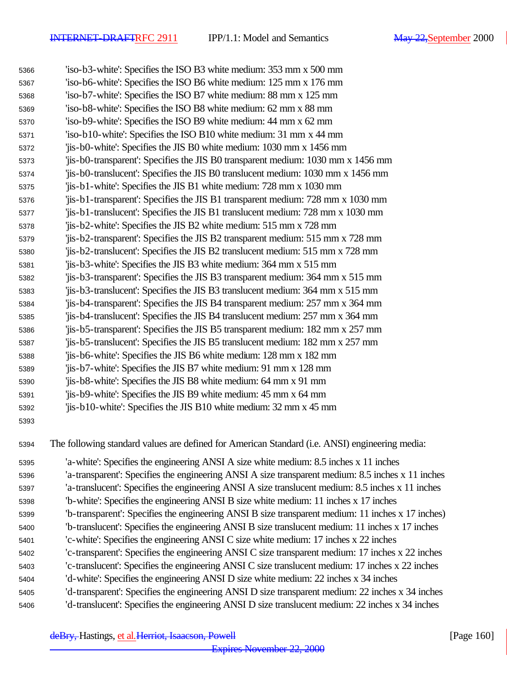| 5366 | 'iso-b3-white': Specifies the ISO B3 white medium: 353 mm x 500 mm                                |
|------|---------------------------------------------------------------------------------------------------|
| 5367 | 'iso-b6-white': Specifies the ISO B6 white medium: 125 mm x 176 mm                                |
| 5368 | 'iso-b7-white': Specifies the ISO B7 white medium: 88 mm x 125 mm                                 |
| 5369 | 'iso-b8-white': Specifies the ISO B8 white medium: 62 mm x 88 mm                                  |
| 5370 | 'iso-b9-white': Specifies the ISO B9 white medium: 44 mm x 62 mm                                  |
| 5371 | 'iso-b10-white': Specifies the ISO B10 white medium: 31 mm x 44 mm                                |
| 5372 | 'jis-b0-white': Specifies the JIS B0 white medium: 1030 mm x 1456 mm                              |
| 5373 | 'jis-b0-transparent': Specifies the JIS B0 transparent medium: 1030 mm x 1456 mm                  |
| 5374 | 'jis-b0-translucent': Specifies the JIS B0 translucent medium: 1030 mm x 1456 mm                  |
| 5375 | 'jis-b1-white': Specifies the JIS B1 white medium: 728 mm x 1030 mm                               |
| 5376 | 'jis-b1-transparent': Specifies the JIS B1 transparent medium: 728 mm x 1030 mm                   |
| 5377 | 'jis-b1-translucent': Specifies the JIS B1 translucent medium: 728 mm x 1030 mm                   |
| 5378 | 'jis-b2-white': Specifies the JIS B2 white medium: 515 mm x 728 mm                                |
| 5379 | 'jis-b2-transparent': Specifies the JIS B2 transparent medium: 515 mm x 728 mm                    |
| 5380 | 'jis-b2-translucent': Specifies the JIS B2 translucent medium: 515 mm x 728 mm                    |
| 5381 | 'jis-b3-white': Specifies the JIS B3 white medium: 364 mm x 515 mm                                |
| 5382 | 'jis-b3-transparent': Specifies the JIS B3 transparent medium: 364 mm x 515 mm                    |
| 5383 | 'jis-b3-translucent': Specifies the JIS B3 translucent medium: 364 mm x 515 mm                    |
| 5384 | 'jis-b4-transparent': Specifies the JIS B4 transparent medium: 257 mm x 364 mm                    |
| 5385 | 'jis-b4-translucent': Specifies the JIS B4 translucent medium: 257 mm x 364 mm                    |
| 5386 | 'jis-b5-transparent': Specifies the JIS B5 transparent medium: 182 mm x 257 mm                    |
| 5387 | 'jis-b5-translucent': Specifies the JIS B5 translucent medium: 182 mm x 257 mm                    |
| 5388 | 'jis-b6-white': Specifies the JIS B6 white medium: 128 mm x 182 mm                                |
| 5389 | 'jis-b7-white': Specifies the JIS B7 white medium: 91 mm x 128 mm                                 |
| 5390 | 'jis-b8-white': Specifies the JIS B8 white medium: 64 mm x 91 mm                                  |
| 5391 | 'jis-b9-white': Specifies the JIS B9 white medium: 45 mm x 64 mm                                  |
| 5392 | 'jis-b10-white': Specifies the JIS B10 white medium: 32 mm x 45 mm                                |
| 5393 |                                                                                                   |
| 5394 | The following standard values are defined for American Standard (i.e. ANSI) engineering media:    |
| 5395 | 'a-white': Specifies the engineering ANSI A size white medium: 8.5 inches x 11 inches             |
| 5396 | 'a-transparent': Specifies the engineering ANSI A size transparent medium: 8.5 inches x 11 inches |
| 5397 | 'a-translucent': Specifies the engineering ANSI A size translucent medium: 8.5 inches x 11 inches |
| 5398 | 'b-white': Specifies the engineering ANSI B size white medium: 11 inches x 17 inches              |
| 5399 | 'b-transparent': Specifies the engineering ANSI B size transparent medium: 11 inches x 17 inches) |
| 5400 | 'b-translucent': Specifies the engineering ANSI B size translucent medium: 11 inches x 17 inches  |
| 5401 | 'c-white': Specifies the engineering ANSI C size white medium: 17 inches x 22 inches              |
| 5402 | 'c-transparent': Specifies the engineering ANSI C size transparent medium: 17 inches x 22 inches  |
| 5403 | 'c-translucent': Specifies the engineering ANSI C size translucent medium: 17 inches x 22 inches  |
| 5404 | 'd-white': Specifies the engineering ANSI D size white medium: 22 inches x 34 inches              |
| 5405 | 'd-transparent': Specifies the engineering ANSI D size transparent medium: 22 inches x 34 inches  |
| 5406 | 'd-translucent': Specifies the engineering ANSI D size translucent medium: 22 inches x 34 inches  |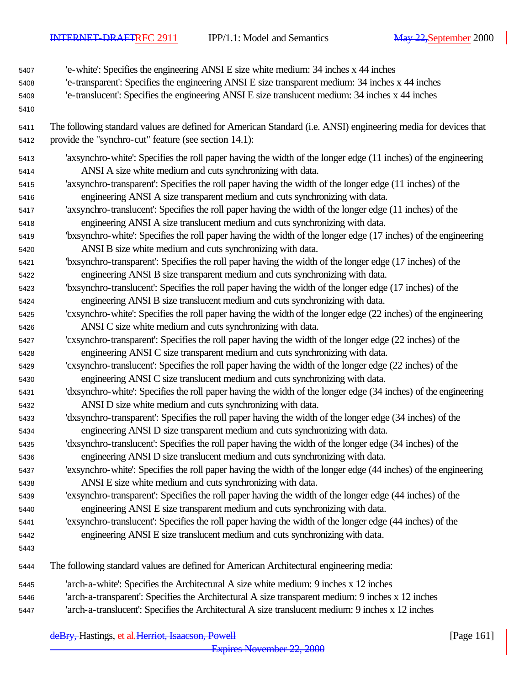'e-white': Specifies the engineering ANSI E size white medium: 34 inches x 44 inches

- 'e-transparent': Specifies the engineering ANSI E size transparent medium: 34 inches x 44 inches
- 'e-translucent': Specifies the engineering ANSI E size translucent medium: 34 inches x 44 inches
- 
- The following standard values are defined for American Standard (i.e. ANSI) engineering media for devices that provide the "synchro-cut" feature (see section 14.1):
- 'axsynchro-white': Specifies the roll paper having the width of the longer edge (11 inches) of the engineering ANSI A size white medium and cuts synchronizing with data.
- 'axsynchro-transparent': Specifies the roll paper having the width of the longer edge (11 inches) of the engineering ANSI A size transparent medium and cuts synchronizing with data.
- 'axsynchro-translucent': Specifies the roll paper having the width of the longer edge (11 inches) of the engineering ANSI A size translucent medium and cuts synchronizing with data.
- 'bxsynchro-white': Specifies the roll paper having the width of the longer edge (17 inches) of the engineering ANSI B size white medium and cuts synchronizing with data.
- 'bxsynchro-transparent': Specifies the roll paper having the width of the longer edge (17 inches) of the engineering ANSI B size transparent medium and cuts synchronizing with data.
- 'bxsynchro-translucent': Specifies the roll paper having the width of the longer edge (17 inches) of the engineering ANSI B size translucent medium and cuts synchronizing with data.
- 'cxsynchro-white': Specifies the roll paper having the width of the longer edge (22 inches) of the engineering ANSI C size white medium and cuts synchronizing with data.
- 'cxsynchro-transparent': Specifies the roll paper having the width of the longer edge (22 inches) of the engineering ANSI C size transparent medium and cuts synchronizing with data.
- 'cxsynchro-translucent': Specifies the roll paper having the width of the longer edge (22 inches) of the engineering ANSI C size translucent medium and cuts synchronizing with data.
- 'dxsynchro-white': Specifies the roll paper having the width of the longer edge (34 inches) of the engineering ANSI D size white medium and cuts synchronizing with data.
- 'dxsynchro-transparent': Specifies the roll paper having the width of the longer edge (34 inches) of the engineering ANSI D size transparent medium and cuts synchronizing with data.
- 'dxsynchro-translucent': Specifies the roll paper having the width of the longer edge (34 inches) of the engineering ANSI D size translucent medium and cuts synchronizing with data.
- 'exsynchro-white': Specifies the roll paper having the width of the longer edge (44 inches) of the engineering ANSI E size white medium and cuts synchronizing with data.
- 'exsynchro-transparent': Specifies the roll paper having the width of the longer edge (44 inches) of the engineering ANSI E size transparent medium and cuts synchronizing with data.
- 'exsynchro-translucent': Specifies the roll paper having the width of the longer edge (44 inches) of the engineering ANSI E size translucent medium and cuts synchronizing with data.
- 
- The following standard values are defined for American Architectural engineering media:
- 'arch-a-white': Specifies the Architectural A size white medium: 9 inches x 12 inches
- 'arch-a-transparent': Specifies the Architectural A size transparent medium: 9 inches x 12 inches
- 'arch-a-translucent': Specifies the Architectural A size translucent medium: 9 inches x 12 inches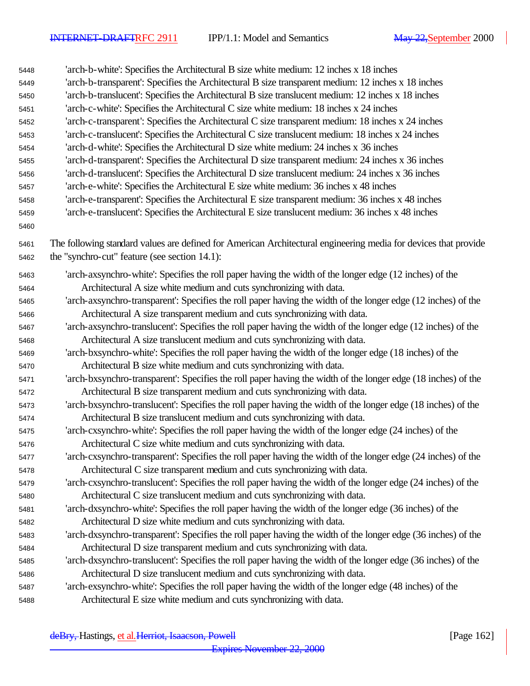| 5448         | 'arch-b-white': Specifies the Architectural B size white medium: 12 inches x 18 inches                          |
|--------------|-----------------------------------------------------------------------------------------------------------------|
| 5449         | 'arch-b-transparent': Specifies the Architectural B size transparent medium: 12 inches x 18 inches              |
| 5450         | 'arch-b-translucent': Specifies the Architectural B size translucent medium: 12 inches x 18 inches              |
| 5451         | 'arch-c-white': Specifies the Architectural C size white medium: 18 inches x 24 inches                          |
| 5452         | 'arch-c-transparent': Specifies the Architectural C size transparent medium: 18 inches x 24 inches              |
| 5453         | 'arch-c-translucent': Specifies the Architectural C size translucent medium: 18 inches x 24 inches              |
| 5454         | 'arch-d-white': Specifies the Architectural D size white medium: 24 inches x 36 inches                          |
| 5455         | 'arch-d-transparent': Specifies the Architectural D size transparent medium: 24 inches x 36 inches              |
| 5456         | 'arch-d-translucent': Specifies the Architectural D size translucent medium: 24 inches x 36 inches              |
| 5457         | 'arch-e-white': Specifies the Architectural E size white medium: 36 inches x 48 inches                          |
| 5458         | 'arch-e-transparent': Specifies the Architectural E size transparent medium: 36 inches x 48 inches              |
| 5459         | 'arch-e-translucent': Specifies the Architectural E size translucent medium: 36 inches x 48 inches              |
| 5460         |                                                                                                                 |
| 5461         | The following standard values are defined for American Architectural engineering media for devices that provide |
| 5462         | the "synchro-cut" feature (see section 14.1):                                                                   |
|              | 'arch-axsynchro-white': Specifies the roll paper having the width of the longer edge (12 inches) of the         |
| 5463         | Architectural A size white medium and cuts synchronizing with data.                                             |
| 5464         | 'arch-axsynchro-transparent': Specifies the roll paper having the width of the longer edge (12 inches) of the   |
| 5465         | Architectural A size transparent medium and cuts synchronizing with data.                                       |
| 5466         | 'arch-axsynchro-translucent': Specifies the roll paper having the width of the longer edge (12 inches) of the   |
| 5467         | Architectural A size translucent medium and cuts synchronizing with data.                                       |
| 5468<br>5469 | 'arch-bxsynchro-white': Specifies the roll paper having the width of the longer edge (18 inches) of the         |
| 5470         | Architectural B size white medium and cuts synchronizing with data.                                             |
| 5471         | 'arch-bxsynchro-transparent': Specifies the roll paper having the width of the longer edge (18 inches) of the   |
| 5472         | Architectural B size transparent medium and cuts synchronizing with data.                                       |
| 5473         | 'arch-bxsynchro-translucent': Specifies the roll paper having the width of the longer edge (18 inches) of the   |
| 5474         | Architectural B size translucent medium and cuts synchronizing with data.                                       |
| 5475         | 'arch-cxsynchro-white': Specifies the roll paper having the width of the longer edge (24 inches) of the         |
| 5476         | Architectural C size white medium and cuts synchronizing with data.                                             |
| 5477         | 'arch-cxsynchro-transparent': Specifies the roll paper having the width of the longer edge (24 inches) of the   |
| 5478         | Architectural C size transparent medium and cuts synchronizing with data.                                       |
| 5479         | 'arch-cxsynchro-translucent': Specifies the roll paper having the width of the longer edge (24 inches) of the   |
| 5480         | Architectural C size translucent medium and cuts synchronizing with data.                                       |
| 5481         | 'arch-dxsynchro-white': Specifies the roll paper having the width of the longer edge (36 inches) of the         |
| 5482         | Architectural D size white medium and cuts synchronizing with data.                                             |
| 5483         | 'arch-dxsynchro-transparent': Specifies the roll paper having the width of the longer edge (36 inches) of the   |
| 5484         | Architectural D size transparent medium and cuts synchronizing with data.                                       |
| 5485         | 'arch-dxsynchro-translucent': Specifies the roll paper having the width of the longer edge (36 inches) of the   |
| 5486         | Architectural D size translucent medium and cuts synchronizing with data.                                       |
| 5487         | 'arch-exsynchro-white': Specifies the roll paper having the width of the longer edge (48 inches) of the         |
| 5488         | Architectural E size white medium and cuts synchronizing with data.                                             |
|              |                                                                                                                 |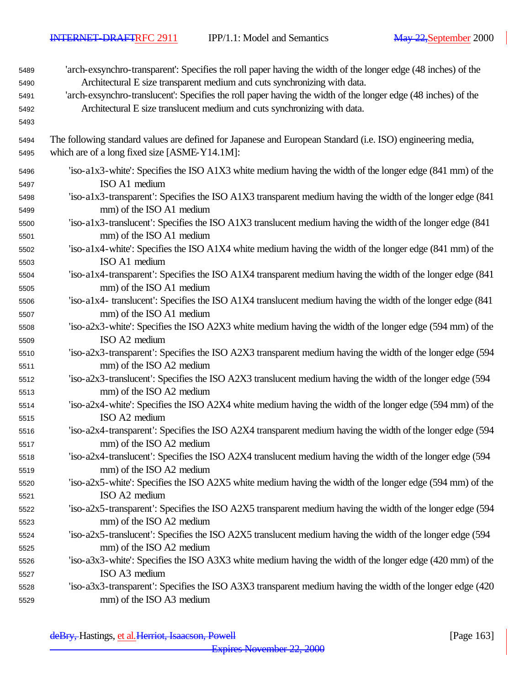'arch-exsynchro-transparent': Specifies the roll paper having the width of the longer edge (48 inches) of the Architectural E size transparent medium and cuts synchronizing with data. 'arch-exsynchro-translucent': Specifies the roll paper having the width of the longer edge (48 inches) of the Architectural E size translucent medium and cuts synchronizing with data. The following standard values are defined for Japanese and European Standard (i.e. ISO) engineering media, which are of a long fixed size [ASME-Y14.1M]: 'iso-a1x3-white': Specifies the ISO A1X3 white medium having the width of the longer edge (841 mm) of the ISO A1 medium 'iso-a1x3-transparent': Specifies the ISO A1X3 transparent medium having the width of the longer edge (841 mm) of the ISO A1 medium 'iso-a1x3-translucent': Specifies the ISO A1X3 translucent medium having the width of the longer edge (841 mm) of the ISO A1 medium 'iso-a1x4-white': Specifies the ISO A1X4 white medium having the width of the longer edge (841 mm) of the ISO A1 medium 'iso-a1x4-transparent': Specifies the ISO A1X4 transparent medium having the width of the longer edge (841 mm) of the ISO A1 medium 'iso-a1x4- translucent': Specifies the ISO A1X4 translucent medium having the width of the longer edge (841 mm) of the ISO A1 medium 'iso-a2x3-white': Specifies the ISO A2X3 white medium having the width of the longer edge (594 mm) of the ISO A2 medium 'iso-a2x3-transparent': Specifies the ISO A2X3 transparent medium having the width of the longer edge (594 mm) of the ISO A2 medium 'iso-a2x3-translucent': Specifies the ISO A2X3 translucent medium having the width of the longer edge (594 mm) of the ISO A2 medium 'iso-a2x4-white': Specifies the ISO A2X4 white medium having the width of the longer edge (594 mm) of the ISO A2 medium 'iso-a2x4-transparent': Specifies the ISO A2X4 transparent medium having the width of the longer edge (594 mm) of the ISO A2 medium 'iso-a2x4-translucent': Specifies the ISO A2X4 translucent medium having the width of the longer edge (594 mm) of the ISO A2 medium 'iso-a2x5-white': Specifies the ISO A2X5 white medium having the width of the longer edge (594 mm) of the ISO A2 medium 'iso-a2x5-transparent': Specifies the ISO A2X5 transparent medium having the width of the longer edge (594 mm) of the ISO A2 medium 'iso-a2x5-translucent': Specifies the ISO A2X5 translucent medium having the width of the longer edge (594 mm) of the ISO A2 medium 'iso-a3x3-white': Specifies the ISO A3X3 white medium having the width of the longer edge (420 mm) of the ISO A3 medium 'iso-a3x3-transparent': Specifies the ISO A3X3 transparent medium having the width of the longer edge (420 mm) of the ISO A3 medium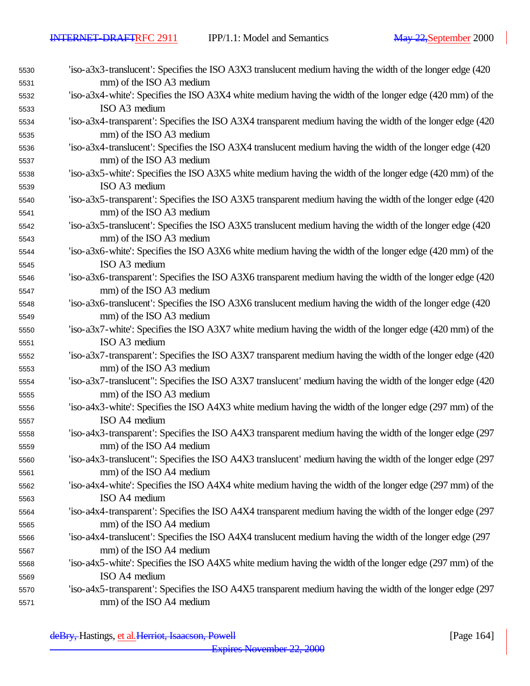| 5530 | 'iso-a3x3-translucent': Specifies the ISO A3X3 translucent medium having the width of the longer edge (420)   |
|------|---------------------------------------------------------------------------------------------------------------|
| 5531 | mm) of the ISO A3 medium                                                                                      |
| 5532 | 'iso-a3x4-white': Specifies the ISO A3X4 white medium having the width of the longer edge (420 mm) of the     |
| 5533 | ISO A3 medium                                                                                                 |
| 5534 | 'iso-a3x4-transparent': Specifies the ISO A3X4 transparent medium having the width of the longer edge (420)   |
| 5535 | mm) of the ISO A3 medium                                                                                      |
| 5536 | 'iso-a3x4-translucent': Specifies the ISO A3X4 translucent medium having the width of the longer edge (420    |
| 5537 | mm) of the ISO A3 medium                                                                                      |
| 5538 | 'iso-a3x5-white': Specifies the ISO A3X5 white medium having the width of the longer edge (420 mm) of the     |
| 5539 | ISO A3 medium                                                                                                 |
| 5540 | 'iso-a3x5-transparent': Specifies the ISO A3X5 transparent medium having the width of the longer edge (420    |
| 5541 | mm) of the ISO A3 medium                                                                                      |
| 5542 | 'iso-a3x5-translucent': Specifies the ISO A3X5 translucent medium having the width of the longer edge (420)   |
| 5543 | mm) of the ISO A3 medium                                                                                      |
| 5544 | 'iso-a3x6-white': Specifies the ISO A3X6 white medium having the width of the longer edge (420 mm) of the     |
| 5545 | ISO A3 medium                                                                                                 |
| 5546 | 'iso-a3x6-transparent': Specifies the ISO A3X6 transparent medium having the width of the longer edge (420)   |
| 5547 | mm) of the ISO A3 medium                                                                                      |
| 5548 | 'iso-a3x6-translucent': Specifies the ISO A3X6 translucent medium having the width of the longer edge (420    |
| 5549 | mm) of the ISO A3 medium                                                                                      |
| 5550 | 'iso-a3x7-white': Specifies the ISO A3X7 white medium having the width of the longer edge (420 mm) of the     |
| 5551 | ISO A3 medium                                                                                                 |
| 5552 | 'iso-a3x7-transparent': Specifies the ISO A3X7 transparent medium having the width of the longer edge (420    |
| 5553 | mm) of the ISO A3 medium                                                                                      |
| 5554 | 'iso-a3x7-translucent'': Specifies the ISO A3X7 translucent' medium having the width of the longer edge (420) |
| 5555 | mm) of the ISO A3 medium                                                                                      |
| 5556 | 'iso-a4x3-white': Specifies the ISO A4X3 white medium having the width of the longer edge (297 mm) of the     |
| 5557 | ISO A4 medium                                                                                                 |
| 5558 | 'iso-a4x3-transparent': Specifies the ISO A4X3 transparent medium having the width of the longer edge (297    |
| 5559 | mm) of the ISO A4 medium                                                                                      |
| 5560 | 'iso-a4x3-translucent'': Specifies the ISO A4X3 translucent' medium having the width of the longer edge (297  |
| 5561 | mm) of the ISO A4 medium                                                                                      |
| 5562 | 'iso-a4x4-white': Specifies the ISO A4X4 white medium having the width of the longer edge (297 mm) of the     |
| 5563 | ISO A4 medium                                                                                                 |
| 5564 | 'iso-a4x4-transparent': Specifies the ISO A4X4 transparent medium having the width of the longer edge (297    |
| 5565 | mm) of the ISO A4 medium                                                                                      |
| 5566 | 'iso-a4x4-translucent': Specifies the ISO A4X4 translucent medium having the width of the longer edge (297    |
| 5567 | mm) of the ISO A4 medium                                                                                      |
| 5568 | 'iso-a4x5-white': Specifies the ISO A4X5 white medium having the width of the longer edge (297 mm) of the     |
| 5569 | ISO A4 medium                                                                                                 |
| 5570 | 'iso-a4x5-transparent': Specifies the ISO A4X5 transparent medium having the width of the longer edge (297    |
| 5571 | mm) of the ISO A4 medium                                                                                      |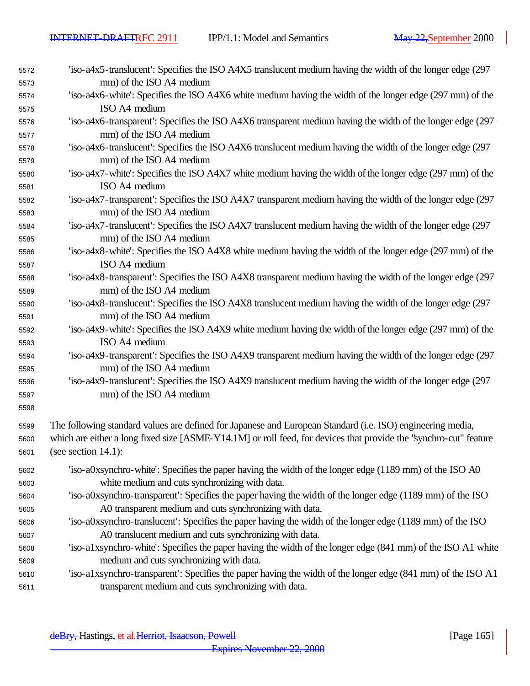| 5572<br>5573 | 'iso-a4x5-translucent': Specifies the ISO A4X5 translucent medium having the width of the longer edge (297<br>mm) of the ISO A4 medium |
|--------------|----------------------------------------------------------------------------------------------------------------------------------------|
| 5574         | 'iso-a4x6-white': Specifies the ISO A4X6 white medium having the width of the longer edge (297 mm) of the                              |
| 5575         | ISO A4 medium                                                                                                                          |
| 5576         | 'iso-a4x6-transparent': Specifies the ISO A4X6 transparent medium having the width of the longer edge (297                             |
| 5577         | mm) of the ISO A4 medium                                                                                                               |
| 5578         | 'iso-a4x6-translucent': Specifies the ISO A4X6 translucent medium having the width of the longer edge (297                             |
| 5579         | mm) of the ISO A4 medium                                                                                                               |
| 5580         | 'iso-a4x7-white': Specifies the ISO A4X7 white medium having the width of the longer edge (297 mm) of the                              |
| 5581         | ISO A4 medium                                                                                                                          |
| 5582         | 'iso-a4x7-transparent': Specifies the ISO A4X7 transparent medium having the width of the longer edge (297                             |
| 5583         | mm) of the ISO A4 medium                                                                                                               |
| 5584<br>5585 | 'iso-a4x7-translucent': Specifies the ISO A4X7 translucent medium having the width of the longer edge (297<br>mm) of the ISO A4 medium |
| 5586         | 'iso-a4x8-white': Specifies the ISO A4X8 white medium having the width of the longer edge (297 mm) of the                              |
| 5587         | ISO A4 medium                                                                                                                          |
| 5588         | 'iso-a4x8-transparent': Specifies the ISO A4X8 transparent medium having the width of the longer edge (297                             |
| 5589         | mm) of the ISO A4 medium                                                                                                               |
| 5590         | 'iso-a4x8-translucent': Specifies the ISO A4X8 translucent medium having the width of the longer edge (297                             |
| 5591         | mm) of the ISO A4 medium                                                                                                               |
| 5592         | 'iso-a4x9-white': Specifies the ISO A4X9 white medium having the width of the longer edge (297 mm) of the<br>ISO A4 medium             |
| 5593<br>5594 | 'iso-a4x9-transparent': Specifies the ISO A4X9 transparent medium having the width of the longer edge (297                             |
| 5595         | mm) of the ISO A4 medium                                                                                                               |
| 5596         | 'iso-a4x9-translucent': Specifies the ISO A4X9 translucent medium having the width of the longer edge (297                             |
| 5597         | mm) of the ISO A4 medium                                                                                                               |
| 5598         |                                                                                                                                        |
| 5599         | The following standard values are defined for Japanese and European Standard (i.e. ISO) engineering media,                             |
| 5600         | which are either a long fixed size [ASME-Y14.1M] or roll feed, for devices that provide the "synchro-cut" feature                      |
| 5601         | (see section $14.1$ ):                                                                                                                 |
| 5602         | 'iso-a0xsynchro-white': Specifies the paper having the width of the longer edge (1189 mm) of the ISO A0                                |
| 5603         | white medium and cuts synchronizing with data.                                                                                         |
| 5604         | 'iso-a0xsynchro-transparent': Specifies the paper having the width of the longer edge (1189 mm) of the ISO                             |
| 5605         | A0 transparent medium and cuts synchronizing with data.                                                                                |
| 5606         | 'iso-a0xsynchro-translucent': Specifies the paper having the width of the longer edge (1189 mm) of the ISO                             |
| 5607         | A0 translucent medium and cuts synchronizing with data.                                                                                |
| 5608         | 'iso-a1xsynchro-white': Specifies the paper having the width of the longer edge (841 mm) of the ISO A1 white                           |
| 5609         | medium and cuts synchronizing with data.                                                                                               |
| 5610         | 'iso-a1xsynchro-transparent': Specifies the paper having the width of the longer edge (841 mm) of the ISO A1                           |
| 5611         | transparent medium and cuts synchronizing with data.                                                                                   |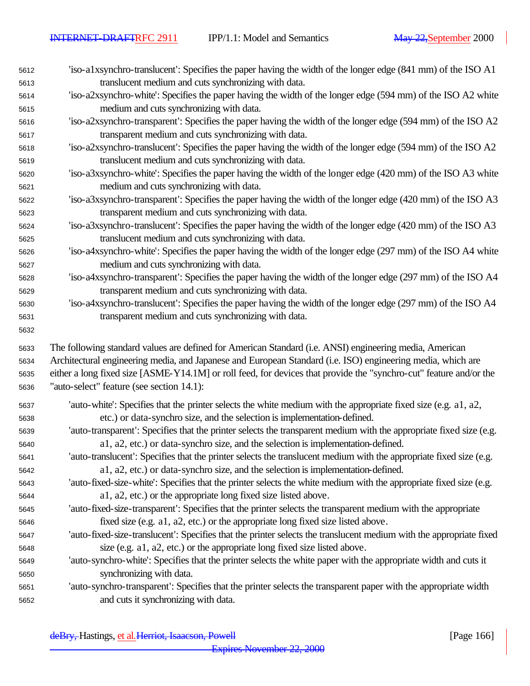| 5612         | 'iso-a1xsynchro-translucent': Specifies the paper having the width of the longer edge (841 mm) of the ISO A1                                                    |
|--------------|-----------------------------------------------------------------------------------------------------------------------------------------------------------------|
| 5613         | translucent medium and cuts synchronizing with data.                                                                                                            |
| 5614         | 'iso-a2xsynchro-white': Specifies the paper having the width of the longer edge (594 mm) of the ISO A2 white                                                    |
| 5615         | medium and cuts synchronizing with data.                                                                                                                        |
| 5616         | 'iso-a2xsynchro-transparent': Specifies the paper having the width of the longer edge (594 mm) of the ISO A2                                                    |
| 5617         | transparent medium and cuts synchronizing with data.                                                                                                            |
| 5618         | 'iso-a2xsynchro-translucent': Specifies the paper having the width of the longer edge (594 mm) of the ISO A2                                                    |
| 5619         | translucent medium and cuts synchronizing with data.                                                                                                            |
| 5620         | 'iso-a3xsynchro-white': Specifies the paper having the width of the longer edge (420 mm) of the ISO A3 white                                                    |
| 5621         | medium and cuts synchronizing with data.                                                                                                                        |
| 5622         | 'iso-a3xsynchro-transparent': Specifies the paper having the width of the longer edge (420 mm) of the ISO A3                                                    |
| 5623         | transparent medium and cuts synchronizing with data.                                                                                                            |
| 5624         | 'iso-a3xsynchro-translucent': Specifies the paper having the width of the longer edge (420 mm) of the ISO A3                                                    |
| 5625         | translucent medium and cuts synchronizing with data.                                                                                                            |
| 5626         | 'iso-a4xsynchro-white': Specifies the paper having the width of the longer edge (297 mm) of the ISO A4 white                                                    |
| 5627         | medium and cuts synchronizing with data.                                                                                                                        |
| 5628         | 'iso-a4xsynchro-transparent': Specifies the paper having the width of the longer edge (297 mm) of the ISO A4                                                    |
| 5629         | transparent medium and cuts synchronizing with data.                                                                                                            |
| 5630         | 'iso-a4xsynchro-translucent': Specifies the paper having the width of the longer edge (297 mm) of the ISO A4                                                    |
| 5631         | transparent medium and cuts synchronizing with data.                                                                                                            |
| 5632         |                                                                                                                                                                 |
|              |                                                                                                                                                                 |
|              |                                                                                                                                                                 |
| 5633<br>5634 | The following standard values are defined for American Standard (i.e. ANSI) engineering media, American                                                         |
| 5635         | Architectural engineering media, and Japanese and European Standard (i.e. ISO) engineering media, which are                                                     |
| 5636         | either a long fixed size [ASME-Y14.1M] or roll feed, for devices that provide the "synchro-cut" feature and/or the<br>"auto-select" feature (see section 14.1): |
|              |                                                                                                                                                                 |
| 5637         | 'auto-white': Specifies that the printer selects the white medium with the appropriate fixed size (e.g. a1, a2,                                                 |
| 5638         | etc.) or data-synchro size, and the selection is implementation-defined.                                                                                        |
| 5639         | 'auto-transparent': Specifies that the printer selects the transparent medium with the appropriate fixed size (e.g.                                             |
| 5640         | a1, a2, etc.) or data-synchro size, and the selection is implementation-defined.                                                                                |
| 5641         | auto-translucent': Specifies that the printer selects the translucent medium with the appropriate fixed size (e.g.                                              |
| 5642         | a1, a2, etc.) or data-synchro size, and the selection is implementation-defined.                                                                                |
| 5643         | 'auto-fixed-size-white': Specifies that the printer selects the white medium with the appropriate fixed size (e.g.                                              |
| 5644         | a1, a2, etc.) or the appropriate long fixed size listed above.                                                                                                  |
| 5645         | 'auto-fixed-size-transparent': Specifies that the printer selects the transparent medium with the appropriate                                                   |
| 5646         | fixed size (e.g. a1, a2, etc.) or the appropriate long fixed size listed above.                                                                                 |
| 5647         | 'auto-fixed-size-translucent': Specifies that the printer selects the translucent medium with the appropriate fixed                                             |
| 5648         | size (e.g. a1, a2, etc.) or the appropriate long fixed size listed above.                                                                                       |
| 5649         | 'auto-synchro-white': Specifies that the printer selects the white paper with the appropriate width and cuts it                                                 |
| 5650         | synchronizing with data.                                                                                                                                        |
| 5651<br>5652 | 'auto-synchro-transparent': Specifies that the printer selects the transparent paper with the appropriate width<br>and cuts it synchronizing with data.         |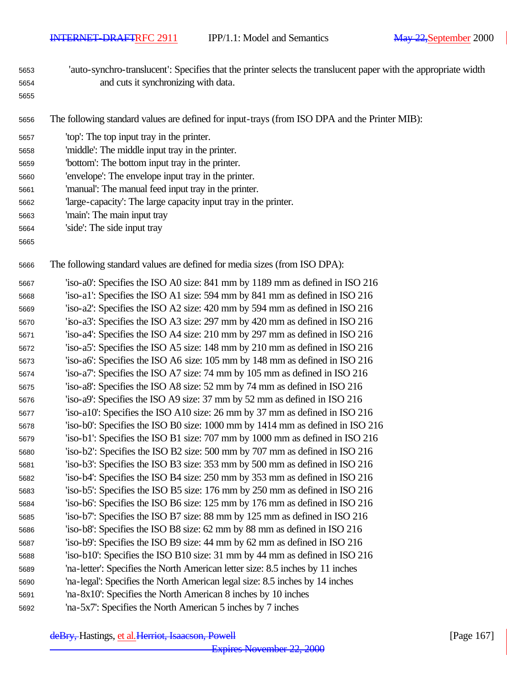'auto-synchro-translucent': Specifies that the printer selects the translucent paper with the appropriate width and cuts it synchronizing with data. 

The following standard values are defined for input-trays (from ISO DPA and the Printer MIB):

| 5657 | 'top': The top input tray in the printer. |  |
|------|-------------------------------------------|--|
|------|-------------------------------------------|--|

- 'middle': The middle input tray in the printer.
- 'bottom': The bottom input tray in the printer.
- 'envelope': The envelope input tray in the printer.
- 'manual': The manual feed input tray in the printer.
- 'large-capacity': The large capacity input tray in the printer.
- 'main': The main input tray
- 'side': The side input tray
- 

The following standard values are defined for media sizes (from ISO DPA):

 'iso-a0': Specifies the ISO A0 size: 841 mm by 1189 mm as defined in ISO 216 'iso-a1': Specifies the ISO A1 size: 594 mm by 841 mm as defined in ISO 216 'iso-a2': Specifies the ISO A2 size: 420 mm by 594 mm as defined in ISO 216 'iso-a3': Specifies the ISO A3 size: 297 mm by 420 mm as defined in ISO 216 'iso-a4': Specifies the ISO A4 size: 210 mm by 297 mm as defined in ISO 216 'iso-a5': Specifies the ISO A5 size: 148 mm by 210 mm as defined in ISO 216 'iso-a6': Specifies the ISO A6 size: 105 mm by 148 mm as defined in ISO 216 'iso-a7': Specifies the ISO A7 size: 74 mm by 105 mm as defined in ISO 216 'iso-a8': Specifies the ISO A8 size: 52 mm by 74 mm as defined in ISO 216 'iso-a9': Specifies the ISO A9 size: 37 mm by 52 mm as defined in ISO 216 'iso-a10': Specifies the ISO A10 size: 26 mm by 37 mm as defined in ISO 216 'iso-b0': Specifies the ISO B0 size: 1000 mm by 1414 mm as defined in ISO 216 'iso-b1': Specifies the ISO B1 size: 707 mm by 1000 mm as defined in ISO 216 'iso-b2': Specifies the ISO B2 size: 500 mm by 707 mm as defined in ISO 216 'iso-b3': Specifies the ISO B3 size: 353 mm by 500 mm as defined in ISO 216 'iso-b4': Specifies the ISO B4 size: 250 mm by 353 mm as defined in ISO 216 'iso-b5': Specifies the ISO B5 size: 176 mm by 250 mm as defined in ISO 216 'iso-b6': Specifies the ISO B6 size: 125 mm by 176 mm as defined in ISO 216 'iso-b7': Specifies the ISO B7 size: 88 mm by 125 mm as defined in ISO 216 'iso-b8': Specifies the ISO B8 size: 62 mm by 88 mm as defined in ISO 216 'iso-b9': Specifies the ISO B9 size: 44 mm by 62 mm as defined in ISO 216 'iso-b10': Specifies the ISO B10 size: 31 mm by 44 mm as defined in ISO 216 'na-letter': Specifies the North American letter size: 8.5 inches by 11 inches 'na-legal': Specifies the North American legal size: 8.5 inches by 14 inches 'na-8x10': Specifies the North American 8 inches by 10 inches 'na-5x7': Specifies the North American 5 inches by 7 inches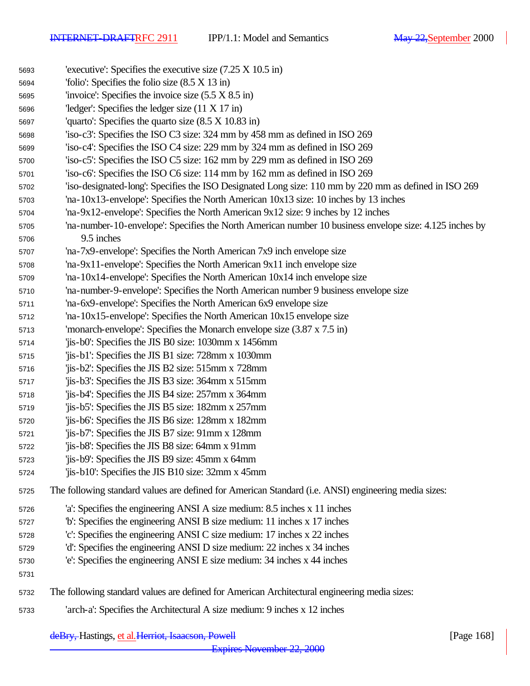| 5693 | 'executive': Specifies the executive size $(7.25 \times 10.5 \text{ in})$                               |
|------|---------------------------------------------------------------------------------------------------------|
| 5694 | 'folio': Specifies the folio size $(8.5 \times 13 \text{ in})$                                          |
| 5695 | 'invoice': Specifies the invoice size $(5.5 \times 8.5 \text{ in})$                                     |
| 5696 | "ledger": Specifies the ledger size $(11 \times 17 \text{ in})$                                         |
| 5697 | 'quarto': Specifies the quarto size $(8.5 \times 10.83 \text{ in})$                                     |
| 5698 | 'iso-c3': Specifies the ISO C3 size: 324 mm by 458 mm as defined in ISO 269                             |
| 5699 | 'iso-c4': Specifies the ISO C4 size: 229 mm by 324 mm as defined in ISO 269                             |
| 5700 | 'iso-c5': Specifies the ISO C5 size: 162 mm by 229 mm as defined in ISO 269                             |
| 5701 | 'iso-c6': Specifies the ISO C6 size: 114 mm by 162 mm as defined in ISO 269                             |
| 5702 | 'iso-designated-long': Specifies the ISO Designated Long size: 110 mm by 220 mm as defined in ISO 269   |
| 5703 | 'na-10x13-envelope': Specifies the North American $10x13$ size: 10 inches by 13 inches                  |
| 5704 | 'na-9x12-envelope': Specifies the North American 9x12 size: 9 inches by 12 inches                       |
| 5705 | 'na-number-10-envelope': Specifies the North American number 10 business envelope size: 4.125 inches by |
| 5706 | 9.5 inches                                                                                              |
| 5707 | 'na-7x9-envelope': Specifies the North American 7x9 inch envelope size                                  |
| 5708 | 'na-9x11-envelope': Specifies the North American 9x11 inch envelope size                                |
| 5709 | 'na-10x14-envelope': Specifies the North American $10x14$ inch envelope size                            |
| 5710 | 'na-number-9-envelope': Specifies the North American number 9 business envelope size                    |
| 5711 | 'na-6x9-envelope': Specifies the North American 6x9 envelope size                                       |
| 5712 | $'$ na-10x15-envelope': Specifies the North American 10x15 envelope size                                |
| 5713 | 'monarch-envelope': Specifies the Monarch envelope size $(3.87 \times 7.5 \text{ in})$                  |
| 5714 | 'jis-b0': Specifies the JIS B0 size: 1030mm x 1456mm                                                    |
| 5715 | 'jis-b1': Specifies the JIS B1 size: 728mm x 1030mm                                                     |
| 5716 | 'jis-b2': Specifies the JIS B2 size: 515mm x 728mm                                                      |
| 5717 | 'jis-b3': Specifies the JIS B3 size: 364mm x 515mm                                                      |
| 5718 | 'jis-b4': Specifies the JIS B4 size: 257mm x 364mm                                                      |
| 5719 | 'jis-b5': Specifies the JIS B5 size: 182mm x 257mm                                                      |
| 5720 | 'jis-b6': Specifies the JIS B6 size: 128mm x 182mm                                                      |
| 5721 | 'jis-b7': Specifies the JIS B7 size: 91mm x 128mm                                                       |
| 5722 | 'jis-b8': Specifies the JIS B8 size: 64mm x 91mm                                                        |
| 5723 | 'jis-b9': Specifies the JIS B9 size: 45mm x 64mm                                                        |
| 5724 | 'jis-b10': Specifies the JIS B10 size: 32mm x 45mm                                                      |
| 5725 | The following standard values are defined for American Standard (i.e. ANSI) engineering media sizes:    |
| 5726 | 'a': Specifies the engineering ANSI A size medium: 8.5 inches x 11 inches                               |
| 5727 | b': Specifies the engineering ANSI B size medium: 11 inches x 17 inches                                 |
| 5728 | 'c': Specifies the engineering ANSI C size medium: 17 inches x 22 inches                                |
| 5729 | 'd': Specifies the engineering ANSI D size medium: 22 inches x 34 inches                                |
| 5730 | 'e': Specifies the engineering ANSI E size medium: 34 inches x 44 inches                                |
| 5731 |                                                                                                         |
| 5732 | The following standard values are defined for American Architectural engineering media sizes:           |
| 5733 | 'arch-a': Specifies the Architectural A size medium: 9 inches x 12 inches                               |
|      |                                                                                                         |

deBry, Hastings, et al. Herriot, Isaacson, Powell [Page 168]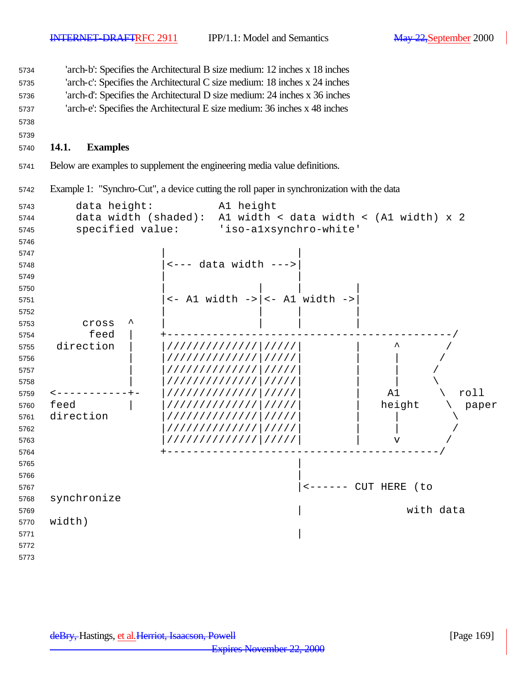'arch-b': Specifies the Architectural B size medium: 12 inches x 18 inches

 'arch-c': Specifies the Architectural C size medium: 18 inches x 24 inches 'arch-d': Specifies the Architectural D size medium: 24 inches x 36 inches

'arch-e': Specifies the Architectural E size medium: 36 inches x 48 inches

#### 

#### **14.1. Examples**

Below are examples to supplement the engineering media value definitions.

Example 1: "Synchro-Cut", a device cutting the roll paper in synchronization with the data

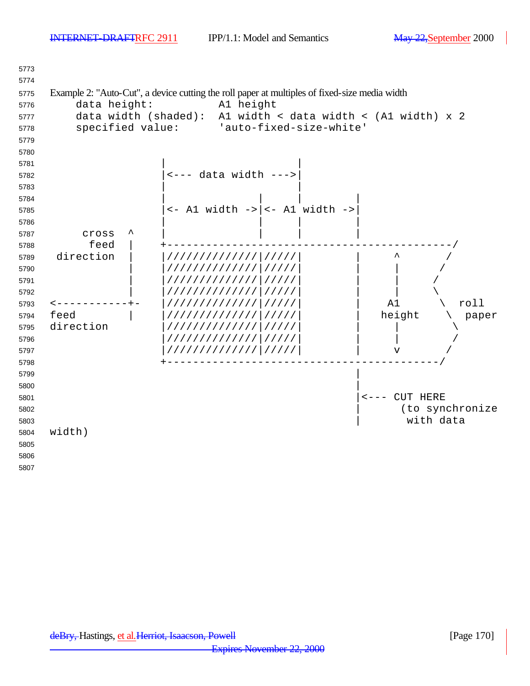| 5773         |               |                                                                                               |  |
|--------------|---------------|-----------------------------------------------------------------------------------------------|--|
| 5774         |               |                                                                                               |  |
| 5775         |               | Example 2: "Auto-Cut", a device cutting the roll paper at multiples of fixed-size media width |  |
| 5776         | data height:  | Al height                                                                                     |  |
| 5777         |               | data width (shaded): A1 width < data width < (A1 width) x 2                                   |  |
| 5778         |               | specified value: 'auto-fixed-size-white'                                                      |  |
| 5779         |               |                                                                                               |  |
| 5780         |               |                                                                                               |  |
| 5781         |               |                                                                                               |  |
| 5782         |               | $\leftarrow$ --- data width --->                                                              |  |
| 5783         |               |                                                                                               |  |
| 5784         |               |                                                                                               |  |
| 5785         |               | $\left  \right $ <- Al width -> $\left  \right $ <- Al width ->                               |  |
| 5786         |               |                                                                                               |  |
| 5787         | Cross<br>feed |                                                                                               |  |
| 5788         | direction     | /////////////////////                                                                         |  |
| 5789<br>5790 |               | /////////////////////                                                                         |  |
| 5791         |               | /////////////////////                                                                         |  |
| 5792         |               | //////////////<br>11111                                                                       |  |
| 5793         |               | roll<br>A1<br>//////////////<br>11111                                                         |  |
| 5794         | feed          | height<br>//////////////<br>paper<br>11111                                                    |  |
| 5795         | direction     | /////////////<br>11111                                                                        |  |
| 5796         |               | //////////////<br>11111                                                                       |  |
| 5797         |               | /////////////////////<br>$\mathbf v$                                                          |  |
| 5798         |               |                                                                                               |  |
| 5799         |               |                                                                                               |  |
| 5800         |               |                                                                                               |  |
| 5801         |               | <--- CUT HERE                                                                                 |  |
| 5802         |               | (to synchronize                                                                               |  |
| 5803         |               | with data                                                                                     |  |
| 5804         | width)        |                                                                                               |  |
| 5805         |               |                                                                                               |  |
| 5806         |               |                                                                                               |  |
| 5807         |               |                                                                                               |  |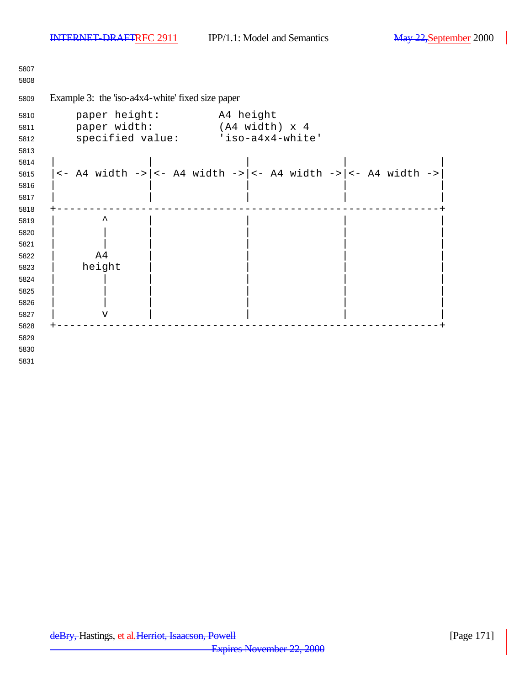Example 3: the 'iso-a4x4-white' fixed size paper paper height: A4 height paper width: (A4 width) x 4 specified value: 'iso-a4x4-white' | | | | | |<- A4 width ->|<- A4 width ->|<- A4 width ->|<- A4 width ->| | | | | | | | | | | +-----------------------------------------------------------+ | ^ | | | | | | | | | | | | | | | | | A4 | | | | | height | | | | | | | | | | | | | | | | | | | | | | | v | | | | +-----------------------------------------------------------+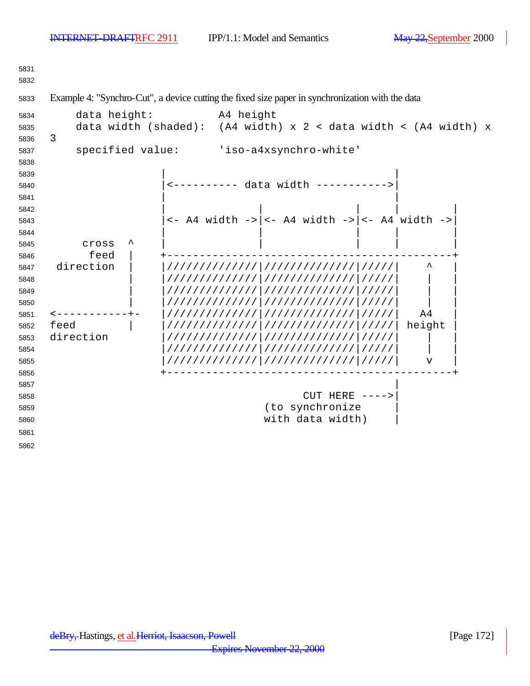Example 4: "Synchro-Cut", a device cutting the fixed size paper in synchronization with the data data height: A4 height data width (shaded): (A4 width) x 2 < data width < (A4 width) x 3 specified value: 'iso-a4xsynchro-white' | | |<---------- data width ----------->|  $\sim$  5841 |<- A4 width ->|<- A4 width ->|<- A4 width ->| cross ^ | | | | | feed | +--------------------------------------------+ direction | |//////////////|//////////////|/////| ^ | | |//////////////|//////////////|/////| | | | |//////////////|//////////////|/////| | | | |//////////////|//////////////|/////| | | <-----------+- |//////////////|//////////////|/////| A4 | feed | |//////////////|//////////////|/////| height | direction |//////////////|//////////////|/////| | | |//////////////|//////////////|/////| | | |//////////////|//////////////|/////| v | +--------------------------------------------+ CUT HERE ---->| 5859 (to synchronize with data width) |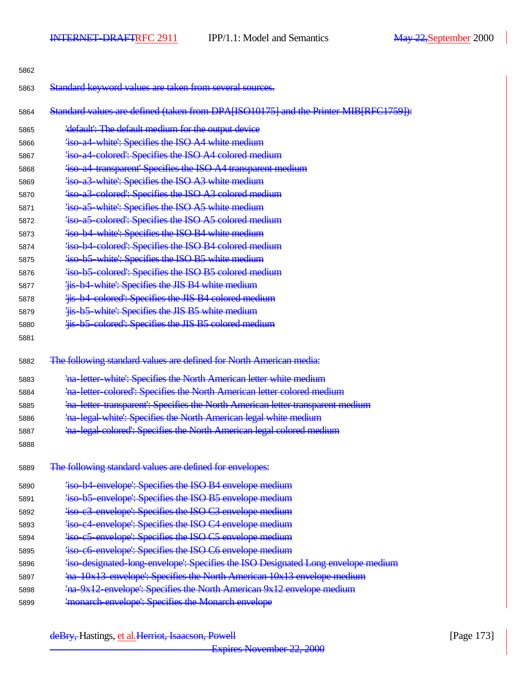| 5862 |                                                                                      |
|------|--------------------------------------------------------------------------------------|
| 5863 | Standard keyword values are taken from several sources.                              |
| 5864 | Standard values are defined (taken from DPA[ISO10175] and the Printer MIB[RFC1759]): |
| 5865 | 'default': The default medium for the output device                                  |
| 5866 | <b>Fiso a4 white: Specifies the ISO A4 white medium</b>                              |
| 5867 | 'iso a4 colored': Specifies the ISO A4 colored medium                                |
| 5868 | 'iso a4 transparent' Specifies the ISO A4 transparent medium                         |
| 5869 | 'iso a 3 white': Specifies the ISO A 3 white medium                                  |
| 5870 | 'iso a3 colored': Specifies the ISO A3 colored medium                                |
| 5871 | 'iso a5 white': Specifies the ISO A5 white medium                                    |
| 5872 | 'iso a5 colored': Specifies the ISO A5 colored medium                                |
| 5873 | 'iso b4 white': Specifies the ISO B4 white medium                                    |
| 5874 | 'iso b4 colored': Specifies the ISO B4 colored medium                                |
| 5875 | 'iso b5 white': Specifies the ISO B5 white medium                                    |
| 5876 | 'iso b5 colored': Specifies the ISO B5 colored medium                                |
| 5877 | 'is b4 white': Specifies the JIS B4 white medium                                     |
| 5878 | 'is b4 colored': Specifies the JIS B4 colored medium                                 |
| 5879 | 'iis b5 white': Specifies the JIS B5 white medium                                    |
| 5880 | 'is b5 colored': Specifies the JIS B5 colored medium                                 |
| 5881 |                                                                                      |
| 5882 | The following standard values are defined for North American media:                  |
| 5883 | 'na letter white': Specifies the North American letter white medium                  |
| 5884 | 'na letter colored': Specifies the North American letter colored medium              |
| 5885 | 'na letter transparent': Specifies the North American letter transparent medium      |
| 5886 | 'na legal white': Specifies the North American legal white medium                    |
| 5887 | 'na legal colored': Specifies the North American legal colored medium                |
| 5888 |                                                                                      |
| 5889 | The following standard values are defined for envelopes:                             |
| 5890 | 'iso b4 envelope': Specifies the ISO B4 envelope medium                              |
| 5891 | 'iso b5 envelope': Specifies the ISO B5 envelope medium                              |
| 5892 | 'iso c3 envelope': Specifies the ISO C3 envelope medium                              |
| 5893 | 'iso-c4-envelope': Specifies the ISO-C4 envelope medium                              |
| 5894 | 'iso c5 envelope': Specifies the ISO C5 envelope medium                              |
| 5895 | 'iso c6 envelope': Specifies the ISO C6 envelope medium                              |
| 5896 | 'iso-designated long-envelope': Specifies the ISO Designated Long envelope medium    |
| 5897 | 'na-10x13-envelope': Specifies the North American 10x13 envelope medium              |
| 5898 | 'na 9x12 envelope': Specifies the North American 9x12 envelope medium                |
| 5899 | 'monarch envelope': Specifies the Monarch envelope                                   |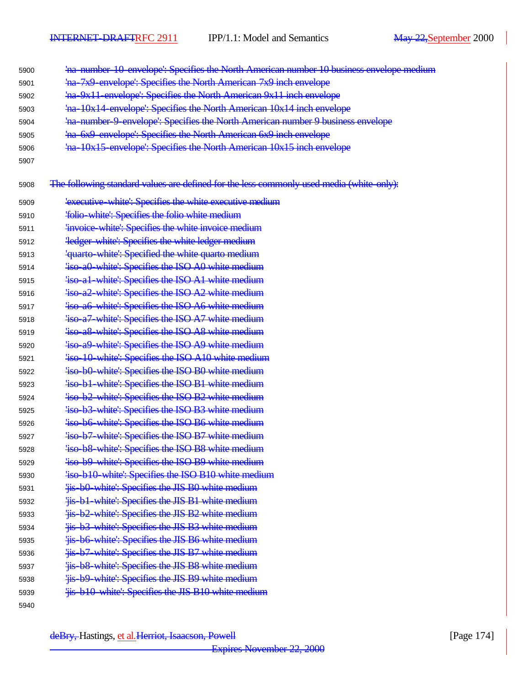- 'na-number-10-envelope': Specifies the North American number 10 business envelope medium
- 'na-7x9-envelope': Specifies the North American 7x9 inch envelope
- 'na-9x11-envelope': Specifies the North American 9x11 inch envelope
- 'na-10x14-envelope': Specifies the North American 10x14 inch envelope
- 'na-number-9-envelope': Specifies the North American number 9 business envelope
- 'na-6x9-envelope': Specifies the North American 6x9 inch envelope
- 'na-10x15-envelope': Specifies the North American 10x15 inch envelope
- 
- 5908 The following standard values are defined for the less commonly used media (white-only):

| 5909 | 'executive white': Specifies the white executive medium |
|------|---------------------------------------------------------|
| 5910 | 'folio white': Specifies the folio white medium         |
| 5911 | 'invoice white': Specifies the white invoice medium     |
| 5912 | <b>Tedger white: Specifies the white ledger medium</b>  |
| 5913 | 'quarto white': Specified the white quarto medium       |
| 5914 | 'iso a0 white': Specifies the ISO A0 white medium       |
| 5915 | 'iso al white': Specifies the ISO Al white medium       |
| 5916 | 'iso a2 white': Specifies the ISO A2 white medium       |
| 5917 | 'iso a6 white': Specifies the ISO A6 white medium       |
| 5918 | 'iso a7 white': Specifies the ISO A7 white medium       |
| 5919 | 'iso a8 white': Specifies the ISO A8 white medium       |
| 5920 | 'iso a9 white': Specifies the ISO A9 white medium       |
| 5921 | 'iso 10 white': Specifies the ISO A10 white medium      |
| 5922 | 'iso b0 white': Specifies the ISO B0 white medium       |
| 5923 | 'iso b1 white': Specifies the ISO B1 white medium       |
| 5924 | 'iso b2 white': Specifies the ISO B2 white medium       |
| 5925 | 'iso b3 white': Specifies the ISO B3 white medium       |
| 5926 | 'iso b6 white': Specifies the ISO B6 white medium       |
| 5927 | 'iso b7 white': Specifies the ISO B7 white medium       |
| 5928 | 'iso b8 white': Specifies the ISO B8 white medium       |
| 5929 | 'iso b9 white': Specifies the ISO B9 white medium       |
| 5930 | 'iso b10 white': Specifies the ISO B10 white medium     |
| 5931 | 'iis b0 white': Specifies the JIS B0 white medium       |
| 5932 | 'is b1 white': Specifies the JIS B1 white medium        |
| 5933 | 'jis-b2-white': Specifies the JIS B2 white medium       |
| 5934 | 'iis b3 white': Specifies the JIS B3 white medium       |
| 5935 | 'iis b6 white': Specifies the JIS B6 white medium       |
| 5936 | 'is b7 white': Specifies the JIS B7 white medium        |
| 5937 | 'is b8 white': Specifies the JIS B8 white medium        |
| 5938 | 'iis b9 white': Specifies the JIS B9 white medium       |
| 5939 | 'is b10 white': Specifies the JIS B10 white medium      |
| 5940 |                                                         |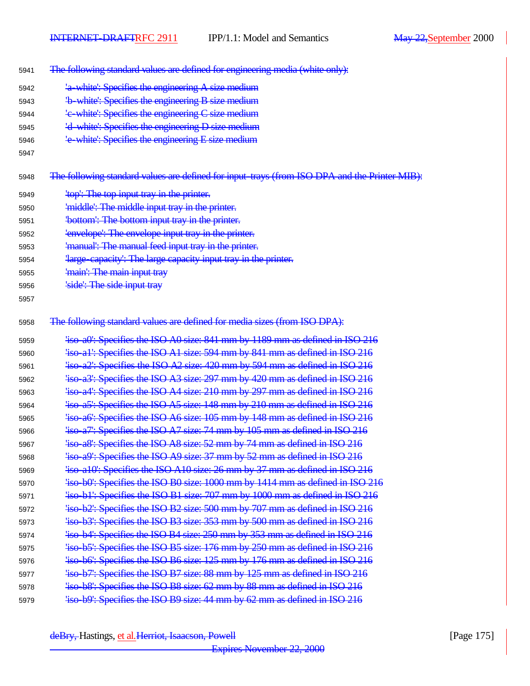- The following standard values are defined for engineering media (white only):
- 'a-white': Specifies the engineering A size medium
- 'b-white': Specifies the engineering B size medium
- 'c-white': Specifies the engineering C size medium
- 'd-white': Specifies the engineering D size medium
- 'e-white': Specifies the engineering E size medium
- 

5948 The following standard values are defined for input-trays (from ISO DPA and the Printer MIB):

- 5949 'top': The top input tray in the printer.
- 'middle': The middle input tray in the printer.
- **bottom': The bottom input tray in the printer.**
- 'envelope': The envelope input tray in the printer.
- 'manual': The manual feed input tray in the printer.
- 'large-capacity': The large capacity input tray in the printer.
- 'main': The main input tray
- 5956 Side': The side input tray
- 
- 5958 The following standard values are defined for media sizes (from ISO DPA):

| 5959 | 'iso a0': Specifies the ISO A0 size: 841 mm by 1189 mm as defined in ISO 216     |
|------|----------------------------------------------------------------------------------|
| 5960 | 'iso al': Specifies the ISO A1 size: 594 mm by 841 mm as defined in ISO 216      |
| 5961 | 'iso a2': Specifies the ISO A2 size: 420 mm by 594 mm as defined in ISO 216      |
| 5962 | "iso-a3": Specifies the ISO A3 size: 297 mm by 420 mm as defined in ISO 216      |
| 5963 | 'iso a4': Specifies the ISO A4 size: 210 mm by 297 mm as defined in ISO 216      |
| 5964 | 'iso a5': Specifies the ISO A5 size: 148 mm by 210 mm as defined in ISO 216      |
| 5965 | 'iso a6': Specifies the ISO A6 size: 105 mm by 148 mm as defined in ISO 216      |
| 5966 | 4.4 Expectives the ISO A7 size: 74 mm by 105 mm as defined in ISO 216            |
| 5967 | 4.4 Expecifies the ISO A8 size: 52 mm by 74 mm as defined in ISO 216             |
| 5968 | 'iso a9': Specifies the ISO A9 size: 37 mm by 52 mm as defined in ISO 216        |
| 5969 | 'iso a10': Specifies the ISO A10 size: 26 mm by 37 mm as defined in ISO 216      |
| 5970 | 4.43 ks bol: Specifies the ISO B0 size: 1000 mm by 1414 mm as defined in ISO 216 |
| 5971 | 'iso b1': Specifies the ISO B1 size: 707 mm by 1000 mm as defined in ISO 216     |
| 5972 | 'iso b2': Specifies the ISO B2 size: 500 mm by 707 mm as defined in ISO 216      |
| 5973 | 4 4 4 4 500 4 500 500 mm as defined in ISO 216                                   |
| 5974 | 'iso b4': Specifies the ISO B4 size: 250 mm by 353 mm as defined in ISO 216      |
| 5975 | 4.4 Expecifies the ISO B5 size: 176 mm by 250 mm as defined in ISO 216           |
| 5976 | 'iso-b6': Specifies the ISO B6 size: 125 mm by 176 mm as defined in ISO 216      |
| 5977 | 'iso b7': Specifies the ISO B7 size: 88 mm by 125 mm as defined in ISO 216       |
| 5978 | 'iso b8': Specifies the ISO B8 size: 62 mm by 88 mm as defined in ISO 216        |
| 5979 | 'iso b9': Specifies the ISO B9 size: 44 mm by 62 mm as defined in ISO 216        |
|      |                                                                                  |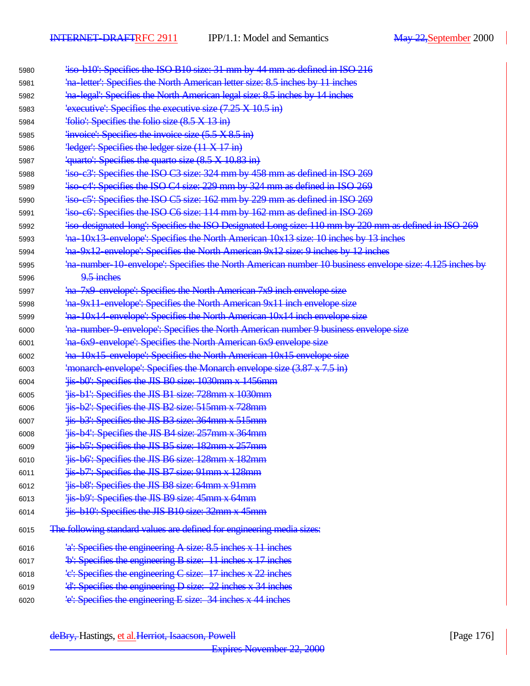| 5980 | 'iso-b10': Specifies the ISO B10 size: 31 mm by 44 mm as defined in ISO 216                            |
|------|--------------------------------------------------------------------------------------------------------|
| 5981 | 'na letter': Specifies the North American letter size: 8.5 inches by 11 inches                         |
| 5982 | 'na legal': Specifies the North American legal size: 8.5 inches by 14 inches                           |
| 5983 | $\frac{1}{2}$ executive: Specifies the executive size (7.25 X 10.5 in)                                 |
| 5984 | 'folio': Specifies the folio size (8.5 X 13 in)                                                        |
| 5985 | 'invoice': Specifies the invoice size $(5.5 \times 8.5 \text{ in})$                                    |
| 5986 | $\frac{1}{2}$ ledger: Specifies the ledger size $(11 \times 17 \text{ in})$                            |
| 5987 | 'quarto': Specifies the quarto size (8.5 X 10.83 in)                                                   |
| 5988 | 'iso-c3': Specifies the ISO C3 size: 324 mm by 458 mm as defined in ISO 269                            |
| 5989 | "iso-c4": Specifies the ISO-C4 size: 229 mm by 324 mm as defined in ISO-269                            |
| 5990 | 4 iso-c5 <sup>1</sup> : Specifies the ISO C5 size: 162 mm by 229 mm as defined in ISO 269              |
| 5991 | 'iso-c6': Specifies the ISO-C6 size: 114 mm by 162 mm as defined in ISO-269                            |
| 5992 |                                                                                                        |
| 5993 | ha 10x13 envelope': Specifies the North American 10x13 size: 10 inches by 13 inches                    |
| 5994 | ha 9x12 envelope': Specifies the North American 9x12 size: 9 inches by 12 inches                       |
| 5995 | ha number 10 envelope': Specifies the North American number 10 business envelope size: 4.125 inches by |
| 5996 | 9.5 inches                                                                                             |
| 5997 | ha 7x9 envelope: Specifies the North American 7x9 inch envelope size                                   |
| 5998 | ha 9x11 envelope: Specifies the North American 9x11 inch envelope size                                 |
| 5999 | ha 10x14 envelope': Specifies the North American 10x14 inch envelope size                              |
| 6000 | ha number 9 envelope': Specifies the North American number 9 business envelope size                    |
| 6001 | 'na 6x9 envelope': Specifies the North American 6x9 envelope size                                      |
| 6002 | ha-10x15-envelope': Specifies the North American 10x15 envelope size                                   |
| 6003 | 'monarch envelope': Specifies the Monarch envelope size $(3.87 \times 7.5 \text{ in})$                 |
| 6004 | 'iis b0': Specifies the JIS B0 size: 1030mm x 1456mm                                                   |
| 6005 | 'is b1': Specifies the JIS B1 size: 728mm x 1030mm                                                     |
| 6006 | Fis b2: Specifies the JIS B2 size: 515mm x 728mm                                                       |
| 6007 | 'is b3': Specifies the JIS B3 size: 364mm x 515mm                                                      |
| 6008 | 'iis b4': Specifies the JIS B4 size: 257mm x 364mm                                                     |
| 6009 | 'iis-b5': Specifies the JIS B5 size: 182mm x 257mm                                                     |
| 6010 | 'iis b6': Specifies the JIS B6 size: 128mm x 182mm                                                     |
| 6011 | 'iis b7': Specifies the JIS B7 size: 91mm x 128mm                                                      |
| 6012 | 'iis b8': Specifies the JIS B8 size: 64mm x 91mm                                                       |
| 6013 | 'iis b9': Specifies the JIS B9 size: 45mm x 64mm                                                       |
| 6014 | 'jis-b10': Specifies the JIS B10 size: 32mm x 45mm                                                     |
| 6015 | The following standard values are defined for engineering media sizes:                                 |
| 6016 | 'a': Specifies the engineering A size: 8.5 inches x 11 inches                                          |
| 6017 | <sup>1</sup> b': Specifies the engineering B size: 11 inches x 17 inches                               |
| 6018 | 'e': Specifies the engineering C size: 17 inches x 22 inches                                           |
| 6019 | 'd': Specifies the engineering D size: 22 inches x 34 inches                                           |
| 6020 | le': Specifies the engineering E size: 34 inches x 44 inches                                           |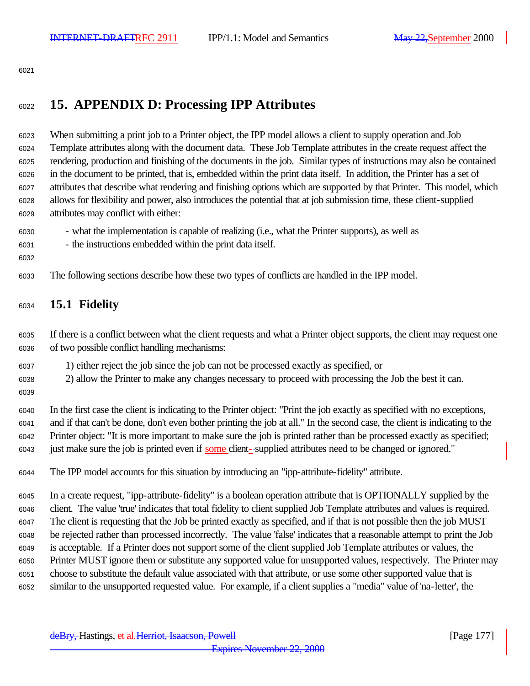# **15. APPENDIX D: Processing IPP Attributes**

 When submitting a print job to a Printer object, the IPP model allows a client to supply operation and Job Template attributes along with the document data. These Job Template attributes in the create request affect the rendering, production and finishing of the documents in the job. Similar types of instructions may also be contained in the document to be printed, that is, embedded within the print data itself. In addition, the Printer has a set of attributes that describe what rendering and finishing options which are supported by that Printer. This model, which allows for flexibility and power, also introduces the potential that at job submission time, these client-supplied attributes may conflict with either:

- what the implementation is capable of realizing (i.e., what the Printer supports), as well as
- the instructions embedded within the print data itself.
- 

The following sections describe how these two types of conflicts are handled in the IPP model.

## **15.1 Fidelity**

 If there is a conflict between what the client requests and what a Printer object supports, the client may request one of two possible conflict handling mechanisms:

- 1) either reject the job since the job can not be processed exactly as specified, or
- 2) allow the Printer to make any changes necessary to proceed with processing the Job the best it can.
- 

 In the first case the client is indicating to the Printer object: "Print the job exactly as specified with no exceptions, and if that can't be done, don't even bother printing the job at all." In the second case, the client is indicating to the Printer object: "It is more important to make sure the job is printed rather than be processed exactly as specified; just make sure the job is printed even if some client- supplied attributes need to be changed or ignored."

The IPP model accounts for this situation by introducing an "ipp-attribute-fidelity" attribute.

 In a create request, "ipp-attribute-fidelity" is a boolean operation attribute that is OPTIONALLY supplied by the client. The value 'true' indicates that total fidelity to client supplied Job Template attributes and values is required. The client is requesting that the Job be printed exactly as specified, and if that is not possible then the job MUST be rejected rather than processed incorrectly. The value 'false' indicates that a reasonable attempt to print the Job is acceptable. If a Printer does not support some of the client supplied Job Template attributes or values, the Printer MUST ignore them or substitute any supported value for unsupported values, respectively. The Printer may choose to substitute the default value associated with that attribute, or use some other supported value that is similar to the unsupported requested value. For example, if a client supplies a "media" value of 'na-letter', the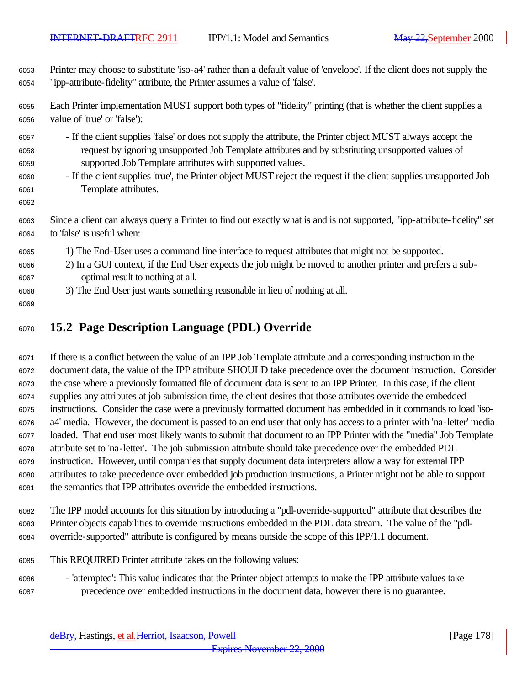Printer may choose to substitute 'iso-a4' rather than a default value of 'envelope'. If the client does not supply the "ipp-attribute-fidelity" attribute, the Printer assumes a value of 'false'.

 Each Printer implementation MUST support both types of "fidelity" printing (that is whether the client supplies a value of 'true' or 'false'):

- If the client supplies 'false' or does not supply the attribute, the Printer object MUST always accept the request by ignoring unsupported Job Template attributes and by substituting unsupported values of supported Job Template attributes with supported values.
- If the client supplies 'true', the Printer object MUST reject the request if the client supplies unsupported Job Template attributes.

 Since a client can always query a Printer to find out exactly what is and is not supported, "ipp-attribute-fidelity" set to 'false' is useful when:

- 1) The End-User uses a command line interface to request attributes that might not be supported.
- 2) In a GUI context, if the End User expects the job might be moved to another printer and prefers a sub-optimal result to nothing at all.
- 3) The End User just wants something reasonable in lieu of nothing at all.
- 

# **15.2 Page Description Language (PDL) Override**

 If there is a conflict between the value of an IPP Job Template attribute and a corresponding instruction in the document data, the value of the IPP attribute SHOULD take precedence over the document instruction. Consider the case where a previously formatted file of document data is sent to an IPP Printer. In this case, if the client supplies any attributes at job submission time, the client desires that those attributes override the embedded instructions. Consider the case were a previously formatted document has embedded in it commands to load 'iso- a4' media. However, the document is passed to an end user that only has access to a printer with 'na-letter' media loaded. That end user most likely wants to submit that document to an IPP Printer with the "media" Job Template attribute set to 'na-letter'. The job submission attribute should take precedence over the embedded PDL instruction. However, until companies that supply document data interpreters allow a way for external IPP attributes to take precedence over embedded job production instructions, a Printer might not be able to support the semantics that IPP attributes override the embedded instructions.

- The IPP model accounts for this situation by introducing a "pdl-override-supported" attribute that describes the Printer objects capabilities to override instructions embedded in the PDL data stream. The value of the "pdl-override-supported" attribute is configured by means outside the scope of this IPP/1.1 document.
- This REQUIRED Printer attribute takes on the following values:
- 'attempted': This value indicates that the Printer object attempts to make the IPP attribute values take precedence over embedded instructions in the document data, however there is no guarantee.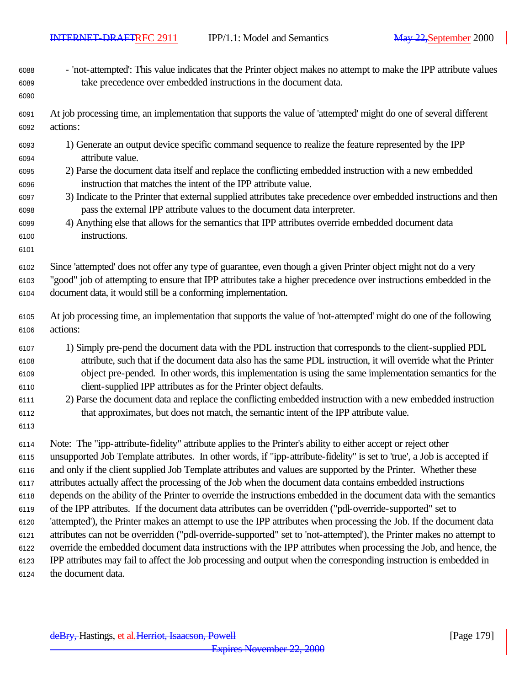- 'not-attempted': This value indicates that the Printer object makes no attempt to make the IPP attribute values take precedence over embedded instructions in the document data.
- At job processing time, an implementation that supports the value of 'attempted' might do one of several different actions:
- 1) Generate an output device specific command sequence to realize the feature represented by the IPP attribute value.
- 2) Parse the document data itself and replace the conflicting embedded instruction with a new embedded instruction that matches the intent of the IPP attribute value.
- 3) Indicate to the Printer that external supplied attributes take precedence over embedded instructions and then pass the external IPP attribute values to the document data interpreter.
- 4) Anything else that allows for the semantics that IPP attributes override embedded document data instructions.
- 

 Since 'attempted' does not offer any type of guarantee, even though a given Printer object might not do a very "good" job of attempting to ensure that IPP attributes take a higher precedence over instructions embedded in the document data, it would still be a conforming implementation.

- At job processing time, an implementation that supports the value of 'not-attempted' might do one of the following actions:
- 1) Simply pre-pend the document data with the PDL instruction that corresponds to the client-supplied PDL attribute, such that if the document data also has the same PDL instruction, it will override what the Printer object pre-pended. In other words, this implementation is using the same implementation semantics for the client-supplied IPP attributes as for the Printer object defaults.
- 2) Parse the document data and replace the conflicting embedded instruction with a new embedded instruction that approximates, but does not match, the semantic intent of the IPP attribute value.
- 

 Note: The "ipp-attribute-fidelity" attribute applies to the Printer's ability to either accept or reject other unsupported Job Template attributes. In other words, if "ipp-attribute-fidelity" is set to 'true', a Job is accepted if and only if the client supplied Job Template attributes and values are supported by the Printer. Whether these attributes actually affect the processing of the Job when the document data contains embedded instructions depends on the ability of the Printer to override the instructions embedded in the document data with the semantics of the IPP attributes. If the document data attributes can be overridden ("pdl-override-supported" set to 'attempted'), the Printer makes an attempt to use the IPP attributes when processing the Job. If the document data attributes can not be overridden ("pdl-override-supported" set to 'not-attempted'), the Printer makes no attempt to override the embedded document data instructions with the IPP attributes when processing the Job, and hence, the IPP attributes may fail to affect the Job processing and output when the corresponding instruction is embedded in the document data.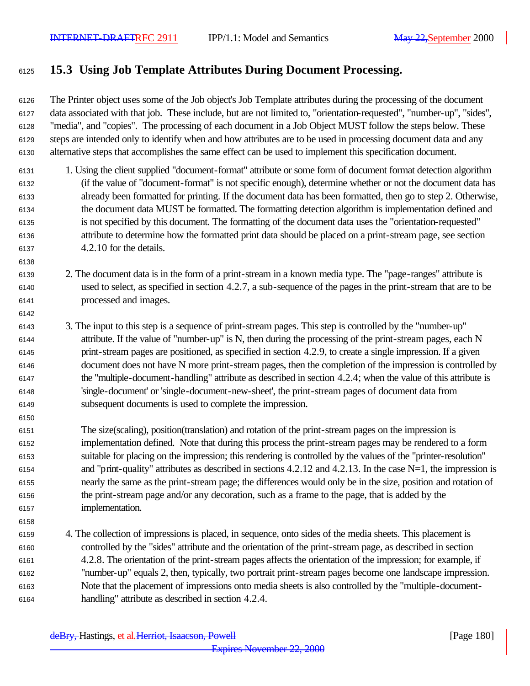## **15.3 Using Job Template Attributes During Document Processing.**

 The Printer object uses some of the Job object's Job Template attributes during the processing of the document data associated with that job. These include, but are not limited to, "orientation-requested", "number-up", "sides", "media", and "copies". The processing of each document in a Job Object MUST follow the steps below. These steps are intended only to identify when and how attributes are to be used in processing document data and any alternative steps that accomplishes the same effect can be used to implement this specification document.

- 1. Using the client supplied "document-format" attribute or some form of document format detection algorithm (if the value of "document-format" is not specific enough), determine whether or not the document data has already been formatted for printing. If the document data has been formatted, then go to step 2. Otherwise, the document data MUST be formatted. The formatting detection algorithm is implementation defined and is not specified by this document. The formatting of the document data uses the "orientation-requested" attribute to determine how the formatted print data should be placed on a print-stream page, see section 4.2.10 for the details.
- 2. The document data is in the form of a print-stream in a known media type. The "page-ranges" attribute is used to select, as specified in section 4.2.7, a sub-sequence of the pages in the print-stream that are to be processed and images.
- 3. The input to this step is a sequence of print-stream pages. This step is controlled by the "number-up" attribute. If the value of "number-up" is N, then during the processing of the print-stream pages, each N print-stream pages are positioned, as specified in section 4.2.9, to create a single impression. If a given document does not have N more print-stream pages, then the completion of the impression is controlled by the "multiple-document-handling" attribute as described in section 4.2.4; when the value of this attribute is 'single-document' or 'single-document-new-sheet', the print-stream pages of document data from subsequent documents is used to complete the impression.
- The size(scaling), position(translation) and rotation of the print-stream pages on the impression is implementation defined. Note that during this process the print-stream pages may be rendered to a form suitable for placing on the impression; this rendering is controlled by the values of the "printer-resolution" 6154 and "print-quality" attributes as described in sections  $4.2.12$  and  $4.2.13$ . In the case N=1, the impression is nearly the same as the print-stream page; the differences would only be in the size, position and rotation of the print-stream page and/or any decoration, such as a frame to the page, that is added by the implementation.
- 4. The collection of impressions is placed, in sequence, onto sides of the media sheets. This placement is controlled by the "sides" attribute and the orientation of the print-stream page, as described in section 4.2.8. The orientation of the print-stream pages affects the orientation of the impression; for example, if "number-up" equals 2, then, typically, two portrait print-stream pages become one landscape impression. Note that the placement of impressions onto media sheets is also controlled by the "multiple-document-handling" attribute as described in section 4.2.4.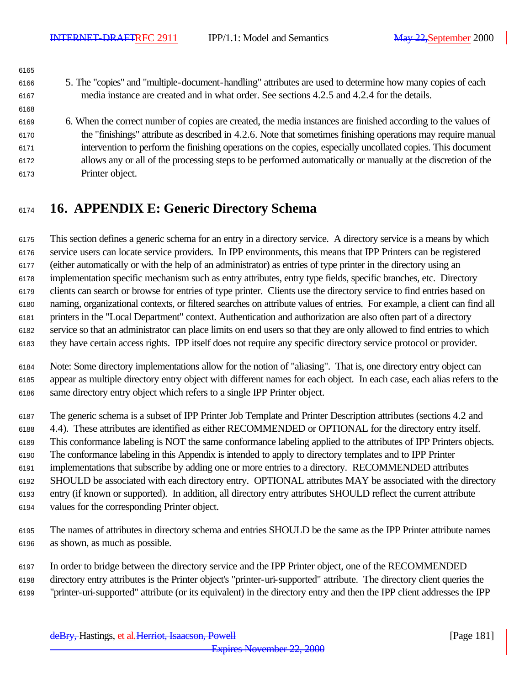| 6165 |                                                                                                               |
|------|---------------------------------------------------------------------------------------------------------------|
| 6166 | 5. The "copies" and "multiple-document-handling" attributes are used to determine how many copies of each     |
| 6167 | media instance are created and in what order. See sections 4.2.5 and 4.2.4 for the details.                   |
| 6168 |                                                                                                               |
| 6169 | 6. When the correct number of copies are created, the media instances are finished according to the values of |
| 6170 | the "finishings" attribute as described in 4.2.6. Note that sometimes finishing operations may require manual |
| 6171 | intervention to perform the finishing operations on the copies, especially uncollated copies. This document   |
| 6172 | allows any or all of the processing steps to be performed automatically or manually at the discretion of the  |
| 6173 | Printer object.                                                                                               |
|      |                                                                                                               |

## **16. APPENDIX E: Generic Directory Schema**

 This section defines a generic schema for an entry in a directory service. A directory service is a means by which service users can locate service providers. In IPP environments, this means that IPP Printers can be registered (either automatically or with the help of an administrator) as entries of type printer in the directory using an implementation specific mechanism such as entry attributes, entry type fields, specific branches, etc. Directory clients can search or browse for entries of type printer. Clients use the directory service to find entries based on naming, organizational contexts, or filtered searches on attribute values of entries. For example, a client can find all printers in the "Local Department" context. Authentication and authorization are also often part of a directory service so that an administrator can place limits on end users so that they are only allowed to find entries to which they have certain access rights. IPP itself does not require any specific directory service protocol or provider.

 Note: Some directory implementations allow for the notion of "aliasing". That is, one directory entry object can appear as multiple directory entry object with different names for each object. In each case, each alias refers to the same directory entry object which refers to a single IPP Printer object.

 The generic schema is a subset of IPP Printer Job Template and Printer Description attributes (sections 4.2 and 4.4). These attributes are identified as either RECOMMENDED or OPTIONAL for the directory entry itself. This conformance labeling is NOT the same conformance labeling applied to the attributes of IPP Printers objects. The conformance labeling in this Appendix is intended to apply to directory templates and to IPP Printer implementations that subscribe by adding one or more entries to a directory. RECOMMENDED attributes SHOULD be associated with each directory entry. OPTIONAL attributes MAY be associated with the directory entry (if known or supported). In addition, all directory entry attributes SHOULD reflect the current attribute values for the corresponding Printer object.

 The names of attributes in directory schema and entries SHOULD be the same as the IPP Printer attribute names as shown, as much as possible.

 In order to bridge between the directory service and the IPP Printer object, one of the RECOMMENDED directory entry attributes is the Printer object's "printer-uri-supported" attribute. The directory client queries the "printer-uri-supported" attribute (or its equivalent) in the directory entry and then the IPP client addresses the IPP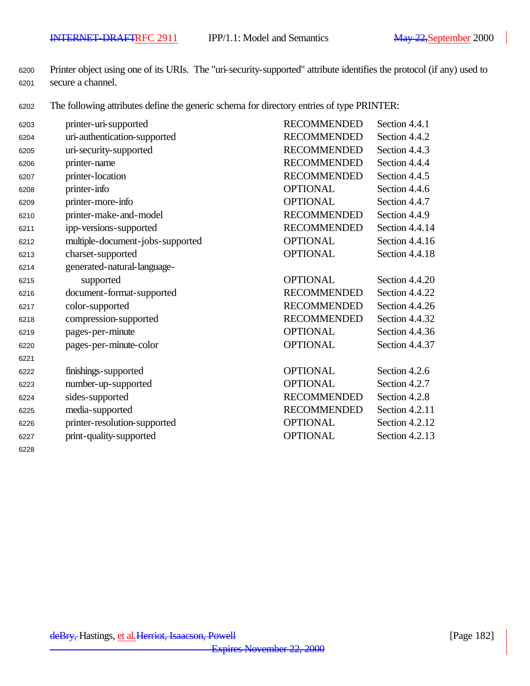Printer object using one of its URIs. The "uri-security-supported" attribute identifies the protocol (if any) used to secure a channel.

The following attributes define the generic schema for directory entries of type PRINTER:

| 6203 | printer-uri-supported            | <b>RECOMMENDED</b> | Section 4.4.1    |
|------|----------------------------------|--------------------|------------------|
| 6204 | uri-authentication-supported     | <b>RECOMMENDED</b> | Section 4.4.2    |
| 6205 | uri-security-supported           | <b>RECOMMENDED</b> | Section 4.4.3    |
| 6206 | printer-name                     | <b>RECOMMENDED</b> | Section 4.4.4    |
| 6207 | printer-location                 | <b>RECOMMENDED</b> | Section 4.4.5    |
| 6208 | printer-info                     | <b>OPTIONAL</b>    | Section 4.4.6    |
| 6209 | printer-more-info                | <b>OPTIONAL</b>    | Section 4.4.7    |
| 6210 | printer-make-and-model           | <b>RECOMMENDED</b> | Section 4.4.9    |
| 6211 | ipp-versions-supported           | <b>RECOMMENDED</b> | Section 4.4.14   |
| 6212 | multiple-document-jobs-supported | <b>OPTIONAL</b>    | Section $4.4.16$ |
| 6213 | charset-supported                | <b>OPTIONAL</b>    | Section 4.4.18   |
| 6214 | generated-natural-language-      |                    |                  |
| 6215 | supported                        | <b>OPTIONAL</b>    | Section 4.4.20   |
| 6216 | document-format-supported        | <b>RECOMMENDED</b> | Section 4.4.22   |
| 6217 | color-supported                  | <b>RECOMMENDED</b> | Section 4.4.26   |
| 6218 | compression-supported            | <b>RECOMMENDED</b> | Section 4.4.32   |
| 6219 | pages-per-minute                 | <b>OPTIONAL</b>    | Section 4.4.36   |
| 6220 | pages-per-minute-color           | <b>OPTIONAL</b>    | Section 4.4.37   |
| 6221 |                                  |                    |                  |
| 6222 | finishings-supported             | <b>OPTIONAL</b>    | Section 4.2.6    |
| 6223 | number-up-supported              | <b>OPTIONAL</b>    | Section 4.2.7    |
| 6224 | sides-supported                  | <b>RECOMMENDED</b> | Section 4.2.8    |
| 6225 | media-supported                  | <b>RECOMMENDED</b> | Section 4.2.11   |
| 6226 | printer-resolution-supported     | <b>OPTIONAL</b>    | Section 4.2.12   |
| 6227 | print-quality-supported          | <b>OPTIONAL</b>    | Section 4.2.13   |
| 6228 |                                  |                    |                  |

deBry, Hastings, et al. Herriot, Isaacson, Powell [Page 182]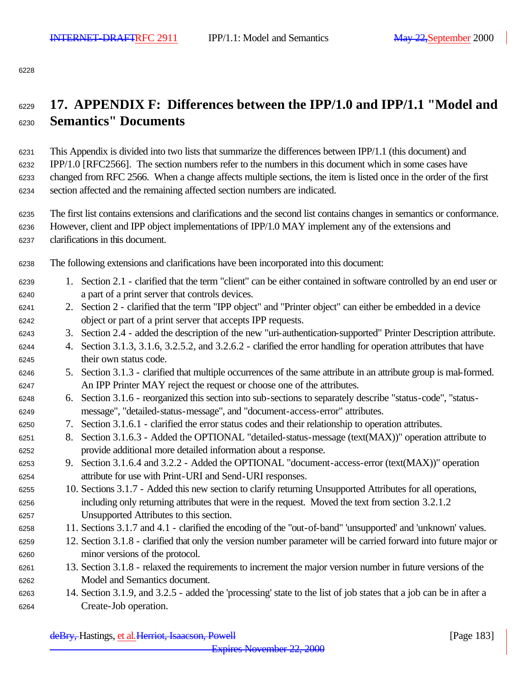## **17. APPENDIX F: Differences between the IPP/1.0 and IPP/1.1 "Model and Semantics" Documents**

 This Appendix is divided into two lists that summarize the differences between IPP/1.1 (this document) and IPP/1.0 [RFC2566]. The section numbers refer to the numbers in this document which in some cases have changed from RFC 2566. When a change affects multiple sections, the item is listed once in the order of the first section affected and the remaining affected section numbers are indicated.

 The first list contains extensions and clarifications and the second list contains changes in semantics or conformance. However, client and IPP object implementations of IPP/1.0 MAY implement any of the extensions and clarifications in this document.

The following extensions and clarifications have been incorporated into this document:

- 1. Section 2.1 clarified that the term "client" can be either contained in software controlled by an end user or a part of a print server that controls devices.
- 2. Section 2 clarified that the term "IPP object" and "Printer object" can either be embedded in a device object or part of a print server that accepts IPP requests.
- 3. Section 2.4 added the description of the new "uri-authentication-supported" Printer Description attribute.
- 4. Section 3.1.3, 3.1.6, 3.2.5.2, and 3.2.6.2 clarified the error handling for operation attributes that have their own status code.
- 5. Section 3.1.3 clarified that multiple occurrences of the same attribute in an attribute group is mal-formed. An IPP Printer MAY reject the request or choose one of the attributes.
- 6. Section 3.1.6 reorganized this section into sub-sections to separately describe "status-code", "status-message", "detailed-status-message", and "document-access-error" attributes.
- 7. Section 3.1.6.1 clarified the error status codes and their relationship to operation attributes.
- 8. Section 3.1.6.3 Added the OPTIONAL "detailed-status-message (text(MAX))" operation attribute to provide additional more detailed information about a response.
- 9. Section 3.1.6.4 and 3.2.2 Added the OPTIONAL "document-access-error (text(MAX))" operation attribute for use with Print-URI and Send-URI responses.
- 10. Sections 3.1.7 Added this new section to clarify returning Unsupported Attributes for all operations, including only returning attributes that were in the request. Moved the text from section 3.2.1.2 Unsupported Attributes to this section.
- 11. Sections 3.1.7 and 4.1 clarified the encoding of the "out-of-band" 'unsupported' and 'unknown' values.
- 12. Section 3.1.8 clarified that only the version number parameter will be carried forward into future major or minor versions of the protocol.
- 13. Section 3.1.8 relaxed the requirements to increment the major version number in future versions of the Model and Semantics document.
- 14. Section 3.1.9, and 3.2.5 added the 'processing' state to the list of job states that a job can be in after a Create-Job operation.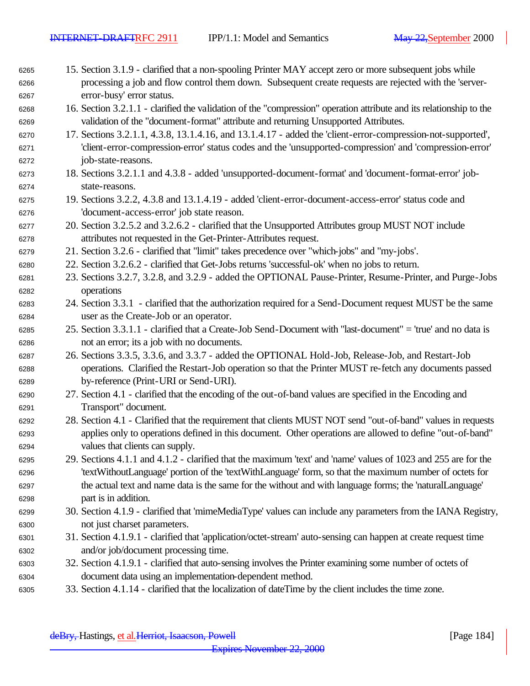- 15. Section 3.1.9 clarified that a non-spooling Printer MAY accept zero or more subsequent jobs while processing a job and flow control them down. Subsequent create requests are rejected with the 'server-error-busy' error status.
- 16. Section 3.2.1.1 clarified the validation of the "compression" operation attribute and its relationship to the validation of the "document-format" attribute and returning Unsupported Attributes.
- 17. Sections 3.2.1.1, 4.3.8, 13.1.4.16, and 13.1.4.17 added the 'client-error-compression-not-supported', 'client-error-compression-error' status codes and the 'unsupported-compression' and 'compression-error' job-state-reasons.
- 18. Sections 3.2.1.1 and 4.3.8 added 'unsupported-document-format' and 'document-format-error' job-state-reasons.
- 19. Sections 3.2.2, 4.3.8 and 13.1.4.19 added 'client-error-document-access-error' status code and 'document-access-error' job state reason.
- 20. Section 3.2.5.2 and 3.2.6.2 clarified that the Unsupported Attributes group MUST NOT include attributes not requested in the Get-Printer-Attributes request.
- 21. Section 3.2.6 clarified that "limit" takes precedence over "which-jobs" and "my-jobs'.
- 22. Section 3.2.6.2 clarified that Get-Jobs returns 'successful-ok' when no jobs to return.
- 23. Sections 3.2.7, 3.2.8, and 3.2.9 added the OPTIONAL Pause-Printer, Resume-Printer, and Purge-Jobs operations
- 24. Section 3.3.1 clarified that the authorization required for a Send-Document request MUST be the same user as the Create-Job or an operator.
- 25. Section 3.3.1.1 clarified that a Create-Job Send-Document with "last-document" = 'true' and no data is not an error; its a job with no documents.
- 26. Sections 3.3.5, 3.3.6, and 3.3.7 added the OPTIONAL Hold-Job, Release-Job, and Restart-Job operations. Clarified the Restart-Job operation so that the Printer MUST re-fetch any documents passed by-reference (Print-URI or Send-URI).
- 27. Section 4.1 clarified that the encoding of the out-of-band values are specified in the Encoding and Transport" document.
- 28. Section 4.1 Clarified that the requirement that clients MUST NOT send "out-of-band" values in requests applies only to operations defined in this document. Other operations are allowed to define "out-of-band" values that clients can supply.
- 29. Sections 4.1.1 and 4.1.2 clarified that the maximum 'text' and 'name' values of 1023 and 255 are for the 'textWithoutLanguage' portion of the 'textWithLanguage' form, so that the maximum number of octets for the actual text and name data is the same for the without and with language forms; the 'naturalLanguage' part is in addition.
- 30. Section 4.1.9 clarified that 'mimeMediaType' values can include any parameters from the IANA Registry, not just charset parameters.
- 31. Section 4.1.9.1 clarified that 'application/octet-stream' auto-sensing can happen at create request time and/or job/document processing time.
- 32. Section 4.1.9.1 clarified that auto-sensing involves the Printer examining some number of octets of document data using an implementation-dependent method.
- 33. Section 4.1.14 clarified that the localization of dateTime by the client includes the time zone.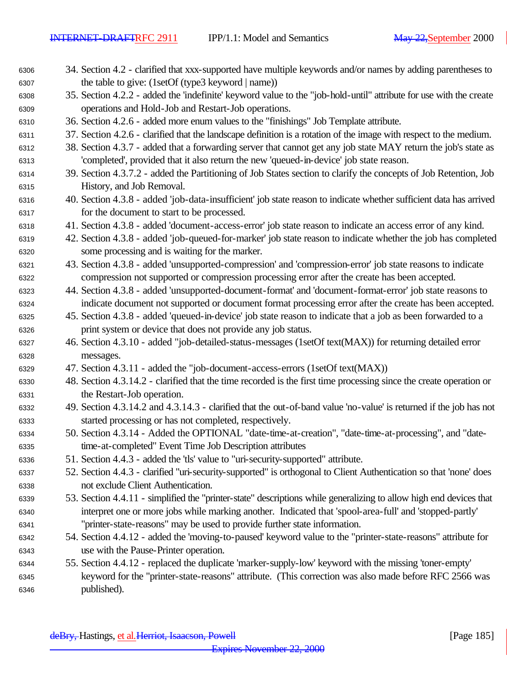- 34. Section 4.2 clarified that xxx-supported have multiple keywords and/or names by adding parentheses to the table to give: (1setOf (type3 keyword | name))
- 35. Section 4.2.2 added the 'indefinite' keyword value to the "job-hold-until" attribute for use with the create operations and Hold-Job and Restart-Job operations.
- 36. Section 4.2.6 added more enum values to the "finishings" Job Template attribute.
- 37. Section 4.2.6 clarified that the landscape definition is a rotation of the image with respect to the medium.
- 38. Section 4.3.7 added that a forwarding server that cannot get any job state MAY return the job's state as 'completed', provided that it also return the new 'queued-in-device' job state reason.
- 39. Section 4.3.7.2 added the Partitioning of Job States section to clarify the concepts of Job Retention, Job History, and Job Removal.
- 40. Section 4.3.8 added 'job-data-insufficient' job state reason to indicate whether sufficient data has arrived for the document to start to be processed.
- 41. Section 4.3.8 added 'document-access-error' job state reason to indicate an access error of any kind.
- 42. Section 4.3.8 added 'job-queued-for-marker' job state reason to indicate whether the job has completed some processing and is waiting for the marker.
- 43. Section 4.3.8 added 'unsupported-compression' and 'compression-error' job state reasons to indicate compression not supported or compression processing error after the create has been accepted.
- 44. Section 4.3.8 added 'unsupported-document-format' and 'document-format-error' job state reasons to indicate document not supported or document format processing error after the create has been accepted.
- 45. Section 4.3.8 added 'queued-in-device' job state reason to indicate that a job as been forwarded to a print system or device that does not provide any job status.
- 46. Section 4.3.10 added "job-detailed-status-messages (1setOf text(MAX)) for returning detailed error messages.
- 47. Section 4.3.11 added the "job-document-access-errors (1setOf text(MAX))
- 48. Section 4.3.14.2 clarified that the time recorded is the first time processing since the create operation or the Restart-Job operation.
- 49. Section 4.3.14.2 and 4.3.14.3 clarified that the out-of-band value 'no-value' is returned if the job has not started processing or has not completed, respectively.
- 50. Section 4.3.14 Added the OPTIONAL "date-time-at-creation", "date-time-at-processing", and "date-time-at-completed" Event Time Job Description attributes
- 51. Section 4.4.3 added the 'tls' value to "uri-security-supported" attribute.
- 52. Section 4.4.3 clarified "uri-security-supported" is orthogonal to Client Authentication so that 'none' does not exclude Client Authentication.
- 53. Section 4.4.11 simplified the "printer-state" descriptions while generalizing to allow high end devices that interpret one or more jobs while marking another. Indicated that 'spool-area-full' and 'stopped-partly' "printer-state-reasons" may be used to provide further state information.
- 54. Section 4.4.12 added the 'moving-to-paused' keyword value to the "printer-state-reasons" attribute for use with the Pause-Printer operation.
- 55. Section 4.4.12 replaced the duplicate 'marker-supply-low' keyword with the missing 'toner-empty' keyword for the "printer-state-reasons" attribute. (This correction was also made before RFC 2566 was published).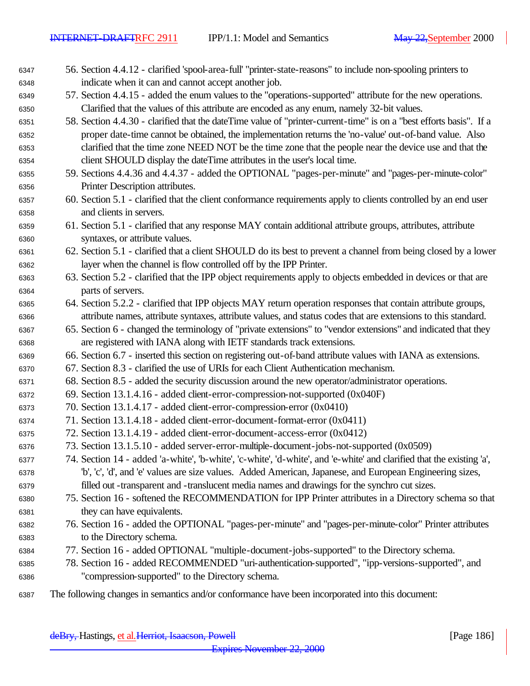- 56. Section 4.4.12 clarified 'spool-area-full' "printer-state-reasons" to include non-spooling printers to indicate when it can and cannot accept another job.
- 57. Section 4.4.15 added the enum values to the "operations-supported" attribute for the new operations. Clarified that the values of this attribute are encoded as any enum, namely 32-bit values.
- 58. Section 4.4.30 clarified that the dateTime value of "printer-current-time" is on a "best efforts basis". If a proper date-time cannot be obtained, the implementation returns the 'no-value' out-of-band value. Also clarified that the time zone NEED NOT be the time zone that the people near the device use and that the client SHOULD display the dateTime attributes in the user's local time.
- 59. Sections 4.4.36 and 4.4.37 added the OPTIONAL "pages-per-minute" and "pages-per-minute-color" Printer Description attributes.
- 60. Section 5.1 clarified that the client conformance requirements apply to clients controlled by an end user and clients in servers.
- 61. Section 5.1 clarified that any response MAY contain additional attribute groups, attributes, attribute syntaxes, or attribute values.
- 62. Section 5.1 clarified that a client SHOULD do its best to prevent a channel from being closed by a lower layer when the channel is flow controlled off by the IPP Printer.
- 63. Section 5.2 clarified that the IPP object requirements apply to objects embedded in devices or that are parts of servers.
- 64. Section 5.2.2 clarified that IPP objects MAY return operation responses that contain attribute groups, attribute names, attribute syntaxes, attribute values, and status codes that are extensions to this standard.
- 65. Section 6 changed the terminology of "private extensions" to "vendor extensions" and indicated that they are registered with IANA along with IETF standards track extensions.
- 66. Section 6.7 inserted this section on registering out-of-band attribute values with IANA as extensions.
- 67. Section 8.3 clarified the use of URIs for each Client Authentication mechanism.
- 68. Section 8.5 added the security discussion around the new operator/administrator operations.
- 69. Section 13.1.4.16 added client-error-compression-not-supported (0x040F)
- 70. Section 13.1.4.17 added client-error-compression-error (0x0410)
- 71. Section 13.1.4.18 added client-error-document-format-error (0x0411)
- 72. Section 13.1.4.19 added client-error-document-access-error (0x0412)
- 73. Section 13.1.5.10 added server-error-multiple-document-jobs-not-supported (0x0509)
- 74. Section 14 added 'a-white', 'b-white', 'c-white', 'd-white', and 'e-white' and clarified that the existing 'a', 'b', 'c', 'd', and 'e' values are size values. Added American, Japanese, and European Engineering sizes, filled out -transparent and -translucent media names and drawings for the synchro cut sizes.
- 75. Section 16 softened the RECOMMENDATION for IPP Printer attributes in a Directory schema so that they can have equivalents.
- 76. Section 16 added the OPTIONAL "pages-per-minute" and "pages-per-minute-color" Printer attributes to the Directory schema.
- 77. Section 16 added OPTIONAL "multiple-document-jobs-supported" to the Directory schema.
- 78. Section 16 added RECOMMENDED "uri-authentication-supported", "ipp-versions-supported", and "compression-supported" to the Directory schema.
- The following changes in semantics and/or conformance have been incorporated into this document: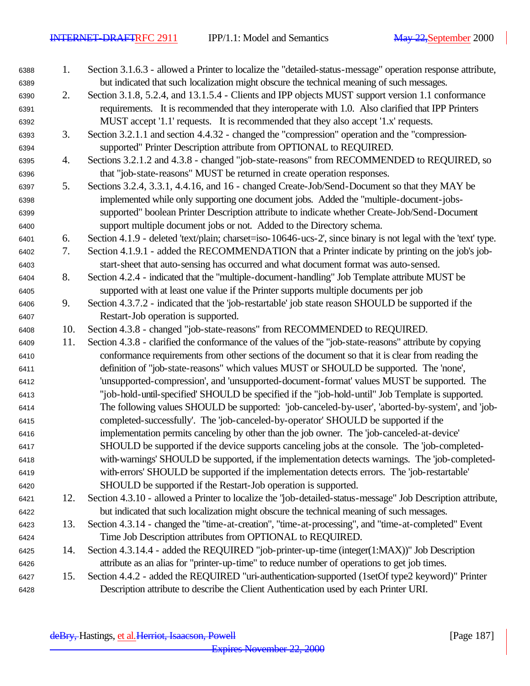1. Section 3.1.6.3 - allowed a Printer to localize the "detailed-status-message" operation response attribute, but indicated that such localization might obscure the technical meaning of such messages. 2. Section 3.1.8, 5.2.4, and 13.1.5.4 - Clients and IPP objects MUST support version 1.1 conformance requirements. It is recommended that they interoperate with 1.0. Also clarified that IPP Printers MUST accept '1.1' requests. It is recommended that they also accept '1.x' requests. 3. Section 3.2.1.1 and section 4.4.32 - changed the "compression" operation and the "compression- supported" Printer Description attribute from OPTIONAL to REQUIRED. 4. Sections 3.2.1.2 and 4.3.8 - changed "job-state-reasons" from RECOMMENDED to REQUIRED, so that "job-state-reasons" MUST be returned in create operation responses. 5. Sections 3.2.4, 3.3.1, 4.4.16, and 16 - changed Create-Job/Send-Document so that they MAY be implemented while only supporting one document jobs. Added the "multiple-document-jobs- supported" boolean Printer Description attribute to indicate whether Create-Job/Send-Document support multiple document jobs or not. Added to the Directory schema. 6. Section 4.1.9 - deleted 'text/plain; charset=iso-10646-ucs-2', since binary is not legal with the 'text' type. 7. Section 4.1.9.1 - added the RECOMMENDATION that a Printer indicate by printing on the job's job- start-sheet that auto-sensing has occurred and what document format was auto-sensed. 8. Section 4.2.4 - indicated that the "multiple-document-handling" Job Template attribute MUST be supported with at least one value if the Printer supports multiple documents per job 9. Section 4.3.7.2 - indicated that the 'job-restartable' job state reason SHOULD be supported if the Restart-Job operation is supported. 10. Section 4.3.8 - changed "job-state-reasons" from RECOMMENDED to REQUIRED. 11. Section 4.3.8 - clarified the conformance of the values of the "job-state-reasons" attribute by copying conformance requirements from other sections of the document so that it is clear from reading the definition of "job-state-reasons" which values MUST or SHOULD be supported. The 'none', 'unsupported-compression', and 'unsupported-document-format' values MUST be supported. The ''job-hold-until-specified' SHOULD be specified if the "job-hold-until" Job Template is supported. The following values SHOULD be supported: 'job-canceled-by-user', 'aborted-by-system', and 'job- completed-successfully'. The 'job-canceled-by-operator' SHOULD be supported if the implementation permits canceling by other than the job owner. The 'job-canceled-at-device' SHOULD be supported if the device supports canceling jobs at the console. The 'job-completed- with-warnings' SHOULD be supported, if the implementation detects warnings. The 'job-completed- with-errors' SHOULD be supported if the implementation detects errors. The 'job-restartable' SHOULD be supported if the Restart-Job operation is supported. 12. Section 4.3.10 - allowed a Printer to localize the "job-detailed-status-message" Job Description attribute, but indicated that such localization might obscure the technical meaning of such messages. 13. Section 4.3.14 - changed the "time-at-creation", "time-at-processing", and "time-at-completed" Event Time Job Description attributes from OPTIONAL to REQUIRED. 14. Section 4.3.14.4 - added the REQUIRED "job-printer-up-time (integer(1:MAX))" Job Description attribute as an alias for "printer-up-time" to reduce number of operations to get job times. 15. Section 4.4.2 - added the REQUIRED "uri-authentication-supported (1setOf type2 keyword)" Printer Description attribute to describe the Client Authentication used by each Printer URI.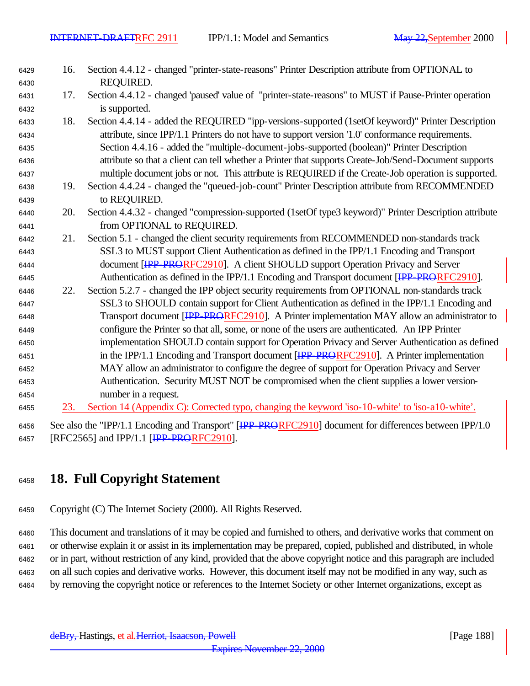| 6429 | 16. | Section 4.4.12 - changed "printer-state-reasons" Printer Description attribute from OPTIONAL to         |
|------|-----|---------------------------------------------------------------------------------------------------------|
| 6430 |     | REQUIRED.                                                                                               |
| 6431 | 17. | Section 4.4.12 - changed 'paused' value of "printer-state-reasons" to MUST if Pause-Printer operation   |
| 6432 |     | is supported.                                                                                           |
| 6433 | 18. | Section 4.4.14 - added the REQUIRED "ipp-versions-supported (1setOf keyword)" Printer Description       |
| 6434 |     | attribute, since IPP/1.1 Printers do not have to support version '1.0' conformance requirements.        |
| 6435 |     | Section 4.4.16 - added the "multiple-document-jobs-supported (boolean)" Printer Description             |
| 6436 |     | attribute so that a client can tell whether a Printer that supports Create-Job/Send-Document supports   |
| 6437 |     | multiple document jobs or not. This attribute is REQUIRED if the Create-Job operation is supported.     |
| 6438 | 19. | Section 4.4.24 - changed the "queued-job-count" Printer Description attribute from RECOMMENDED          |
| 6439 |     | to REQUIRED.                                                                                            |
| 6440 | 20. | Section 4.4.32 - changed "compression-supported (1setOf type3 keyword)" Printer Description attribute   |
| 6441 |     | from OPTIONAL to REQUIRED.                                                                              |
| 6442 | 21. | Section 5.1 - changed the client security requirements from RECOMMENDED non-standards track             |
| 6443 |     | SSL3 to MUST support Client Authentication as defined in the IPP/1.1 Encoding and Transport             |
| 6444 |     | document [IPP-PRORFC2910]. A client SHOULD support Operation Privacy and Server                         |
| 6445 |     | Authentication as defined in the IPP/1.1 Encoding and Transport document [IPP-PRORFC2910].              |
| 6446 | 22. | Section 5.2.7 - changed the IPP object security requirements from OPTIONAL non-standards track          |
| 6447 |     | SSL3 to SHOULD contain support for Client Authentication as defined in the IPP/1.1 Encoding and         |
| 6448 |     | Transport document [IPP PRORFC2910]. A Printer implementation MAY allow an administrator to             |
| 6449 |     | configure the Printer so that all, some, or none of the users are authenticated. An IPP Printer         |
| 6450 |     | implementation SHOULD contain support for Operation Privacy and Server Authentication as defined        |
| 6451 |     | in the IPP/1.1 Encoding and Transport document [IPP_PRORFC2910]. A Printer implementation               |
| 6452 |     | MAY allow an administrator to configure the degree of support for Operation Privacy and Server          |
| 6453 |     | Authentication. Security MUST NOT be compromised when the client supplies a lower version-              |
| 6454 |     | number in a request.                                                                                    |
| 6455 | 23. | Section 14 (Appendix C): Corrected typo, changing the keyword 'iso-10-white' to 'iso-a10-white'.        |
| 6456 |     | See also the "IPP/1.1 Encoding and Transport" [IPP_PRORFC2910] document for differences between IPP/1.0 |

6457 [RFC2565] and IPP/1.1 [IPP-PRORFC2910].

## **18. Full Copyright Statement**

Copyright (C) The Internet Society (2000). All Rights Reserved.

 This document and translations of it may be copied and furnished to others, and derivative works that comment on or otherwise explain it or assist in its implementation may be prepared, copied, published and distributed, in whole or in part, without restriction of any kind, provided that the above copyright notice and this paragraph are included on all such copies and derivative works. However, this document itself may not be modified in any way, such as by removing the copyright notice or references to the Internet Society or other Internet organizations, except as